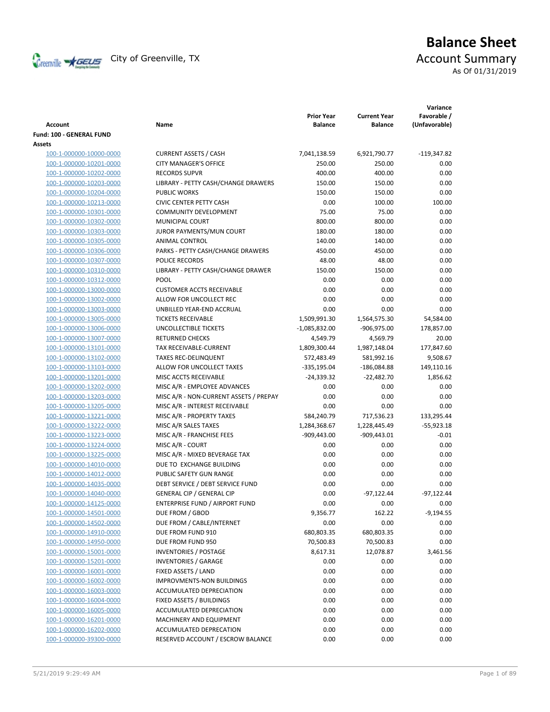

# **Balance Sheet** Creenville  $\star$  GEUS</del> City of Greenville, TX **ACCOUNT** Summary As Of 01/31/2019

| <b>Account</b>                 | Name                                   | <b>Prior Year</b><br><b>Balance</b> | <b>Current Year</b><br><b>Balance</b> | Variance<br>Favorable /<br>(Unfavorable) |
|--------------------------------|----------------------------------------|-------------------------------------|---------------------------------------|------------------------------------------|
| Fund: 100 - GENERAL FUND       |                                        |                                     |                                       |                                          |
| Assets                         |                                        |                                     |                                       |                                          |
| 100-1-000000-10000-0000        | <b>CURRENT ASSETS / CASH</b>           | 7,041,138.59                        | 6,921,790.77                          | $-119,347.82$                            |
| 100-1-000000-10201-0000        | <b>CITY MANAGER'S OFFICE</b>           | 250.00                              | 250.00                                | 0.00                                     |
| 100-1-000000-10202-0000        | <b>RECORDS SUPVR</b>                   | 400.00                              | 400.00                                | 0.00                                     |
| 100-1-000000-10203-0000        | LIBRARY - PETTY CASH/CHANGE DRAWERS    | 150.00                              | 150.00                                | 0.00                                     |
| 100-1-000000-10204-0000        | <b>PUBLIC WORKS</b>                    | 150.00                              | 150.00                                | 0.00                                     |
| 100-1-000000-10213-0000        | <b>CIVIC CENTER PETTY CASH</b>         | 0.00                                | 100.00                                | 100.00                                   |
| 100-1-000000-10301-0000        | <b>COMMUNITY DEVELOPMENT</b>           | 75.00                               | 75.00                                 | 0.00                                     |
| 100-1-000000-10302-0000        | MUNICIPAL COURT                        | 800.00                              | 800.00                                | 0.00                                     |
| 100-1-000000-10303-0000        | JUROR PAYMENTS/MUN COURT               | 180.00                              | 180.00                                | 0.00                                     |
| 100-1-000000-10305-0000        | ANIMAL CONTROL                         | 140.00                              | 140.00                                | 0.00                                     |
| 100-1-000000-10306-0000        | PARKS - PETTY CASH/CHANGE DRAWERS      | 450.00                              | 450.00                                | 0.00                                     |
| 100-1-000000-10307-0000        | POLICE RECORDS                         | 48.00                               | 48.00                                 | 0.00                                     |
| 100-1-000000-10310-0000        | LIBRARY - PETTY CASH/CHANGE DRAWER     | 150.00                              | 150.00                                | 0.00                                     |
| 100-1-000000-10312-0000        | <b>POOL</b>                            | 0.00                                | 0.00                                  | 0.00                                     |
| 100-1-000000-13000-0000        | <b>CUSTOMER ACCTS RECEIVABLE</b>       | 0.00                                | 0.00                                  | 0.00                                     |
| 100-1-000000-13002-0000        | ALLOW FOR UNCOLLECT REC                | 0.00                                | 0.00                                  | 0.00                                     |
| 100-1-000000-13003-0000        | UNBILLED YEAR-END ACCRUAL              | 0.00                                | 0.00                                  | 0.00                                     |
| 100-1-000000-13005-0000        | <b>TICKETS RECEIVABLE</b>              | 1,509,991.30                        | 1,564,575.30                          | 54,584.00                                |
| 100-1-000000-13006-0000        | UNCOLLECTIBLE TICKETS                  | $-1,085,832.00$                     | -906,975.00                           | 178,857.00                               |
| 100-1-000000-13007-0000        | <b>RETURNED CHECKS</b>                 | 4,549.79                            | 4,569.79                              | 20.00                                    |
| 100-1-000000-13101-0000        | TAX RECEIVABLE-CURRENT                 | 1,809,300.44                        | 1,987,148.04                          | 177,847.60                               |
| 100-1-000000-13102-0000        | <b>TAXES REC-DELINQUENT</b>            | 572,483.49                          | 581,992.16                            | 9,508.67                                 |
| 100-1-000000-13103-0000        | ALLOW FOR UNCOLLECT TAXES              | -335,195.04                         | $-186,084.88$                         | 149,110.16                               |
| 100-1-000000-13201-0000        | MISC ACCTS RECEIVABLE                  | -24,339.32                          | $-22,482.70$                          | 1,856.62                                 |
| 100-1-000000-13202-0000        | MISC A/R - EMPLOYEE ADVANCES           | 0.00                                | 0.00                                  | 0.00                                     |
| 100-1-000000-13203-0000        | MISC A/R - NON-CURRENT ASSETS / PREPAY | 0.00                                | 0.00                                  | 0.00                                     |
| 100-1-000000-13205-0000        | MISC A/R - INTEREST RECEIVABLE         | 0.00                                | 0.00                                  | 0.00                                     |
| 100-1-000000-13221-0000        | MISC A/R - PROPERTY TAXES              | 584,240.79                          | 717,536.23                            | 133,295.44                               |
| 100-1-000000-13222-0000        | MISC A/R SALES TAXES                   | 1,284,368.67                        | 1,228,445.49                          | $-55,923.18$                             |
| 100-1-000000-13223-0000        | MISC A/R - FRANCHISE FEES              | $-909,443.00$                       | $-909,443.01$                         | $-0.01$                                  |
| 100-1-000000-13224-0000        | MISC A/R - COURT                       | 0.00                                | 0.00                                  | 0.00                                     |
| 100-1-000000-13225-0000        | MISC A/R - MIXED BEVERAGE TAX          | 0.00                                | 0.00                                  | 0.00                                     |
| 100-1-000000-14010-0000        | DUE TO EXCHANGE BUILDING               | 0.00                                | 0.00                                  | 0.00                                     |
| 100-1-000000-14012-0000        | PUBLIC SAFETY GUN RANGE                | 0.00                                | 0.00                                  | 0.00                                     |
| 100-1-000000-14035-0000        | DEBT SERVICE / DEBT SERVICE FUND       | 0.00                                | 0.00                                  | 0.00                                     |
| 100-1-000000-14040-0000        | <b>GENERAL CIP / GENERAL CIP</b>       | 0.00                                | $-97,122.44$                          | $-97,122.44$                             |
| <u>100-1-000000-14125-0000</u> | ENTERPRISE FUND / AIRPORT FUND         | 0.00                                | 0.00                                  | 0.00                                     |
| 100-1-000000-14501-0000        | DUE FROM / GBOD                        | 9,356.77                            | 162.22                                | $-9,194.55$                              |
| 100-1-000000-14502-0000        | DUE FROM / CABLE/INTERNET              | 0.00                                | 0.00                                  | 0.00                                     |
| 100-1-000000-14910-0000        | DUE FROM FUND 910                      | 680,803.35                          | 680,803.35                            | 0.00                                     |
| 100-1-000000-14950-0000        | DUE FROM FUND 950                      | 70,500.83                           | 70,500.83                             | 0.00                                     |
| 100-1-000000-15001-0000        | <b>INVENTORIES / POSTAGE</b>           | 8,617.31                            | 12,078.87                             |                                          |
| 100-1-000000-15201-0000        |                                        |                                     |                                       | 3,461.56                                 |
|                                | <b>INVENTORIES / GARAGE</b>            | 0.00                                | 0.00                                  | 0.00                                     |
| 100-1-000000-16001-0000        | FIXED ASSETS / LAND                    | 0.00                                | 0.00                                  | 0.00                                     |
| 100-1-000000-16002-0000        | IMPROVMENTS-NON BUILDINGS              | 0.00                                | 0.00                                  | 0.00                                     |
| 100-1-000000-16003-0000        | ACCUMULATED DEPRECIATION               | 0.00                                | 0.00                                  | 0.00                                     |
| 100-1-000000-16004-0000        | FIXED ASSETS / BUILDINGS               | 0.00                                | 0.00                                  | 0.00                                     |
| 100-1-000000-16005-0000        | ACCUMULATED DEPRECIATION               | 0.00                                | 0.00                                  | 0.00                                     |
| 100-1-000000-16201-0000        | MACHINERY AND EQUIPMENT                | 0.00                                | 0.00                                  | 0.00                                     |
| 100-1-000000-16202-0000        | ACCUMULATED DEPRECATION                | 0.00                                | 0.00                                  | 0.00                                     |
| 100-1-000000-39300-0000        | RESERVED ACCOUNT / ESCROW BALANCE      | 0.00                                | 0.00                                  | 0.00                                     |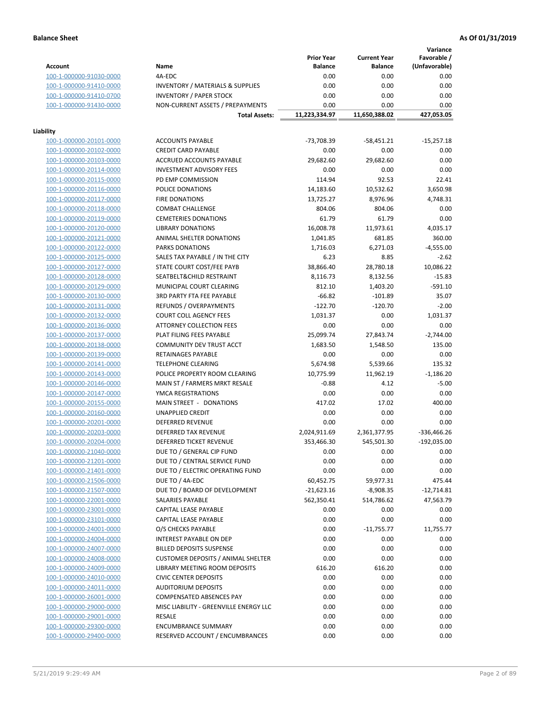**Variance**

|                         |                                             | <b>Prior Year</b> | <b>Current Year</b> | Favorable /   |
|-------------------------|---------------------------------------------|-------------------|---------------------|---------------|
| <b>Account</b>          | Name                                        | <b>Balance</b>    | <b>Balance</b>      | (Unfavorable) |
| 100-1-000000-91030-0000 | 4A-EDC                                      | 0.00              | 0.00                | 0.00          |
| 100-1-000000-91410-0000 | <b>INVENTORY / MATERIALS &amp; SUPPLIES</b> | 0.00              | 0.00                | 0.00          |
| 100-1-000000-91410-0700 | <b>INVENTORY / PAPER STOCK</b>              | 0.00              | 0.00                | 0.00          |
| 100-1-000000-91430-0000 | NON-CURRENT ASSETS / PREPAYMENTS            | 0.00              | 0.00                | 0.00          |
|                         | <b>Total Assets:</b>                        | 11,223,334.97     | 11,650,388.02       | 427,053.05    |
|                         |                                             |                   |                     |               |
| Liability               |                                             |                   |                     |               |
| 100-1-000000-20101-0000 | <b>ACCOUNTS PAYABLE</b>                     | -73,708.39        | $-58,451.21$        | $-15,257.18$  |
| 100-1-000000-20102-0000 | <b>CREDIT CARD PAYABLE</b>                  | 0.00              | 0.00                | 0.00          |
| 100-1-000000-20103-0000 | ACCRUED ACCOUNTS PAYABLE                    | 29,682.60         | 29,682.60           | 0.00          |
| 100-1-000000-20114-0000 | <b>INVESTMENT ADVISORY FEES</b>             | 0.00              | 0.00                | 0.00          |
| 100-1-000000-20115-0000 | PD EMP COMMISSION                           | 114.94            | 92.53               | 22.41         |
| 100-1-000000-20116-0000 | POLICE DONATIONS                            | 14,183.60         | 10,532.62           | 3,650.98      |
| 100-1-000000-20117-0000 | <b>FIRE DONATIONS</b>                       | 13,725.27         | 8,976.96            | 4,748.31      |
| 100-1-000000-20118-0000 | <b>COMBAT CHALLENGE</b>                     | 804.06            | 804.06              | 0.00          |
| 100-1-000000-20119-0000 | <b>CEMETERIES DONATIONS</b>                 | 61.79             | 61.79               | 0.00          |
| 100-1-000000-20120-0000 | <b>LIBRARY DONATIONS</b>                    | 16,008.78         | 11,973.61           | 4,035.17      |
| 100-1-000000-20121-0000 | ANIMAL SHELTER DONATIONS                    | 1,041.85          | 681.85              | 360.00        |
| 100-1-000000-20122-0000 | <b>PARKS DONATIONS</b>                      | 1,716.03          | 6,271.03            | $-4,555.00$   |
| 100-1-000000-20125-0000 | SALES TAX PAYABLE / IN THE CITY             | 6.23              | 8.85                | $-2.62$       |
| 100-1-000000-20127-0000 | STATE COURT COST/FEE PAYB                   | 38,866.40         | 28,780.18           | 10,086.22     |
| 100-1-000000-20128-0000 | SEATBELT&CHILD RESTRAINT                    | 8,116.73          | 8,132.56            | $-15.83$      |
| 100-1-000000-20129-0000 | MUNICIPAL COURT CLEARING                    | 812.10            | 1,403.20            | $-591.10$     |
|                         | 3RD PARTY FTA FEE PAYABLE                   | $-66.82$          | $-101.89$           | 35.07         |
| 100-1-000000-20130-0000 |                                             | $-122.70$         | $-120.70$           |               |
| 100-1-000000-20131-0000 | REFUNDS / OVERPAYMENTS                      |                   |                     | $-2.00$       |
| 100-1-000000-20132-0000 | <b>COURT COLL AGENCY FEES</b>               | 1,031.37          | 0.00                | 1,031.37      |
| 100-1-000000-20136-0000 | <b>ATTORNEY COLLECTION FEES</b>             | 0.00              | 0.00                | 0.00          |
| 100-1-000000-20137-0000 | PLAT FILING FEES PAYABLE                    | 25,099.74         | 27,843.74           | $-2,744.00$   |
| 100-1-000000-20138-0000 | COMMUNITY DEV TRUST ACCT                    | 1,683.50          | 1,548.50            | 135.00        |
| 100-1-000000-20139-0000 | RETAINAGES PAYABLE                          | 0.00              | 0.00                | 0.00          |
| 100-1-000000-20141-0000 | <b>TELEPHONE CLEARING</b>                   | 5,674.98          | 5,539.66            | 135.32        |
| 100-1-000000-20143-0000 | POLICE PROPERTY ROOM CLEARING               | 10,775.99         | 11,962.19           | $-1,186.20$   |
| 100-1-000000-20146-0000 | MAIN ST / FARMERS MRKT RESALE               | $-0.88$           | 4.12                | $-5.00$       |
| 100-1-000000-20147-0000 | YMCA REGISTRATIONS                          | 0.00              | 0.00                | 0.00          |
| 100-1-000000-20155-0000 | MAIN STREET - DONATIONS                     | 417.02            | 17.02               | 400.00        |
| 100-1-000000-20160-0000 | <b>UNAPPLIED CREDIT</b>                     | 0.00              | 0.00                | 0.00          |
| 100-1-000000-20201-0000 | <b>DEFERRED REVENUE</b>                     | 0.00              | 0.00                | 0.00          |
| 100-1-000000-20203-0000 | DEFERRED TAX REVENUE                        | 2,024,911.69      | 2,361,377.95        | $-336,466.26$ |
| 100-1-000000-20204-0000 | DEFERRED TICKET REVENUE                     | 353,466.30        | 545,501.30          | $-192,035.00$ |
| 100-1-000000-21040-0000 | DUE TO / GENERAL CIP FUND                   | 0.00              | 0.00                | 0.00          |
| 100-1-000000-21201-0000 | DUE TO / CENTRAL SERVICE FUND               | 0.00              | 0.00                | 0.00          |
| 100-1-000000-21401-0000 | DUE TO / ELECTRIC OPERATING FUND            | 0.00              | 0.00                | 0.00          |
| 100-1-000000-21506-0000 | DUE TO / 4A-EDC                             | 60,452.75         | 59,977.31           | 475.44        |
| 100-1-000000-21507-0000 | DUE TO / BOARD OF DEVELOPMENT               | $-21,623.16$      | $-8,908.35$         | $-12,714.81$  |
| 100-1-000000-22001-0000 | SALARIES PAYABLE                            | 562,350.41        | 514,786.62          | 47,563.79     |
| 100-1-000000-23001-0000 | CAPITAL LEASE PAYABLE                       | 0.00              | 0.00                | 0.00          |
| 100-1-000000-23101-0000 | CAPITAL LEASE PAYABLE                       | 0.00              | 0.00                | 0.00          |
| 100-1-000000-24001-0000 | O/S CHECKS PAYABLE                          | 0.00              | $-11,755.77$        | 11,755.77     |
| 100-1-000000-24004-0000 | INTEREST PAYABLE ON DEP                     | 0.00              | 0.00                | 0.00          |
| 100-1-000000-24007-0000 | <b>BILLED DEPOSITS SUSPENSE</b>             | 0.00              | 0.00                | 0.00          |
| 100-1-000000-24008-0000 | <b>CUSTOMER DEPOSITS / ANIMAL SHELTER</b>   | 0.00              | 0.00                | 0.00          |
| 100-1-000000-24009-0000 | LIBRARY MEETING ROOM DEPOSITS               | 616.20            | 616.20              | 0.00          |
| 100-1-000000-24010-0000 | <b>CIVIC CENTER DEPOSITS</b>                | 0.00              | 0.00                | 0.00          |
| 100-1-000000-24011-0000 | <b>AUDITORIUM DEPOSITS</b>                  | 0.00              | 0.00                | 0.00          |
| 100-1-000000-26001-0000 | COMPENSATED ABSENCES PAY                    | 0.00              | 0.00                | 0.00          |
| 100-1-000000-29000-0000 | MISC LIABILITY - GREENVILLE ENERGY LLC      | 0.00              | 0.00                | 0.00          |
| 100-1-000000-29001-0000 | <b>RESALE</b>                               | 0.00              | 0.00                | 0.00          |
| 100-1-000000-29300-0000 | <b>ENCUMBRANCE SUMMARY</b>                  | 0.00              | 0.00                | 0.00          |
| 100-1-000000-29400-0000 | RESERVED ACCOUNT / ENCUMBRANCES             | 0.00              | 0.00                | 0.00          |
|                         |                                             |                   |                     |               |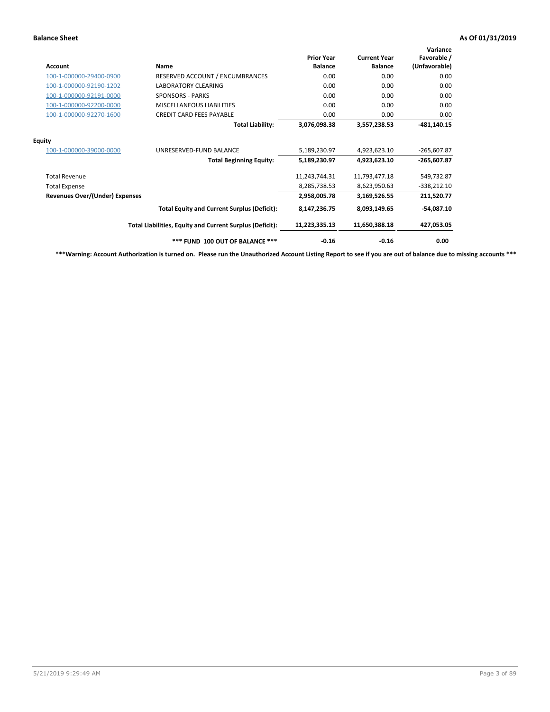| <b>Account</b>                        | <b>Name</b>                                              | <b>Prior Year</b><br><b>Balance</b> | <b>Current Year</b><br><b>Balance</b> | Variance<br>Favorable /<br>(Unfavorable) |
|---------------------------------------|----------------------------------------------------------|-------------------------------------|---------------------------------------|------------------------------------------|
| 100-1-000000-29400-0900               | RESERVED ACCOUNT / ENCUMBRANCES                          | 0.00                                | 0.00                                  | 0.00                                     |
| 100-1-000000-92190-1202               | <b>LABORATORY CLEARING</b>                               | 0.00                                | 0.00                                  | 0.00                                     |
| 100-1-000000-92191-0000               | <b>SPONSORS - PARKS</b>                                  | 0.00                                | 0.00                                  | 0.00                                     |
| 100-1-000000-92200-0000               | MISCELLANEOUS LIABILITIES                                | 0.00                                | 0.00                                  | 0.00                                     |
| 100-1-000000-92270-1600               | <b>CREDIT CARD FEES PAYABLE</b>                          | 0.00                                | 0.00                                  | 0.00                                     |
|                                       | <b>Total Liability:</b>                                  | 3,076,098.38                        | 3,557,238.53                          | $-481,140.15$                            |
| <b>Equity</b>                         |                                                          |                                     |                                       |                                          |
| 100-1-000000-39000-0000               | UNRESERVED-FUND BALANCE                                  | 5,189,230.97                        | 4,923,623.10                          | $-265,607.87$                            |
|                                       | <b>Total Beginning Equity:</b>                           | 5,189,230.97                        | 4,923,623.10                          | -265,607.87                              |
| <b>Total Revenue</b>                  |                                                          | 11,243,744.31                       | 11,793,477.18                         | 549,732.87                               |
| <b>Total Expense</b>                  |                                                          | 8,285,738.53                        | 8,623,950.63                          | $-338,212.10$                            |
| <b>Revenues Over/(Under) Expenses</b> |                                                          | 2,958,005.78                        | 3,169,526.55                          | 211,520.77                               |
|                                       | <b>Total Equity and Current Surplus (Deficit):</b>       | 8,147,236.75                        | 8,093,149.65                          | $-54,087.10$                             |
|                                       | Total Liabilities, Equity and Current Surplus (Deficit): | 11,223,335.13                       | 11,650,388.18                         | 427,053.05                               |
|                                       | *** FUND 100 OUT OF BALANCE ***                          | $-0.16$                             | $-0.16$                               | 0.00                                     |

**\*\*\*Warning: Account Authorization is turned on. Please run the Unauthorized Account Listing Report to see if you are out of balance due to missing accounts \*\*\***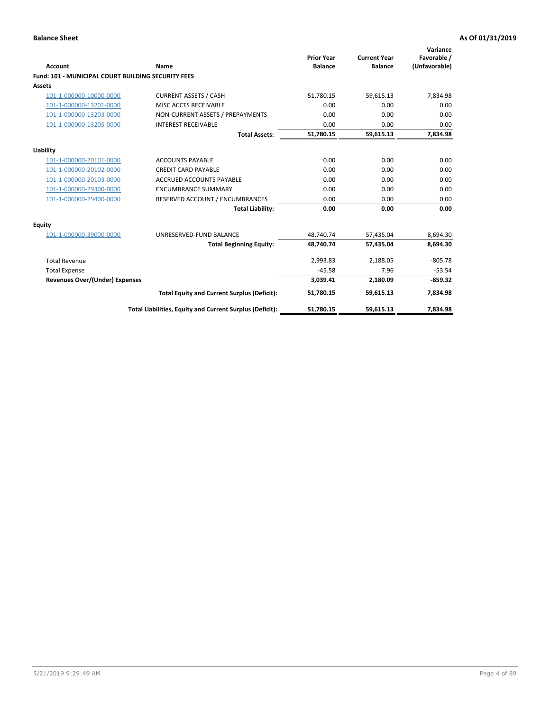| Account                                                   | <b>Name</b>                                              | <b>Prior Year</b><br><b>Balance</b> | <b>Current Year</b><br><b>Balance</b> | Variance<br>Favorable /<br>(Unfavorable) |
|-----------------------------------------------------------|----------------------------------------------------------|-------------------------------------|---------------------------------------|------------------------------------------|
| <b>Fund: 101 - MUNICIPAL COURT BUILDING SECURITY FEES</b> |                                                          |                                     |                                       |                                          |
| Assets                                                    |                                                          |                                     |                                       |                                          |
| 101-1-000000-10000-0000                                   | <b>CURRENT ASSETS / CASH</b>                             | 51,780.15                           | 59,615.13                             | 7,834.98                                 |
| 101-1-000000-13201-0000                                   | MISC ACCTS RECEIVABLE                                    | 0.00                                | 0.00                                  | 0.00                                     |
| 101-1-000000-13203-0000                                   | NON-CURRENT ASSETS / PREPAYMENTS                         | 0.00                                | 0.00                                  | 0.00                                     |
| 101-1-000000-13205-0000                                   | <b>INTEREST RECEIVABLE</b>                               | 0.00                                | 0.00                                  | 0.00                                     |
|                                                           | <b>Total Assets:</b>                                     | 51,780.15                           | 59,615.13                             | 7,834.98                                 |
| Liability                                                 |                                                          |                                     |                                       |                                          |
| 101-1-000000-20101-0000                                   | <b>ACCOUNTS PAYABLE</b>                                  | 0.00                                | 0.00                                  | 0.00                                     |
| 101-1-000000-20102-0000                                   | <b>CREDIT CARD PAYABLE</b>                               | 0.00                                | 0.00                                  | 0.00                                     |
| 101-1-000000-20103-0000                                   | <b>ACCRUED ACCOUNTS PAYABLE</b>                          | 0.00                                | 0.00                                  | 0.00                                     |
| 101-1-000000-29300-0000                                   | <b>ENCUMBRANCE SUMMARY</b>                               | 0.00                                | 0.00                                  | 0.00                                     |
| 101-1-000000-29400-0000                                   | RESERVED ACCOUNT / ENCUMBRANCES                          | 0.00                                | 0.00                                  | 0.00                                     |
|                                                           | <b>Total Liability:</b>                                  | 0.00                                | 0.00                                  | 0.00                                     |
| <b>Equity</b>                                             |                                                          |                                     |                                       |                                          |
| 101-1-000000-39000-0000                                   | UNRESERVED-FUND BALANCE                                  | 48,740.74                           | 57,435.04                             | 8,694.30                                 |
|                                                           | <b>Total Beginning Equity:</b>                           | 48,740.74                           | 57,435.04                             | 8,694.30                                 |
| <b>Total Revenue</b>                                      |                                                          | 2,993.83                            | 2,188.05                              | $-805.78$                                |
| <b>Total Expense</b>                                      |                                                          | $-45.58$                            | 7.96                                  | $-53.54$                                 |
| Revenues Over/(Under) Expenses                            |                                                          | 3,039.41                            | 2,180.09                              | $-859.32$                                |
|                                                           | <b>Total Equity and Current Surplus (Deficit):</b>       | 51,780.15                           | 59,615.13                             | 7,834.98                                 |
|                                                           | Total Liabilities, Equity and Current Surplus (Deficit): | 51,780.15                           | 59,615.13                             | 7,834.98                                 |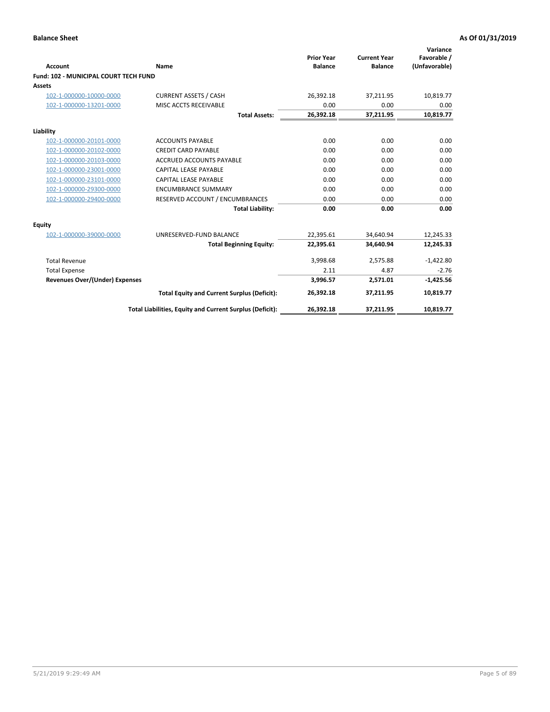| <b>Account</b>                               | Name                                                     | <b>Prior Year</b><br><b>Balance</b> | <b>Current Year</b><br><b>Balance</b> | Variance<br>Favorable /<br>(Unfavorable) |
|----------------------------------------------|----------------------------------------------------------|-------------------------------------|---------------------------------------|------------------------------------------|
| <b>Fund: 102 - MUNICIPAL COURT TECH FUND</b> |                                                          |                                     |                                       |                                          |
| <b>Assets</b>                                |                                                          |                                     |                                       |                                          |
| 102-1-000000-10000-0000                      | <b>CURRENT ASSETS / CASH</b>                             | 26,392.18                           | 37,211.95                             | 10,819.77                                |
| 102-1-000000-13201-0000                      | MISC ACCTS RECEIVABLE                                    | 0.00                                | 0.00                                  | 0.00                                     |
|                                              | <b>Total Assets:</b>                                     | 26,392.18                           | 37,211.95                             | 10,819.77                                |
| Liability                                    |                                                          |                                     |                                       |                                          |
| 102-1-000000-20101-0000                      | <b>ACCOUNTS PAYABLE</b>                                  | 0.00                                | 0.00                                  | 0.00                                     |
| 102-1-000000-20102-0000                      | <b>CREDIT CARD PAYABLE</b>                               | 0.00                                | 0.00                                  | 0.00                                     |
| 102-1-000000-20103-0000                      | <b>ACCRUED ACCOUNTS PAYABLE</b>                          | 0.00                                | 0.00                                  | 0.00                                     |
| 102-1-000000-23001-0000                      | <b>CAPITAL LEASE PAYABLE</b>                             | 0.00                                | 0.00                                  | 0.00                                     |
| 102-1-000000-23101-0000                      | <b>CAPITAL LEASE PAYABLE</b>                             | 0.00                                | 0.00                                  | 0.00                                     |
| 102-1-000000-29300-0000                      | <b>ENCUMBRANCE SUMMARY</b>                               | 0.00                                | 0.00                                  | 0.00                                     |
| 102-1-000000-29400-0000                      | RESERVED ACCOUNT / ENCUMBRANCES                          | 0.00                                | 0.00                                  | 0.00                                     |
|                                              | <b>Total Liability:</b>                                  | 0.00                                | 0.00                                  | 0.00                                     |
| Equity                                       |                                                          |                                     |                                       |                                          |
| 102-1-000000-39000-0000                      | UNRESERVED-FUND BALANCE                                  | 22,395.61                           | 34,640.94                             | 12,245.33                                |
|                                              | <b>Total Beginning Equity:</b>                           | 22,395.61                           | 34,640.94                             | 12,245.33                                |
| <b>Total Revenue</b>                         |                                                          | 3,998.68                            | 2,575.88                              | $-1,422.80$                              |
| <b>Total Expense</b>                         |                                                          | 2.11                                | 4.87                                  | $-2.76$                                  |
| Revenues Over/(Under) Expenses               |                                                          | 3,996.57                            | 2,571.01                              | $-1,425.56$                              |
|                                              | <b>Total Equity and Current Surplus (Deficit):</b>       | 26,392.18                           | 37,211.95                             | 10,819.77                                |
|                                              | Total Liabilities, Equity and Current Surplus (Deficit): | 26,392.18                           | 37,211.95                             | 10,819.77                                |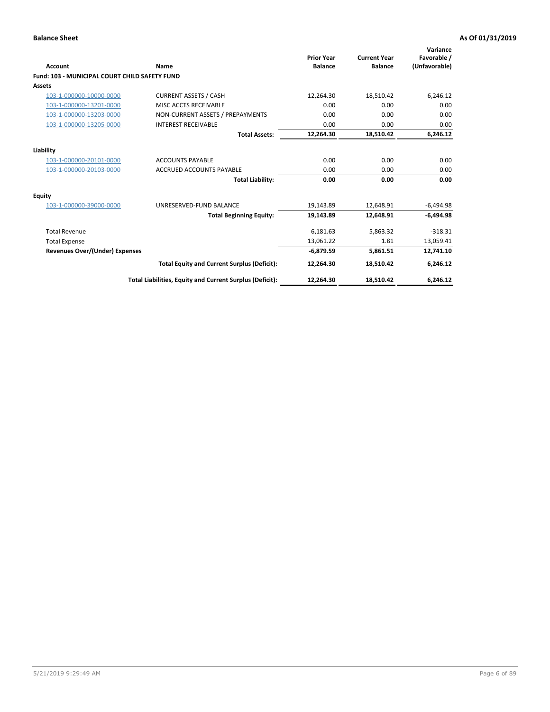| <b>Account</b>                                | <b>Name</b>                                              | <b>Prior Year</b><br><b>Balance</b> | <b>Current Year</b><br><b>Balance</b> | Variance<br>Favorable /<br>(Unfavorable) |
|-----------------------------------------------|----------------------------------------------------------|-------------------------------------|---------------------------------------|------------------------------------------|
| Fund: 103 - MUNICIPAL COURT CHILD SAFETY FUND |                                                          |                                     |                                       |                                          |
| Assets                                        |                                                          |                                     |                                       |                                          |
| 103-1-000000-10000-0000                       | <b>CURRENT ASSETS / CASH</b>                             | 12,264.30                           | 18,510.42                             | 6,246.12                                 |
| 103-1-000000-13201-0000                       | MISC ACCTS RECEIVABLE                                    | 0.00                                | 0.00                                  | 0.00                                     |
| 103-1-000000-13203-0000                       | NON-CURRENT ASSETS / PREPAYMENTS                         | 0.00                                | 0.00                                  | 0.00                                     |
| 103-1-000000-13205-0000                       | <b>INTEREST RECEIVABLE</b>                               | 0.00                                | 0.00                                  | 0.00                                     |
|                                               | <b>Total Assets:</b>                                     | 12,264.30                           | 18,510.42                             | 6,246.12                                 |
| Liability                                     |                                                          |                                     |                                       |                                          |
| 103-1-000000-20101-0000                       | <b>ACCOUNTS PAYABLE</b>                                  | 0.00                                | 0.00                                  | 0.00                                     |
| 103-1-000000-20103-0000                       | <b>ACCRUED ACCOUNTS PAYABLE</b>                          | 0.00                                | 0.00                                  | 0.00                                     |
|                                               | <b>Total Liability:</b>                                  | 0.00                                | 0.00                                  | 0.00                                     |
| Equity                                        |                                                          |                                     |                                       |                                          |
| 103-1-000000-39000-0000                       | UNRESERVED-FUND BALANCE                                  | 19,143.89                           | 12,648.91                             | $-6,494.98$                              |
|                                               | <b>Total Beginning Equity:</b>                           | 19,143.89                           | 12,648.91                             | $-6,494.98$                              |
| <b>Total Revenue</b>                          |                                                          | 6,181.63                            | 5,863.32                              | $-318.31$                                |
| <b>Total Expense</b>                          |                                                          | 13,061.22                           | 1.81                                  | 13,059.41                                |
| Revenues Over/(Under) Expenses                |                                                          | $-6,879.59$                         | 5,861.51                              | 12,741.10                                |
|                                               | <b>Total Equity and Current Surplus (Deficit):</b>       | 12,264.30                           | 18,510.42                             | 6,246.12                                 |
|                                               | Total Liabilities, Equity and Current Surplus (Deficit): | 12,264.30                           | 18,510.42                             | 6,246.12                                 |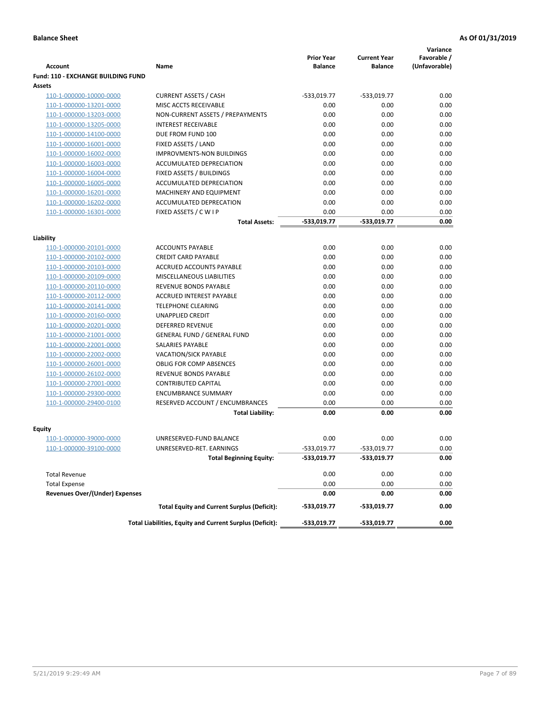|                                           |                                                          | <b>Prior Year</b> | <b>Current Year</b> | Variance<br>Favorable / |
|-------------------------------------------|----------------------------------------------------------|-------------------|---------------------|-------------------------|
| Account                                   | Name                                                     | <b>Balance</b>    | <b>Balance</b>      | (Unfavorable)           |
| <b>Fund: 110 - EXCHANGE BUILDING FUND</b> |                                                          |                   |                     |                         |
| <b>Assets</b>                             |                                                          |                   |                     |                         |
| 110-1-000000-10000-0000                   | <b>CURRENT ASSETS / CASH</b>                             | -533,019.77       | $-533,019.77$       | 0.00                    |
| 110-1-000000-13201-0000                   | MISC ACCTS RECEIVABLE                                    | 0.00              | 0.00                | 0.00                    |
| 110-1-000000-13203-0000                   | NON-CURRENT ASSETS / PREPAYMENTS                         | 0.00              | 0.00                | 0.00                    |
| 110-1-000000-13205-0000                   | <b>INTEREST RECEIVABLE</b>                               | 0.00              | 0.00                | 0.00                    |
| 110-1-000000-14100-0000                   | DUE FROM FUND 100                                        | 0.00              | 0.00                | 0.00                    |
| 110-1-000000-16001-0000                   | FIXED ASSETS / LAND                                      | 0.00              | 0.00                | 0.00                    |
| 110-1-000000-16002-0000                   | <b>IMPROVMENTS-NON BUILDINGS</b>                         | 0.00              | 0.00                | 0.00                    |
| 110-1-000000-16003-0000                   | ACCUMULATED DEPRECIATION                                 | 0.00              | 0.00                | 0.00                    |
| 110-1-000000-16004-0000                   | <b>FIXED ASSETS / BUILDINGS</b>                          | 0.00              | 0.00                | 0.00                    |
| 110-1-000000-16005-0000                   | ACCUMULATED DEPRECIATION                                 | 0.00              | 0.00                | 0.00                    |
| 110-1-000000-16201-0000                   | MACHINERY AND EQUIPMENT                                  | 0.00              | 0.00                | 0.00                    |
| 110-1-000000-16202-0000                   | ACCUMULATED DEPRECATION                                  | 0.00              | 0.00                | 0.00                    |
| 110-1-000000-16301-0000                   | FIXED ASSETS / C W I P                                   | 0.00              | 0.00                | 0.00                    |
|                                           | <b>Total Assets:</b>                                     | -533,019.77       | -533,019.77         | 0.00                    |
| Liability                                 |                                                          |                   |                     |                         |
| 110-1-000000-20101-0000                   | <b>ACCOUNTS PAYABLE</b>                                  | 0.00              | 0.00                | 0.00                    |
| 110-1-000000-20102-0000                   | <b>CREDIT CARD PAYABLE</b>                               | 0.00              | 0.00                | 0.00                    |
| 110-1-000000-20103-0000                   | <b>ACCRUED ACCOUNTS PAYABLE</b>                          | 0.00              | 0.00                | 0.00                    |
| 110-1-000000-20109-0000                   | MISCELLANEOUS LIABILITIES                                | 0.00              | 0.00                | 0.00                    |
| 110-1-000000-20110-0000                   | REVENUE BONDS PAYABLE                                    | 0.00              | 0.00                | 0.00                    |
| 110-1-000000-20112-0000                   | ACCRUED INTEREST PAYABLE                                 | 0.00              | 0.00                | 0.00                    |
| 110-1-000000-20141-0000                   | <b>TELEPHONE CLEARING</b>                                | 0.00              | 0.00                | 0.00                    |
| 110-1-000000-20160-0000                   | <b>UNAPPLIED CREDIT</b>                                  | 0.00              | 0.00                | 0.00                    |
| 110-1-000000-20201-0000                   | <b>DEFERRED REVENUE</b>                                  | 0.00              | 0.00                | 0.00                    |
| 110-1-000000-21001-0000                   | <b>GENERAL FUND / GENERAL FUND</b>                       | 0.00              | 0.00                | 0.00                    |
| 110-1-000000-22001-0000                   | <b>SALARIES PAYABLE</b>                                  | 0.00              | 0.00                | 0.00                    |
| 110-1-000000-22002-0000                   | VACATION/SICK PAYABLE                                    | 0.00              | 0.00                | 0.00                    |
| 110-1-000000-26001-0000                   | <b>OBLIG FOR COMP ABSENCES</b>                           | 0.00              | 0.00                | 0.00                    |
| 110-1-000000-26102-0000                   | REVENUE BONDS PAYABLE                                    | 0.00              | 0.00                | 0.00                    |
| 110-1-000000-27001-0000                   | <b>CONTRIBUTED CAPITAL</b>                               | 0.00              | 0.00                | 0.00                    |
| 110-1-000000-29300-0000                   | <b>ENCUMBRANCE SUMMARY</b>                               | 0.00              | 0.00                | 0.00                    |
| 110-1-000000-29400-0100                   | RESERVED ACCOUNT / ENCUMBRANCES                          | 0.00              | 0.00                | 0.00                    |
|                                           | <b>Total Liability:</b>                                  | 0.00              | 0.00                | 0.00                    |
| Equity                                    |                                                          |                   |                     |                         |
| 110-1-000000-39000-0000                   | UNRESERVED-FUND BALANCE                                  | 0.00              | 0.00                | 0.00                    |
| 110-1-000000-39100-0000                   | UNRESERVED-RET. EARNINGS                                 | -533,019.77       | -533,019.77         | 0.00                    |
|                                           | <b>Total Beginning Equity:</b>                           | -533,019.77       | -533,019.77         | 0.00                    |
|                                           |                                                          |                   |                     |                         |
| <b>Total Revenue</b>                      |                                                          | 0.00              | 0.00                | 0.00                    |
| <b>Total Expense</b>                      |                                                          | 0.00              | 0.00                | 0.00                    |
| <b>Revenues Over/(Under) Expenses</b>     |                                                          | 0.00              | 0.00                | 0.00                    |
|                                           | <b>Total Equity and Current Surplus (Deficit):</b>       | -533,019.77       | -533,019.77         | 0.00                    |
|                                           | Total Liabilities, Equity and Current Surplus (Deficit): | -533,019.77       | -533,019.77         | 0.00                    |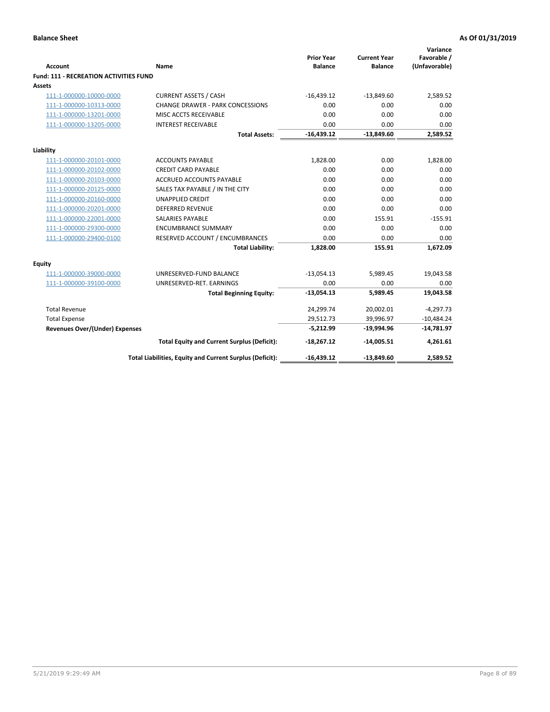| <b>Account</b>                         | <b>Name</b>                                              | <b>Prior Year</b><br><b>Balance</b> | <b>Current Year</b><br><b>Balance</b> | Variance<br>Favorable /<br>(Unfavorable) |
|----------------------------------------|----------------------------------------------------------|-------------------------------------|---------------------------------------|------------------------------------------|
| Fund: 111 - RECREATION ACTIVITIES FUND |                                                          |                                     |                                       |                                          |
| <b>Assets</b>                          |                                                          |                                     |                                       |                                          |
| 111-1-000000-10000-0000                | <b>CURRENT ASSETS / CASH</b>                             | $-16,439.12$                        | $-13,849.60$                          | 2,589.52                                 |
| 111-1-000000-10313-0000                | <b>CHANGE DRAWER - PARK CONCESSIONS</b>                  | 0.00                                | 0.00                                  | 0.00                                     |
| 111-1-000000-13201-0000                | MISC ACCTS RECEIVABLE                                    | 0.00                                | 0.00                                  | 0.00                                     |
| 111-1-000000-13205-0000                | <b>INTEREST RECEIVABLE</b>                               | 0.00                                | 0.00                                  | 0.00                                     |
|                                        | <b>Total Assets:</b>                                     | $-16,439.12$                        | $-13,849.60$                          | 2,589.52                                 |
| Liability                              |                                                          |                                     |                                       |                                          |
| 111-1-000000-20101-0000                | <b>ACCOUNTS PAYABLE</b>                                  | 1,828.00                            | 0.00                                  | 1,828.00                                 |
| 111-1-000000-20102-0000                | <b>CREDIT CARD PAYABLE</b>                               | 0.00                                | 0.00                                  | 0.00                                     |
| 111-1-000000-20103-0000                | <b>ACCRUED ACCOUNTS PAYABLE</b>                          | 0.00                                | 0.00                                  | 0.00                                     |
| 111-1-000000-20125-0000                | SALES TAX PAYABLE / IN THE CITY                          | 0.00                                | 0.00                                  | 0.00                                     |
| 111-1-000000-20160-0000                | <b>UNAPPLIED CREDIT</b>                                  | 0.00                                | 0.00                                  | 0.00                                     |
| 111-1-000000-20201-0000                | <b>DEFERRED REVENUE</b>                                  | 0.00                                | 0.00                                  | 0.00                                     |
| 111-1-000000-22001-0000                | <b>SALARIES PAYABLE</b>                                  | 0.00                                | 155.91                                | $-155.91$                                |
| 111-1-000000-29300-0000                | <b>ENCUMBRANCE SUMMARY</b>                               | 0.00                                | 0.00                                  | 0.00                                     |
| 111-1-000000-29400-0100                | RESERVED ACCOUNT / ENCUMBRANCES                          | 0.00                                | 0.00                                  | 0.00                                     |
|                                        | <b>Total Liability:</b>                                  | 1,828.00                            | 155.91                                | 1,672.09                                 |
| Equity                                 |                                                          |                                     |                                       |                                          |
| 111-1-000000-39000-0000                | UNRESERVED-FUND BALANCE                                  | $-13,054.13$                        | 5,989.45                              | 19,043.58                                |
| 111-1-000000-39100-0000                | UNRESERVED-RET. EARNINGS                                 | 0.00                                | 0.00                                  | 0.00                                     |
|                                        | <b>Total Beginning Equity:</b>                           | $-13,054.13$                        | 5,989.45                              | 19,043.58                                |
| <b>Total Revenue</b>                   |                                                          | 24,299.74                           | 20,002.01                             | $-4,297.73$                              |
| <b>Total Expense</b>                   |                                                          | 29,512.73                           | 39,996.97                             | $-10,484.24$                             |
| <b>Revenues Over/(Under) Expenses</b>  |                                                          | $-5,212.99$                         | $-19,994.96$                          | $-14,781.97$                             |
|                                        | <b>Total Equity and Current Surplus (Deficit):</b>       | $-18,267.12$                        | $-14,005.51$                          | 4,261.61                                 |
|                                        | Total Liabilities, Equity and Current Surplus (Deficit): | $-16,439.12$                        | $-13,849.60$                          | 2,589.52                                 |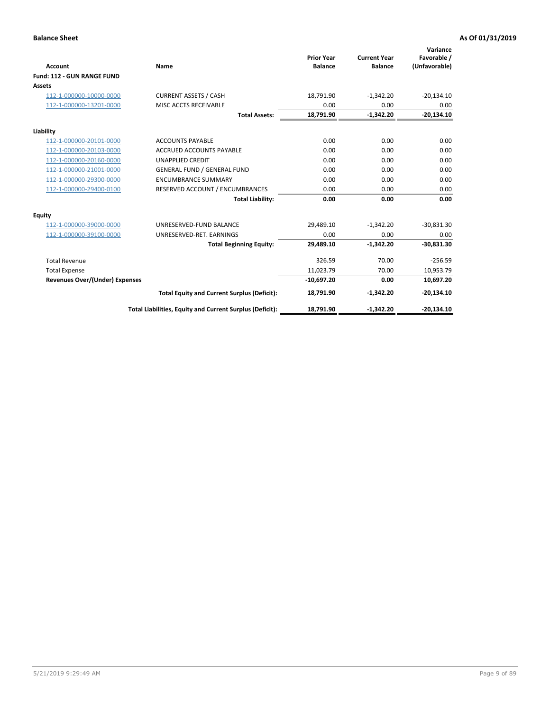|                                       |                                                          |                                     |                                       | Variance                     |
|---------------------------------------|----------------------------------------------------------|-------------------------------------|---------------------------------------|------------------------------|
| <b>Account</b>                        | Name                                                     | <b>Prior Year</b><br><b>Balance</b> | <b>Current Year</b><br><b>Balance</b> | Favorable /<br>(Unfavorable) |
| Fund: 112 - GUN RANGE FUND            |                                                          |                                     |                                       |                              |
| <b>Assets</b>                         |                                                          |                                     |                                       |                              |
| 112-1-000000-10000-0000               | <b>CURRENT ASSETS / CASH</b>                             | 18,791.90                           | $-1,342.20$                           | $-20,134.10$                 |
| 112-1-000000-13201-0000               | MISC ACCTS RECEIVABLE                                    | 0.00                                | 0.00                                  | 0.00                         |
|                                       | <b>Total Assets:</b>                                     | 18,791.90                           | $-1,342.20$                           | $-20,134.10$                 |
| Liability                             |                                                          |                                     |                                       |                              |
| 112-1-000000-20101-0000               | <b>ACCOUNTS PAYABLE</b>                                  | 0.00                                | 0.00                                  | 0.00                         |
| 112-1-000000-20103-0000               | <b>ACCRUED ACCOUNTS PAYABLE</b>                          | 0.00                                | 0.00                                  | 0.00                         |
| 112-1-000000-20160-0000               | <b>UNAPPLIED CREDIT</b>                                  | 0.00                                | 0.00                                  | 0.00                         |
| 112-1-000000-21001-0000               | <b>GENERAL FUND / GENERAL FUND</b>                       | 0.00                                | 0.00                                  | 0.00                         |
| 112-1-000000-29300-0000               | <b>ENCUMBRANCE SUMMARY</b>                               | 0.00                                | 0.00                                  | 0.00                         |
| 112-1-000000-29400-0100               | RESERVED ACCOUNT / ENCUMBRANCES                          | 0.00                                | 0.00                                  | 0.00                         |
|                                       | <b>Total Liability:</b>                                  | 0.00                                | 0.00                                  | 0.00                         |
| Equity                                |                                                          |                                     |                                       |                              |
| 112-1-000000-39000-0000               | UNRESERVED-FUND BALANCE                                  | 29,489.10                           | $-1,342.20$                           | $-30,831.30$                 |
| 112-1-000000-39100-0000               | UNRESERVED-RET. EARNINGS                                 | 0.00                                | 0.00                                  | 0.00                         |
|                                       | <b>Total Beginning Equity:</b>                           | 29,489.10                           | $-1,342.20$                           | $-30,831.30$                 |
| <b>Total Revenue</b>                  |                                                          | 326.59                              | 70.00                                 | $-256.59$                    |
| <b>Total Expense</b>                  |                                                          | 11,023.79                           | 70.00                                 | 10,953.79                    |
| <b>Revenues Over/(Under) Expenses</b> |                                                          | $-10,697.20$                        | 0.00                                  | 10,697.20                    |
|                                       | <b>Total Equity and Current Surplus (Deficit):</b>       | 18,791.90                           | $-1,342.20$                           | $-20,134.10$                 |
|                                       | Total Liabilities, Equity and Current Surplus (Deficit): | 18,791.90                           | $-1,342.20$                           | $-20,134.10$                 |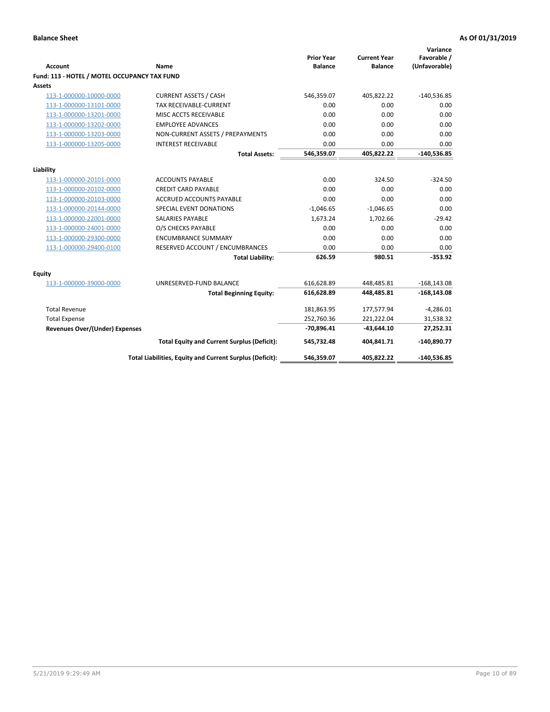| <b>Account</b>                               | <b>Name</b>                                              | <b>Prior Year</b><br><b>Balance</b> | <b>Current Year</b><br><b>Balance</b> | Variance<br>Favorable /<br>(Unfavorable) |
|----------------------------------------------|----------------------------------------------------------|-------------------------------------|---------------------------------------|------------------------------------------|
| Fund: 113 - HOTEL / MOTEL OCCUPANCY TAX FUND |                                                          |                                     |                                       |                                          |
| Assets                                       |                                                          |                                     |                                       |                                          |
| 113-1-000000-10000-0000                      | <b>CURRENT ASSETS / CASH</b>                             | 546,359.07                          | 405,822.22                            | $-140,536.85$                            |
| 113-1-000000-13101-0000                      | TAX RECEIVABLE-CURRENT                                   | 0.00                                | 0.00                                  | 0.00                                     |
| 113-1-000000-13201-0000                      | MISC ACCTS RECEIVABLE                                    | 0.00                                | 0.00                                  | 0.00                                     |
| 113-1-000000-13202-0000                      | <b>EMPLOYEE ADVANCES</b>                                 | 0.00                                | 0.00                                  | 0.00                                     |
| 113-1-000000-13203-0000                      | NON-CURRENT ASSETS / PREPAYMENTS                         | 0.00                                | 0.00                                  | 0.00                                     |
| 113-1-000000-13205-0000                      | <b>INTEREST RECEIVABLE</b>                               | 0.00                                | 0.00                                  | 0.00                                     |
|                                              | <b>Total Assets:</b>                                     | 546,359.07                          | 405,822.22                            | $-140,536.85$                            |
| Liability                                    |                                                          |                                     |                                       |                                          |
| 113-1-000000-20101-0000                      | <b>ACCOUNTS PAYABLE</b>                                  | 0.00                                | 324.50                                | $-324.50$                                |
| 113-1-000000-20102-0000                      | <b>CREDIT CARD PAYABLE</b>                               | 0.00                                | 0.00                                  | 0.00                                     |
| 113-1-000000-20103-0000                      | <b>ACCRUED ACCOUNTS PAYABLE</b>                          | 0.00                                | 0.00                                  | 0.00                                     |
| 113-1-000000-20144-0000                      | SPECIAL EVENT DONATIONS                                  | $-1,046.65$                         | $-1,046.65$                           | 0.00                                     |
| 113-1-000000-22001-0000                      | <b>SALARIES PAYABLE</b>                                  | 1,673.24                            | 1,702.66                              | $-29.42$                                 |
| 113-1-000000-24001-0000                      | O/S CHECKS PAYABLE                                       | 0.00                                | 0.00                                  | 0.00                                     |
| 113-1-000000-29300-0000                      | <b>ENCUMBRANCE SUMMARY</b>                               | 0.00                                | 0.00                                  | 0.00                                     |
| 113-1-000000-29400-0100                      | RESERVED ACCOUNT / ENCUMBRANCES                          | 0.00                                | 0.00                                  | 0.00                                     |
|                                              | <b>Total Liability:</b>                                  | 626.59                              | 980.51                                | $-353.92$                                |
| Equity                                       |                                                          |                                     |                                       |                                          |
| 113-1-000000-39000-0000                      | UNRESERVED-FUND BALANCE                                  | 616,628.89                          | 448,485.81                            | $-168, 143.08$                           |
|                                              | <b>Total Beginning Equity:</b>                           | 616,628.89                          | 448.485.81                            | $-168, 143.08$                           |
| <b>Total Revenue</b>                         |                                                          | 181,863.95                          | 177,577.94                            | $-4,286.01$                              |
| <b>Total Expense</b>                         |                                                          | 252,760.36                          | 221,222.04                            | 31,538.32                                |
| Revenues Over/(Under) Expenses               |                                                          | $-70,896.41$                        | $-43,644.10$                          | 27,252.31                                |
|                                              | <b>Total Equity and Current Surplus (Deficit):</b>       | 545,732.48                          | 404,841.71                            | $-140,890.77$                            |
|                                              | Total Liabilities, Equity and Current Surplus (Deficit): | 546,359.07                          | 405,822.22                            | $-140,536.85$                            |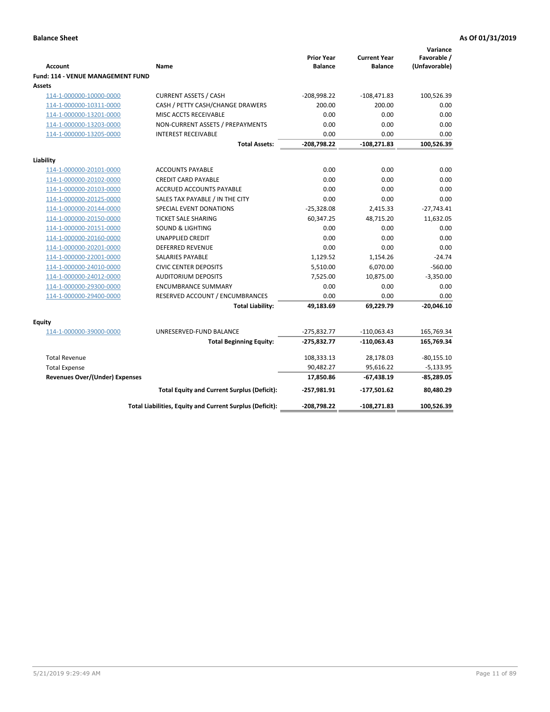| <b>Account</b>                              | Name                                                     | <b>Prior Year</b><br><b>Balance</b> | <b>Current Year</b><br><b>Balance</b> | Variance<br>Favorable /<br>(Unfavorable) |
|---------------------------------------------|----------------------------------------------------------|-------------------------------------|---------------------------------------|------------------------------------------|
| Fund: 114 - VENUE MANAGEMENT FUND<br>Assets |                                                          |                                     |                                       |                                          |
| 114-1-000000-10000-0000                     | <b>CURRENT ASSETS / CASH</b>                             | $-208,998.22$                       | $-108,471.83$                         | 100,526.39                               |
| 114-1-000000-10311-0000                     | CASH / PETTY CASH/CHANGE DRAWERS                         | 200.00                              | 200.00                                | 0.00                                     |
| 114-1-000000-13201-0000                     | MISC ACCTS RECEIVABLE                                    | 0.00                                | 0.00                                  | 0.00                                     |
| 114-1-000000-13203-0000                     | NON-CURRENT ASSETS / PREPAYMENTS                         | 0.00                                | 0.00                                  | 0.00                                     |
| 114-1-000000-13205-0000                     | <b>INTEREST RECEIVABLE</b>                               | 0.00                                | 0.00                                  | 0.00                                     |
|                                             | <b>Total Assets:</b>                                     | $-208,798.22$                       | $-108,271.83$                         | 100,526.39                               |
| Liability                                   |                                                          |                                     |                                       |                                          |
| 114-1-000000-20101-0000                     | <b>ACCOUNTS PAYABLE</b>                                  | 0.00                                | 0.00                                  | 0.00                                     |
| 114-1-000000-20102-0000                     | <b>CREDIT CARD PAYABLE</b>                               | 0.00                                | 0.00                                  | 0.00                                     |
| 114-1-000000-20103-0000                     | <b>ACCRUED ACCOUNTS PAYABLE</b>                          | 0.00                                | 0.00                                  | 0.00                                     |
| 114-1-000000-20125-0000                     | SALES TAX PAYABLE / IN THE CITY                          | 0.00                                | 0.00                                  | 0.00                                     |
| 114-1-000000-20144-0000                     | SPECIAL EVENT DONATIONS                                  | $-25,328.08$                        | 2,415.33                              | $-27,743.41$                             |
| 114-1-000000-20150-0000                     | <b>TICKET SALE SHARING</b>                               | 60,347.25                           | 48,715.20                             | 11,632.05                                |
| 114-1-000000-20151-0000                     | <b>SOUND &amp; LIGHTING</b>                              | 0.00                                | 0.00                                  | 0.00                                     |
| 114-1-000000-20160-0000                     | <b>UNAPPLIED CREDIT</b>                                  | 0.00                                | 0.00                                  | 0.00                                     |
| 114-1-000000-20201-0000                     | <b>DEFERRED REVENUE</b>                                  | 0.00                                | 0.00                                  | 0.00                                     |
| 114-1-000000-22001-0000                     | <b>SALARIES PAYABLE</b>                                  | 1,129.52                            | 1,154.26                              | $-24.74$                                 |
| 114-1-000000-24010-0000                     | <b>CIVIC CENTER DEPOSITS</b>                             | 5,510.00                            | 6,070.00                              | $-560.00$                                |
| 114-1-000000-24012-0000                     | <b>AUDITORIUM DEPOSITS</b>                               | 7,525.00                            | 10,875.00                             | $-3,350.00$                              |
| 114-1-000000-29300-0000                     | <b>ENCUMBRANCE SUMMARY</b>                               | 0.00                                | 0.00                                  | 0.00                                     |
| 114-1-000000-29400-0000                     | RESERVED ACCOUNT / ENCUMBRANCES                          | 0.00                                | 0.00                                  | 0.00                                     |
|                                             | <b>Total Liability:</b>                                  | 49,183.69                           | 69,229.79                             | $-20,046.10$                             |
| Equity                                      |                                                          |                                     |                                       |                                          |
| 114-1-000000-39000-0000                     | UNRESERVED-FUND BALANCE                                  | $-275,832.77$                       | $-110,063.43$                         | 165,769.34                               |
|                                             | <b>Total Beginning Equity:</b>                           | $-275,832.77$                       | $-110,063.43$                         | 165,769.34                               |
| <b>Total Revenue</b>                        |                                                          | 108,333.13                          | 28,178.03                             | $-80,155.10$                             |
| <b>Total Expense</b>                        |                                                          | 90,482.27                           | 95,616.22                             | $-5,133.95$                              |
| <b>Revenues Over/(Under) Expenses</b>       |                                                          | 17,850.86                           | $-67,438.19$                          | -85,289.05                               |
|                                             | <b>Total Equity and Current Surplus (Deficit):</b>       | $-257,981.91$                       | $-177,501.62$                         | 80,480.29                                |
|                                             | Total Liabilities, Equity and Current Surplus (Deficit): | -208,798.22                         | $-108,271.83$                         | 100,526.39                               |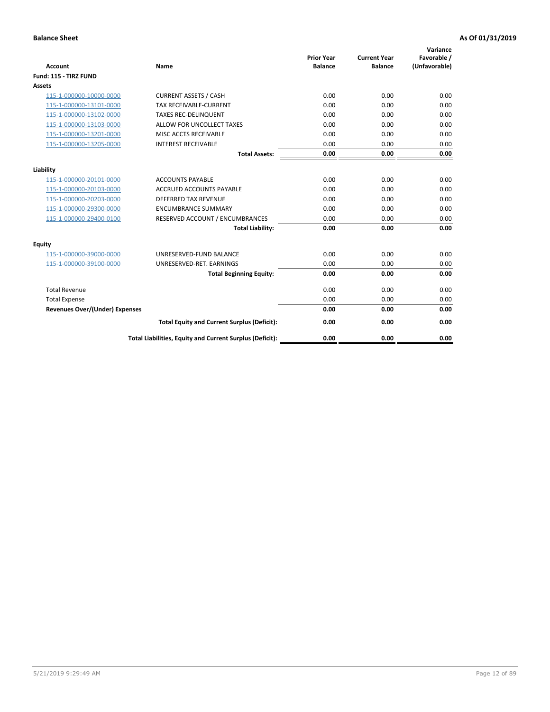| <b>Account</b>                        | <b>Name</b>                                              | <b>Prior Year</b><br><b>Balance</b> | <b>Current Year</b><br><b>Balance</b> | Variance<br>Favorable /<br>(Unfavorable) |
|---------------------------------------|----------------------------------------------------------|-------------------------------------|---------------------------------------|------------------------------------------|
| Fund: 115 - TIRZ FUND                 |                                                          |                                     |                                       |                                          |
| <b>Assets</b>                         |                                                          |                                     |                                       |                                          |
| 115-1-000000-10000-0000               | <b>CURRENT ASSETS / CASH</b>                             | 0.00                                | 0.00                                  | 0.00                                     |
| 115-1-000000-13101-0000               | <b>TAX RECEIVABLE-CURRENT</b>                            | 0.00                                | 0.00                                  | 0.00                                     |
| 115-1-000000-13102-0000               | <b>TAXES REC-DELINQUENT</b>                              | 0.00                                | 0.00                                  | 0.00                                     |
| 115-1-000000-13103-0000               | ALLOW FOR UNCOLLECT TAXES                                | 0.00                                | 0.00                                  | 0.00                                     |
| 115-1-000000-13201-0000               | MISC ACCTS RECEIVABLE                                    | 0.00                                | 0.00                                  | 0.00                                     |
| 115-1-000000-13205-0000               | <b>INTEREST RECEIVABLE</b>                               | 0.00                                | 0.00                                  | 0.00                                     |
|                                       | <b>Total Assets:</b>                                     | 0.00                                | 0.00                                  | 0.00                                     |
| Liability                             |                                                          |                                     |                                       |                                          |
| 115-1-000000-20101-0000               | <b>ACCOUNTS PAYABLE</b>                                  | 0.00                                | 0.00                                  | 0.00                                     |
| 115-1-000000-20103-0000               | <b>ACCRUED ACCOUNTS PAYABLE</b>                          | 0.00                                | 0.00                                  | 0.00                                     |
| 115-1-000000-20203-0000               | <b>DEFERRED TAX REVENUE</b>                              | 0.00                                | 0.00                                  | 0.00                                     |
| 115-1-000000-29300-0000               | <b>ENCUMBRANCE SUMMARY</b>                               | 0.00                                | 0.00                                  | 0.00                                     |
| 115-1-000000-29400-0100               | RESERVED ACCOUNT / ENCUMBRANCES                          | 0.00                                | 0.00                                  | 0.00                                     |
|                                       | <b>Total Liability:</b>                                  | 0.00                                | 0.00                                  | 0.00                                     |
| Equity                                |                                                          |                                     |                                       |                                          |
| 115-1-000000-39000-0000               | UNRESERVED-FUND BALANCE                                  | 0.00                                | 0.00                                  | 0.00                                     |
| 115-1-000000-39100-0000               | UNRESERVED-RET. EARNINGS                                 | 0.00                                | 0.00                                  | 0.00                                     |
|                                       | <b>Total Beginning Equity:</b>                           | 0.00                                | 0.00                                  | 0.00                                     |
| <b>Total Revenue</b>                  |                                                          | 0.00                                | 0.00                                  | 0.00                                     |
| <b>Total Expense</b>                  |                                                          | 0.00                                | 0.00                                  | 0.00                                     |
| <b>Revenues Over/(Under) Expenses</b> |                                                          | 0.00                                | 0.00                                  | 0.00                                     |
|                                       | <b>Total Equity and Current Surplus (Deficit):</b>       | 0.00                                | 0.00                                  | 0.00                                     |
|                                       | Total Liabilities, Equity and Current Surplus (Deficit): | 0.00                                | 0.00                                  | 0.00                                     |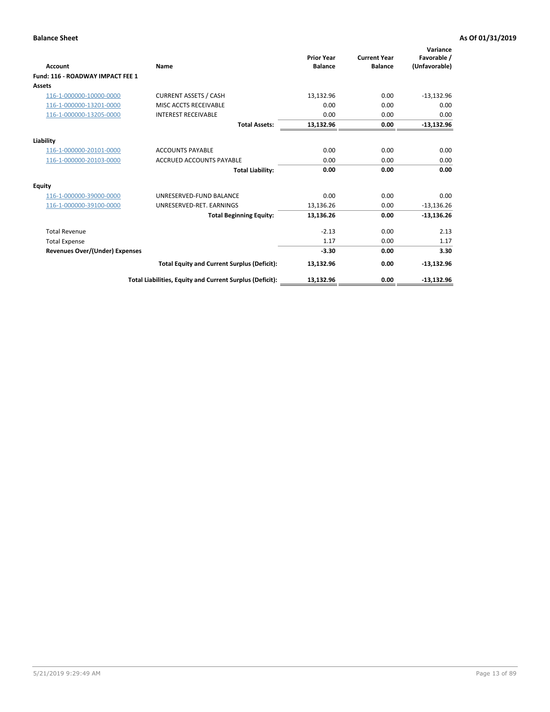| <b>Account</b>                        | Name                                                     | <b>Prior Year</b><br><b>Balance</b> | <b>Current Year</b><br><b>Balance</b> | Variance<br>Favorable /<br>(Unfavorable) |
|---------------------------------------|----------------------------------------------------------|-------------------------------------|---------------------------------------|------------------------------------------|
| Fund: 116 - ROADWAY IMPACT FEE 1      |                                                          |                                     |                                       |                                          |
| Assets                                |                                                          |                                     |                                       |                                          |
| 116-1-000000-10000-0000               | <b>CURRENT ASSETS / CASH</b>                             | 13,132.96                           | 0.00                                  | $-13,132.96$                             |
| 116-1-000000-13201-0000               | MISC ACCTS RECEIVABLE                                    | 0.00                                | 0.00                                  | 0.00                                     |
| 116-1-000000-13205-0000               | <b>INTEREST RECEIVABLE</b>                               | 0.00                                | 0.00                                  | 0.00                                     |
|                                       | <b>Total Assets:</b>                                     | 13,132.96                           | 0.00                                  | $-13,132.96$                             |
| Liability                             |                                                          |                                     |                                       |                                          |
| 116-1-000000-20101-0000               | <b>ACCOUNTS PAYABLE</b>                                  | 0.00                                | 0.00                                  | 0.00                                     |
| 116-1-000000-20103-0000               | <b>ACCRUED ACCOUNTS PAYABLE</b>                          | 0.00                                | 0.00                                  | 0.00                                     |
|                                       | <b>Total Liability:</b>                                  | 0.00                                | 0.00                                  | 0.00                                     |
| Equity                                |                                                          |                                     |                                       |                                          |
| 116-1-000000-39000-0000               | UNRESERVED-FUND BALANCE                                  | 0.00                                | 0.00                                  | 0.00                                     |
| 116-1-000000-39100-0000               | UNRESERVED-RET. EARNINGS                                 | 13,136.26                           | 0.00                                  | $-13,136.26$                             |
|                                       | <b>Total Beginning Equity:</b>                           | 13,136.26                           | 0.00                                  | $-13,136.26$                             |
| <b>Total Revenue</b>                  |                                                          | $-2.13$                             | 0.00                                  | 2.13                                     |
| <b>Total Expense</b>                  |                                                          | 1.17                                | 0.00                                  | 1.17                                     |
| <b>Revenues Over/(Under) Expenses</b> |                                                          | $-3.30$                             | 0.00                                  | 3.30                                     |
|                                       | <b>Total Equity and Current Surplus (Deficit):</b>       | 13,132.96                           | 0.00                                  | $-13,132.96$                             |
|                                       | Total Liabilities, Equity and Current Surplus (Deficit): | 13,132.96                           | 0.00                                  | $-13.132.96$                             |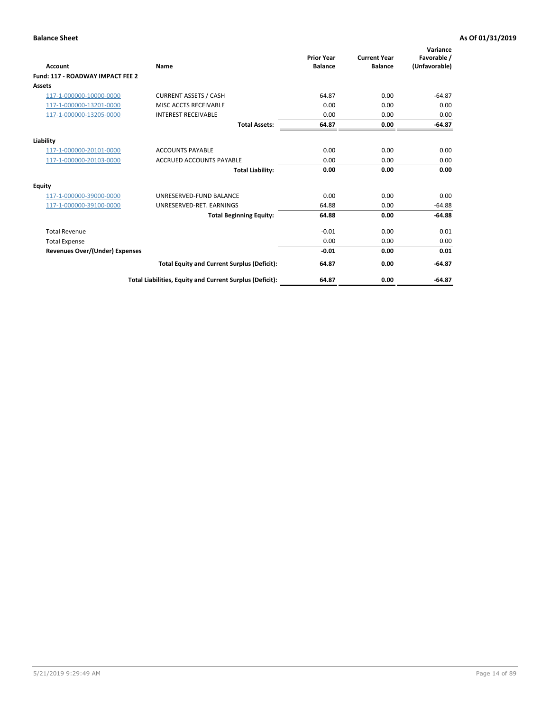| <b>Account</b>                        | Name                                                     | <b>Prior Year</b><br><b>Balance</b> | <b>Current Year</b><br><b>Balance</b> | Variance<br>Favorable /<br>(Unfavorable) |
|---------------------------------------|----------------------------------------------------------|-------------------------------------|---------------------------------------|------------------------------------------|
| Fund: 117 - ROADWAY IMPACT FEE 2      |                                                          |                                     |                                       |                                          |
| <b>Assets</b>                         |                                                          |                                     |                                       |                                          |
| 117-1-000000-10000-0000               | <b>CURRENT ASSETS / CASH</b>                             | 64.87                               | 0.00                                  | $-64.87$                                 |
| 117-1-000000-13201-0000               | MISC ACCTS RECEIVABLE                                    | 0.00                                | 0.00                                  | 0.00                                     |
| 117-1-000000-13205-0000               | <b>INTEREST RECEIVABLE</b>                               | 0.00                                | 0.00                                  | 0.00                                     |
|                                       | <b>Total Assets:</b>                                     | 64.87                               | 0.00                                  | $-64.87$                                 |
| Liability                             |                                                          |                                     |                                       |                                          |
| 117-1-000000-20101-0000               | <b>ACCOUNTS PAYABLE</b>                                  | 0.00                                | 0.00                                  | 0.00                                     |
| 117-1-000000-20103-0000               | <b>ACCRUED ACCOUNTS PAYABLE</b>                          | 0.00                                | 0.00                                  | 0.00                                     |
|                                       | <b>Total Liability:</b>                                  | 0.00                                | 0.00                                  | 0.00                                     |
| Equity                                |                                                          |                                     |                                       |                                          |
| 117-1-000000-39000-0000               | UNRESERVED-FUND BALANCE                                  | 0.00                                | 0.00                                  | 0.00                                     |
| 117-1-000000-39100-0000               | UNRESERVED-RET. EARNINGS                                 | 64.88                               | 0.00                                  | $-64.88$                                 |
|                                       | <b>Total Beginning Equity:</b>                           | 64.88                               | 0.00                                  | $-64.88$                                 |
| <b>Total Revenue</b>                  |                                                          | $-0.01$                             | 0.00                                  | 0.01                                     |
| <b>Total Expense</b>                  |                                                          | 0.00                                | 0.00                                  | 0.00                                     |
| <b>Revenues Over/(Under) Expenses</b> |                                                          | $-0.01$                             | 0.00                                  | 0.01                                     |
|                                       | <b>Total Equity and Current Surplus (Deficit):</b>       | 64.87                               | 0.00                                  | $-64.87$                                 |
|                                       | Total Liabilities, Equity and Current Surplus (Deficit): | 64.87                               | 0.00                                  | $-64.87$                                 |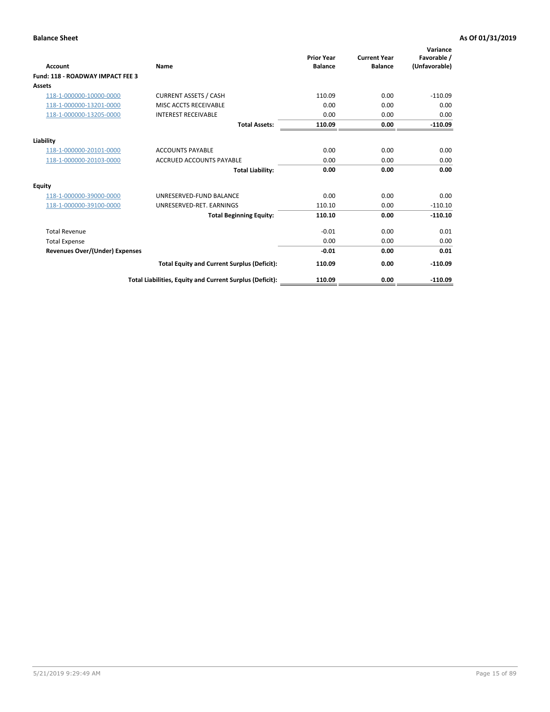| <b>Account</b>                        | Name                                                     | <b>Prior Year</b><br><b>Balance</b> | <b>Current Year</b><br><b>Balance</b> | Variance<br>Favorable /<br>(Unfavorable) |
|---------------------------------------|----------------------------------------------------------|-------------------------------------|---------------------------------------|------------------------------------------|
| Fund: 118 - ROADWAY IMPACT FEE 3      |                                                          |                                     |                                       |                                          |
| Assets                                |                                                          |                                     |                                       |                                          |
| 118-1-000000-10000-0000               | <b>CURRENT ASSETS / CASH</b>                             | 110.09                              | 0.00                                  | $-110.09$                                |
| 118-1-000000-13201-0000               | MISC ACCTS RECEIVABLE                                    | 0.00                                | 0.00                                  | 0.00                                     |
| 118-1-000000-13205-0000               | <b>INTEREST RECEIVABLE</b>                               | 0.00                                | 0.00                                  | 0.00                                     |
|                                       | <b>Total Assets:</b>                                     | 110.09                              | 0.00                                  | $-110.09$                                |
| Liability                             |                                                          |                                     |                                       |                                          |
| 118-1-000000-20101-0000               | <b>ACCOUNTS PAYABLE</b>                                  | 0.00                                | 0.00                                  | 0.00                                     |
| 118-1-000000-20103-0000               | <b>ACCRUED ACCOUNTS PAYABLE</b>                          | 0.00                                | 0.00                                  | 0.00                                     |
|                                       | <b>Total Liability:</b>                                  | 0.00                                | 0.00                                  | 0.00                                     |
| Equity                                |                                                          |                                     |                                       |                                          |
| 118-1-000000-39000-0000               | UNRESERVED-FUND BALANCE                                  | 0.00                                | 0.00                                  | 0.00                                     |
| 118-1-000000-39100-0000               | UNRESERVED-RET, EARNINGS                                 | 110.10                              | 0.00                                  | $-110.10$                                |
|                                       | <b>Total Beginning Equity:</b>                           | 110.10                              | 0.00                                  | $-110.10$                                |
| <b>Total Revenue</b>                  |                                                          | $-0.01$                             | 0.00                                  | 0.01                                     |
| <b>Total Expense</b>                  |                                                          | 0.00                                | 0.00                                  | 0.00                                     |
| <b>Revenues Over/(Under) Expenses</b> |                                                          | $-0.01$                             | 0.00                                  | 0.01                                     |
|                                       | <b>Total Equity and Current Surplus (Deficit):</b>       | 110.09                              | 0.00                                  | $-110.09$                                |
|                                       | Total Liabilities, Equity and Current Surplus (Deficit): | 110.09                              | 0.00                                  | $-110.09$                                |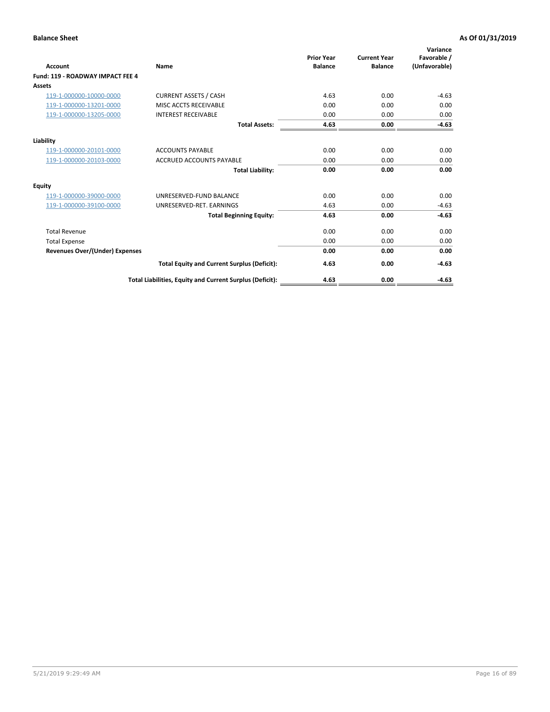| Account                                 | Name                                                     | <b>Prior Year</b><br><b>Balance</b> | <b>Current Year</b><br><b>Balance</b> | Variance<br>Favorable /<br>(Unfavorable) |
|-----------------------------------------|----------------------------------------------------------|-------------------------------------|---------------------------------------|------------------------------------------|
| <b>Fund: 119 - ROADWAY IMPACT FEE 4</b> |                                                          |                                     |                                       |                                          |
| Assets                                  |                                                          |                                     |                                       |                                          |
| 119-1-000000-10000-0000                 | <b>CURRENT ASSETS / CASH</b>                             | 4.63                                | 0.00                                  | $-4.63$                                  |
| 119-1-000000-13201-0000                 | MISC ACCTS RECEIVABLE                                    | 0.00                                | 0.00                                  | 0.00                                     |
| 119-1-000000-13205-0000                 | <b>INTEREST RECEIVABLE</b>                               | 0.00                                | 0.00                                  | 0.00                                     |
|                                         | <b>Total Assets:</b>                                     | 4.63                                | 0.00                                  | $-4.63$                                  |
| Liability                               |                                                          |                                     |                                       |                                          |
| 119-1-000000-20101-0000                 | <b>ACCOUNTS PAYABLE</b>                                  | 0.00                                | 0.00                                  | 0.00                                     |
| 119-1-000000-20103-0000                 | <b>ACCRUED ACCOUNTS PAYABLE</b>                          | 0.00                                | 0.00                                  | 0.00                                     |
|                                         | <b>Total Liability:</b>                                  | 0.00                                | 0.00                                  | 0.00                                     |
| Equity                                  |                                                          |                                     |                                       |                                          |
| 119-1-000000-39000-0000                 | UNRESERVED-FUND BALANCE                                  | 0.00                                | 0.00                                  | 0.00                                     |
| 119-1-000000-39100-0000                 | UNRESERVED-RET. EARNINGS                                 | 4.63                                | 0.00                                  | $-4.63$                                  |
|                                         | <b>Total Beginning Equity:</b>                           | 4.63                                | 0.00                                  | $-4.63$                                  |
| <b>Total Revenue</b>                    |                                                          | 0.00                                | 0.00                                  | 0.00                                     |
| <b>Total Expense</b>                    |                                                          | 0.00                                | 0.00                                  | 0.00                                     |
| <b>Revenues Over/(Under) Expenses</b>   |                                                          | 0.00                                | 0.00                                  | 0.00                                     |
|                                         | <b>Total Equity and Current Surplus (Deficit):</b>       | 4.63                                | 0.00                                  | $-4.63$                                  |
|                                         | Total Liabilities, Equity and Current Surplus (Deficit): | 4.63                                | 0.00                                  | $-4.63$                                  |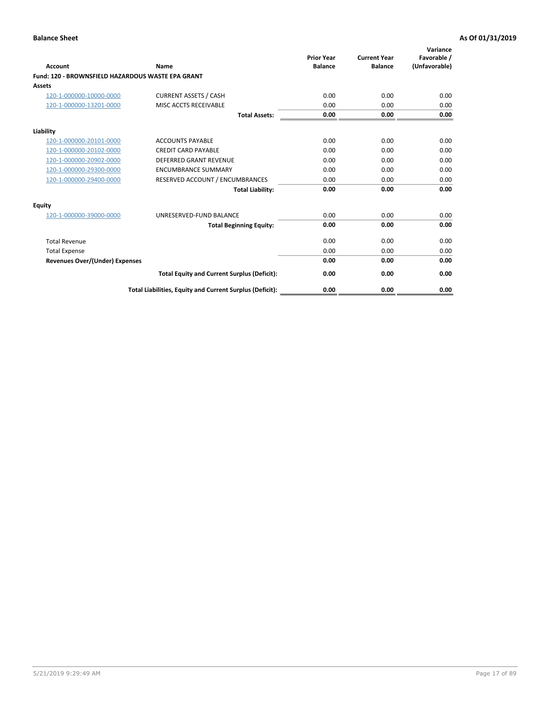| <b>Account</b>                                    | Name                                                     | <b>Prior Year</b><br><b>Balance</b> | <b>Current Year</b><br><b>Balance</b> | Variance<br>Favorable /<br>(Unfavorable) |
|---------------------------------------------------|----------------------------------------------------------|-------------------------------------|---------------------------------------|------------------------------------------|
| Fund: 120 - BROWNSFIELD HAZARDOUS WASTE EPA GRANT |                                                          |                                     |                                       |                                          |
| <b>Assets</b>                                     |                                                          |                                     |                                       |                                          |
| 120-1-000000-10000-0000                           | <b>CURRENT ASSETS / CASH</b>                             | 0.00                                | 0.00                                  | 0.00                                     |
| 120-1-000000-13201-0000                           | MISC ACCTS RECEIVABLE                                    | 0.00                                | 0.00                                  | 0.00                                     |
|                                                   | <b>Total Assets:</b>                                     | 0.00                                | 0.00                                  | 0.00                                     |
| Liability                                         |                                                          |                                     |                                       |                                          |
| 120-1-000000-20101-0000                           | <b>ACCOUNTS PAYABLE</b>                                  | 0.00                                | 0.00                                  | 0.00                                     |
| 120-1-000000-20102-0000                           | <b>CREDIT CARD PAYABLE</b>                               | 0.00                                | 0.00                                  | 0.00                                     |
| 120-1-000000-20902-0000                           | <b>DEFERRED GRANT REVENUE</b>                            | 0.00                                | 0.00                                  | 0.00                                     |
| 120-1-000000-29300-0000                           | <b>ENCUMBRANCE SUMMARY</b>                               | 0.00                                | 0.00                                  | 0.00                                     |
| 120-1-000000-29400-0000                           | RESERVED ACCOUNT / ENCUMBRANCES                          | 0.00                                | 0.00                                  | 0.00                                     |
|                                                   | <b>Total Liability:</b>                                  | 0.00                                | 0.00                                  | 0.00                                     |
| Equity                                            |                                                          |                                     |                                       |                                          |
| 120-1-000000-39000-0000                           | UNRESERVED-FUND BALANCE                                  | 0.00                                | 0.00                                  | 0.00                                     |
|                                                   | <b>Total Beginning Equity:</b>                           | 0.00                                | 0.00                                  | 0.00                                     |
| <b>Total Revenue</b>                              |                                                          | 0.00                                | 0.00                                  | 0.00                                     |
| <b>Total Expense</b>                              |                                                          | 0.00                                | 0.00                                  | 0.00                                     |
| <b>Revenues Over/(Under) Expenses</b>             |                                                          | 0.00                                | 0.00                                  | 0.00                                     |
|                                                   | <b>Total Equity and Current Surplus (Deficit):</b>       | 0.00                                | 0.00                                  | 0.00                                     |
|                                                   | Total Liabilities, Equity and Current Surplus (Deficit): | 0.00                                | 0.00                                  | 0.00                                     |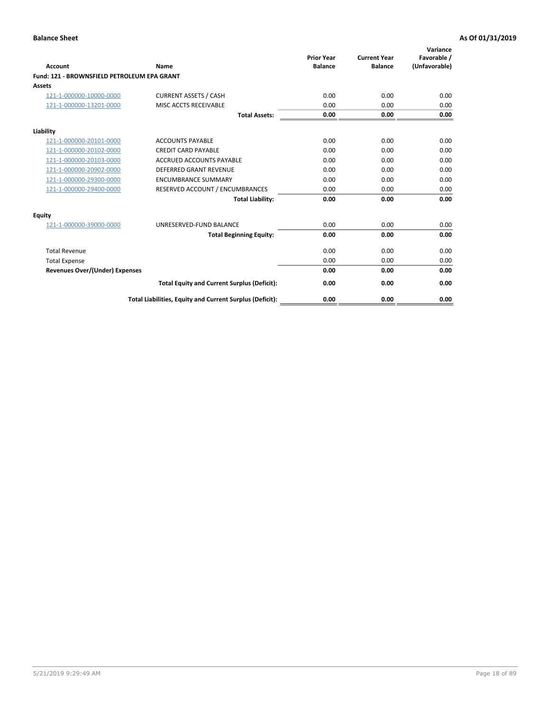| Account                                     | Name                                                     | <b>Prior Year</b><br><b>Balance</b> | <b>Current Year</b><br><b>Balance</b> | Variance<br>Favorable /<br>(Unfavorable) |
|---------------------------------------------|----------------------------------------------------------|-------------------------------------|---------------------------------------|------------------------------------------|
| Fund: 121 - BROWNSFIELD PETROLEUM EPA GRANT |                                                          |                                     |                                       |                                          |
| <b>Assets</b>                               |                                                          |                                     |                                       |                                          |
| 121-1-000000-10000-0000                     | <b>CURRENT ASSETS / CASH</b>                             | 0.00                                | 0.00                                  | 0.00                                     |
| 121-1-000000-13201-0000                     | MISC ACCTS RECEIVABLE                                    | 0.00                                | 0.00                                  | 0.00                                     |
|                                             | <b>Total Assets:</b>                                     | 0.00                                | 0.00                                  | 0.00                                     |
| Liability                                   |                                                          |                                     |                                       |                                          |
| 121-1-000000-20101-0000                     | <b>ACCOUNTS PAYABLE</b>                                  | 0.00                                | 0.00                                  | 0.00                                     |
| 121-1-000000-20102-0000                     | <b>CREDIT CARD PAYABLE</b>                               | 0.00                                | 0.00                                  | 0.00                                     |
| 121-1-000000-20103-0000                     | <b>ACCRUED ACCOUNTS PAYABLE</b>                          | 0.00                                | 0.00                                  | 0.00                                     |
| 121-1-000000-20902-0000                     | DEFERRED GRANT REVENUE                                   | 0.00                                | 0.00                                  | 0.00                                     |
| 121-1-000000-29300-0000                     | <b>ENCUMBRANCE SUMMARY</b>                               | 0.00                                | 0.00                                  | 0.00                                     |
| 121-1-000000-29400-0000                     | RESERVED ACCOUNT / ENCUMBRANCES                          | 0.00                                | 0.00                                  | 0.00                                     |
|                                             | <b>Total Liability:</b>                                  | 0.00                                | 0.00                                  | 0.00                                     |
| <b>Equity</b>                               |                                                          |                                     |                                       |                                          |
| 121-1-000000-39000-0000                     | UNRESERVED-FUND BALANCE                                  | 0.00                                | 0.00                                  | 0.00                                     |
|                                             | <b>Total Beginning Equity:</b>                           | 0.00                                | 0.00                                  | 0.00                                     |
| <b>Total Revenue</b>                        |                                                          | 0.00                                | 0.00                                  | 0.00                                     |
| <b>Total Expense</b>                        |                                                          | 0.00                                | 0.00                                  | 0.00                                     |
| <b>Revenues Over/(Under) Expenses</b>       |                                                          | 0.00                                | 0.00                                  | 0.00                                     |
|                                             | <b>Total Equity and Current Surplus (Deficit):</b>       | 0.00                                | 0.00                                  | 0.00                                     |
|                                             | Total Liabilities, Equity and Current Surplus (Deficit): | 0.00                                | 0.00                                  | 0.00                                     |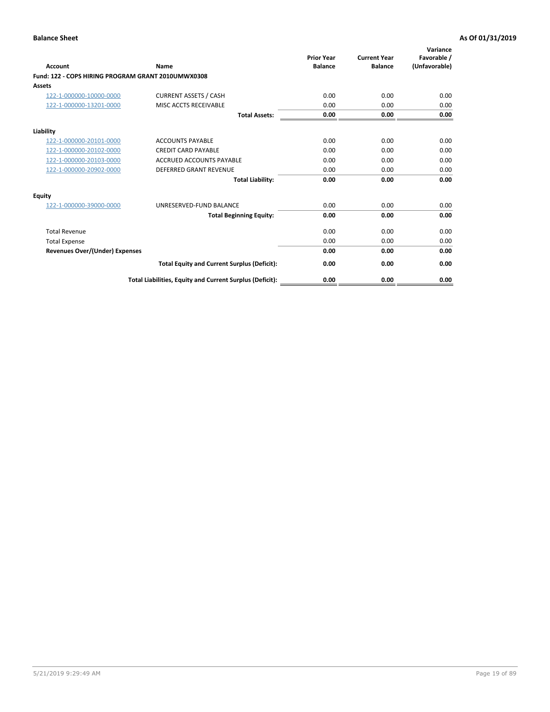| <b>Account</b>                                     | Name                                                     | <b>Prior Year</b><br><b>Balance</b> | <b>Current Year</b><br><b>Balance</b> | Variance<br>Favorable /<br>(Unfavorable) |
|----------------------------------------------------|----------------------------------------------------------|-------------------------------------|---------------------------------------|------------------------------------------|
| Fund: 122 - COPS HIRING PROGRAM GRANT 2010UMWX0308 |                                                          |                                     |                                       |                                          |
| Assets                                             |                                                          |                                     |                                       |                                          |
| 122-1-000000-10000-0000                            | <b>CURRENT ASSETS / CASH</b>                             | 0.00                                | 0.00                                  | 0.00                                     |
| 122-1-000000-13201-0000                            | MISC ACCTS RECEIVABLE                                    | 0.00                                | 0.00                                  | 0.00                                     |
|                                                    | <b>Total Assets:</b>                                     | 0.00                                | 0.00                                  | 0.00                                     |
| Liability                                          |                                                          |                                     |                                       |                                          |
| 122-1-000000-20101-0000                            | <b>ACCOUNTS PAYABLE</b>                                  | 0.00                                | 0.00                                  | 0.00                                     |
| 122-1-000000-20102-0000                            | <b>CREDIT CARD PAYABLE</b>                               | 0.00                                | 0.00                                  | 0.00                                     |
| 122-1-000000-20103-0000                            | <b>ACCRUED ACCOUNTS PAYABLE</b>                          | 0.00                                | 0.00                                  | 0.00                                     |
| 122-1-000000-20902-0000                            | <b>DEFERRED GRANT REVENUE</b>                            | 0.00                                | 0.00                                  | 0.00                                     |
|                                                    | <b>Total Liability:</b>                                  | 0.00                                | 0.00                                  | 0.00                                     |
| Equity                                             |                                                          |                                     |                                       |                                          |
| 122-1-000000-39000-0000                            | UNRESERVED-FUND BALANCE                                  | 0.00                                | 0.00                                  | 0.00                                     |
|                                                    | <b>Total Beginning Equity:</b>                           | 0.00                                | 0.00                                  | 0.00                                     |
| <b>Total Revenue</b>                               |                                                          | 0.00                                | 0.00                                  | 0.00                                     |
| <b>Total Expense</b>                               |                                                          | 0.00                                | 0.00                                  | 0.00                                     |
| <b>Revenues Over/(Under) Expenses</b>              |                                                          | 0.00                                | 0.00                                  | 0.00                                     |
|                                                    | <b>Total Equity and Current Surplus (Deficit):</b>       | 0.00                                | 0.00                                  | 0.00                                     |
|                                                    | Total Liabilities, Equity and Current Surplus (Deficit): | 0.00                                | 0.00                                  | 0.00                                     |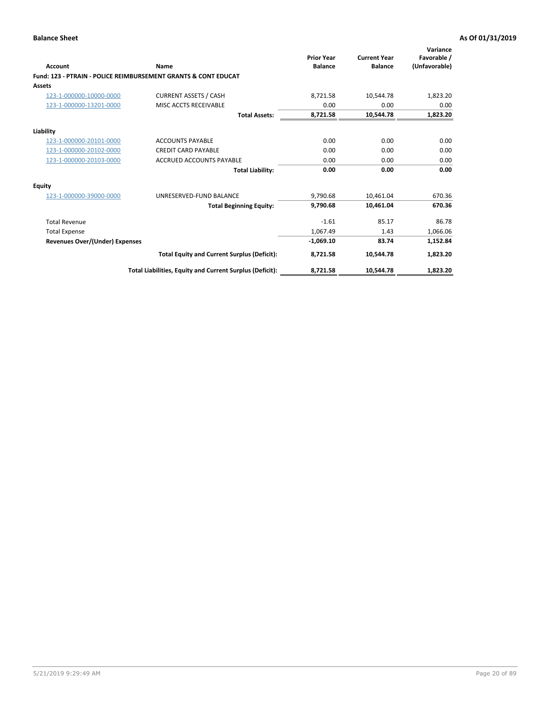| Account                        | Name                                                           | <b>Prior Year</b><br><b>Balance</b> | <b>Current Year</b><br><b>Balance</b> | Variance<br>Favorable /<br>(Unfavorable) |
|--------------------------------|----------------------------------------------------------------|-------------------------------------|---------------------------------------|------------------------------------------|
|                                | Fund: 123 - PTRAIN - POLICE REIMBURSEMENT GRANTS & CONT EDUCAT |                                     |                                       |                                          |
| Assets                         |                                                                |                                     |                                       |                                          |
| 123-1-000000-10000-0000        | <b>CURRENT ASSETS / CASH</b>                                   | 8,721.58                            | 10,544.78                             | 1,823.20                                 |
| 123-1-000000-13201-0000        | MISC ACCTS RECEIVABLE                                          | 0.00                                | 0.00                                  | 0.00                                     |
|                                | <b>Total Assets:</b>                                           | 8,721.58                            | 10.544.78                             | 1,823.20                                 |
| Liability                      |                                                                |                                     |                                       |                                          |
| 123-1-000000-20101-0000        | <b>ACCOUNTS PAYABLE</b>                                        | 0.00                                | 0.00                                  | 0.00                                     |
| 123-1-000000-20102-0000        | <b>CREDIT CARD PAYABLE</b>                                     | 0.00                                | 0.00                                  | 0.00                                     |
| 123-1-000000-20103-0000        | <b>ACCRUED ACCOUNTS PAYABLE</b>                                | 0.00                                | 0.00                                  | 0.00                                     |
|                                | <b>Total Liability:</b>                                        | 0.00                                | 0.00                                  | 0.00                                     |
| Equity                         |                                                                |                                     |                                       |                                          |
| 123-1-000000-39000-0000        | UNRESERVED-FUND BALANCE                                        | 9,790.68                            | 10,461.04                             | 670.36                                   |
|                                | <b>Total Beginning Equity:</b>                                 | 9,790.68                            | 10,461.04                             | 670.36                                   |
| <b>Total Revenue</b>           |                                                                | $-1.61$                             | 85.17                                 | 86.78                                    |
| <b>Total Expense</b>           |                                                                | 1,067.49                            | 1.43                                  | 1,066.06                                 |
| Revenues Over/(Under) Expenses |                                                                | $-1,069.10$                         | 83.74                                 | 1,152.84                                 |
|                                | <b>Total Equity and Current Surplus (Deficit):</b>             | 8,721.58                            | 10,544.78                             | 1,823.20                                 |
|                                | Total Liabilities, Equity and Current Surplus (Deficit):       | 8,721.58                            | 10,544.78                             | 1,823.20                                 |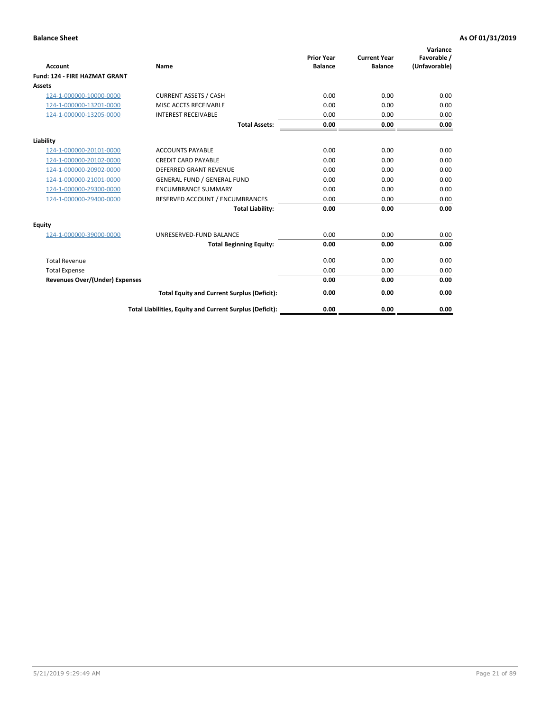| <b>Account</b>                        | Name                                                     | <b>Prior Year</b><br><b>Balance</b> | <b>Current Year</b><br><b>Balance</b> | Variance<br>Favorable /<br>(Unfavorable) |
|---------------------------------------|----------------------------------------------------------|-------------------------------------|---------------------------------------|------------------------------------------|
| Fund: 124 - FIRE HAZMAT GRANT         |                                                          |                                     |                                       |                                          |
| Assets                                |                                                          |                                     |                                       |                                          |
| 124-1-000000-10000-0000               | <b>CURRENT ASSETS / CASH</b>                             | 0.00                                | 0.00                                  | 0.00                                     |
| 124-1-000000-13201-0000               | MISC ACCTS RECEIVABLE                                    | 0.00                                | 0.00                                  | 0.00                                     |
| 124-1-000000-13205-0000               | <b>INTEREST RECEIVABLE</b>                               | 0.00                                | 0.00                                  | 0.00                                     |
|                                       | <b>Total Assets:</b>                                     | 0.00                                | 0.00                                  | 0.00                                     |
| Liability                             |                                                          |                                     |                                       |                                          |
| 124-1-000000-20101-0000               | <b>ACCOUNTS PAYABLE</b>                                  | 0.00                                | 0.00                                  | 0.00                                     |
| 124-1-000000-20102-0000               | <b>CREDIT CARD PAYABLE</b>                               | 0.00                                | 0.00                                  | 0.00                                     |
| 124-1-000000-20902-0000               | <b>DEFERRED GRANT REVENUE</b>                            | 0.00                                | 0.00                                  | 0.00                                     |
| 124-1-000000-21001-0000               | <b>GENERAL FUND / GENERAL FUND</b>                       | 0.00                                | 0.00                                  | 0.00                                     |
| 124-1-000000-29300-0000               | <b>ENCUMBRANCE SUMMARY</b>                               | 0.00                                | 0.00                                  | 0.00                                     |
| 124-1-000000-29400-0000               | RESERVED ACCOUNT / ENCUMBRANCES                          | 0.00                                | 0.00                                  | 0.00                                     |
|                                       | <b>Total Liability:</b>                                  | 0.00                                | 0.00                                  | 0.00                                     |
| Equity                                |                                                          |                                     |                                       |                                          |
| 124-1-000000-39000-0000               | UNRESERVED-FUND BALANCE                                  | 0.00                                | 0.00                                  | 0.00                                     |
|                                       | <b>Total Beginning Equity:</b>                           | 0.00                                | 0.00                                  | 0.00                                     |
| <b>Total Revenue</b>                  |                                                          | 0.00                                | 0.00                                  | 0.00                                     |
| <b>Total Expense</b>                  |                                                          | 0.00                                | 0.00                                  | 0.00                                     |
| <b>Revenues Over/(Under) Expenses</b> |                                                          | 0.00                                | 0.00                                  | 0.00                                     |
|                                       | <b>Total Equity and Current Surplus (Deficit):</b>       | 0.00                                | 0.00                                  | 0.00                                     |
|                                       | Total Liabilities, Equity and Current Surplus (Deficit): | 0.00                                | 0.00                                  | 0.00                                     |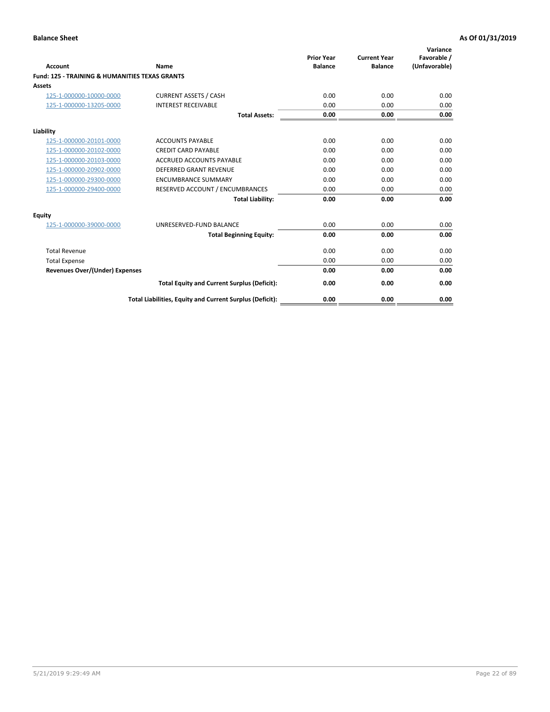| Account                                                   | Name                                                     | <b>Prior Year</b><br><b>Balance</b> | <b>Current Year</b><br><b>Balance</b> | Variance<br>Favorable /<br>(Unfavorable) |
|-----------------------------------------------------------|----------------------------------------------------------|-------------------------------------|---------------------------------------|------------------------------------------|
| <b>Fund: 125 - TRAINING &amp; HUMANITIES TEXAS GRANTS</b> |                                                          |                                     |                                       |                                          |
| <b>Assets</b>                                             |                                                          |                                     |                                       |                                          |
| 125-1-000000-10000-0000                                   | <b>CURRENT ASSETS / CASH</b>                             | 0.00                                | 0.00                                  | 0.00                                     |
| 125-1-000000-13205-0000                                   | <b>INTEREST RECEIVABLE</b>                               | 0.00                                | 0.00                                  | 0.00                                     |
|                                                           | <b>Total Assets:</b>                                     | 0.00                                | 0.00                                  | 0.00                                     |
| Liability                                                 |                                                          |                                     |                                       |                                          |
| 125-1-000000-20101-0000                                   | <b>ACCOUNTS PAYABLE</b>                                  | 0.00                                | 0.00                                  | 0.00                                     |
| 125-1-000000-20102-0000                                   | <b>CREDIT CARD PAYABLE</b>                               | 0.00                                | 0.00                                  | 0.00                                     |
| 125-1-000000-20103-0000                                   | <b>ACCRUED ACCOUNTS PAYABLE</b>                          | 0.00                                | 0.00                                  | 0.00                                     |
| 125-1-000000-20902-0000                                   | <b>DEFERRED GRANT REVENUE</b>                            | 0.00                                | 0.00                                  | 0.00                                     |
| 125-1-000000-29300-0000                                   | <b>ENCUMBRANCE SUMMARY</b>                               | 0.00                                | 0.00                                  | 0.00                                     |
| 125-1-000000-29400-0000                                   | RESERVED ACCOUNT / ENCUMBRANCES                          | 0.00                                | 0.00                                  | 0.00                                     |
|                                                           | <b>Total Liability:</b>                                  | 0.00                                | 0.00                                  | 0.00                                     |
| <b>Equity</b>                                             |                                                          |                                     |                                       |                                          |
| 125-1-000000-39000-0000                                   | UNRESERVED-FUND BALANCE                                  | 0.00                                | 0.00                                  | 0.00                                     |
|                                                           | <b>Total Beginning Equity:</b>                           | 0.00                                | 0.00                                  | 0.00                                     |
| <b>Total Revenue</b>                                      |                                                          | 0.00                                | 0.00                                  | 0.00                                     |
| <b>Total Expense</b>                                      |                                                          | 0.00                                | 0.00                                  | 0.00                                     |
| <b>Revenues Over/(Under) Expenses</b>                     |                                                          | 0.00                                | 0.00                                  | 0.00                                     |
|                                                           | <b>Total Equity and Current Surplus (Deficit):</b>       | 0.00                                | 0.00                                  | 0.00                                     |
|                                                           | Total Liabilities, Equity and Current Surplus (Deficit): | 0.00                                | 0.00                                  | 0.00                                     |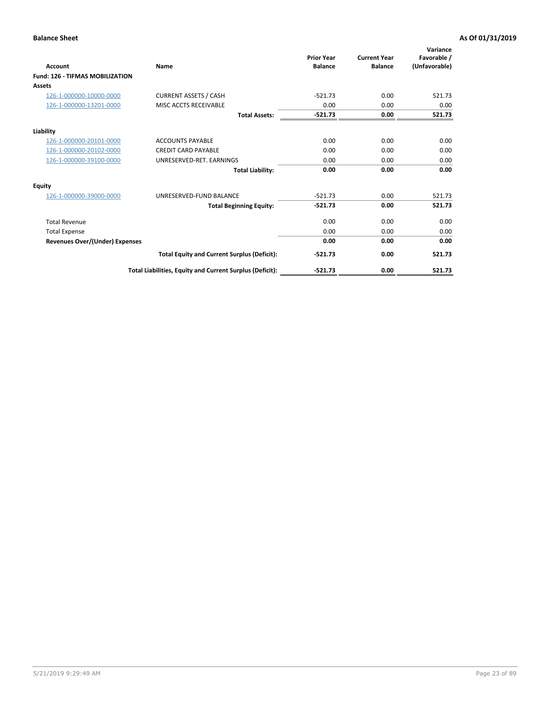| <b>Account</b>                         | Name                                                     | <b>Prior Year</b><br><b>Balance</b> | <b>Current Year</b><br><b>Balance</b> | Variance<br>Favorable /<br>(Unfavorable) |
|----------------------------------------|----------------------------------------------------------|-------------------------------------|---------------------------------------|------------------------------------------|
| <b>Fund: 126 - TIFMAS MOBILIZATION</b> |                                                          |                                     |                                       |                                          |
| Assets                                 |                                                          |                                     |                                       |                                          |
| 126-1-000000-10000-0000                | <b>CURRENT ASSETS / CASH</b>                             | $-521.73$                           | 0.00                                  | 521.73                                   |
| 126-1-000000-13201-0000                | MISC ACCTS RECEIVABLE                                    | 0.00                                | 0.00                                  | 0.00                                     |
|                                        | <b>Total Assets:</b>                                     | $-521.73$                           | 0.00                                  | 521.73                                   |
| Liability                              |                                                          |                                     |                                       |                                          |
| 126-1-000000-20101-0000                | <b>ACCOUNTS PAYABLE</b>                                  | 0.00                                | 0.00                                  | 0.00                                     |
| 126-1-000000-20102-0000                | <b>CREDIT CARD PAYABLE</b>                               | 0.00                                | 0.00                                  | 0.00                                     |
| 126-1-000000-39100-0000                | UNRESERVED-RET. EARNINGS                                 | 0.00                                | 0.00                                  | 0.00                                     |
|                                        | <b>Total Liability:</b>                                  | 0.00                                | 0.00                                  | 0.00                                     |
| Equity                                 |                                                          |                                     |                                       |                                          |
| 126-1-000000-39000-0000                | UNRESERVED-FUND BALANCE                                  | $-521.73$                           | 0.00                                  | 521.73                                   |
|                                        | <b>Total Beginning Equity:</b>                           | $-521.73$                           | 0.00                                  | 521.73                                   |
| <b>Total Revenue</b>                   |                                                          | 0.00                                | 0.00                                  | 0.00                                     |
| <b>Total Expense</b>                   |                                                          | 0.00                                | 0.00                                  | 0.00                                     |
| <b>Revenues Over/(Under) Expenses</b>  |                                                          | 0.00                                | 0.00                                  | 0.00                                     |
|                                        | <b>Total Equity and Current Surplus (Deficit):</b>       | $-521.73$                           | 0.00                                  | 521.73                                   |
|                                        | Total Liabilities, Equity and Current Surplus (Deficit): | $-521.73$                           | 0.00                                  | 521.73                                   |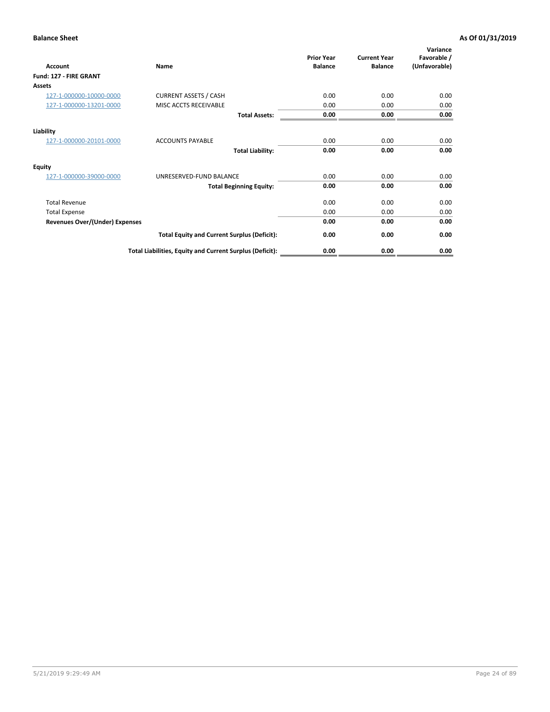| <b>Account</b>                        | Name                                                     | <b>Prior Year</b><br><b>Balance</b> | <b>Current Year</b><br><b>Balance</b> | Variance<br>Favorable /<br>(Unfavorable) |
|---------------------------------------|----------------------------------------------------------|-------------------------------------|---------------------------------------|------------------------------------------|
| Fund: 127 - FIRE GRANT                |                                                          |                                     |                                       |                                          |
| Assets                                |                                                          |                                     |                                       |                                          |
| 127-1-000000-10000-0000               | <b>CURRENT ASSETS / CASH</b>                             | 0.00                                | 0.00                                  | 0.00                                     |
| 127-1-000000-13201-0000               | MISC ACCTS RECEIVABLE                                    | 0.00                                | 0.00                                  | 0.00                                     |
|                                       | <b>Total Assets:</b>                                     | 0.00                                | 0.00                                  | 0.00                                     |
| Liability                             |                                                          |                                     |                                       |                                          |
| 127-1-000000-20101-0000               | <b>ACCOUNTS PAYABLE</b>                                  | 0.00                                | 0.00                                  | 0.00                                     |
|                                       | <b>Total Liability:</b>                                  | 0.00                                | 0.00                                  | 0.00                                     |
| Equity                                |                                                          |                                     |                                       |                                          |
| 127-1-000000-39000-0000               | UNRESERVED-FUND BALANCE                                  | 0.00                                | 0.00                                  | 0.00                                     |
|                                       | <b>Total Beginning Equity:</b>                           | 0.00                                | 0.00                                  | 0.00                                     |
| <b>Total Revenue</b>                  |                                                          | 0.00                                | 0.00                                  | 0.00                                     |
| <b>Total Expense</b>                  |                                                          | 0.00                                | 0.00                                  | 0.00                                     |
| <b>Revenues Over/(Under) Expenses</b> |                                                          | 0.00                                | 0.00                                  | 0.00                                     |
|                                       | <b>Total Equity and Current Surplus (Deficit):</b>       | 0.00                                | 0.00                                  | 0.00                                     |
|                                       | Total Liabilities, Equity and Current Surplus (Deficit): | 0.00                                | 0.00                                  | 0.00                                     |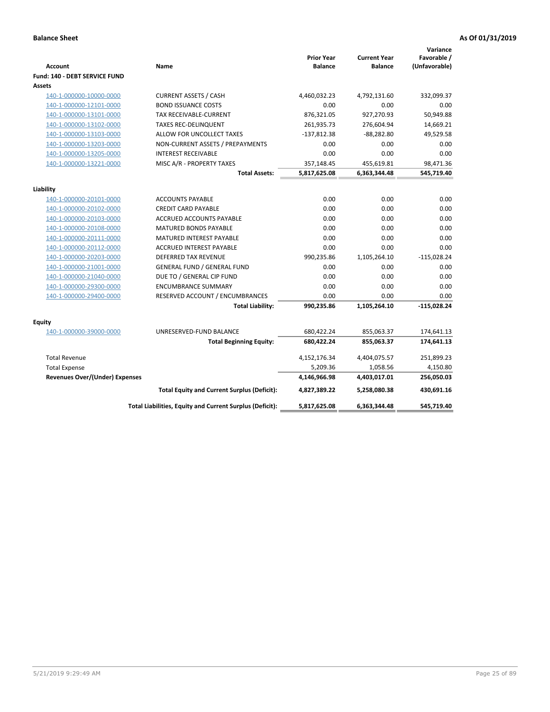| <b>Account</b>                        | Name                                                     | <b>Prior Year</b><br><b>Balance</b> | <b>Current Year</b><br><b>Balance</b> | Variance<br>Favorable /<br>(Unfavorable) |
|---------------------------------------|----------------------------------------------------------|-------------------------------------|---------------------------------------|------------------------------------------|
| Fund: 140 - DEBT SERVICE FUND         |                                                          |                                     |                                       |                                          |
| Assets                                |                                                          |                                     |                                       |                                          |
| 140-1-000000-10000-0000               | <b>CURRENT ASSETS / CASH</b>                             | 4,460,032.23                        | 4,792,131.60                          | 332,099.37                               |
| 140-1-000000-12101-0000               | <b>BOND ISSUANCE COSTS</b>                               | 0.00                                | 0.00                                  | 0.00                                     |
| 140-1-000000-13101-0000               | <b>TAX RECEIVABLE-CURRENT</b>                            | 876,321.05                          | 927,270.93                            | 50,949.88                                |
| 140-1-000000-13102-0000               | <b>TAXES REC-DELINQUENT</b>                              | 261,935.73                          | 276,604.94                            | 14,669.21                                |
| 140-1-000000-13103-0000               | ALLOW FOR UNCOLLECT TAXES                                | $-137,812.38$                       | $-88,282.80$                          | 49,529.58                                |
| 140-1-000000-13203-0000               | NON-CURRENT ASSETS / PREPAYMENTS                         | 0.00                                | 0.00                                  | 0.00                                     |
| 140-1-000000-13205-0000               | <b>INTEREST RECEIVABLE</b>                               | 0.00                                | 0.00                                  | 0.00                                     |
| 140-1-000000-13221-0000               | MISC A/R - PROPERTY TAXES                                | 357,148.45                          | 455,619.81                            | 98,471.36                                |
|                                       | <b>Total Assets:</b>                                     | 5,817,625.08                        | 6,363,344.48                          | 545,719.40                               |
| Liability                             |                                                          |                                     |                                       |                                          |
| 140-1-000000-20101-0000               | <b>ACCOUNTS PAYABLE</b>                                  | 0.00                                | 0.00                                  | 0.00                                     |
| 140-1-000000-20102-0000               | <b>CREDIT CARD PAYABLE</b>                               | 0.00                                | 0.00                                  | 0.00                                     |
| 140-1-000000-20103-0000               | ACCRUED ACCOUNTS PAYABLE                                 | 0.00                                | 0.00                                  | 0.00                                     |
| 140-1-000000-20108-0000               | <b>MATURED BONDS PAYABLE</b>                             | 0.00                                | 0.00                                  | 0.00                                     |
| 140-1-000000-20111-0000               | MATURED INTEREST PAYABLE                                 | 0.00                                | 0.00                                  | 0.00                                     |
| 140-1-000000-20112-0000               | ACCRUED INTEREST PAYABLE                                 | 0.00                                | 0.00                                  | 0.00                                     |
| 140-1-000000-20203-0000               | <b>DEFERRED TAX REVENUE</b>                              | 990,235.86                          | 1,105,264.10                          | $-115,028.24$                            |
| 140-1-000000-21001-0000               | <b>GENERAL FUND / GENERAL FUND</b>                       | 0.00                                | 0.00                                  | 0.00                                     |
| 140-1-000000-21040-0000               | DUE TO / GENERAL CIP FUND                                | 0.00                                | 0.00                                  | 0.00                                     |
| 140-1-000000-29300-0000               | <b>ENCUMBRANCE SUMMARY</b>                               | 0.00                                | 0.00                                  | 0.00                                     |
| 140-1-000000-29400-0000               | RESERVED ACCOUNT / ENCUMBRANCES                          | 0.00                                | 0.00                                  | 0.00                                     |
|                                       | <b>Total Liability:</b>                                  | 990,235.86                          | 1,105,264.10                          | $-115,028.24$                            |
| Equity                                |                                                          |                                     |                                       |                                          |
| 140-1-000000-39000-0000               | UNRESERVED-FUND BALANCE                                  | 680,422.24                          | 855,063.37                            | 174,641.13                               |
|                                       | <b>Total Beginning Equity:</b>                           | 680,422.24                          | 855,063.37                            | 174,641.13                               |
| <b>Total Revenue</b>                  |                                                          | 4,152,176.34                        | 4,404,075.57                          | 251,899.23                               |
| <b>Total Expense</b>                  |                                                          | 5,209.36                            | 1,058.56                              | 4,150.80                                 |
| <b>Revenues Over/(Under) Expenses</b> |                                                          | 4,146,966.98                        | 4,403,017.01                          | 256,050.03                               |
|                                       | <b>Total Equity and Current Surplus (Deficit):</b>       | 4,827,389.22                        | 5,258,080.38                          | 430,691.16                               |
|                                       | Total Liabilities, Equity and Current Surplus (Deficit): | 5,817,625.08                        | 6,363,344.48                          | 545,719.40                               |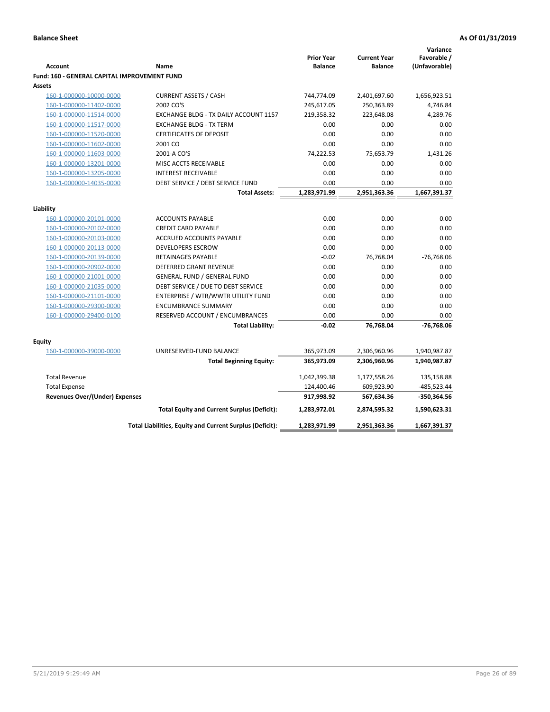|                                                          |                                                                                                                                                                                                                                                                                                                                                                                                                                        |                                                                                                                                                                   | Variance                                                                                                                                                                                |
|----------------------------------------------------------|----------------------------------------------------------------------------------------------------------------------------------------------------------------------------------------------------------------------------------------------------------------------------------------------------------------------------------------------------------------------------------------------------------------------------------------|-------------------------------------------------------------------------------------------------------------------------------------------------------------------|-----------------------------------------------------------------------------------------------------------------------------------------------------------------------------------------|
|                                                          | <b>Prior Year</b>                                                                                                                                                                                                                                                                                                                                                                                                                      | <b>Current Year</b>                                                                                                                                               | Favorable /                                                                                                                                                                             |
|                                                          |                                                                                                                                                                                                                                                                                                                                                                                                                                        |                                                                                                                                                                   | (Unfavorable)                                                                                                                                                                           |
|                                                          |                                                                                                                                                                                                                                                                                                                                                                                                                                        |                                                                                                                                                                   |                                                                                                                                                                                         |
|                                                          |                                                                                                                                                                                                                                                                                                                                                                                                                                        |                                                                                                                                                                   |                                                                                                                                                                                         |
|                                                          |                                                                                                                                                                                                                                                                                                                                                                                                                                        |                                                                                                                                                                   | 1,656,923.51                                                                                                                                                                            |
|                                                          |                                                                                                                                                                                                                                                                                                                                                                                                                                        |                                                                                                                                                                   | 4,746.84                                                                                                                                                                                |
|                                                          |                                                                                                                                                                                                                                                                                                                                                                                                                                        |                                                                                                                                                                   | 4,289.76                                                                                                                                                                                |
|                                                          |                                                                                                                                                                                                                                                                                                                                                                                                                                        |                                                                                                                                                                   | 0.00<br>0.00                                                                                                                                                                            |
|                                                          |                                                                                                                                                                                                                                                                                                                                                                                                                                        |                                                                                                                                                                   |                                                                                                                                                                                         |
|                                                          |                                                                                                                                                                                                                                                                                                                                                                                                                                        |                                                                                                                                                                   | 0.00<br>1.431.26                                                                                                                                                                        |
|                                                          |                                                                                                                                                                                                                                                                                                                                                                                                                                        |                                                                                                                                                                   |                                                                                                                                                                                         |
|                                                          |                                                                                                                                                                                                                                                                                                                                                                                                                                        |                                                                                                                                                                   | 0.00                                                                                                                                                                                    |
|                                                          |                                                                                                                                                                                                                                                                                                                                                                                                                                        |                                                                                                                                                                   | 0.00<br>0.00                                                                                                                                                                            |
|                                                          |                                                                                                                                                                                                                                                                                                                                                                                                                                        |                                                                                                                                                                   | 1,667,391.37                                                                                                                                                                            |
|                                                          |                                                                                                                                                                                                                                                                                                                                                                                                                                        |                                                                                                                                                                   |                                                                                                                                                                                         |
|                                                          |                                                                                                                                                                                                                                                                                                                                                                                                                                        |                                                                                                                                                                   |                                                                                                                                                                                         |
| <b>ACCOUNTS PAYABLE</b>                                  | 0.00                                                                                                                                                                                                                                                                                                                                                                                                                                   | 0.00                                                                                                                                                              | 0.00                                                                                                                                                                                    |
| <b>CREDIT CARD PAYABLE</b>                               | 0.00                                                                                                                                                                                                                                                                                                                                                                                                                                   | 0.00                                                                                                                                                              | 0.00                                                                                                                                                                                    |
| <b>ACCRUED ACCOUNTS PAYABLE</b>                          | 0.00                                                                                                                                                                                                                                                                                                                                                                                                                                   | 0.00                                                                                                                                                              | 0.00                                                                                                                                                                                    |
| <b>DEVELOPERS ESCROW</b>                                 | 0.00                                                                                                                                                                                                                                                                                                                                                                                                                                   | 0.00                                                                                                                                                              | 0.00                                                                                                                                                                                    |
| <b>RETAINAGES PAYABLE</b>                                | $-0.02$                                                                                                                                                                                                                                                                                                                                                                                                                                | 76,768.04                                                                                                                                                         | $-76,768.06$                                                                                                                                                                            |
| DEFERRED GRANT REVENUE                                   | 0.00                                                                                                                                                                                                                                                                                                                                                                                                                                   | 0.00                                                                                                                                                              | 0.00                                                                                                                                                                                    |
| <b>GENERAL FUND / GENERAL FUND</b>                       | 0.00                                                                                                                                                                                                                                                                                                                                                                                                                                   | 0.00                                                                                                                                                              | 0.00                                                                                                                                                                                    |
| DEBT SERVICE / DUE TO DEBT SERVICE                       | 0.00                                                                                                                                                                                                                                                                                                                                                                                                                                   | 0.00                                                                                                                                                              | 0.00                                                                                                                                                                                    |
| ENTERPRISE / WTR/WWTR UTILITY FUND                       | 0.00                                                                                                                                                                                                                                                                                                                                                                                                                                   | 0.00                                                                                                                                                              | 0.00                                                                                                                                                                                    |
| <b>ENCUMBRANCE SUMMARY</b>                               | 0.00                                                                                                                                                                                                                                                                                                                                                                                                                                   | 0.00                                                                                                                                                              | 0.00                                                                                                                                                                                    |
| RESERVED ACCOUNT / ENCUMBRANCES                          | 0.00                                                                                                                                                                                                                                                                                                                                                                                                                                   | 0.00                                                                                                                                                              | 0.00                                                                                                                                                                                    |
| <b>Total Liability:</b>                                  | $-0.02$                                                                                                                                                                                                                                                                                                                                                                                                                                | 76,768.04                                                                                                                                                         | -76,768.06                                                                                                                                                                              |
|                                                          |                                                                                                                                                                                                                                                                                                                                                                                                                                        |                                                                                                                                                                   |                                                                                                                                                                                         |
|                                                          |                                                                                                                                                                                                                                                                                                                                                                                                                                        |                                                                                                                                                                   |                                                                                                                                                                                         |
|                                                          |                                                                                                                                                                                                                                                                                                                                                                                                                                        |                                                                                                                                                                   | 1,940,987.87                                                                                                                                                                            |
|                                                          |                                                                                                                                                                                                                                                                                                                                                                                                                                        |                                                                                                                                                                   | 1,940,987.87                                                                                                                                                                            |
|                                                          | 1,042,399.38                                                                                                                                                                                                                                                                                                                                                                                                                           |                                                                                                                                                                   | 135,158.88                                                                                                                                                                              |
|                                                          | 124,400.46                                                                                                                                                                                                                                                                                                                                                                                                                             | 609,923.90                                                                                                                                                        | -485,523.44                                                                                                                                                                             |
| Revenues Over/(Under) Expenses                           | 917,998.92                                                                                                                                                                                                                                                                                                                                                                                                                             | 567,634.36                                                                                                                                                        | -350,364.56                                                                                                                                                                             |
| <b>Total Equity and Current Surplus (Deficit):</b>       | 1,283,972.01                                                                                                                                                                                                                                                                                                                                                                                                                           | 2,874,595.32                                                                                                                                                      | 1,590,623.31                                                                                                                                                                            |
| Total Liabilities, Equity and Current Surplus (Deficit): | 1,283,971.99                                                                                                                                                                                                                                                                                                                                                                                                                           | 2,951,363.36                                                                                                                                                      | 1,667,391.37                                                                                                                                                                            |
|                                                          | Name<br><b>Fund: 160 - GENERAL CAPITAL IMPROVEMENT FUND</b><br><b>CURRENT ASSETS / CASH</b><br>2002 CO'S<br><b>EXCHANGE BLDG - TX DAILY ACCOUNT 1157</b><br><b>EXCHANGE BLDG - TX TERM</b><br><b>CERTIFICATES OF DEPOSIT</b><br>2001 CO<br>2001-A CO'S<br>MISC ACCTS RECEIVABLE<br><b>INTEREST RECEIVABLE</b><br>DEBT SERVICE / DEBT SERVICE FUND<br><b>Total Assets:</b><br>UNRESERVED-FUND BALANCE<br><b>Total Beginning Equity:</b> | <b>Balance</b><br>744,774.09<br>245,617.05<br>219,358.32<br>0.00<br>0.00<br>0.00<br>74,222.53<br>0.00<br>0.00<br>0.00<br>1,283,971.99<br>365,973.09<br>365,973.09 | <b>Balance</b><br>2,401,697.60<br>250,363.89<br>223,648.08<br>0.00<br>0.00<br>0.00<br>75,653.79<br>0.00<br>0.00<br>0.00<br>2,951,363.36<br>2,306,960.96<br>2,306,960.96<br>1,177,558.26 |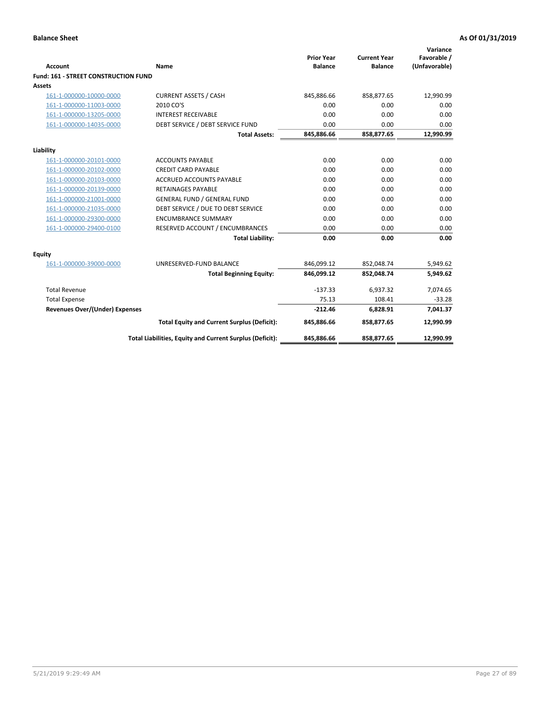| <b>Account</b>                       | <b>Name</b>                                              | <b>Prior Year</b><br><b>Balance</b> | <b>Current Year</b><br><b>Balance</b> | Variance<br>Favorable /<br>(Unfavorable) |
|--------------------------------------|----------------------------------------------------------|-------------------------------------|---------------------------------------|------------------------------------------|
| Fund: 161 - STREET CONSTRUCTION FUND |                                                          |                                     |                                       |                                          |
| <b>Assets</b>                        |                                                          |                                     |                                       |                                          |
| 161-1-000000-10000-0000              | <b>CURRENT ASSETS / CASH</b>                             | 845,886.66                          | 858,877.65                            | 12,990.99                                |
| 161-1-000000-11003-0000              | 2010 CO'S                                                | 0.00                                | 0.00                                  | 0.00                                     |
| 161-1-000000-13205-0000              | <b>INTEREST RECEIVABLE</b>                               | 0.00                                | 0.00                                  | 0.00                                     |
| 161-1-000000-14035-0000              | DEBT SERVICE / DEBT SERVICE FUND                         | 0.00                                | 0.00                                  | 0.00                                     |
|                                      | <b>Total Assets:</b>                                     | 845,886.66                          | 858,877.65                            | 12,990.99                                |
| Liability                            |                                                          |                                     |                                       |                                          |
| 161-1-000000-20101-0000              | <b>ACCOUNTS PAYABLE</b>                                  | 0.00                                | 0.00                                  | 0.00                                     |
| 161-1-000000-20102-0000              | <b>CREDIT CARD PAYABLE</b>                               | 0.00                                | 0.00                                  | 0.00                                     |
| 161-1-000000-20103-0000              | <b>ACCRUED ACCOUNTS PAYABLE</b>                          | 0.00                                | 0.00                                  | 0.00                                     |
| 161-1-000000-20139-0000              | <b>RETAINAGES PAYABLE</b>                                | 0.00                                | 0.00                                  | 0.00                                     |
| 161-1-000000-21001-0000              | <b>GENERAL FUND / GENERAL FUND</b>                       | 0.00                                | 0.00                                  | 0.00                                     |
| 161-1-000000-21035-0000              | DEBT SERVICE / DUE TO DEBT SERVICE                       | 0.00                                | 0.00                                  | 0.00                                     |
| 161-1-000000-29300-0000              | <b>ENCUMBRANCE SUMMARY</b>                               | 0.00                                | 0.00                                  | 0.00                                     |
| 161-1-000000-29400-0100              | RESERVED ACCOUNT / ENCUMBRANCES                          | 0.00                                | 0.00                                  | 0.00                                     |
|                                      | <b>Total Liability:</b>                                  | 0.00                                | 0.00                                  | 0.00                                     |
| Equity                               |                                                          |                                     |                                       |                                          |
| 161-1-000000-39000-0000              | UNRESERVED-FUND BALANCE                                  | 846,099.12                          | 852,048.74                            | 5,949.62                                 |
|                                      | <b>Total Beginning Equity:</b>                           | 846,099.12                          | 852,048.74                            | 5,949.62                                 |
| <b>Total Revenue</b>                 |                                                          | $-137.33$                           | 6.937.32                              | 7,074.65                                 |
| <b>Total Expense</b>                 |                                                          | 75.13                               | 108.41                                | $-33.28$                                 |
| Revenues Over/(Under) Expenses       |                                                          | $-212.46$                           | 6.828.91                              | 7,041.37                                 |
|                                      | <b>Total Equity and Current Surplus (Deficit):</b>       | 845,886.66                          | 858,877.65                            | 12,990.99                                |
|                                      | Total Liabilities, Equity and Current Surplus (Deficit): | 845,886.66                          | 858,877.65                            | 12,990.99                                |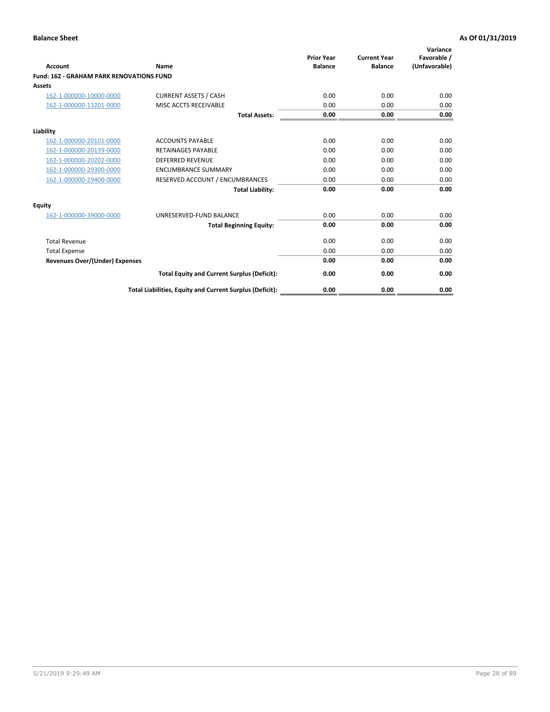|                                                 |                                                          | <b>Prior Year</b><br><b>Balance</b> | <b>Current Year</b> | Variance<br>Favorable / |
|-------------------------------------------------|----------------------------------------------------------|-------------------------------------|---------------------|-------------------------|
| <b>Account</b>                                  | Name                                                     |                                     | <b>Balance</b>      | (Unfavorable)           |
| <b>Fund: 162 - GRAHAM PARK RENOVATIONS FUND</b> |                                                          |                                     |                     |                         |
| <b>Assets</b>                                   |                                                          |                                     |                     |                         |
| 162-1-000000-10000-0000                         | <b>CURRENT ASSETS / CASH</b>                             | 0.00                                | 0.00                | 0.00                    |
| 162-1-000000-13201-0000                         | MISC ACCTS RECEIVABLE                                    | 0.00                                | 0.00                | 0.00                    |
|                                                 | <b>Total Assets:</b>                                     | 0.00                                | 0.00                | 0.00                    |
| Liability                                       |                                                          |                                     |                     |                         |
| 162-1-000000-20101-0000                         | <b>ACCOUNTS PAYABLE</b>                                  | 0.00                                | 0.00                | 0.00                    |
| 162-1-000000-20139-0000                         | <b>RETAINAGES PAYABLE</b>                                | 0.00                                | 0.00                | 0.00                    |
| 162-1-000000-20202-0000                         | <b>DEFERRED REVENUE</b>                                  | 0.00                                | 0.00                | 0.00                    |
| 162-1-000000-29300-0000                         | <b>ENCUMBRANCE SUMMARY</b>                               | 0.00                                | 0.00                | 0.00                    |
| 162-1-000000-29400-0000                         | RESERVED ACCOUNT / ENCUMBRANCES                          | 0.00                                | 0.00                | 0.00                    |
|                                                 | <b>Total Liability:</b>                                  | 0.00                                | 0.00                | 0.00                    |
| Equity                                          |                                                          |                                     |                     |                         |
| 162-1-000000-39000-0000                         | UNRESERVED-FUND BALANCE                                  | 0.00                                | 0.00                | 0.00                    |
|                                                 | <b>Total Beginning Equity:</b>                           | 0.00                                | 0.00                | 0.00                    |
| <b>Total Revenue</b>                            |                                                          | 0.00                                | 0.00                | 0.00                    |
| <b>Total Expense</b>                            |                                                          | 0.00                                | 0.00                | 0.00                    |
| Revenues Over/(Under) Expenses                  |                                                          | 0.00                                | 0.00                | 0.00                    |
|                                                 | <b>Total Equity and Current Surplus (Deficit):</b>       | 0.00                                | 0.00                | 0.00                    |
|                                                 | Total Liabilities, Equity and Current Surplus (Deficit): | 0.00                                | 0.00                | 0.00                    |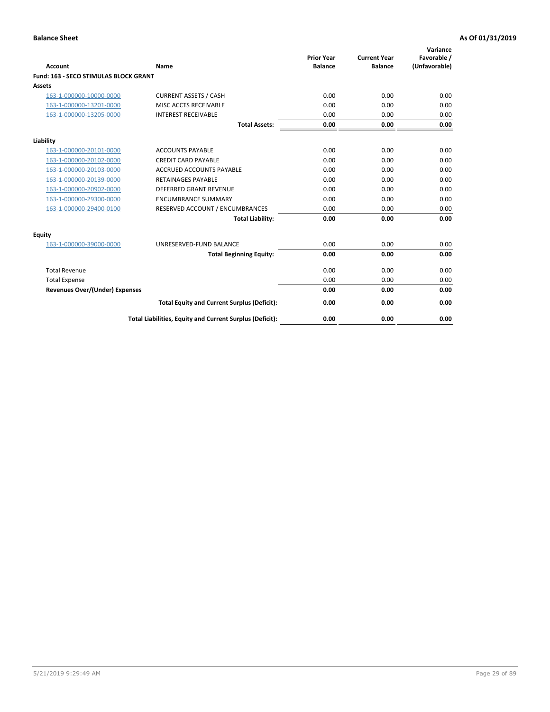|                                              |                                                          | <b>Prior Year</b> | <b>Current Year</b> | Variance<br>Favorable / |
|----------------------------------------------|----------------------------------------------------------|-------------------|---------------------|-------------------------|
| <b>Account</b>                               | Name                                                     | <b>Balance</b>    | <b>Balance</b>      | (Unfavorable)           |
| <b>Fund: 163 - SECO STIMULAS BLOCK GRANT</b> |                                                          |                   |                     |                         |
| Assets                                       |                                                          |                   |                     |                         |
| 163-1-000000-10000-0000                      | <b>CURRENT ASSETS / CASH</b>                             | 0.00              | 0.00                | 0.00                    |
| 163-1-000000-13201-0000                      | MISC ACCTS RECEIVABLE                                    | 0.00              | 0.00                | 0.00                    |
| 163-1-000000-13205-0000                      | <b>INTEREST RECEIVABLE</b>                               | 0.00              | 0.00                | 0.00                    |
|                                              | <b>Total Assets:</b>                                     | 0.00              | 0.00                | 0.00                    |
| Liability                                    |                                                          |                   |                     |                         |
| 163-1-000000-20101-0000                      | <b>ACCOUNTS PAYABLE</b>                                  | 0.00              | 0.00                | 0.00                    |
| 163-1-000000-20102-0000                      | <b>CREDIT CARD PAYABLE</b>                               | 0.00              | 0.00                | 0.00                    |
| 163-1-000000-20103-0000                      | <b>ACCRUED ACCOUNTS PAYABLE</b>                          | 0.00              | 0.00                | 0.00                    |
| 163-1-000000-20139-0000                      | <b>RETAINAGES PAYABLE</b>                                | 0.00              | 0.00                | 0.00                    |
| 163-1-000000-20902-0000                      | <b>DEFERRED GRANT REVENUE</b>                            | 0.00              | 0.00                | 0.00                    |
| 163-1-000000-29300-0000                      | <b>ENCUMBRANCE SUMMARY</b>                               | 0.00              | 0.00                | 0.00                    |
| 163-1-000000-29400-0100                      | RESERVED ACCOUNT / ENCUMBRANCES                          | 0.00              | 0.00                | 0.00                    |
|                                              | <b>Total Liability:</b>                                  | 0.00              | 0.00                | 0.00                    |
| <b>Equity</b>                                |                                                          |                   |                     |                         |
| 163-1-000000-39000-0000                      | UNRESERVED-FUND BALANCE                                  | 0.00              | 0.00                | 0.00                    |
|                                              | <b>Total Beginning Equity:</b>                           | 0.00              | 0.00                | 0.00                    |
| <b>Total Revenue</b>                         |                                                          | 0.00              | 0.00                | 0.00                    |
| <b>Total Expense</b>                         |                                                          | 0.00              | 0.00                | 0.00                    |
| Revenues Over/(Under) Expenses               |                                                          | 0.00              | 0.00                | 0.00                    |
|                                              | <b>Total Equity and Current Surplus (Deficit):</b>       | 0.00              | 0.00                | 0.00                    |
|                                              | Total Liabilities, Equity and Current Surplus (Deficit): | 0.00              | 0.00                | 0.00                    |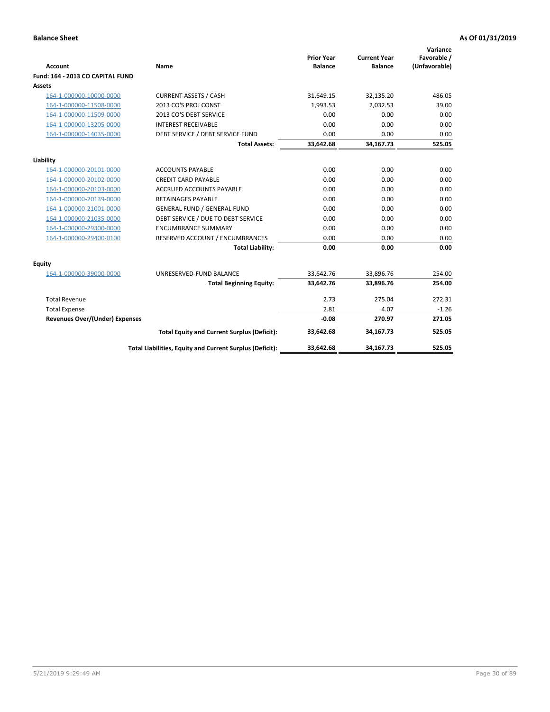| <b>Account</b>                        | Name                                                     | <b>Prior Year</b><br><b>Balance</b> | <b>Current Year</b><br><b>Balance</b> | Variance<br>Favorable /<br>(Unfavorable) |
|---------------------------------------|----------------------------------------------------------|-------------------------------------|---------------------------------------|------------------------------------------|
| Fund: 164 - 2013 CO CAPITAL FUND      |                                                          |                                     |                                       |                                          |
| Assets                                |                                                          |                                     |                                       |                                          |
| 164-1-000000-10000-0000               | <b>CURRENT ASSETS / CASH</b>                             | 31,649.15                           | 32,135.20                             | 486.05                                   |
| 164-1-000000-11508-0000               | 2013 CO'S PROJ CONST                                     | 1,993.53                            | 2,032.53                              | 39.00                                    |
| 164-1-000000-11509-0000               | 2013 CO'S DEBT SERVICE                                   | 0.00                                | 0.00                                  | 0.00                                     |
| 164-1-000000-13205-0000               | <b>INTEREST RECEIVABLE</b>                               | 0.00                                | 0.00                                  | 0.00                                     |
| 164-1-000000-14035-0000               | DEBT SERVICE / DEBT SERVICE FUND                         | 0.00                                | 0.00                                  | 0.00                                     |
|                                       | <b>Total Assets:</b>                                     | 33,642.68                           | 34,167.73                             | 525.05                                   |
| Liability                             |                                                          |                                     |                                       |                                          |
| 164-1-000000-20101-0000               | <b>ACCOUNTS PAYABLE</b>                                  | 0.00                                | 0.00                                  | 0.00                                     |
| 164-1-000000-20102-0000               | <b>CREDIT CARD PAYABLE</b>                               | 0.00                                | 0.00                                  | 0.00                                     |
| 164-1-000000-20103-0000               | ACCRUED ACCOUNTS PAYABLE                                 | 0.00                                | 0.00                                  | 0.00                                     |
| 164-1-000000-20139-0000               | <b>RETAINAGES PAYABLE</b>                                | 0.00                                | 0.00                                  | 0.00                                     |
| 164-1-000000-21001-0000               | <b>GENERAL FUND / GENERAL FUND</b>                       | 0.00                                | 0.00                                  | 0.00                                     |
| 164-1-000000-21035-0000               | DEBT SERVICE / DUE TO DEBT SERVICE                       | 0.00                                | 0.00                                  | 0.00                                     |
| 164-1-000000-29300-0000               | <b>ENCUMBRANCE SUMMARY</b>                               | 0.00                                | 0.00                                  | 0.00                                     |
| 164-1-000000-29400-0100               | RESERVED ACCOUNT / ENCUMBRANCES                          | 0.00                                | 0.00                                  | 0.00                                     |
|                                       | <b>Total Liability:</b>                                  | 0.00                                | 0.00                                  | 0.00                                     |
| Equity                                |                                                          |                                     |                                       |                                          |
| 164-1-000000-39000-0000               | UNRESERVED-FUND BALANCE                                  | 33,642.76                           | 33,896.76                             | 254.00                                   |
|                                       | <b>Total Beginning Equity:</b>                           | 33,642.76                           | 33,896.76                             | 254.00                                   |
| <b>Total Revenue</b>                  |                                                          | 2.73                                | 275.04                                | 272.31                                   |
| <b>Total Expense</b>                  |                                                          | 2.81                                | 4.07                                  | $-1.26$                                  |
| <b>Revenues Over/(Under) Expenses</b> |                                                          | $-0.08$                             | 270.97                                | 271.05                                   |
|                                       | <b>Total Equity and Current Surplus (Deficit):</b>       | 33,642.68                           | 34,167.73                             | 525.05                                   |
|                                       | Total Liabilities, Equity and Current Surplus (Deficit): | 33,642.68                           | 34,167.73                             | 525.05                                   |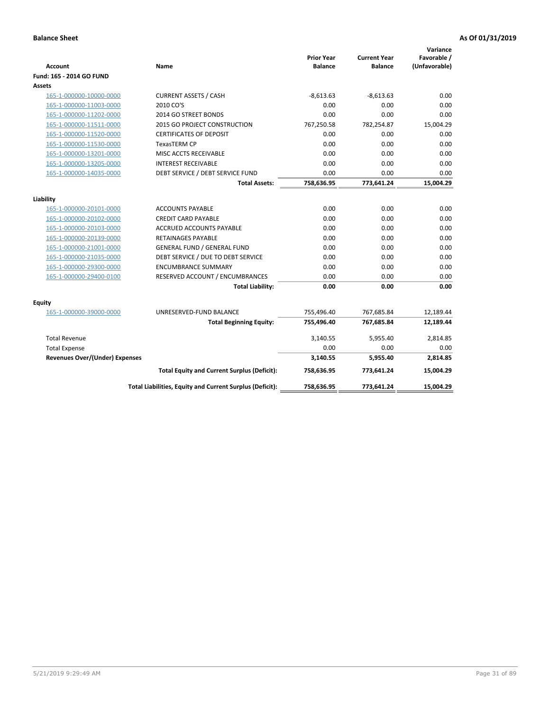| <b>Account</b>                                     | Name                                                     | <b>Prior Year</b><br><b>Balance</b> | <b>Current Year</b><br><b>Balance</b> | Variance<br>Favorable /<br>(Unfavorable) |
|----------------------------------------------------|----------------------------------------------------------|-------------------------------------|---------------------------------------|------------------------------------------|
| Fund: 165 - 2014 GO FUND                           |                                                          |                                     |                                       |                                          |
| Assets                                             |                                                          |                                     |                                       |                                          |
| 165-1-000000-10000-0000                            | <b>CURRENT ASSETS / CASH</b>                             | $-8,613.63$                         | $-8,613.63$                           | 0.00                                     |
| 165-1-000000-11003-0000                            | 2010 CO'S                                                | 0.00                                | 0.00                                  | 0.00                                     |
| 165-1-000000-11202-0000                            | 2014 GO STREET BONDS                                     | 0.00                                | 0.00                                  | 0.00                                     |
| 165-1-000000-11511-0000                            | 2015 GO PROJECT CONSTRUCTION                             | 767,250.58                          | 782,254.87                            | 15,004.29                                |
| 165-1-000000-11520-0000                            | <b>CERTIFICATES OF DEPOSIT</b>                           | 0.00                                | 0.00                                  | 0.00                                     |
| 165-1-000000-11530-0000                            | <b>TexasTERM CP</b>                                      | 0.00                                | 0.00                                  | 0.00                                     |
| 165-1-000000-13201-0000                            | MISC ACCTS RECEIVABLE                                    | 0.00                                | 0.00                                  | 0.00                                     |
| 165-1-000000-13205-0000                            | <b>INTEREST RECEIVABLE</b>                               | 0.00                                | 0.00                                  | 0.00                                     |
| 165-1-000000-14035-0000                            | DEBT SERVICE / DEBT SERVICE FUND                         | 0.00                                | 0.00                                  | 0.00                                     |
|                                                    | <b>Total Assets:</b>                                     | 758,636.95                          | 773,641.24                            | 15,004.29                                |
| Liability                                          |                                                          |                                     |                                       |                                          |
|                                                    |                                                          | 0.00                                | 0.00                                  | 0.00                                     |
| 165-1-000000-20101-0000<br>165-1-000000-20102-0000 | <b>ACCOUNTS PAYABLE</b><br><b>CREDIT CARD PAYABLE</b>    | 0.00                                | 0.00                                  | 0.00                                     |
| 165-1-000000-20103-0000                            | ACCRUED ACCOUNTS PAYABLE                                 | 0.00                                | 0.00                                  | 0.00                                     |
| 165-1-000000-20139-0000                            | <b>RETAINAGES PAYABLE</b>                                | 0.00                                | 0.00                                  | 0.00                                     |
| 165-1-000000-21001-0000                            | <b>GENERAL FUND / GENERAL FUND</b>                       | 0.00                                | 0.00                                  | 0.00                                     |
| 165-1-000000-21035-0000                            | DEBT SERVICE / DUE TO DEBT SERVICE                       | 0.00                                | 0.00                                  | 0.00                                     |
| 165-1-000000-29300-0000                            | <b>ENCUMBRANCE SUMMARY</b>                               | 0.00                                | 0.00                                  | 0.00                                     |
| 165-1-000000-29400-0100                            | RESERVED ACCOUNT / ENCUMBRANCES                          | 0.00                                | 0.00                                  | 0.00                                     |
|                                                    | <b>Total Liability:</b>                                  | 0.00                                | 0.00                                  | 0.00                                     |
|                                                    |                                                          |                                     |                                       |                                          |
| <b>Equity</b>                                      |                                                          |                                     |                                       |                                          |
| 165-1-000000-39000-0000                            | UNRESERVED-FUND BALANCE                                  | 755,496.40                          | 767,685.84                            | 12,189.44                                |
|                                                    | <b>Total Beginning Equity:</b>                           | 755,496.40                          | 767,685.84                            | 12,189.44                                |
| <b>Total Revenue</b>                               |                                                          | 3,140.55                            | 5,955.40                              | 2,814.85                                 |
| <b>Total Expense</b>                               |                                                          | 0.00                                | 0.00                                  | 0.00                                     |
| <b>Revenues Over/(Under) Expenses</b>              |                                                          | 3,140.55                            | 5,955.40                              | 2,814.85                                 |
|                                                    | <b>Total Equity and Current Surplus (Deficit):</b>       | 758,636.95                          | 773,641.24                            | 15,004.29                                |
|                                                    | Total Liabilities, Equity and Current Surplus (Deficit): | 758,636.95                          | 773,641.24                            | 15.004.29                                |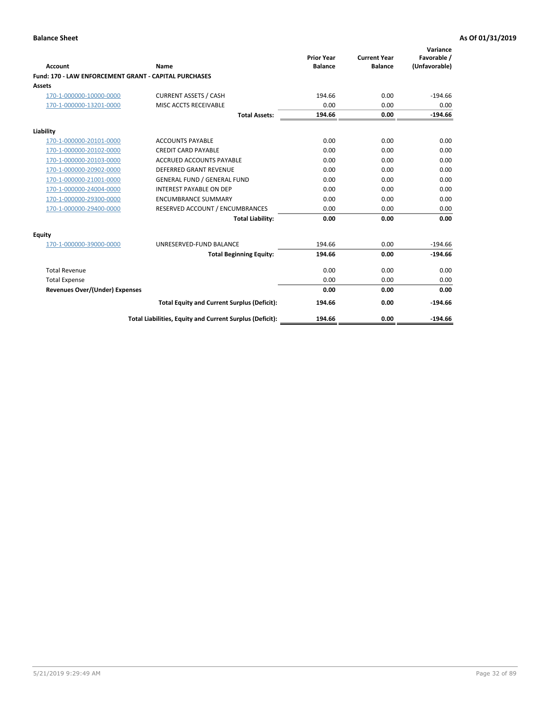|                                                       |                                                          | <b>Prior Year</b> | <b>Current Year</b> | Variance<br>Favorable / |
|-------------------------------------------------------|----------------------------------------------------------|-------------------|---------------------|-------------------------|
| Account                                               | Name                                                     | <b>Balance</b>    | <b>Balance</b>      | (Unfavorable)           |
| Fund: 170 - LAW ENFORCEMENT GRANT - CAPITAL PURCHASES |                                                          |                   |                     |                         |
| <b>Assets</b>                                         |                                                          |                   |                     |                         |
| 170-1-000000-10000-0000                               | <b>CURRENT ASSETS / CASH</b>                             | 194.66            | 0.00                | $-194.66$               |
| 170-1-000000-13201-0000                               | MISC ACCTS RECEIVABLE                                    | 0.00              | 0.00                | 0.00                    |
|                                                       | <b>Total Assets:</b>                                     | 194.66            | 0.00                | $-194.66$               |
| Liability                                             |                                                          |                   |                     |                         |
| 170-1-000000-20101-0000                               | <b>ACCOUNTS PAYABLE</b>                                  | 0.00              | 0.00                | 0.00                    |
| 170-1-000000-20102-0000                               | <b>CREDIT CARD PAYABLE</b>                               | 0.00              | 0.00                | 0.00                    |
| 170-1-000000-20103-0000                               | <b>ACCRUED ACCOUNTS PAYABLE</b>                          | 0.00              | 0.00                | 0.00                    |
| 170-1-000000-20902-0000                               | <b>DEFERRED GRANT REVENUE</b>                            | 0.00              | 0.00                | 0.00                    |
| 170-1-000000-21001-0000                               | <b>GENERAL FUND / GENERAL FUND</b>                       | 0.00              | 0.00                | 0.00                    |
| 170-1-000000-24004-0000                               | <b>INTEREST PAYABLE ON DEP</b>                           | 0.00              | 0.00                | 0.00                    |
| 170-1-000000-29300-0000                               | <b>ENCUMBRANCE SUMMARY</b>                               | 0.00              | 0.00                | 0.00                    |
| 170-1-000000-29400-0000                               | RESERVED ACCOUNT / ENCUMBRANCES                          | 0.00              | 0.00                | 0.00                    |
|                                                       | <b>Total Liability:</b>                                  | 0.00              | 0.00                | 0.00                    |
| <b>Equity</b>                                         |                                                          |                   |                     |                         |
| 170-1-000000-39000-0000                               | UNRESERVED-FUND BALANCE                                  | 194.66            | 0.00                | $-194.66$               |
|                                                       | <b>Total Beginning Equity:</b>                           | 194.66            | 0.00                | $-194.66$               |
| <b>Total Revenue</b>                                  |                                                          | 0.00              | 0.00                | 0.00                    |
| <b>Total Expense</b>                                  |                                                          | 0.00              | 0.00                | 0.00                    |
| <b>Revenues Over/(Under) Expenses</b>                 |                                                          | 0.00              | 0.00                | 0.00                    |
|                                                       | <b>Total Equity and Current Surplus (Deficit):</b>       | 194.66            | 0.00                | $-194.66$               |
|                                                       | Total Liabilities, Equity and Current Surplus (Deficit): | 194.66            | 0.00                | $-194.66$               |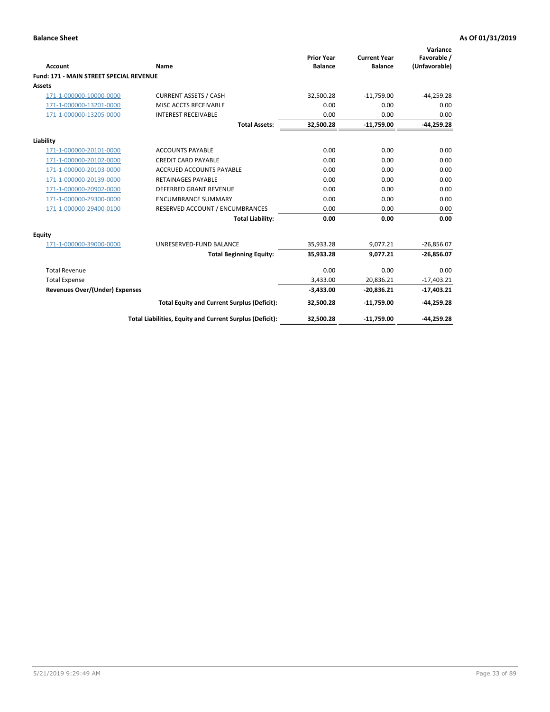|                                                |                                                          | <b>Prior Year</b> | <b>Current Year</b> | Variance<br>Favorable / |
|------------------------------------------------|----------------------------------------------------------|-------------------|---------------------|-------------------------|
| <b>Account</b>                                 | Name                                                     | <b>Balance</b>    | <b>Balance</b>      | (Unfavorable)           |
| <b>Fund: 171 - MAIN STREET SPECIAL REVENUE</b> |                                                          |                   |                     |                         |
| <b>Assets</b>                                  |                                                          |                   |                     |                         |
| 171-1-000000-10000-0000                        | <b>CURRENT ASSETS / CASH</b>                             | 32,500.28         | $-11,759.00$        | $-44,259.28$            |
| 171-1-000000-13201-0000                        | MISC ACCTS RECEIVABLE                                    | 0.00              | 0.00                | 0.00                    |
| 171-1-000000-13205-0000                        | <b>INTEREST RECEIVABLE</b>                               | 0.00              | 0.00                | 0.00                    |
|                                                | <b>Total Assets:</b>                                     | 32.500.28         | $-11.759.00$        | $-44,259.28$            |
| Liability                                      |                                                          |                   |                     |                         |
| 171-1-000000-20101-0000                        | <b>ACCOUNTS PAYABLE</b>                                  | 0.00              | 0.00                | 0.00                    |
| 171-1-000000-20102-0000                        | <b>CREDIT CARD PAYABLE</b>                               | 0.00              | 0.00                | 0.00                    |
| 171-1-000000-20103-0000                        | <b>ACCRUED ACCOUNTS PAYABLE</b>                          | 0.00              | 0.00                | 0.00                    |
| 171-1-000000-20139-0000                        | <b>RETAINAGES PAYABLE</b>                                | 0.00              | 0.00                | 0.00                    |
| 171-1-000000-20902-0000                        | DEFERRED GRANT REVENUE                                   | 0.00              | 0.00                | 0.00                    |
| 171-1-000000-29300-0000                        | <b>ENCUMBRANCE SUMMARY</b>                               | 0.00              | 0.00                | 0.00                    |
| 171-1-000000-29400-0100                        | RESERVED ACCOUNT / ENCUMBRANCES                          | 0.00              | 0.00                | 0.00                    |
|                                                | <b>Total Liability:</b>                                  | 0.00              | 0.00                | 0.00                    |
| <b>Equity</b>                                  |                                                          |                   |                     |                         |
| 171-1-000000-39000-0000                        | UNRESERVED-FUND BALANCE                                  | 35,933.28         | 9,077.21            | $-26,856.07$            |
|                                                | <b>Total Beginning Equity:</b>                           | 35,933.28         | 9.077.21            | $-26,856.07$            |
| <b>Total Revenue</b>                           |                                                          | 0.00              | 0.00                | 0.00                    |
| <b>Total Expense</b>                           |                                                          | 3,433.00          | 20,836.21           | $-17,403.21$            |
| <b>Revenues Over/(Under) Expenses</b>          |                                                          | $-3,433.00$       | $-20,836.21$        | $-17,403.21$            |
|                                                | <b>Total Equity and Current Surplus (Deficit):</b>       | 32,500.28         | $-11,759.00$        | $-44,259.28$            |
|                                                | Total Liabilities, Equity and Current Surplus (Deficit): | 32,500.28         | $-11,759.00$        | $-44.259.28$            |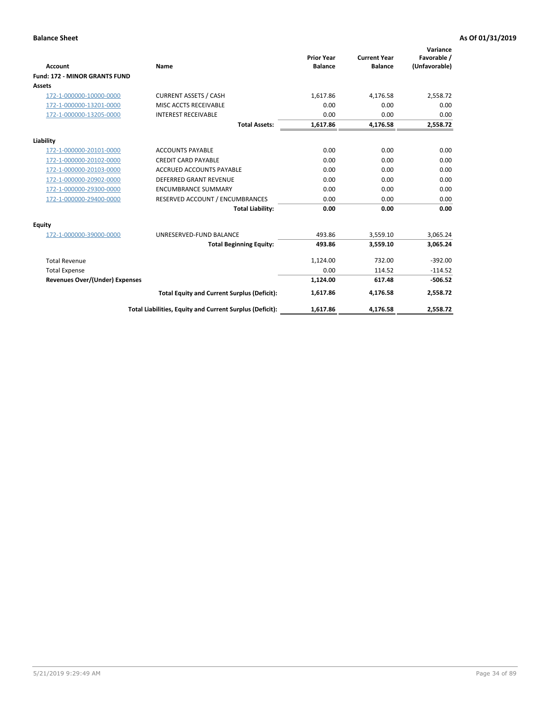|                                       |                                                          |                                     |                                       | Variance                     |
|---------------------------------------|----------------------------------------------------------|-------------------------------------|---------------------------------------|------------------------------|
| <b>Account</b>                        | <b>Name</b>                                              | <b>Prior Year</b><br><b>Balance</b> | <b>Current Year</b><br><b>Balance</b> | Favorable /<br>(Unfavorable) |
| <b>Fund: 172 - MINOR GRANTS FUND</b>  |                                                          |                                     |                                       |                              |
| <b>Assets</b>                         |                                                          |                                     |                                       |                              |
|                                       | <b>CURRENT ASSETS / CASH</b>                             | 1,617.86                            |                                       | 2,558.72                     |
| 172-1-000000-10000-0000               |                                                          |                                     | 4,176.58                              |                              |
| 172-1-000000-13201-0000               | MISC ACCTS RECEIVABLE                                    | 0.00                                | 0.00                                  | 0.00                         |
| 172-1-000000-13205-0000               | <b>INTEREST RECEIVABLE</b>                               | 0.00                                | 0.00                                  | 0.00                         |
|                                       | <b>Total Assets:</b>                                     | 1,617.86                            | 4,176.58                              | 2,558.72                     |
| Liability                             |                                                          |                                     |                                       |                              |
| 172-1-000000-20101-0000               | <b>ACCOUNTS PAYABLE</b>                                  | 0.00                                | 0.00                                  | 0.00                         |
| 172-1-000000-20102-0000               | <b>CREDIT CARD PAYABLE</b>                               | 0.00                                | 0.00                                  | 0.00                         |
| 172-1-000000-20103-0000               | <b>ACCRUED ACCOUNTS PAYABLE</b>                          | 0.00                                | 0.00                                  | 0.00                         |
| 172-1-000000-20902-0000               | <b>DEFERRED GRANT REVENUE</b>                            | 0.00                                | 0.00                                  | 0.00                         |
| 172-1-000000-29300-0000               | <b>ENCUMBRANCE SUMMARY</b>                               | 0.00                                | 0.00                                  | 0.00                         |
| 172-1-000000-29400-0000               | RESERVED ACCOUNT / ENCUMBRANCES                          | 0.00                                | 0.00                                  | 0.00                         |
|                                       | <b>Total Liability:</b>                                  | 0.00                                | 0.00                                  | 0.00                         |
| Equity                                |                                                          |                                     |                                       |                              |
| 172-1-000000-39000-0000               | UNRESERVED-FUND BALANCE                                  | 493.86                              | 3,559.10                              | 3,065.24                     |
|                                       | <b>Total Beginning Equity:</b>                           | 493.86                              | 3,559.10                              | 3,065.24                     |
| <b>Total Revenue</b>                  |                                                          | 1,124.00                            | 732.00                                | $-392.00$                    |
| <b>Total Expense</b>                  |                                                          | 0.00                                | 114.52                                | $-114.52$                    |
| <b>Revenues Over/(Under) Expenses</b> |                                                          | 1,124.00                            | 617.48                                | $-506.52$                    |
|                                       | <b>Total Equity and Current Surplus (Deficit):</b>       | 1,617.86                            | 4,176.58                              | 2,558.72                     |
|                                       | Total Liabilities, Equity and Current Surplus (Deficit): | 1,617.86                            | 4,176.58                              | 2,558.72                     |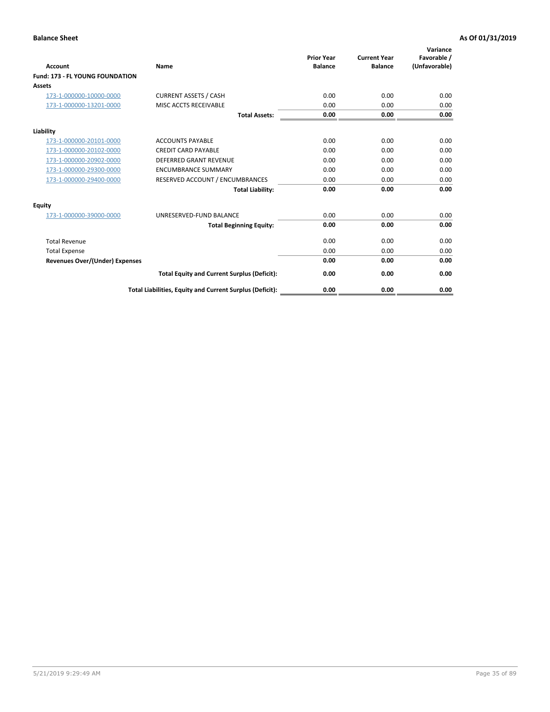| <b>Account</b>                         | <b>Name</b>                                              | <b>Prior Year</b><br><b>Balance</b> | <b>Current Year</b><br><b>Balance</b> | Variance<br>Favorable /<br>(Unfavorable) |
|----------------------------------------|----------------------------------------------------------|-------------------------------------|---------------------------------------|------------------------------------------|
| <b>Fund: 173 - FL YOUNG FOUNDATION</b> |                                                          |                                     |                                       |                                          |
| Assets                                 |                                                          |                                     |                                       |                                          |
| 173-1-000000-10000-0000                | <b>CURRENT ASSETS / CASH</b>                             | 0.00                                | 0.00                                  | 0.00                                     |
| 173-1-000000-13201-0000                | MISC ACCTS RECEIVABLE                                    | 0.00                                | 0.00                                  | 0.00                                     |
|                                        | <b>Total Assets:</b>                                     | 0.00                                | 0.00                                  | 0.00                                     |
| Liability                              |                                                          |                                     |                                       |                                          |
| 173-1-000000-20101-0000                | <b>ACCOUNTS PAYABLE</b>                                  | 0.00                                | 0.00                                  | 0.00                                     |
| 173-1-000000-20102-0000                | <b>CREDIT CARD PAYABLE</b>                               | 0.00                                | 0.00                                  | 0.00                                     |
| 173-1-000000-20902-0000                | <b>DEFERRED GRANT REVENUE</b>                            | 0.00                                | 0.00                                  | 0.00                                     |
| 173-1-000000-29300-0000                | <b>ENCUMBRANCE SUMMARY</b>                               | 0.00                                | 0.00                                  | 0.00                                     |
| 173-1-000000-29400-0000                | RESERVED ACCOUNT / ENCUMBRANCES                          | 0.00                                | 0.00                                  | 0.00                                     |
|                                        | <b>Total Liability:</b>                                  | 0.00                                | 0.00                                  | 0.00                                     |
| Equity                                 |                                                          |                                     |                                       |                                          |
| 173-1-000000-39000-0000                | UNRESERVED-FUND BALANCE                                  | 0.00                                | 0.00                                  | 0.00                                     |
|                                        | <b>Total Beginning Equity:</b>                           | 0.00                                | 0.00                                  | 0.00                                     |
| <b>Total Revenue</b>                   |                                                          | 0.00                                | 0.00                                  | 0.00                                     |
| <b>Total Expense</b>                   |                                                          | 0.00                                | 0.00                                  | 0.00                                     |
| <b>Revenues Over/(Under) Expenses</b>  |                                                          | 0.00                                | 0.00                                  | 0.00                                     |
|                                        | <b>Total Equity and Current Surplus (Deficit):</b>       | 0.00                                | 0.00                                  | 0.00                                     |
|                                        | Total Liabilities, Equity and Current Surplus (Deficit): | 0.00                                | 0.00                                  | 0.00                                     |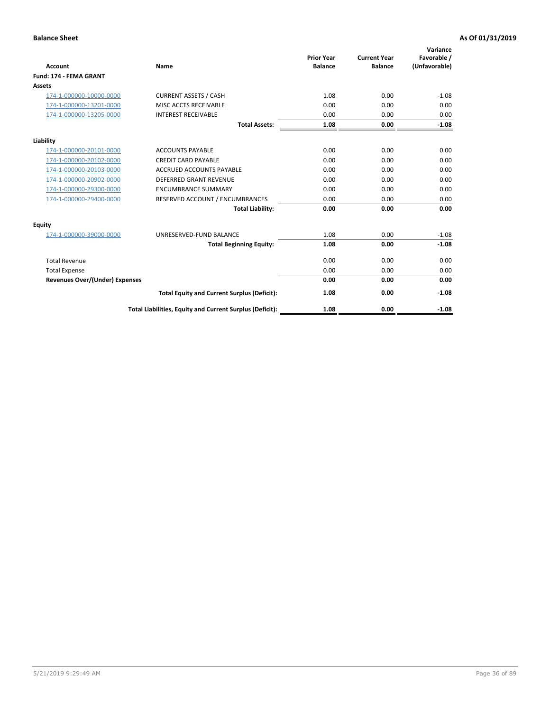| <b>Account</b>                        | Name                                                     | <b>Prior Year</b><br><b>Balance</b> | <b>Current Year</b><br><b>Balance</b> | Variance<br>Favorable /<br>(Unfavorable) |
|---------------------------------------|----------------------------------------------------------|-------------------------------------|---------------------------------------|------------------------------------------|
| Fund: 174 - FEMA GRANT                |                                                          |                                     |                                       |                                          |
| Assets                                |                                                          |                                     |                                       |                                          |
| 174-1-000000-10000-0000               | <b>CURRENT ASSETS / CASH</b>                             | 1.08                                | 0.00                                  | $-1.08$                                  |
| 174-1-000000-13201-0000               | MISC ACCTS RECEIVABLE                                    | 0.00                                | 0.00                                  | 0.00                                     |
| 174-1-000000-13205-0000               | <b>INTEREST RECEIVABLE</b>                               | 0.00                                | 0.00                                  | 0.00                                     |
|                                       | <b>Total Assets:</b>                                     | 1.08                                | 0.00                                  | $-1.08$                                  |
| Liability                             |                                                          |                                     |                                       |                                          |
| 174-1-000000-20101-0000               | <b>ACCOUNTS PAYABLE</b>                                  | 0.00                                | 0.00                                  | 0.00                                     |
| 174-1-000000-20102-0000               | <b>CREDIT CARD PAYABLE</b>                               | 0.00                                | 0.00                                  | 0.00                                     |
| 174-1-000000-20103-0000               | <b>ACCRUED ACCOUNTS PAYABLE</b>                          | 0.00                                | 0.00                                  | 0.00                                     |
| 174-1-000000-20902-0000               | <b>DEFERRED GRANT REVENUE</b>                            | 0.00                                | 0.00                                  | 0.00                                     |
| 174-1-000000-29300-0000               | <b>ENCUMBRANCE SUMMARY</b>                               | 0.00                                | 0.00                                  | 0.00                                     |
| 174-1-000000-29400-0000               | RESERVED ACCOUNT / ENCUMBRANCES                          | 0.00                                | 0.00                                  | 0.00                                     |
|                                       | <b>Total Liability:</b>                                  | 0.00                                | 0.00                                  | 0.00                                     |
| <b>Equity</b>                         |                                                          |                                     |                                       |                                          |
| 174-1-000000-39000-0000               | UNRESERVED-FUND BALANCE                                  | 1.08                                | 0.00                                  | $-1.08$                                  |
|                                       | <b>Total Beginning Equity:</b>                           | 1.08                                | 0.00                                  | $-1.08$                                  |
| <b>Total Revenue</b>                  |                                                          | 0.00                                | 0.00                                  | 0.00                                     |
| <b>Total Expense</b>                  |                                                          | 0.00                                | 0.00                                  | 0.00                                     |
| <b>Revenues Over/(Under) Expenses</b> |                                                          | 0.00                                | 0.00                                  | 0.00                                     |
|                                       | <b>Total Equity and Current Surplus (Deficit):</b>       | 1.08                                | 0.00                                  | $-1.08$                                  |
|                                       | Total Liabilities, Equity and Current Surplus (Deficit): | 1.08                                | 0.00                                  | $-1.08$                                  |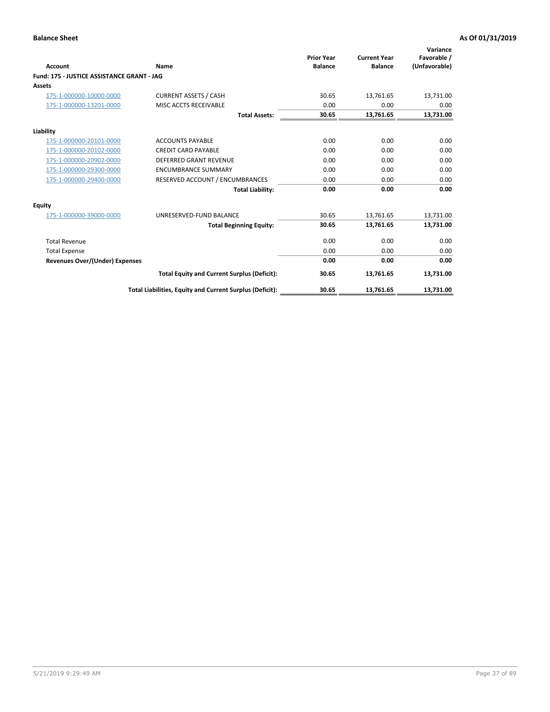|                                            |                                                          | <b>Prior Year</b> | <b>Current Year</b> | Variance<br>Favorable / |
|--------------------------------------------|----------------------------------------------------------|-------------------|---------------------|-------------------------|
| <b>Account</b>                             | Name                                                     | <b>Balance</b>    | <b>Balance</b>      | (Unfavorable)           |
| Fund: 175 - JUSTICE ASSISTANCE GRANT - JAG |                                                          |                   |                     |                         |
| <b>Assets</b>                              |                                                          |                   |                     |                         |
| 175-1-000000-10000-0000                    | <b>CURRENT ASSETS / CASH</b>                             | 30.65             | 13,761.65           | 13,731.00               |
| 175-1-000000-13201-0000                    | MISC ACCTS RECEIVABLE                                    | 0.00              | 0.00                | 0.00                    |
|                                            | <b>Total Assets:</b>                                     | 30.65             | 13,761.65           | 13,731.00               |
| Liability                                  |                                                          |                   |                     |                         |
| 175-1-000000-20101-0000                    | <b>ACCOUNTS PAYABLE</b>                                  | 0.00              | 0.00                | 0.00                    |
| 175-1-000000-20102-0000                    | <b>CREDIT CARD PAYABLE</b>                               | 0.00              | 0.00                | 0.00                    |
| 175-1-000000-20902-0000                    | <b>DEFERRED GRANT REVENUE</b>                            | 0.00              | 0.00                | 0.00                    |
| 175-1-000000-29300-0000                    | <b>ENCUMBRANCE SUMMARY</b>                               | 0.00              | 0.00                | 0.00                    |
| 175-1-000000-29400-0000                    | RESERVED ACCOUNT / ENCUMBRANCES                          | 0.00              | 0.00                | 0.00                    |
|                                            | <b>Total Liability:</b>                                  | 0.00              | 0.00                | 0.00                    |
| Equity                                     |                                                          |                   |                     |                         |
| 175-1-000000-39000-0000                    | UNRESERVED-FUND BALANCE                                  | 30.65             | 13,761.65           | 13,731.00               |
|                                            | <b>Total Beginning Equity:</b>                           | 30.65             | 13,761.65           | 13,731.00               |
| <b>Total Revenue</b>                       |                                                          | 0.00              | 0.00                | 0.00                    |
| <b>Total Expense</b>                       |                                                          | 0.00              | 0.00                | 0.00                    |
| Revenues Over/(Under) Expenses             |                                                          | 0.00              | 0.00                | 0.00                    |
|                                            | <b>Total Equity and Current Surplus (Deficit):</b>       | 30.65             | 13,761.65           | 13,731.00               |
|                                            | Total Liabilities, Equity and Current Surplus (Deficit): | 30.65             | 13,761.65           | 13,731.00               |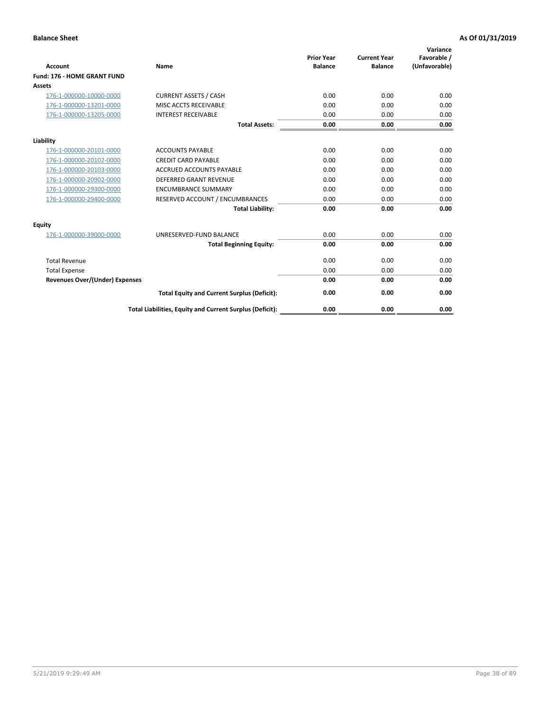|                                       |                                                          | <b>Prior Year</b> | <b>Current Year</b> | Variance<br>Favorable / |
|---------------------------------------|----------------------------------------------------------|-------------------|---------------------|-------------------------|
| <b>Account</b>                        | <b>Name</b>                                              | <b>Balance</b>    | <b>Balance</b>      | (Unfavorable)           |
| Fund: 176 - HOME GRANT FUND           |                                                          |                   |                     |                         |
| <b>Assets</b>                         |                                                          |                   |                     |                         |
| 176-1-000000-10000-0000               | <b>CURRENT ASSETS / CASH</b>                             | 0.00              | 0.00                | 0.00                    |
| 176-1-000000-13201-0000               | MISC ACCTS RECEIVABLE                                    | 0.00              | 0.00                | 0.00                    |
| 176-1-000000-13205-0000               | <b>INTEREST RECEIVABLE</b>                               | 0.00              | 0.00                | 0.00                    |
|                                       | <b>Total Assets:</b>                                     | 0.00              | 0.00                | 0.00                    |
| Liability                             |                                                          |                   |                     |                         |
| 176-1-000000-20101-0000               | <b>ACCOUNTS PAYABLE</b>                                  | 0.00              | 0.00                | 0.00                    |
| 176-1-000000-20102-0000               | <b>CREDIT CARD PAYABLE</b>                               | 0.00              | 0.00                | 0.00                    |
| 176-1-000000-20103-0000               | <b>ACCRUED ACCOUNTS PAYABLE</b>                          | 0.00              | 0.00                | 0.00                    |
| 176-1-000000-20902-0000               | <b>DEFERRED GRANT REVENUE</b>                            | 0.00              | 0.00                | 0.00                    |
| 176-1-000000-29300-0000               | <b>ENCUMBRANCE SUMMARY</b>                               | 0.00              | 0.00                | 0.00                    |
| 176-1-000000-29400-0000               | RESERVED ACCOUNT / ENCUMBRANCES                          | 0.00              | 0.00                | 0.00                    |
|                                       | <b>Total Liability:</b>                                  | 0.00              | 0.00                | 0.00                    |
| Equity                                |                                                          |                   |                     |                         |
| 176-1-000000-39000-0000               | UNRESERVED-FUND BALANCE                                  | 0.00              | 0.00                | 0.00                    |
|                                       | <b>Total Beginning Equity:</b>                           | 0.00              | 0.00                | 0.00                    |
| <b>Total Revenue</b>                  |                                                          | 0.00              | 0.00                | 0.00                    |
| <b>Total Expense</b>                  |                                                          | 0.00              | 0.00                | 0.00                    |
| <b>Revenues Over/(Under) Expenses</b> |                                                          | 0.00              | 0.00                | 0.00                    |
|                                       | <b>Total Equity and Current Surplus (Deficit):</b>       | 0.00              | 0.00                | 0.00                    |
|                                       | Total Liabilities, Equity and Current Surplus (Deficit): | 0.00              | 0.00                | 0.00                    |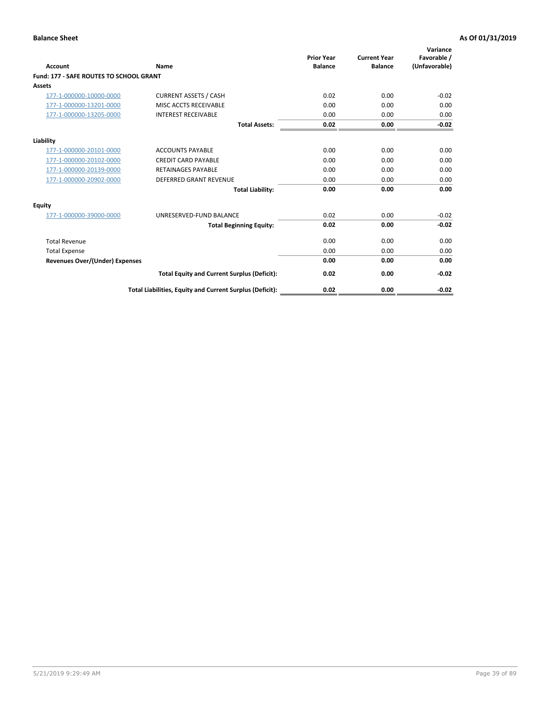| Account                                        | Name                                                     | <b>Prior Year</b><br><b>Balance</b> | <b>Current Year</b><br><b>Balance</b> | Variance<br>Favorable /<br>(Unfavorable) |
|------------------------------------------------|----------------------------------------------------------|-------------------------------------|---------------------------------------|------------------------------------------|
| <b>Fund: 177 - SAFE ROUTES TO SCHOOL GRANT</b> |                                                          |                                     |                                       |                                          |
| <b>Assets</b>                                  |                                                          |                                     |                                       |                                          |
| 177-1-000000-10000-0000                        | <b>CURRENT ASSETS / CASH</b>                             | 0.02                                | 0.00                                  | $-0.02$                                  |
| 177-1-000000-13201-0000                        | MISC ACCTS RECEIVABLE                                    | 0.00                                | 0.00                                  | 0.00                                     |
| 177-1-000000-13205-0000                        | <b>INTEREST RECEIVABLE</b>                               | 0.00                                | 0.00                                  | 0.00                                     |
|                                                | <b>Total Assets:</b>                                     | 0.02                                | 0.00                                  | $-0.02$                                  |
| Liability                                      |                                                          |                                     |                                       |                                          |
| 177-1-000000-20101-0000                        | <b>ACCOUNTS PAYABLE</b>                                  | 0.00                                | 0.00                                  | 0.00                                     |
| 177-1-000000-20102-0000                        | <b>CREDIT CARD PAYABLE</b>                               | 0.00                                | 0.00                                  | 0.00                                     |
| 177-1-000000-20139-0000                        | <b>RETAINAGES PAYABLE</b>                                | 0.00                                | 0.00                                  | 0.00                                     |
| 177-1-000000-20902-0000                        | <b>DEFERRED GRANT REVENUE</b>                            | 0.00                                | 0.00                                  | 0.00                                     |
|                                                | <b>Total Liability:</b>                                  | 0.00                                | 0.00                                  | 0.00                                     |
| Equity                                         |                                                          |                                     |                                       |                                          |
| 177-1-000000-39000-0000                        | UNRESERVED-FUND BALANCE                                  | 0.02                                | 0.00                                  | $-0.02$                                  |
|                                                | <b>Total Beginning Equity:</b>                           | 0.02                                | 0.00                                  | $-0.02$                                  |
| <b>Total Revenue</b>                           |                                                          | 0.00                                | 0.00                                  | 0.00                                     |
| <b>Total Expense</b>                           |                                                          | 0.00                                | 0.00                                  | 0.00                                     |
| Revenues Over/(Under) Expenses                 |                                                          | 0.00                                | 0.00                                  | 0.00                                     |
|                                                | <b>Total Equity and Current Surplus (Deficit):</b>       | 0.02                                | 0.00                                  | $-0.02$                                  |
|                                                | Total Liabilities, Equity and Current Surplus (Deficit): | 0.02                                | 0.00                                  | $-0.02$                                  |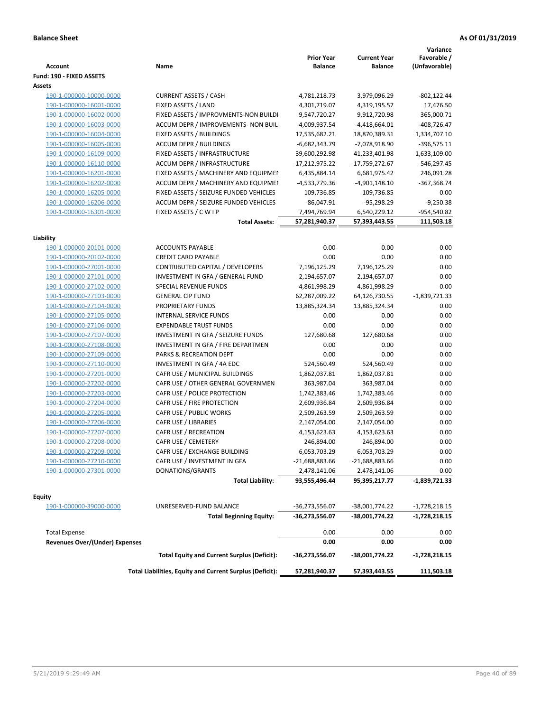| <b>Account</b>                        | Name                                                     | <b>Prior Year</b><br><b>Balance</b> | <b>Current Year</b><br><b>Balance</b> | Variance<br>Favorable /<br>(Unfavorable) |
|---------------------------------------|----------------------------------------------------------|-------------------------------------|---------------------------------------|------------------------------------------|
| Fund: 190 - FIXED ASSETS<br>Assets    |                                                          |                                     |                                       |                                          |
| 190-1-000000-10000-0000               | <b>CURRENT ASSETS / CASH</b>                             | 4,781,218.73                        | 3,979,096.29                          | $-802, 122.44$                           |
| 190-1-000000-16001-0000               | FIXED ASSETS / LAND                                      | 4,301,719.07                        | 4,319,195.57                          | 17,476.50                                |
| 190-1-000000-16002-0000               | FIXED ASSETS / IMPROVMENTS-NON BUILDI                    | 9,547,720.27                        | 9,912,720.98                          | 365,000.71                               |
| 190-1-000000-16003-0000               | ACCUM DEPR / IMPROVEMENTS- NON BUIL                      | -4,009,937.54                       | $-4,418,664.01$                       | $-408,726.47$                            |
| 190-1-000000-16004-0000               | FIXED ASSETS / BUILDINGS                                 | 17,535,682.21                       | 18,870,389.31                         | 1,334,707.10                             |
| 190-1-000000-16005-0000               | <b>ACCUM DEPR / BUILDINGS</b>                            | $-6,682,343.79$                     | -7,078,918.90                         | $-396,575.11$                            |
| 190-1-000000-16109-0000               | FIXED ASSETS / INFRASTRUCTURE                            | 39,600,292.98                       | 41,233,401.98                         | 1,633,109.00                             |
| 190-1-000000-16110-0000               | ACCUM DEPR / INFRASTRUCTURE                              | $-17,212,975.22$                    | -17,759,272.67                        | -546,297.45                              |
| 190-1-000000-16201-0000               | FIXED ASSETS / MACHINERY AND EQUIPMEN                    | 6,435,884.14                        | 6,681,975.42                          | 246,091.28                               |
| 190-1-000000-16202-0000               | ACCUM DEPR / MACHINERY AND EQUIPMEI                      | -4,533,779.36                       | -4,901,148.10                         | $-367,368.74$                            |
| 190-1-000000-16205-0000               | FIXED ASSETS / SEIZURE FUNDED VEHICLES                   | 109,736.85                          | 109,736.85                            | 0.00                                     |
| 190-1-000000-16206-0000               | ACCUM DEPR / SEIZURE FUNDED VEHICLES                     | $-86,047.91$                        | $-95,298.29$                          | $-9,250.38$                              |
| 190-1-000000-16301-0000               | FIXED ASSETS / C W I P                                   | 7,494,769.94                        | 6,540,229.12                          | -954,540.82                              |
|                                       | <b>Total Assets:</b>                                     | 57,281,940.37                       | 57,393,443.55                         | 111,503.18                               |
|                                       |                                                          |                                     |                                       |                                          |
| Liability                             |                                                          |                                     |                                       |                                          |
| 190-1-000000-20101-0000               | <b>ACCOUNTS PAYABLE</b>                                  | 0.00                                | 0.00                                  | 0.00                                     |
| 190-1-000000-20102-0000               | <b>CREDIT CARD PAYABLE</b>                               | 0.00                                | 0.00                                  | 0.00                                     |
| 190-1-000000-27001-0000               | CONTRIBUTED CAPITAL / DEVELOPERS                         | 7,196,125.29                        | 7,196,125.29                          | 0.00                                     |
| 190-1-000000-27101-0000               | INVESTMENT IN GFA / GENERAL FUND                         | 2,194,657.07                        | 2,194,657.07                          | 0.00                                     |
| 190-1-000000-27102-0000               | SPECIAL REVENUE FUNDS                                    | 4,861,998.29                        | 4,861,998.29                          | 0.00                                     |
| 190-1-000000-27103-0000               | <b>GENERAL CIP FUND</b>                                  | 62,287,009.22                       | 64,126,730.55                         | $-1,839,721.33$                          |
| 190-1-000000-27104-0000               | PROPRIETARY FUNDS                                        | 13,885,324.34                       | 13,885,324.34                         | 0.00                                     |
| 190-1-000000-27105-0000               | <b>INTERNAL SERVICE FUNDS</b>                            | 0.00                                | 0.00                                  | 0.00                                     |
| 190-1-000000-27106-0000               | <b>EXPENDABLE TRUST FUNDS</b>                            | 0.00                                | 0.00                                  | 0.00                                     |
| 190-1-000000-27107-0000               | INVESTMENT IN GFA / SEIZURE FUNDS                        | 127,680.68                          | 127,680.68                            | 0.00                                     |
| 190-1-000000-27108-0000               | INVESTMENT IN GFA / FIRE DEPARTMEN                       | 0.00                                | 0.00                                  | 0.00                                     |
| 190-1-000000-27109-0000               | PARKS & RECREATION DEPT                                  | 0.00                                | 0.00                                  | 0.00                                     |
| 190-1-000000-27110-0000               | INVESTMENT IN GFA / 4A EDC                               | 524,560.49                          | 524,560.49                            | 0.00                                     |
| 190-1-000000-27201-0000               | CAFR USE / MUNICIPAL BUILDINGS                           | 1,862,037.81                        | 1,862,037.81                          | 0.00                                     |
| 190-1-000000-27202-0000               | CAFR USE / OTHER GENERAL GOVERNMEN                       | 363,987.04                          | 363,987.04                            | 0.00                                     |
| 190-1-000000-27203-0000               | CAFR USE / POLICE PROTECTION                             | 1,742,383.46                        | 1,742,383.46                          | 0.00                                     |
| 190-1-000000-27204-0000               | CAFR USE / FIRE PROTECTION                               | 2,609,936.84                        | 2,609,936.84                          | 0.00                                     |
| 190-1-000000-27205-0000               | CAFR USE / PUBLIC WORKS                                  | 2,509,263.59                        | 2,509,263.59                          | 0.00                                     |
| 190-1-000000-27206-0000               | CAFR USE / LIBRARIES                                     | 2,147,054.00                        | 2,147,054.00                          | 0.00                                     |
| 190-1-000000-27207-0000               | CAFR USE / RECREATION                                    | 4,153,623.63                        | 4,153,623.63                          | 0.00                                     |
| 190-1-000000-27208-0000               | CAFR USE / CEMETERY                                      | 246,894.00                          | 246,894.00                            | 0.00                                     |
| 190-1-000000-27209-0000               | CAFR USE / EXCHANGE BUILDING                             | 6,053,703.29                        | 6,053,703.29                          | 0.00                                     |
| 190-1-000000-27210-0000               | CAFR USE / INVESTMENT IN GFA                             | -21,688,883.66                      | $-21,688,883.66$                      | 0.00                                     |
| 190-1-000000-27301-0000               | DONATIONS/GRANTS                                         | 2,478,141.06                        | 2,478,141.06                          | 0.00                                     |
|                                       | <b>Total Liability:</b>                                  | 93,555,496.44                       | 95,395,217.77                         | -1,839,721.33                            |
| <b>Equity</b>                         |                                                          |                                     |                                       |                                          |
| 190-1-000000-39000-0000               | UNRESERVED-FUND BALANCE                                  | -36,273,556.07                      | -38,001,774.22                        | $-1,728,218.15$                          |
|                                       | <b>Total Beginning Equity:</b>                           | -36,273,556.07                      | -38,001,774.22                        | -1,728,218.15                            |
| <b>Total Expense</b>                  |                                                          | 0.00                                | 0.00                                  | 0.00                                     |
| <b>Revenues Over/(Under) Expenses</b> |                                                          | 0.00                                | 0.00                                  | 0.00                                     |
|                                       | <b>Total Equity and Current Surplus (Deficit):</b>       | -36,273,556.07                      | -38,001,774.22                        | $-1,728,218.15$                          |
|                                       | Total Liabilities, Equity and Current Surplus (Deficit): | 57,281,940.37                       | 57,393,443.55                         | 111,503.18                               |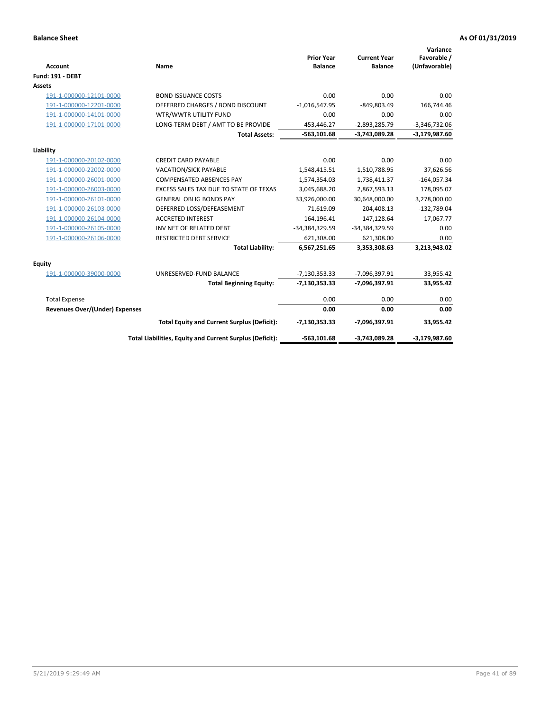| <b>Account</b>                 | Name                                                     | <b>Prior Year</b><br><b>Balance</b> | <b>Current Year</b><br><b>Balance</b> | Variance<br>Favorable /<br>(Unfavorable) |
|--------------------------------|----------------------------------------------------------|-------------------------------------|---------------------------------------|------------------------------------------|
| <b>Fund: 191 - DEBT</b>        |                                                          |                                     |                                       |                                          |
| <b>Assets</b>                  |                                                          |                                     |                                       |                                          |
| 191-1-000000-12101-0000        | <b>BOND ISSUANCE COSTS</b>                               | 0.00                                | 0.00                                  | 0.00                                     |
| 191-1-000000-12201-0000        | DEFERRED CHARGES / BOND DISCOUNT                         | $-1,016,547.95$                     | $-849,803.49$                         | 166,744.46                               |
| 191-1-000000-14101-0000        | WTR/WWTR UTILITY FUND                                    | 0.00                                | 0.00                                  | 0.00                                     |
| 191-1-000000-17101-0000        | LONG-TERM DEBT / AMT TO BE PROVIDE                       | 453,446.27                          | $-2,893,285.79$                       | $-3,346,732.06$                          |
|                                | <b>Total Assets:</b>                                     | $-563,101.68$                       | $-3,743,089.28$                       | $-3,179,987.60$                          |
| Liability                      |                                                          |                                     |                                       |                                          |
| 191-1-000000-20102-0000        | <b>CREDIT CARD PAYABLE</b>                               | 0.00                                | 0.00                                  | 0.00                                     |
| 191-1-000000-22002-0000        | <b>VACATION/SICK PAYABLE</b>                             | 1,548,415.51                        | 1,510,788.95                          | 37,626.56                                |
| 191-1-000000-26001-0000        | <b>COMPENSATED ABSENCES PAY</b>                          | 1,574,354.03                        | 1,738,411.37                          | $-164,057.34$                            |
| 191-1-000000-26003-0000        | EXCESS SALES TAX DUE TO STATE OF TEXAS                   | 3,045,688.20                        | 2,867,593.13                          | 178,095.07                               |
| 191-1-000000-26101-0000        | <b>GENERAL OBLIG BONDS PAY</b>                           | 33,926,000.00                       | 30,648,000.00                         | 3,278,000.00                             |
| 191-1-000000-26103-0000        | DEFERRED LOSS/DEFEASEMENT                                | 71,619.09                           | 204,408.13                            | $-132,789.04$                            |
| 191-1-000000-26104-0000        | <b>ACCRETED INTEREST</b>                                 | 164,196.41                          | 147,128.64                            | 17,067.77                                |
| 191-1-000000-26105-0000        | INV NET OF RELATED DEBT                                  | -34,384,329.59                      | -34,384,329.59                        | 0.00                                     |
| 191-1-000000-26106-0000        | <b>RESTRICTED DEBT SERVICE</b>                           | 621,308.00                          | 621,308.00                            | 0.00                                     |
|                                | <b>Total Liability:</b>                                  | 6,567,251.65                        | 3,353,308.63                          | 3,213,943.02                             |
| Equity                         |                                                          |                                     |                                       |                                          |
| 191-1-000000-39000-0000        | UNRESERVED-FUND BALANCE                                  | $-7,130,353.33$                     | -7,096,397.91                         | 33,955.42                                |
|                                | <b>Total Beginning Equity:</b>                           | $-7,130,353.33$                     | -7,096,397.91                         | 33,955.42                                |
| <b>Total Expense</b>           |                                                          | 0.00                                | 0.00                                  | 0.00                                     |
| Revenues Over/(Under) Expenses |                                                          | 0.00                                | 0.00                                  | 0.00                                     |
|                                | <b>Total Equity and Current Surplus (Deficit):</b>       | $-7,130,353.33$                     | -7,096,397.91                         | 33,955.42                                |
|                                | Total Liabilities, Equity and Current Surplus (Deficit): | $-563,101.68$                       | $-3,743,089.28$                       | $-3,179,987.60$                          |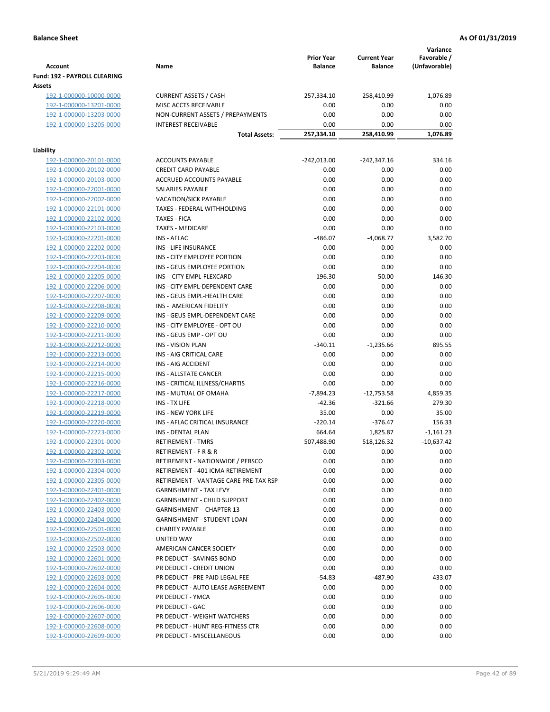|                                                    |                                                              |                                     |                                       | Variance                     |
|----------------------------------------------------|--------------------------------------------------------------|-------------------------------------|---------------------------------------|------------------------------|
| <b>Account</b>                                     | Name                                                         | <b>Prior Year</b><br><b>Balance</b> | <b>Current Year</b><br><b>Balance</b> | Favorable /<br>(Unfavorable) |
| Fund: 192 - PAYROLL CLEARING                       |                                                              |                                     |                                       |                              |
| Assets                                             |                                                              |                                     |                                       |                              |
| 192-1-000000-10000-0000                            | <b>CURRENT ASSETS / CASH</b>                                 | 257,334.10                          | 258,410.99                            | 1,076.89                     |
| 192-1-000000-13201-0000                            | MISC ACCTS RECEIVABLE                                        | 0.00                                | 0.00                                  | 0.00                         |
| 192-1-000000-13203-0000                            | NON-CURRENT ASSETS / PREPAYMENTS                             | 0.00                                | 0.00                                  | 0.00                         |
| 192-1-000000-13205-0000                            | <b>INTEREST RECEIVABLE</b>                                   | 0.00                                | 0.00                                  | 0.00                         |
|                                                    | <b>Total Assets:</b>                                         | 257,334.10                          | 258,410.99                            | 1,076.89                     |
|                                                    |                                                              |                                     |                                       |                              |
| Liability<br>192-1-000000-20101-0000               | <b>ACCOUNTS PAYABLE</b>                                      |                                     | $-242,347.16$                         | 334.16                       |
| 192-1-000000-20102-0000                            | <b>CREDIT CARD PAYABLE</b>                                   | -242,013.00<br>0.00                 | 0.00                                  | 0.00                         |
| 192-1-000000-20103-0000                            | ACCRUED ACCOUNTS PAYABLE                                     | 0.00                                | 0.00                                  | 0.00                         |
| 192-1-000000-22001-0000                            | SALARIES PAYABLE                                             | 0.00                                | 0.00                                  | 0.00                         |
| 192-1-000000-22002-0000                            | <b>VACATION/SICK PAYABLE</b>                                 | 0.00                                | 0.00                                  | 0.00                         |
| 192-1-000000-22101-0000                            | TAXES - FEDERAL WITHHOLDING                                  | 0.00                                | 0.00                                  | 0.00                         |
| 192-1-000000-22102-0000                            | <b>TAXES - FICA</b>                                          | 0.00                                | 0.00                                  | 0.00                         |
| 192-1-000000-22103-0000                            | <b>TAXES - MEDICARE</b>                                      | 0.00                                | 0.00                                  | 0.00                         |
| 192-1-000000-22201-0000                            | <b>INS - AFLAC</b>                                           | $-486.07$                           | $-4,068.77$                           | 3,582.70                     |
| 192-1-000000-22202-0000                            | INS - LIFE INSURANCE                                         | 0.00                                | 0.00                                  | 0.00                         |
| 192-1-000000-22203-0000                            | INS - CITY EMPLOYEE PORTION                                  | 0.00                                | 0.00                                  | 0.00                         |
| 192-1-000000-22204-0000                            | INS - GEUS EMPLOYEE PORTION                                  | 0.00                                | 0.00                                  | 0.00                         |
| 192-1-000000-22205-0000                            | INS - CITY EMPL-FLEXCARD                                     | 196.30                              | 50.00                                 | 146.30                       |
| 192-1-000000-22206-0000                            | INS - CITY EMPL-DEPENDENT CARE                               | 0.00                                | 0.00                                  | 0.00                         |
| 192-1-000000-22207-0000                            | INS - GEUS EMPL-HEALTH CARE                                  | 0.00                                | 0.00                                  | 0.00                         |
| 192-1-000000-22208-0000                            | INS - AMERICAN FIDELITY                                      | 0.00                                | 0.00                                  | 0.00                         |
| 192-1-000000-22209-0000                            | INS - GEUS EMPL-DEPENDENT CARE                               | 0.00                                | 0.00                                  | 0.00                         |
| 192-1-000000-22210-0000                            | INS - CITY EMPLOYEE - OPT OU                                 | 0.00                                | 0.00                                  | 0.00                         |
| 192-1-000000-22211-0000                            | INS - GEUS EMP - OPT OU                                      | 0.00                                | 0.00                                  | 0.00                         |
| 192-1-000000-22212-0000                            | <b>INS - VISION PLAN</b>                                     | $-340.11$                           | $-1,235.66$                           | 895.55                       |
| 192-1-000000-22213-0000                            | INS - AIG CRITICAL CARE                                      | 0.00                                | 0.00                                  | 0.00                         |
| 192-1-000000-22214-0000                            | INS - AIG ACCIDENT                                           | 0.00                                | 0.00                                  | 0.00                         |
| 192-1-000000-22215-0000                            | INS - ALLSTATE CANCER                                        | 0.00                                | 0.00                                  | 0.00                         |
| 192-1-000000-22216-0000                            | INS - CRITICAL ILLNESS/CHARTIS                               | 0.00                                | 0.00                                  | 0.00                         |
| 192-1-000000-22217-0000                            | INS - MUTUAL OF OMAHA                                        | $-7,894.23$                         | $-12,753.58$                          | 4,859.35                     |
| 192-1-000000-22218-0000                            | INS - TX LIFE                                                | $-42.36$                            | $-321.66$                             | 279.30<br>35.00              |
| 192-1-000000-22219-0000<br>192-1-000000-22220-0000 | <b>INS - NEW YORK LIFE</b><br>INS - AFLAC CRITICAL INSURANCE | 35.00<br>$-220.14$                  | 0.00<br>$-376.47$                     | 156.33                       |
| 192-1-000000-22223-0000                            | INS - DENTAL PLAN                                            | 664.64                              | 1,825.87                              | $-1,161.23$                  |
| <u>192-1-000000-22301-0000</u>                     | RETIREMENT - TMRS                                            | 507,488.90                          | 518,126.32                            | $-10,637.42$                 |
| 192-1-000000-22302-0000                            | RETIREMENT - F R & R                                         | 0.00                                | 0.00                                  | 0.00                         |
| 192-1-000000-22303-0000                            | RETIREMENT - NATIONWIDE / PEBSCO                             | 0.00                                | 0.00                                  | 0.00                         |
| 192-1-000000-22304-0000                            | RETIREMENT - 401 ICMA RETIREMENT                             | 0.00                                | 0.00                                  | 0.00                         |
| 192-1-000000-22305-0000                            | RETIREMENT - VANTAGE CARE PRE-TAX RSP                        | 0.00                                | 0.00                                  | 0.00                         |
| 192-1-000000-22401-0000                            | <b>GARNISHMENT - TAX LEVY</b>                                | 0.00                                | 0.00                                  | 0.00                         |
| 192-1-000000-22402-0000                            | <b>GARNISHMENT - CHILD SUPPORT</b>                           | 0.00                                | 0.00                                  | 0.00                         |
| 192-1-000000-22403-0000                            | GARNISHMENT - CHAPTER 13                                     | 0.00                                | 0.00                                  | 0.00                         |
| 192-1-000000-22404-0000                            | GARNISHMENT - STUDENT LOAN                                   | 0.00                                | 0.00                                  | 0.00                         |
| 192-1-000000-22501-0000                            | <b>CHARITY PAYABLE</b>                                       | 0.00                                | 0.00                                  | 0.00                         |
| 192-1-000000-22502-0000                            | UNITED WAY                                                   | 0.00                                | 0.00                                  | 0.00                         |
| 192-1-000000-22503-0000                            | AMERICAN CANCER SOCIETY                                      | 0.00                                | 0.00                                  | 0.00                         |
| 192-1-000000-22601-0000                            | PR DEDUCT - SAVINGS BOND                                     | 0.00                                | 0.00                                  | 0.00                         |
| 192-1-000000-22602-0000                            | PR DEDUCT - CREDIT UNION                                     | 0.00                                | 0.00                                  | 0.00                         |
| 192-1-000000-22603-0000                            | PR DEDUCT - PRE PAID LEGAL FEE                               | $-54.83$                            | $-487.90$                             | 433.07                       |
| 192-1-000000-22604-0000                            | PR DEDUCT - AUTO LEASE AGREEMENT                             | 0.00                                | 0.00                                  | 0.00                         |
| 192-1-000000-22605-0000                            | PR DEDUCT - YMCA                                             | 0.00                                | 0.00                                  | 0.00                         |
| 192-1-000000-22606-0000                            | PR DEDUCT - GAC                                              | 0.00                                | 0.00                                  | 0.00                         |
| 192-1-000000-22607-0000                            | PR DEDUCT - WEIGHT WATCHERS                                  | 0.00                                | 0.00                                  | 0.00                         |
| 192-1-000000-22608-0000                            | PR DEDUCT - HUNT REG-FITNESS CTR                             | 0.00                                | 0.00                                  | 0.00                         |
| 192-1-000000-22609-0000                            | PR DEDUCT - MISCELLANEOUS                                    | 0.00                                | 0.00                                  | 0.00                         |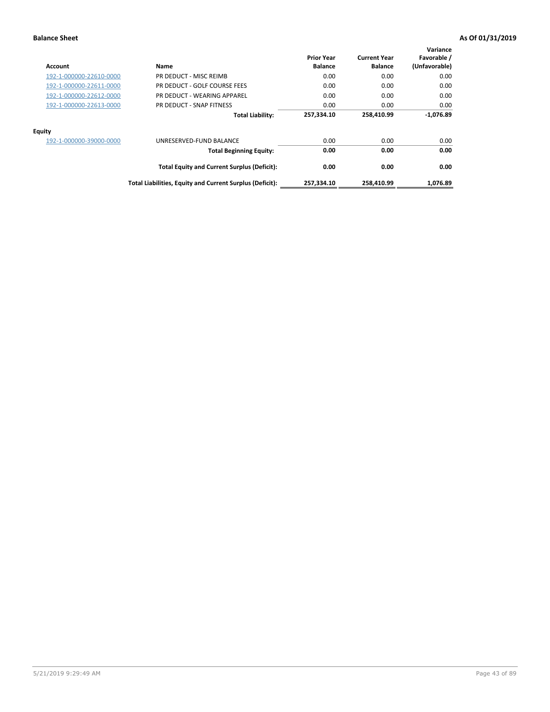| Account                 | Name                                                     | <b>Prior Year</b><br><b>Balance</b> | <b>Current Year</b><br><b>Balance</b> | Variance<br>Favorable /<br>(Unfavorable) |
|-------------------------|----------------------------------------------------------|-------------------------------------|---------------------------------------|------------------------------------------|
| 192-1-000000-22610-0000 | PR DEDUCT - MISC REIMB                                   | 0.00                                | 0.00                                  | 0.00                                     |
| 192-1-000000-22611-0000 | PR DEDUCT - GOLF COURSE FEES                             | 0.00                                | 0.00                                  | 0.00                                     |
| 192-1-000000-22612-0000 | PR DEDUCT - WEARING APPAREL                              | 0.00                                | 0.00                                  | 0.00                                     |
| 192-1-000000-22613-0000 | PR DEDUCT - SNAP FITNESS                                 | 0.00                                | 0.00                                  | 0.00                                     |
|                         | <b>Total Liability:</b>                                  | 257,334.10                          | 258,410.99                            | $-1,076.89$                              |
| <b>Equity</b>           |                                                          |                                     |                                       |                                          |
| 192-1-000000-39000-0000 | UNRESERVED-FUND BALANCE                                  | 0.00                                | 0.00                                  | 0.00                                     |
|                         | <b>Total Beginning Equity:</b>                           | 0.00                                | 0.00                                  | 0.00                                     |
|                         | <b>Total Equity and Current Surplus (Deficit):</b>       | 0.00                                | 0.00                                  | 0.00                                     |
|                         | Total Liabilities, Equity and Current Surplus (Deficit): | 257,334.10                          | 258,410.99                            | 1,076.89                                 |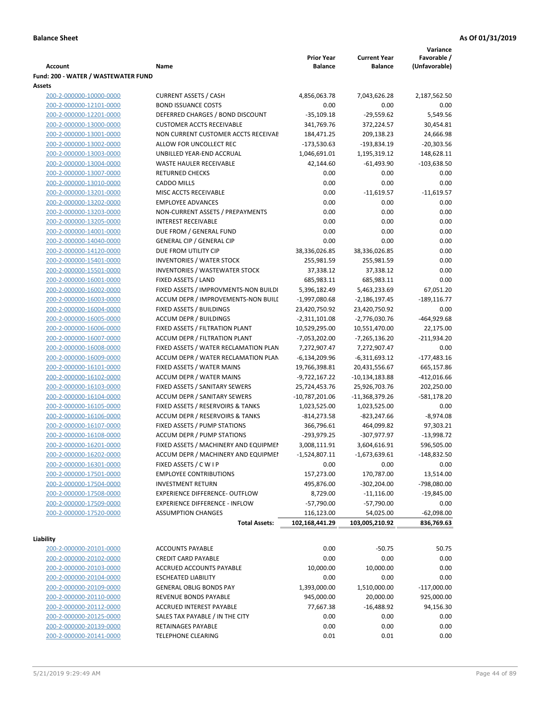|                                     |                                       |                   |                     | Variance       |
|-------------------------------------|---------------------------------------|-------------------|---------------------|----------------|
|                                     |                                       | <b>Prior Year</b> | <b>Current Year</b> | Favorable /    |
| <b>Account</b>                      | Name                                  | <b>Balance</b>    | <b>Balance</b>      | (Unfavorable)  |
| Fund: 200 - WATER / WASTEWATER FUND |                                       |                   |                     |                |
| Assets                              |                                       |                   |                     |                |
| 200-2-000000-10000-0000             | <b>CURRENT ASSETS / CASH</b>          | 4,856,063.78      | 7,043,626.28        | 2,187,562.50   |
| 200-2-000000-12101-0000             | <b>BOND ISSUANCE COSTS</b>            | 0.00              | 0.00                | 0.00           |
| 200-2-000000-12201-0000             | DEFERRED CHARGES / BOND DISCOUNT      | $-35,109.18$      | $-29,559.62$        | 5,549.56       |
| 200-2-000000-13000-0000             | <b>CUSTOMER ACCTS RECEIVABLE</b>      | 341,769.76        | 372,224.57          | 30,454.81      |
| 200-2-000000-13001-0000             | NON CURRENT CUSTOMER ACCTS RECEIVAE   | 184,471.25        | 209,138.23          | 24,666.98      |
| 200-2-000000-13002-0000             | ALLOW FOR UNCOLLECT REC               | -173,530.63       | -193,834.19         | $-20,303.56$   |
| 200-2-000000-13003-0000             | UNBILLED YEAR-END ACCRUAL             | 1,046,691.01      | 1,195,319.12        | 148,628.11     |
| 200-2-000000-13004-0000             | WASTE HAULER RECEIVABLE               | 42,144.60         | $-61,493.90$        | $-103,638.50$  |
| 200-2-000000-13007-0000             | <b>RETURNED CHECKS</b>                | 0.00              | 0.00                | 0.00           |
| 200-2-000000-13010-0000             | <b>CADDO MILLS</b>                    | 0.00              | 0.00                | $0.00\,$       |
| 200-2-000000-13201-0000             | MISC ACCTS RECEIVABLE                 | 0.00              | $-11,619.57$        | $-11,619.57$   |
| 200-2-000000-13202-0000             | <b>EMPLOYEE ADVANCES</b>              | 0.00              | 0.00                | 0.00           |
| 200-2-000000-13203-0000             | NON-CURRENT ASSETS / PREPAYMENTS      | 0.00              | 0.00                | 0.00           |
| 200-2-000000-13205-0000             | <b>INTEREST RECEIVABLE</b>            | 0.00              | 0.00                | 0.00           |
| 200-2-000000-14001-0000             | DUE FROM / GENERAL FUND               | 0.00              | 0.00                | 0.00           |
| 200-2-000000-14040-0000             | <b>GENERAL CIP / GENERAL CIP</b>      | 0.00              | 0.00                | 0.00           |
| 200-2-000000-14120-0000             | DUE FROM UTILITY CIP                  | 38,336,026.85     | 38,336,026.85       | 0.00           |
| 200-2-000000-15401-0000             | <b>INVENTORIES / WATER STOCK</b>      | 255,981.59        | 255,981.59          | 0.00           |
| 200-2-000000-15501-0000             | <b>INVENTORIES / WASTEWATER STOCK</b> | 37,338.12         | 37,338.12           | 0.00           |
| 200-2-000000-16001-0000             | FIXED ASSETS / LAND                   | 685,983.11        | 685,983.11          | 0.00           |
| 200-2-000000-16002-0000             | FIXED ASSETS / IMPROVMENTS-NON BUILDI | 5,396,182.49      | 5,463,233.69        | 67,051.20      |
| 200-2-000000-16003-0000             | ACCUM DEPR / IMPROVEMENTS-NON BUILL   | -1,997,080.68     | -2,186,197.45       | $-189, 116.77$ |
| 200-2-000000-16004-0000             | FIXED ASSETS / BUILDINGS              | 23,420,750.92     | 23,420,750.92       | 0.00           |
| 200-2-000000-16005-0000             | <b>ACCUM DEPR / BUILDINGS</b>         | $-2,311,101.08$   | $-2,776,030.76$     | $-464,929.68$  |
| 200-2-000000-16006-0000             | FIXED ASSETS / FILTRATION PLANT       | 10,529,295.00     | 10,551,470.00       | 22,175.00      |
| 200-2-000000-16007-0000             | ACCUM DEPR / FILTRATION PLANT         | -7,053,202.00     | -7,265,136.20       | $-211,934.20$  |
| 200-2-000000-16008-0000             | FIXED ASSETS / WATER RECLAMATION PLAN | 7,272,907.47      | 7,272,907.47        | 0.00           |
| 200-2-000000-16009-0000             | ACCUM DEPR / WATER RECLAMATION PLAN   | $-6,134,209.96$   | $-6,311,693.12$     | $-177,483.16$  |
| 200-2-000000-16101-0000             | FIXED ASSETS / WATER MAINS            | 19,766,398.81     | 20,431,556.67       | 665,157.86     |
| 200-2-000000-16102-0000             | <b>ACCUM DEPR / WATER MAINS</b>       | -9,722,167.22     | -10,134,183.88      | $-412,016.66$  |
| 200-2-000000-16103-0000             | FIXED ASSETS / SANITARY SEWERS        | 25,724,453.76     | 25,926,703.76       | 202,250.00     |
| 200-2-000000-16104-0000             | <b>ACCUM DEPR / SANITARY SEWERS</b>   | $-10,787,201.06$  | -11,368,379.26      | -581,178.20    |
| 200-2-000000-16105-0000             | FIXED ASSETS / RESERVOIRS & TANKS     | 1,023,525.00      | 1,023,525.00        | 0.00           |
| 200-2-000000-16106-0000             | ACCUM DEPR / RESERVOIRS & TANKS       | $-814,273.58$     | $-823,247.66$       | $-8,974.08$    |
| 200-2-000000-16107-0000             | FIXED ASSETS / PUMP STATIONS          | 366,796.61        | 464,099.82          | 97,303.21      |
| 200-2-000000-16108-0000             | <b>ACCUM DEPR / PUMP STATIONS</b>     | -293,979.25       | -307,977.97         | $-13,998.72$   |
| 200-2-000000-16201-0000             | FIXED ASSETS / MACHINERY AND EQUIPMEN | 3,008,111.91      | 3,604,616.91        | 596,505.00     |
| 200-2-000000-16202-0000             | ACCUM DEPR / MACHINERY AND EQUIPMEI   | $-1,524,807.11$   | $-1,673,639.61$     | $-148,832.50$  |
| 200-2-000000-16301-0000             | FIXED ASSETS / C W I P                | 0.00              | 0.00                | 0.00           |
| 200-2-000000-17501-0000             | <b>EMPLOYEE CONTRIBUTIONS</b>         | 157,273.00        | 170,787.00          | 13,514.00      |
| 200-2-000000-17504-0000             | <b>INVESTMENT RETURN</b>              | 495,876.00        | $-302,204.00$       | -798,080.00    |
| 200-2-000000-17508-0000             | EXPERIENCE DIFFERENCE- OUTFLOW        | 8,729.00          | $-11,116.00$        | $-19,845.00$   |
| 200-2-000000-17509-0000             | <b>EXPERIENCE DIFFERENCE - INFLOW</b> | $-57,790.00$      | $-57,790.00$        | 0.00           |
| 200-2-000000-17520-0000             | <b>ASSUMPTION CHANGES</b>             | 116,123.00        | 54,025.00           | $-62,098.00$   |
|                                     | <b>Total Assets:</b>                  | 102,168,441.29    | 103,005,210.92      | 836,769.63     |
|                                     |                                       |                   |                     |                |
| Liability                           |                                       |                   |                     |                |
| 200-2-000000-20101-0000             | <b>ACCOUNTS PAYABLE</b>               | 0.00              | $-50.75$            | 50.75          |
| 200-2-000000-20102-0000             | <b>CREDIT CARD PAYABLE</b>            | 0.00              | 0.00                | 0.00           |
| 200-2-000000-20103-0000             | ACCRUED ACCOUNTS PAYABLE              | 10,000.00         | 10,000.00           | 0.00           |
| 200-2-000000-20104-0000             | <b>ESCHEATED LIABILITY</b>            | 0.00              | 0.00                | 0.00           |
| 200-2-000000-20109-0000             | <b>GENERAL OBLIG BONDS PAY</b>        | 1,393,000.00      | 1,510,000.00        | $-117,000.00$  |
| 200-2-000000-20110-0000             | REVENUE BONDS PAYABLE                 | 945,000.00        | 20,000.00           | 925,000.00     |
| 200-2-000000-20112-0000             | ACCRUED INTEREST PAYABLE              | 77,667.38         | -16,488.92          | 94,156.30      |
| 200-2-000000-20125-0000             | SALES TAX PAYABLE / IN THE CITY       | 0.00              | 0.00                | 0.00           |
| 200-2-000000-20139-0000             | RETAINAGES PAYABLE                    | 0.00              | 0.00                | 0.00           |
| 200-2-000000-20141-0000             | <b>TELEPHONE CLEARING</b>             | 0.01              | 0.01                | 0.00           |
|                                     |                                       |                   |                     |                |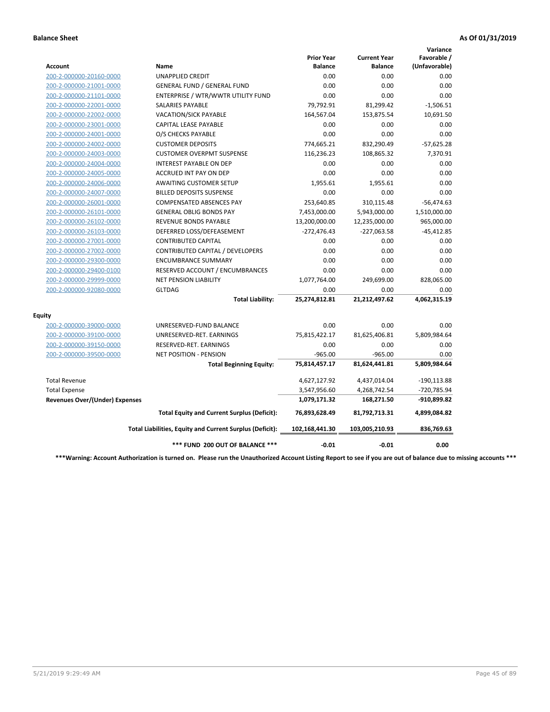|                                       |                                                          |                                     |                                       | Variance                     |
|---------------------------------------|----------------------------------------------------------|-------------------------------------|---------------------------------------|------------------------------|
| Account                               | Name                                                     | <b>Prior Year</b><br><b>Balance</b> | <b>Current Year</b><br><b>Balance</b> | Favorable /<br>(Unfavorable) |
| 200-2-000000-20160-0000               | UNAPPLIED CREDIT                                         | 0.00                                | 0.00                                  | 0.00                         |
| 200-2-000000-21001-0000               | <b>GENERAL FUND / GENERAL FUND</b>                       | 0.00                                | 0.00                                  | 0.00                         |
| 200-2-000000-21101-0000               | ENTERPRISE / WTR/WWTR UTILITY FUND                       | 0.00                                | 0.00                                  | 0.00                         |
| 200-2-000000-22001-0000               | SALARIES PAYABLE                                         | 79,792.91                           | 81,299.42                             | $-1,506.51$                  |
| 200-2-000000-22002-0000               | <b>VACATION/SICK PAYABLE</b>                             | 164,567.04                          | 153,875.54                            | 10,691.50                    |
| 200-2-000000-23001-0000               | <b>CAPITAL LEASE PAYABLE</b>                             | 0.00                                | 0.00                                  | 0.00                         |
| 200-2-000000-24001-0000               | O/S CHECKS PAYABLE                                       | 0.00                                | 0.00                                  | 0.00                         |
| 200-2-000000-24002-0000               | <b>CUSTOMER DEPOSITS</b>                                 | 774,665.21                          | 832,290.49                            | $-57,625.28$                 |
| 200-2-000000-24003-0000               | <b>CUSTOMER OVERPMT SUSPENSE</b>                         | 116,236.23                          | 108,865.32                            | 7,370.91                     |
| 200-2-000000-24004-0000               | <b>INTEREST PAYABLE ON DEP</b>                           | 0.00                                | 0.00                                  | 0.00                         |
| 200-2-000000-24005-0000               | <b>ACCRUED INT PAY ON DEP</b>                            | 0.00                                | 0.00                                  | 0.00                         |
| 200-2-000000-24006-0000               | <b>AWAITING CUSTOMER SETUP</b>                           | 1,955.61                            | 1,955.61                              | 0.00                         |
| 200-2-000000-24007-0000               | <b>BILLED DEPOSITS SUSPENSE</b>                          | 0.00                                | 0.00                                  | 0.00                         |
| 200-2-000000-26001-0000               | <b>COMPENSATED ABSENCES PAY</b>                          | 253,640.85                          | 310,115.48                            | $-56,474.63$                 |
| 200-2-000000-26101-0000               | <b>GENERAL OBLIG BONDS PAY</b>                           | 7,453,000.00                        | 5,943,000.00                          | 1,510,000.00                 |
| 200-2-000000-26102-0000               | <b>REVENUE BONDS PAYABLE</b>                             | 13,200,000.00                       | 12,235,000.00                         | 965,000.00                   |
| 200-2-000000-26103-0000               | DEFERRED LOSS/DEFEASEMENT                                | $-272,476.43$                       | -227,063.58                           | $-45,412.85$                 |
| 200-2-000000-27001-0000               | <b>CONTRIBUTED CAPITAL</b>                               | 0.00                                | 0.00                                  | 0.00                         |
| 200-2-000000-27002-0000               | CONTRIBUTED CAPITAL / DEVELOPERS                         | 0.00                                | 0.00                                  | 0.00                         |
| 200-2-000000-29300-0000               | <b>ENCUMBRANCE SUMMARY</b>                               | 0.00                                | 0.00                                  | 0.00                         |
| 200-2-000000-29400-0100               | RESERVED ACCOUNT / ENCUMBRANCES                          | 0.00                                | 0.00                                  | 0.00                         |
| 200-2-000000-29999-0000               | <b>NET PENSION LIABILITY</b>                             | 1,077,764.00                        | 249,699.00                            | 828,065.00                   |
| 200-2-000000-92080-0000               | <b>GLTDAG</b>                                            | 0.00                                | 0.00                                  | 0.00                         |
|                                       | <b>Total Liability:</b>                                  | 25,274,812.81                       | 21,212,497.62                         | 4,062,315.19                 |
| <b>Equity</b>                         |                                                          |                                     |                                       |                              |
| 200-2-000000-39000-0000               | UNRESERVED-FUND BALANCE                                  | 0.00                                | 0.00                                  | 0.00                         |
| 200-2-000000-39100-0000               | UNRESERVED-RET. EARNINGS                                 | 75,815,422.17                       | 81,625,406.81                         | 5,809,984.64                 |
| 200-2-000000-39150-0000               | RESERVED-RET. EARNINGS                                   | 0.00                                | 0.00                                  | 0.00                         |
| 200-2-000000-39500-0000               | <b>NET POSITION - PENSION</b>                            | $-965.00$                           | $-965.00$                             | 0.00                         |
|                                       | <b>Total Beginning Equity:</b>                           | 75,814,457.17                       | 81,624,441.81                         | 5,809,984.64                 |
| <b>Total Revenue</b>                  |                                                          | 4,627,127.92                        | 4,437,014.04                          | $-190, 113.88$               |
| <b>Total Expense</b>                  |                                                          | 3,547,956.60                        | 4,268,742.54                          | -720,785.94                  |
| <b>Revenues Over/(Under) Expenses</b> |                                                          | 1,079,171.32                        | 168,271.50                            | -910,899.82                  |
|                                       | <b>Total Equity and Current Surplus (Deficit):</b>       | 76,893,628.49                       | 81,792,713.31                         | 4,899,084.82                 |
|                                       | Total Liabilities, Equity and Current Surplus (Deficit): | 102,168,441.30                      | 103,005,210.93                        | 836,769.63                   |
|                                       | *** FUND 200 OUT OF BALANCE ***                          | $-0.01$                             | $-0.01$                               | 0.00                         |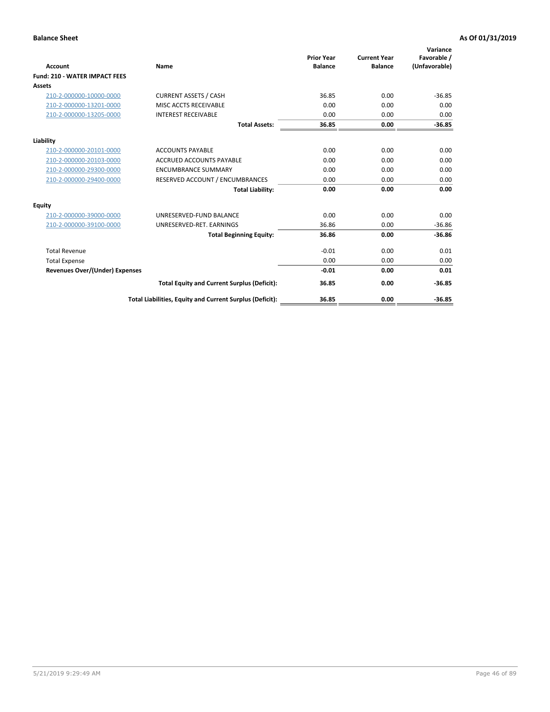| <b>Account</b>                        | Name                                                     | <b>Prior Year</b><br><b>Balance</b> | <b>Current Year</b><br><b>Balance</b> | Variance<br>Favorable /<br>(Unfavorable) |
|---------------------------------------|----------------------------------------------------------|-------------------------------------|---------------------------------------|------------------------------------------|
| <b>Fund: 210 - WATER IMPACT FEES</b>  |                                                          |                                     |                                       |                                          |
| <b>Assets</b>                         |                                                          |                                     |                                       |                                          |
| 210-2-000000-10000-0000               | <b>CURRENT ASSETS / CASH</b>                             | 36.85                               | 0.00                                  | $-36.85$                                 |
| 210-2-000000-13201-0000               | MISC ACCTS RECEIVABLE                                    | 0.00                                | 0.00                                  | 0.00                                     |
| 210-2-000000-13205-0000               | <b>INTEREST RECEIVABLE</b>                               | 0.00                                | 0.00                                  | 0.00                                     |
|                                       | <b>Total Assets:</b>                                     | 36.85                               | 0.00                                  | $-36.85$                                 |
| Liability                             |                                                          |                                     |                                       |                                          |
| 210-2-000000-20101-0000               | <b>ACCOUNTS PAYABLE</b>                                  | 0.00                                | 0.00                                  | 0.00                                     |
| 210-2-000000-20103-0000               | <b>ACCRUED ACCOUNTS PAYABLE</b>                          | 0.00                                | 0.00                                  | 0.00                                     |
| 210-2-000000-29300-0000               | <b>ENCUMBRANCE SUMMARY</b>                               | 0.00                                | 0.00                                  | 0.00                                     |
| 210-2-000000-29400-0000               | RESERVED ACCOUNT / ENCUMBRANCES                          | 0.00                                | 0.00                                  | 0.00                                     |
|                                       | <b>Total Liability:</b>                                  | 0.00                                | 0.00                                  | 0.00                                     |
| <b>Equity</b>                         |                                                          |                                     |                                       |                                          |
| 210-2-000000-39000-0000               | UNRESERVED-FUND BALANCE                                  | 0.00                                | 0.00                                  | 0.00                                     |
| 210-2-000000-39100-0000               | UNRESERVED-RET. EARNINGS                                 | 36.86                               | 0.00                                  | $-36.86$                                 |
|                                       | <b>Total Beginning Equity:</b>                           | 36.86                               | 0.00                                  | $-36.86$                                 |
| <b>Total Revenue</b>                  |                                                          | $-0.01$                             | 0.00                                  | 0.01                                     |
| <b>Total Expense</b>                  |                                                          | 0.00                                | 0.00                                  | 0.00                                     |
| <b>Revenues Over/(Under) Expenses</b> |                                                          | $-0.01$                             | 0.00                                  | 0.01                                     |
|                                       | <b>Total Equity and Current Surplus (Deficit):</b>       | 36.85                               | 0.00                                  | $-36.85$                                 |
|                                       | Total Liabilities, Equity and Current Surplus (Deficit): | 36.85                               | 0.00                                  | $-36.85$                                 |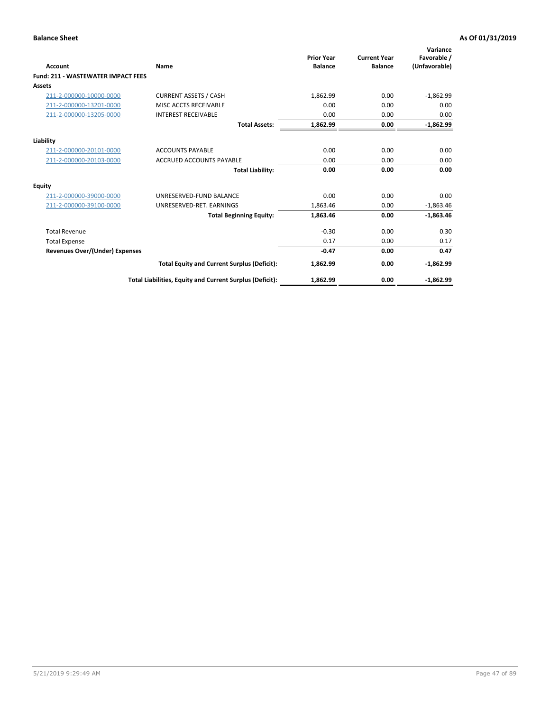| Account                                   | Name                                                     | <b>Prior Year</b><br><b>Balance</b> | <b>Current Year</b><br><b>Balance</b> | Variance<br>Favorable /<br>(Unfavorable) |
|-------------------------------------------|----------------------------------------------------------|-------------------------------------|---------------------------------------|------------------------------------------|
| <b>Fund: 211 - WASTEWATER IMPACT FEES</b> |                                                          |                                     |                                       |                                          |
| <b>Assets</b>                             |                                                          |                                     |                                       |                                          |
| 211-2-000000-10000-0000                   | <b>CURRENT ASSETS / CASH</b>                             | 1,862.99                            | 0.00                                  | $-1,862.99$                              |
| 211-2-000000-13201-0000                   | MISC ACCTS RECEIVABLE                                    | 0.00                                | 0.00                                  | 0.00                                     |
| 211-2-000000-13205-0000                   | <b>INTEREST RECEIVABLE</b>                               | 0.00                                | 0.00                                  | 0.00                                     |
|                                           | <b>Total Assets:</b>                                     | 1,862.99                            | 0.00                                  | $-1,862.99$                              |
| Liability                                 |                                                          |                                     |                                       |                                          |
| 211-2-000000-20101-0000                   | <b>ACCOUNTS PAYABLE</b>                                  | 0.00                                | 0.00                                  | 0.00                                     |
| 211-2-000000-20103-0000                   | <b>ACCRUED ACCOUNTS PAYABLE</b>                          | 0.00                                | 0.00                                  | 0.00                                     |
|                                           | <b>Total Liability:</b>                                  | 0.00                                | 0.00                                  | 0.00                                     |
| Equity                                    |                                                          |                                     |                                       |                                          |
| 211-2-000000-39000-0000                   | UNRESERVED-FUND BALANCE                                  | 0.00                                | 0.00                                  | 0.00                                     |
| 211-2-000000-39100-0000                   | UNRESERVED-RET. EARNINGS                                 | 1,863.46                            | 0.00                                  | $-1,863.46$                              |
|                                           | <b>Total Beginning Equity:</b>                           | 1,863.46                            | 0.00                                  | $-1,863.46$                              |
| <b>Total Revenue</b>                      |                                                          | $-0.30$                             | 0.00                                  | 0.30                                     |
| <b>Total Expense</b>                      |                                                          | 0.17                                | 0.00                                  | 0.17                                     |
| <b>Revenues Over/(Under) Expenses</b>     |                                                          | $-0.47$                             | 0.00                                  | 0.47                                     |
|                                           | <b>Total Equity and Current Surplus (Deficit):</b>       | 1,862.99                            | 0.00                                  | $-1,862.99$                              |
|                                           | Total Liabilities, Equity and Current Surplus (Deficit): | 1,862.99                            | 0.00                                  | $-1.862.99$                              |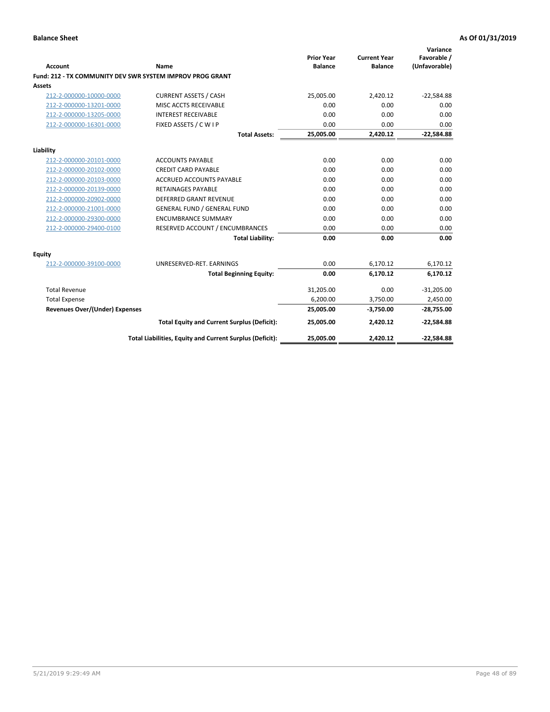| <b>Account</b>                        | Name                                                      | <b>Prior Year</b><br><b>Balance</b> | <b>Current Year</b><br><b>Balance</b> | Variance<br>Favorable /<br>(Unfavorable) |
|---------------------------------------|-----------------------------------------------------------|-------------------------------------|---------------------------------------|------------------------------------------|
|                                       | Fund: 212 - TX COMMUNITY DEV SWR SYSTEM IMPROV PROG GRANT |                                     |                                       |                                          |
| <b>Assets</b>                         |                                                           |                                     |                                       |                                          |
| 212-2-000000-10000-0000               | <b>CURRENT ASSETS / CASH</b>                              | 25,005.00                           | 2,420.12                              | $-22,584.88$                             |
| 212-2-000000-13201-0000               | MISC ACCTS RECEIVABLE                                     | 0.00                                | 0.00                                  | 0.00                                     |
| 212-2-000000-13205-0000               | <b>INTEREST RECEIVABLE</b>                                | 0.00                                | 0.00                                  | 0.00                                     |
| 212-2-000000-16301-0000               | FIXED ASSETS / C W I P                                    | 0.00                                | 0.00                                  | 0.00                                     |
|                                       | <b>Total Assets:</b>                                      | 25,005.00                           | 2,420.12                              | $-22,584.88$                             |
| Liability                             |                                                           |                                     |                                       |                                          |
| 212-2-000000-20101-0000               | <b>ACCOUNTS PAYABLE</b>                                   | 0.00                                | 0.00                                  | 0.00                                     |
| 212-2-000000-20102-0000               | <b>CREDIT CARD PAYABLE</b>                                | 0.00                                | 0.00                                  | 0.00                                     |
| 212-2-000000-20103-0000               | <b>ACCRUED ACCOUNTS PAYABLE</b>                           | 0.00                                | 0.00                                  | 0.00                                     |
| 212-2-000000-20139-0000               | <b>RETAINAGES PAYABLE</b>                                 | 0.00                                | 0.00                                  | 0.00                                     |
| 212-2-000000-20902-0000               | <b>DEFERRED GRANT REVENUE</b>                             | 0.00                                | 0.00                                  | 0.00                                     |
| 212-2-000000-21001-0000               | <b>GENERAL FUND / GENERAL FUND</b>                        | 0.00                                | 0.00                                  | 0.00                                     |
| 212-2-000000-29300-0000               | <b>ENCUMBRANCE SUMMARY</b>                                | 0.00                                | 0.00                                  | 0.00                                     |
| 212-2-000000-29400-0100               | RESERVED ACCOUNT / ENCUMBRANCES                           | 0.00                                | 0.00                                  | 0.00                                     |
|                                       | <b>Total Liability:</b>                                   | 0.00                                | 0.00                                  | 0.00                                     |
| <b>Equity</b>                         |                                                           |                                     |                                       |                                          |
| 212-2-000000-39100-0000               | UNRESERVED-RET. EARNINGS                                  | 0.00                                | 6,170.12                              | 6,170.12                                 |
|                                       | <b>Total Beginning Equity:</b>                            | 0.00                                | 6,170.12                              | 6,170.12                                 |
| <b>Total Revenue</b>                  |                                                           | 31,205.00                           | 0.00                                  | $-31,205.00$                             |
| <b>Total Expense</b>                  |                                                           | 6,200.00                            | 3,750.00                              | 2,450.00                                 |
| <b>Revenues Over/(Under) Expenses</b> |                                                           | 25,005.00                           | $-3,750.00$                           | $-28,755.00$                             |
|                                       | <b>Total Equity and Current Surplus (Deficit):</b>        | 25,005.00                           | 2,420.12                              | $-22,584.88$                             |
|                                       | Total Liabilities, Equity and Current Surplus (Deficit):  | 25,005.00                           | 2,420.12                              | $-22,584.88$                             |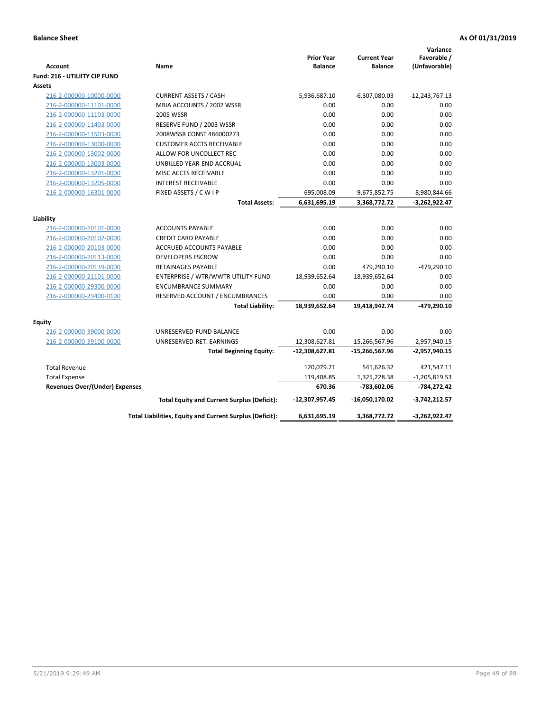| <b>Account</b>                                     | Name                                                     | <b>Prior Year</b><br><b>Balance</b> | <b>Current Year</b><br><b>Balance</b> | Variance<br>Favorable /<br>(Unfavorable) |
|----------------------------------------------------|----------------------------------------------------------|-------------------------------------|---------------------------------------|------------------------------------------|
| Fund: 216 - UTILIITY CIP FUND                      |                                                          |                                     |                                       |                                          |
| <b>Assets</b>                                      |                                                          |                                     |                                       |                                          |
| 216-2-000000-10000-0000                            | <b>CURRENT ASSETS / CASH</b>                             | 5,936,687.10                        | $-6,307,080.03$                       | $-12,243,767.13$                         |
| 216-2-000000-11101-0000                            | MBIA ACCOUNTS / 2002 WSSR                                | 0.00                                | 0.00                                  | 0.00                                     |
| 216-2-000000-11103-0000                            | <b>2005 WSSR</b>                                         | 0.00                                | 0.00                                  | 0.00                                     |
| 216-2-000000-11403-0000                            | RESERVE FUND / 2003 WSSR                                 | 0.00                                | 0.00                                  | 0.00                                     |
| 216-2-000000-11503-0000                            | 2008WSSR CONST 486000273                                 | 0.00                                | 0.00                                  | 0.00                                     |
| 216-2-000000-13000-0000                            | <b>CUSTOMER ACCTS RECEIVABLE</b>                         | 0.00                                | 0.00                                  | 0.00                                     |
| 216-2-000000-13002-0000                            | ALLOW FOR UNCOLLECT REC                                  | 0.00                                | 0.00                                  | 0.00                                     |
| 216-2-000000-13003-0000                            | UNBILLED YEAR-END ACCRUAL                                | 0.00                                | 0.00                                  | 0.00                                     |
| 216-2-000000-13201-0000                            | MISC ACCTS RECEIVABLE                                    | 0.00                                | 0.00                                  | 0.00                                     |
| 216-2-000000-13205-0000                            | <b>INTEREST RECEIVABLE</b>                               | 0.00                                | 0.00                                  | 0.00                                     |
| 216-2-000000-16301-0000                            | FIXED ASSETS / C W I P                                   | 695,008.09                          | 9,675,852.75                          | 8,980,844.66                             |
|                                                    | <b>Total Assets:</b>                                     | 6,631,695.19                        | 3,368,772.72                          | $-3,262,922.47$                          |
| Liability                                          |                                                          |                                     |                                       |                                          |
|                                                    | <b>ACCOUNTS PAYABLE</b>                                  | 0.00                                |                                       |                                          |
| 216-2-000000-20101-0000                            | <b>CREDIT CARD PAYABLE</b>                               | 0.00                                | 0.00<br>0.00                          | 0.00<br>0.00                             |
| 216-2-000000-20102-0000<br>216-2-000000-20103-0000 | ACCRUED ACCOUNTS PAYABLE                                 | 0.00                                | 0.00                                  | 0.00                                     |
| 216-2-000000-20113-0000                            | <b>DEVELOPERS ESCROW</b>                                 | 0.00                                | 0.00                                  | 0.00                                     |
| 216-2-000000-20139-0000                            | <b>RETAINAGES PAYABLE</b>                                | 0.00                                | 479,290.10                            | $-479,290.10$                            |
|                                                    | ENTERPRISE / WTR/WWTR UTILITY FUND                       | 18,939,652.64                       | 18,939,652.64                         | 0.00                                     |
| 216-2-000000-21101-0000<br>216-2-000000-29300-0000 | <b>ENCUMBRANCE SUMMARY</b>                               | 0.00                                | 0.00                                  | 0.00                                     |
| 216-2-000000-29400-0100                            | RESERVED ACCOUNT / ENCUMBRANCES                          | 0.00                                | 0.00                                  | 0.00                                     |
|                                                    | <b>Total Liability:</b>                                  | 18,939,652.64                       | 19,418,942.74                         | -479,290.10                              |
|                                                    |                                                          |                                     |                                       |                                          |
| <b>Equity</b>                                      |                                                          |                                     |                                       |                                          |
| 216-2-000000-39000-0000                            | UNRESERVED-FUND BALANCE                                  | 0.00                                | 0.00                                  | 0.00                                     |
| 216-2-000000-39100-0000                            | UNRESERVED-RET. EARNINGS                                 | $-12,308,627.81$                    | $-15,266,567.96$                      | $-2,957,940.15$                          |
|                                                    | <b>Total Beginning Equity:</b>                           | -12,308,627.81                      | -15,266,567.96                        | -2,957,940.15                            |
| <b>Total Revenue</b>                               |                                                          | 120,079.21                          | 541,626.32                            | 421,547.11                               |
| <b>Total Expense</b>                               |                                                          | 119,408.85                          | 1,325,228.38                          | $-1,205,819.53$                          |
| <b>Revenues Over/(Under) Expenses</b>              |                                                          | 670.36                              | -783,602.06                           | -784,272.42                              |
|                                                    | <b>Total Equity and Current Surplus (Deficit):</b>       | -12,307,957.45                      | -16,050,170.02                        | $-3,742,212.57$                          |
|                                                    | Total Liabilities, Equity and Current Surplus (Deficit): | 6,631,695.19                        | 3,368,772.72                          | $-3,262,922.47$                          |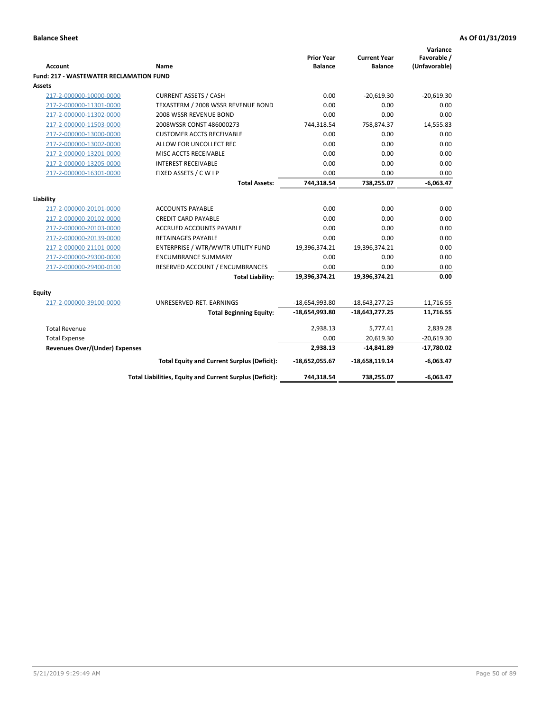| <b>Account</b>                                 | <b>Name</b>                                              | <b>Prior Year</b><br><b>Balance</b> | <b>Current Year</b><br><b>Balance</b> | Variance<br>Favorable /<br>(Unfavorable) |
|------------------------------------------------|----------------------------------------------------------|-------------------------------------|---------------------------------------|------------------------------------------|
| <b>Fund: 217 - WASTEWATER RECLAMATION FUND</b> |                                                          |                                     |                                       |                                          |
| Assets                                         |                                                          |                                     |                                       |                                          |
| 217-2-000000-10000-0000                        | <b>CURRENT ASSETS / CASH</b>                             | 0.00                                | $-20.619.30$                          | $-20.619.30$                             |
| 217-2-000000-11301-0000                        | TEXASTERM / 2008 WSSR REVENUE BOND                       | 0.00                                | 0.00                                  | 0.00                                     |
| 217-2-000000-11302-0000                        | 2008 WSSR REVENUE BOND                                   | 0.00                                | 0.00                                  | 0.00                                     |
| 217-2-000000-11503-0000                        | 2008WSSR CONST 486000273                                 | 744,318.54                          | 758,874.37                            | 14,555.83                                |
| 217-2-000000-13000-0000                        | <b>CUSTOMER ACCTS RECEIVABLE</b>                         | 0.00                                | 0.00                                  | 0.00                                     |
| 217-2-000000-13002-0000                        | ALLOW FOR UNCOLLECT REC                                  | 0.00                                | 0.00                                  | 0.00                                     |
| 217-2-000000-13201-0000                        | MISC ACCTS RECEIVABLE                                    | 0.00                                | 0.00                                  | 0.00                                     |
| 217-2-000000-13205-0000                        | <b>INTEREST RECEIVABLE</b>                               | 0.00                                | 0.00                                  | 0.00                                     |
| 217-2-000000-16301-0000                        | FIXED ASSETS / C W I P                                   | 0.00                                | 0.00                                  | 0.00                                     |
|                                                | <b>Total Assets:</b>                                     | 744,318.54                          | 738,255.07                            | $-6,063.47$                              |
| Liability                                      |                                                          |                                     |                                       |                                          |
| 217-2-000000-20101-0000                        | <b>ACCOUNTS PAYABLE</b>                                  | 0.00                                | 0.00                                  | 0.00                                     |
| 217-2-000000-20102-0000                        | <b>CREDIT CARD PAYABLE</b>                               | 0.00                                | 0.00                                  | 0.00                                     |
| 217-2-000000-20103-0000                        | <b>ACCRUED ACCOUNTS PAYABLE</b>                          | 0.00                                | 0.00                                  | 0.00                                     |
| 217-2-000000-20139-0000                        | <b>RETAINAGES PAYABLE</b>                                | 0.00                                | 0.00                                  | 0.00                                     |
| 217-2-000000-21101-0000                        | ENTERPRISE / WTR/WWTR UTILITY FUND                       | 19,396,374.21                       | 19,396,374.21                         | 0.00                                     |
| 217-2-000000-29300-0000                        | <b>ENCUMBRANCE SUMMARY</b>                               | 0.00                                | 0.00                                  | 0.00                                     |
| 217-2-000000-29400-0100                        | RESERVED ACCOUNT / ENCUMBRANCES                          | 0.00                                | 0.00                                  | 0.00                                     |
|                                                | <b>Total Liability:</b>                                  | 19,396,374.21                       | 19,396,374.21                         | 0.00                                     |
|                                                |                                                          |                                     |                                       |                                          |
| <b>Equity</b>                                  |                                                          |                                     |                                       |                                          |
| 217-2-000000-39100-0000                        | UNRESERVED-RET. EARNINGS                                 | $-18,654,993.80$                    | $-18,643,277.25$                      | 11,716.55                                |
|                                                | <b>Total Beginning Equity:</b>                           | $-18,654,993.80$                    | $-18,643,277.25$                      | 11,716.55                                |
|                                                |                                                          |                                     |                                       |                                          |
| <b>Total Revenue</b>                           |                                                          | 2,938.13                            | 5,777.41                              | 2,839.28                                 |
| <b>Total Expense</b>                           |                                                          | 0.00                                | 20,619.30                             | $-20,619.30$                             |
| Revenues Over/(Under) Expenses                 |                                                          | 2,938.13                            | $-14,841.89$                          | $-17,780.02$                             |
|                                                | <b>Total Equity and Current Surplus (Deficit):</b>       | $-18,652,055.67$                    | $-18,658,119.14$                      | $-6,063.47$                              |
|                                                | Total Liabilities, Equity and Current Surplus (Deficit): | 744,318.54                          | 738,255.07                            | $-6,063.47$                              |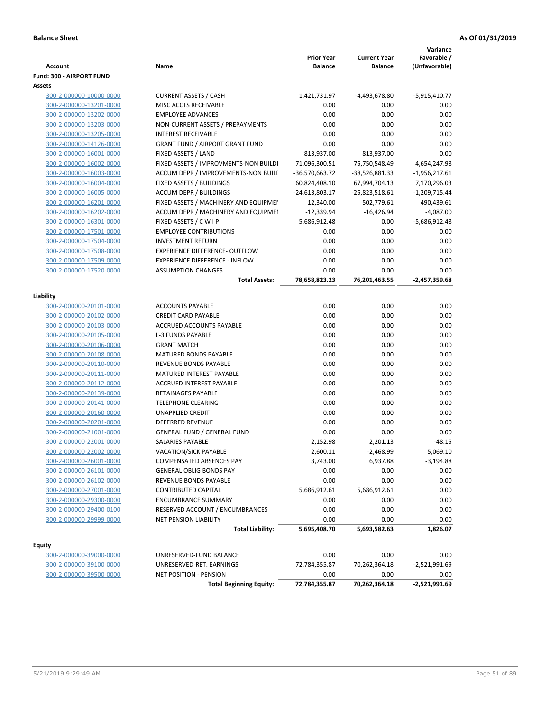| <b>Account</b>           | Name                                   | <b>Prior Year</b><br><b>Balance</b> | <b>Current Year</b><br><b>Balance</b> | Variance<br>Favorable /<br>(Unfavorable) |
|--------------------------|----------------------------------------|-------------------------------------|---------------------------------------|------------------------------------------|
| Fund: 300 - AIRPORT FUND |                                        |                                     |                                       |                                          |
| Assets                   |                                        |                                     |                                       |                                          |
| 300-2-000000-10000-0000  | <b>CURRENT ASSETS / CASH</b>           | 1,421,731.97                        | -4,493,678.80                         | $-5,915,410.77$                          |
| 300-2-000000-13201-0000  | MISC ACCTS RECEIVABLE                  | 0.00                                | 0.00                                  | 0.00                                     |
| 300-2-000000-13202-0000  | <b>EMPLOYEE ADVANCES</b>               | 0.00                                | 0.00                                  | 0.00                                     |
| 300-2-000000-13203-0000  | NON-CURRENT ASSETS / PREPAYMENTS       | 0.00                                | 0.00                                  | 0.00                                     |
| 300-2-000000-13205-0000  | <b>INTEREST RECEIVABLE</b>             | 0.00                                | 0.00                                  | 0.00                                     |
| 300-2-000000-14126-0000  | <b>GRANT FUND / AIRPORT GRANT FUND</b> | 0.00                                | 0.00                                  | 0.00                                     |
| 300-2-000000-16001-0000  | FIXED ASSETS / LAND                    | 813,937.00                          | 813,937.00                            | 0.00                                     |
| 300-2-000000-16002-0000  | FIXED ASSETS / IMPROVMENTS-NON BUILDI  | 71,096,300.51                       | 75,750,548.49                         | 4,654,247.98                             |
| 300-2-000000-16003-0000  | ACCUM DEPR / IMPROVEMENTS-NON BUILL    | -36,570,663.72                      | -38,526,881.33                        | $-1,956,217.61$                          |
| 300-2-000000-16004-0000  | FIXED ASSETS / BUILDINGS               | 60,824,408.10                       | 67,994,704.13                         | 7,170,296.03                             |
| 300-2-000000-16005-0000  | <b>ACCUM DEPR / BUILDINGS</b>          | -24,613,803.17                      | $-25,823,518.61$                      | $-1,209,715.44$                          |
| 300-2-000000-16201-0000  | FIXED ASSETS / MACHINERY AND EQUIPMEN  | 12,340.00                           | 502,779.61                            | 490,439.61                               |
| 300-2-000000-16202-0000  | ACCUM DEPR / MACHINERY AND EQUIPMEI    | $-12,339.94$                        | $-16,426.94$                          | $-4,087.00$                              |
| 300-2-000000-16301-0000  | FIXED ASSETS / C W I P                 | 5,686,912.48                        | 0.00                                  | -5,686,912.48                            |
| 300-2-000000-17501-0000  | <b>EMPLOYEE CONTRIBUTIONS</b>          | 0.00                                | 0.00                                  | 0.00                                     |
| 300-2-000000-17504-0000  | <b>INVESTMENT RETURN</b>               | 0.00                                | 0.00                                  | 0.00                                     |
| 300-2-000000-17508-0000  | <b>EXPERIENCE DIFFERENCE- OUTFLOW</b>  | 0.00                                | 0.00                                  | 0.00                                     |
| 300-2-000000-17509-0000  | <b>EXPERIENCE DIFFERENCE - INFLOW</b>  | 0.00                                | 0.00                                  | 0.00                                     |
| 300-2-000000-17520-0000  | <b>ASSUMPTION CHANGES</b>              | 0.00                                | 0.00                                  | 0.00                                     |
|                          | <b>Total Assets:</b>                   | 78,658,823.23                       | 76,201,463.55                         | $-2,457,359.68$                          |
| Liability                |                                        |                                     |                                       |                                          |
| 300-2-000000-20101-0000  | <b>ACCOUNTS PAYABLE</b>                | 0.00                                | 0.00                                  | 0.00                                     |
| 300-2-000000-20102-0000  | <b>CREDIT CARD PAYABLE</b>             | 0.00                                | 0.00                                  | 0.00                                     |
| 300-2-000000-20103-0000  | ACCRUED ACCOUNTS PAYABLE               | 0.00                                | 0.00                                  | 0.00                                     |
| 300-2-000000-20105-0000  | <b>L-3 FUNDS PAYABLE</b>               | 0.00                                | 0.00                                  | 0.00                                     |
| 300-2-000000-20106-0000  | <b>GRANT MATCH</b>                     | 0.00                                | 0.00                                  | 0.00                                     |
| 300-2-000000-20108-0000  | MATURED BONDS PAYABLE                  | 0.00                                | 0.00                                  | 0.00                                     |
| 300-2-000000-20110-0000  | REVENUE BONDS PAYABLE                  | 0.00                                | 0.00                                  | 0.00                                     |
| 300-2-000000-20111-0000  | MATURED INTEREST PAYABLE               | 0.00                                | 0.00                                  | 0.00                                     |
| 300-2-000000-20112-0000  | <b>ACCRUED INTEREST PAYABLE</b>        | 0.00                                | 0.00                                  | 0.00                                     |
| 300-2-000000-20139-0000  | RETAINAGES PAYABLE                     | 0.00                                | 0.00                                  | 0.00                                     |
| 300-2-000000-20141-0000  | <b>TELEPHONE CLEARING</b>              | 0.00                                | 0.00                                  | 0.00                                     |
| 300-2-000000-20160-0000  | <b>UNAPPLIED CREDIT</b>                | 0.00                                | 0.00                                  | 0.00                                     |
| 300-2-000000-20201-0000  | <b>DEFERRED REVENUE</b>                | 0.00                                | 0.00                                  | 0.00                                     |
| 300-2-000000-21001-0000  | <b>GENERAL FUND / GENERAL FUND</b>     | 0.00                                | 0.00                                  | 0.00                                     |
| 300-2-000000-22001-0000  | SALARIES PAYABLE                       | 2,152.98                            | 2,201.13                              | $-48.15$                                 |
| 300-2-000000-22002-0000  | VACATION/SICK PAYABLE                  | 2,600.11                            | $-2,468.99$                           | 5,069.10                                 |
| 300-2-000000-26001-0000  | COMPENSATED ABSENCES PAY               | 3,743.00                            | 6,937.88                              | -3,194.88                                |
| 300-2-000000-26101-0000  | <b>GENERAL OBLIG BONDS PAY</b>         | 0.00                                | 0.00                                  | 0.00                                     |
| 300-2-000000-26102-0000  | REVENUE BONDS PAYABLE                  | 0.00                                | 0.00                                  | 0.00                                     |
| 300-2-000000-27001-0000  | <b>CONTRIBUTED CAPITAL</b>             | 5,686,912.61                        | 5,686,912.61                          | 0.00                                     |
| 300-2-000000-29300-0000  | <b>ENCUMBRANCE SUMMARY</b>             | 0.00                                | 0.00                                  | 0.00                                     |
| 300-2-000000-29400-0100  | RESERVED ACCOUNT / ENCUMBRANCES        | 0.00                                | 0.00                                  | 0.00                                     |
| 300-2-000000-29999-0000  | <b>NET PENSION LIABILITY</b>           | 0.00                                | 0.00                                  | 0.00                                     |
|                          | <b>Total Liability:</b>                | 5,695,408.70                        | 5,693,582.63                          | 1,826.07                                 |
| Equity                   |                                        |                                     |                                       |                                          |
| 300-2-000000-39000-0000  | UNRESERVED-FUND BALANCE                | 0.00                                | 0.00                                  | 0.00                                     |
| 300-2-000000-39100-0000  | UNRESERVED-RET. EARNINGS               | 72,784,355.87                       | 70,262,364.18                         | $-2,521,991.69$                          |
| 300-2-000000-39500-0000  | <b>NET POSITION - PENSION</b>          | 0.00                                | 0.00                                  | 0.00                                     |
|                          | <b>Total Beginning Equity:</b>         | 72,784,355.87                       | 70,262,364.18                         | $-2,521,991.69$                          |
|                          |                                        |                                     |                                       |                                          |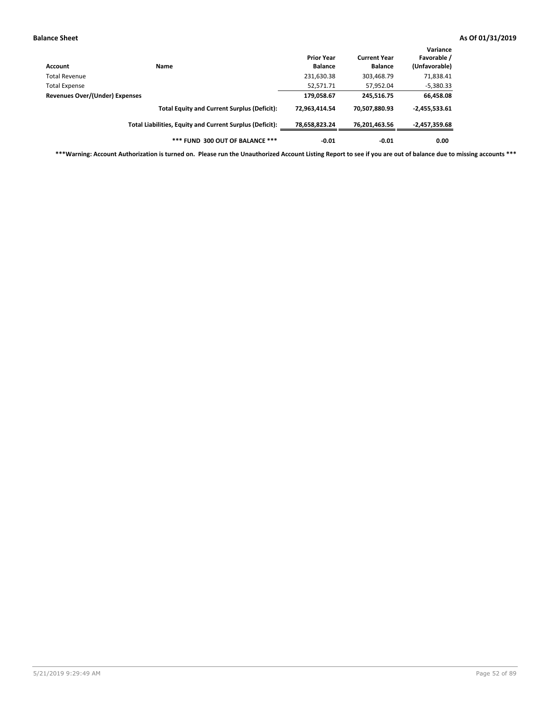| Account                        | Name                                                     | <b>Prior Year</b><br><b>Balance</b> | <b>Current Year</b><br><b>Balance</b> | Variance<br>Favorable /<br>(Unfavorable) |
|--------------------------------|----------------------------------------------------------|-------------------------------------|---------------------------------------|------------------------------------------|
| Total Revenue                  |                                                          | 231,630.38                          | 303,468.79                            | 71,838.41                                |
| <b>Total Expense</b>           |                                                          | 52,571.71                           | 57,952.04                             | $-5,380.33$                              |
| Revenues Over/(Under) Expenses | 179,058.67                                               | 245,516.75                          | 66,458.08                             |                                          |
|                                | <b>Total Equity and Current Surplus (Deficit):</b>       | 72.963.414.54                       | 70,507,880.93                         | $-2,455,533.61$                          |
|                                | Total Liabilities, Equity and Current Surplus (Deficit): | 78,658,823.24                       | 76,201,463.56                         | -2,457,359.68                            |
|                                | *** FUND 300 OUT OF BALANCE ***                          | $-0.01$                             | $-0.01$                               | 0.00                                     |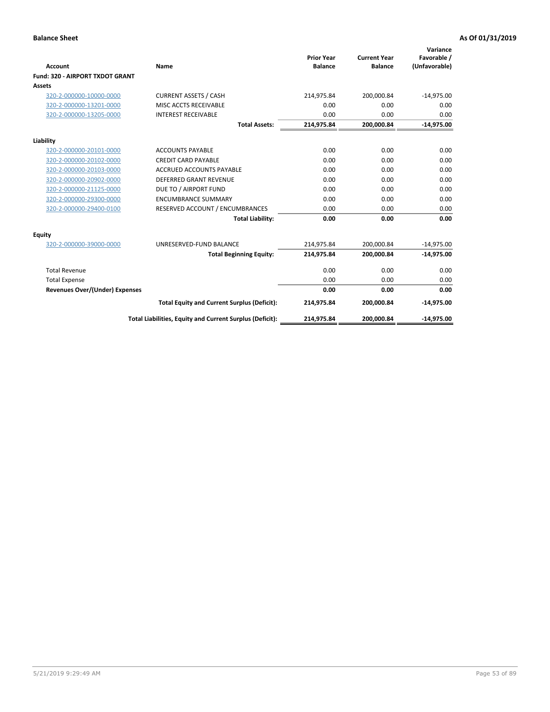|                                       |                                                          |                                     |                                       | Variance                     |
|---------------------------------------|----------------------------------------------------------|-------------------------------------|---------------------------------------|------------------------------|
| Account                               | Name                                                     | <b>Prior Year</b><br><b>Balance</b> | <b>Current Year</b><br><b>Balance</b> | Favorable /<br>(Unfavorable) |
| Fund: 320 - AIRPORT TXDOT GRANT       |                                                          |                                     |                                       |                              |
| Assets                                |                                                          |                                     |                                       |                              |
| 320-2-000000-10000-0000               | <b>CURRENT ASSETS / CASH</b>                             | 214,975.84                          | 200,000.84                            | $-14,975.00$                 |
| 320-2-000000-13201-0000               | MISC ACCTS RECEIVABLE                                    | 0.00                                | 0.00                                  | 0.00                         |
| 320-2-000000-13205-0000               | <b>INTEREST RECEIVABLE</b>                               | 0.00                                | 0.00                                  | 0.00                         |
|                                       | <b>Total Assets:</b>                                     | 214,975.84                          | 200,000.84                            | $-14,975.00$                 |
| Liability                             |                                                          |                                     |                                       |                              |
| 320-2-000000-20101-0000               | <b>ACCOUNTS PAYABLE</b>                                  | 0.00                                | 0.00                                  | 0.00                         |
| 320-2-000000-20102-0000               | <b>CREDIT CARD PAYABLE</b>                               | 0.00                                | 0.00                                  | 0.00                         |
| 320-2-000000-20103-0000               | <b>ACCRUED ACCOUNTS PAYABLE</b>                          | 0.00                                | 0.00                                  | 0.00                         |
| 320-2-000000-20902-0000               | <b>DEFERRED GRANT REVENUE</b>                            | 0.00                                | 0.00                                  | 0.00                         |
| 320-2-000000-21125-0000               | DUE TO / AIRPORT FUND                                    | 0.00                                | 0.00                                  | 0.00                         |
| 320-2-000000-29300-0000               | <b>ENCUMBRANCE SUMMARY</b>                               | 0.00                                | 0.00                                  | 0.00                         |
| 320-2-000000-29400-0100               | RESERVED ACCOUNT / ENCUMBRANCES                          | 0.00                                | 0.00                                  | 0.00                         |
|                                       | <b>Total Liability:</b>                                  | 0.00                                | 0.00                                  | 0.00                         |
| <b>Equity</b>                         |                                                          |                                     |                                       |                              |
| 320-2-000000-39000-0000               | UNRESERVED-FUND BALANCE                                  | 214,975.84                          | 200,000.84                            | $-14,975.00$                 |
|                                       | <b>Total Beginning Equity:</b>                           | 214,975.84                          | 200,000.84                            | $-14,975.00$                 |
| <b>Total Revenue</b>                  |                                                          | 0.00                                | 0.00                                  | 0.00                         |
| <b>Total Expense</b>                  |                                                          | 0.00                                | 0.00                                  | 0.00                         |
| <b>Revenues Over/(Under) Expenses</b> |                                                          | 0.00                                | 0.00                                  | 0.00                         |
|                                       | <b>Total Equity and Current Surplus (Deficit):</b>       | 214,975.84                          | 200,000.84                            | $-14,975.00$                 |
|                                       | Total Liabilities, Equity and Current Surplus (Deficit): | 214,975.84                          | 200,000.84                            | $-14,975.00$                 |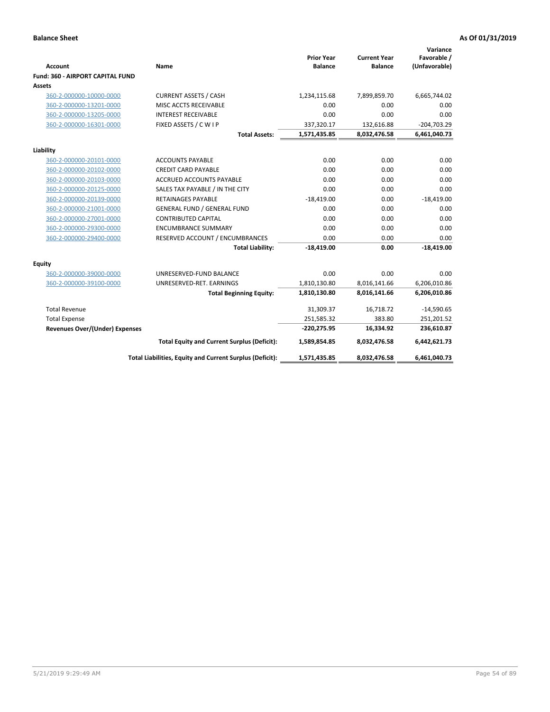| <b>Account</b>                          | <b>Name</b>                                              | <b>Prior Year</b><br><b>Balance</b> | <b>Current Year</b><br><b>Balance</b> | Variance<br>Favorable /<br>(Unfavorable) |
|-----------------------------------------|----------------------------------------------------------|-------------------------------------|---------------------------------------|------------------------------------------|
| <b>Fund: 360 - AIRPORT CAPITAL FUND</b> |                                                          |                                     |                                       |                                          |
| Assets                                  |                                                          |                                     |                                       |                                          |
| 360-2-000000-10000-0000                 | <b>CURRENT ASSETS / CASH</b>                             | 1,234,115.68                        | 7,899,859.70                          | 6,665,744.02                             |
| 360-2-000000-13201-0000                 | MISC ACCTS RECEIVABLE                                    | 0.00                                | 0.00                                  | 0.00                                     |
| 360-2-000000-13205-0000                 | <b>INTEREST RECEIVABLE</b>                               | 0.00                                | 0.00                                  | 0.00                                     |
| 360-2-000000-16301-0000                 | FIXED ASSETS / C W I P                                   | 337,320.17                          | 132,616.88                            | $-204,703.29$                            |
|                                         | <b>Total Assets:</b>                                     | 1,571,435.85                        | 8,032,476.58                          | 6,461,040.73                             |
| Liability                               |                                                          |                                     |                                       |                                          |
| 360-2-000000-20101-0000                 | <b>ACCOUNTS PAYABLE</b>                                  | 0.00                                | 0.00                                  | 0.00                                     |
| 360-2-000000-20102-0000                 | <b>CREDIT CARD PAYABLE</b>                               | 0.00                                | 0.00                                  | 0.00                                     |
| 360-2-000000-20103-0000                 | <b>ACCRUED ACCOUNTS PAYABLE</b>                          | 0.00                                | 0.00                                  | 0.00                                     |
| 360-2-000000-20125-0000                 | SALES TAX PAYABLE / IN THE CITY                          | 0.00                                | 0.00                                  | 0.00                                     |
| 360-2-000000-20139-0000                 | <b>RETAINAGES PAYABLE</b>                                | $-18,419.00$                        | 0.00                                  | $-18,419.00$                             |
| 360-2-000000-21001-0000                 | <b>GENERAL FUND / GENERAL FUND</b>                       | 0.00                                | 0.00                                  | 0.00                                     |
| 360-2-000000-27001-0000                 | <b>CONTRIBUTED CAPITAL</b>                               | 0.00                                | 0.00                                  | 0.00                                     |
| 360-2-000000-29300-0000                 | <b>ENCUMBRANCE SUMMARY</b>                               | 0.00                                | 0.00                                  | 0.00                                     |
| 360-2-000000-29400-0000                 | RESERVED ACCOUNT / ENCUMBRANCES                          | 0.00                                | 0.00                                  | 0.00                                     |
|                                         | <b>Total Liability:</b>                                  | $-18,419.00$                        | 0.00                                  | $-18,419.00$                             |
| Equity                                  |                                                          |                                     |                                       |                                          |
| 360-2-000000-39000-0000                 | UNRESERVED-FUND BALANCE                                  | 0.00                                | 0.00                                  | 0.00                                     |
| 360-2-000000-39100-0000                 | UNRESERVED-RET. EARNINGS                                 | 1,810,130.80                        | 8,016,141.66                          | 6,206,010.86                             |
|                                         | <b>Total Beginning Equity:</b>                           | 1,810,130.80                        | 8,016,141.66                          | 6,206,010.86                             |
| <b>Total Revenue</b>                    |                                                          | 31,309.37                           | 16,718.72                             | $-14,590.65$                             |
| <b>Total Expense</b>                    |                                                          | 251,585.32                          | 383.80                                | 251,201.52                               |
| <b>Revenues Over/(Under) Expenses</b>   |                                                          | $-220,275.95$                       | 16,334.92                             | 236,610.87                               |
|                                         | <b>Total Equity and Current Surplus (Deficit):</b>       | 1,589,854.85                        | 8,032,476.58                          | 6,442,621.73                             |
|                                         | Total Liabilities, Equity and Current Surplus (Deficit): | 1,571,435.85                        | 8,032,476.58                          | 6,461,040.73                             |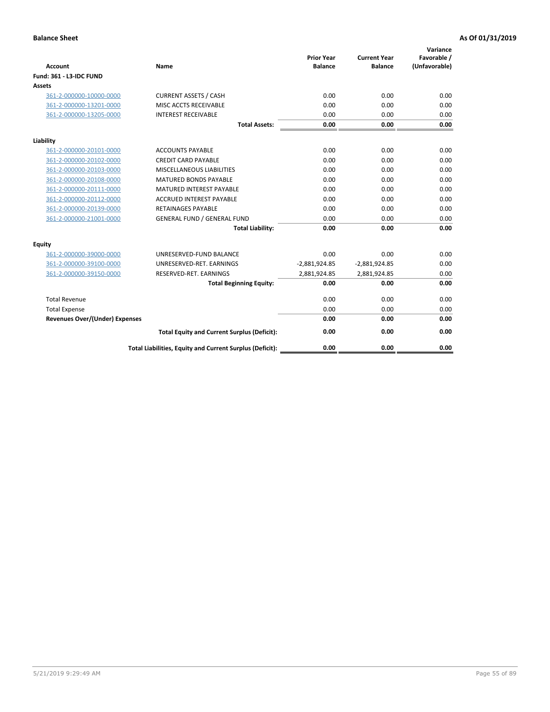| <b>Account</b>                        | <b>Name</b>                                              | <b>Prior Year</b><br><b>Balance</b> | <b>Current Year</b><br><b>Balance</b> | Variance<br>Favorable /<br>(Unfavorable) |
|---------------------------------------|----------------------------------------------------------|-------------------------------------|---------------------------------------|------------------------------------------|
| <b>Fund: 361 - L3-IDC FUND</b>        |                                                          |                                     |                                       |                                          |
| Assets                                |                                                          |                                     |                                       |                                          |
| 361-2-000000-10000-0000               | <b>CURRENT ASSETS / CASH</b>                             | 0.00                                | 0.00                                  | 0.00                                     |
| 361-2-000000-13201-0000               | MISC ACCTS RECEIVABLE                                    | 0.00                                | 0.00                                  | 0.00                                     |
| 361-2-000000-13205-0000               | <b>INTEREST RECEIVABLE</b>                               | 0.00                                | 0.00                                  | 0.00                                     |
|                                       | <b>Total Assets:</b>                                     | 0.00                                | 0.00                                  | 0.00                                     |
| Liability                             |                                                          |                                     |                                       |                                          |
| 361-2-000000-20101-0000               | <b>ACCOUNTS PAYABLE</b>                                  | 0.00                                | 0.00                                  | 0.00                                     |
| 361-2-000000-20102-0000               | <b>CREDIT CARD PAYABLE</b>                               | 0.00                                | 0.00                                  | 0.00                                     |
| 361-2-000000-20103-0000               | MISCELLANEOUS LIABILITIES                                | 0.00                                | 0.00                                  | 0.00                                     |
| 361-2-000000-20108-0000               | <b>MATURED BONDS PAYABLE</b>                             | 0.00                                | 0.00                                  | 0.00                                     |
| 361-2-000000-20111-0000               | <b>MATURED INTEREST PAYABLE</b>                          | 0.00                                | 0.00                                  | 0.00                                     |
| 361-2-000000-20112-0000               | <b>ACCRUED INTEREST PAYABLE</b>                          | 0.00                                | 0.00                                  | 0.00                                     |
| 361-2-000000-20139-0000               | <b>RETAINAGES PAYABLE</b>                                | 0.00                                | 0.00                                  | 0.00                                     |
| 361-2-000000-21001-0000               | <b>GENERAL FUND / GENERAL FUND</b>                       | 0.00                                | 0.00                                  | 0.00                                     |
|                                       | <b>Total Liability:</b>                                  | 0.00                                | 0.00                                  | 0.00                                     |
| Equity                                |                                                          |                                     |                                       |                                          |
| 361-2-000000-39000-0000               | UNRESERVED-FUND BALANCE                                  | 0.00                                | 0.00                                  | 0.00                                     |
| 361-2-000000-39100-0000               | UNRESERVED-RET. EARNINGS                                 | $-2,881,924.85$                     | $-2,881,924.85$                       | 0.00                                     |
| 361-2-000000-39150-0000               | RESERVED-RET. EARNINGS                                   | 2,881,924.85                        | 2,881,924.85                          | 0.00                                     |
|                                       | <b>Total Beginning Equity:</b>                           | 0.00                                | 0.00                                  | 0.00                                     |
| <b>Total Revenue</b>                  |                                                          | 0.00                                | 0.00                                  | 0.00                                     |
| <b>Total Expense</b>                  |                                                          | 0.00                                | 0.00                                  | 0.00                                     |
| <b>Revenues Over/(Under) Expenses</b> |                                                          | 0.00                                | 0.00                                  | 0.00                                     |
|                                       | <b>Total Equity and Current Surplus (Deficit):</b>       | 0.00                                | 0.00                                  | 0.00                                     |
|                                       | Total Liabilities, Equity and Current Surplus (Deficit): | 0.00                                | 0.00                                  | 0.00                                     |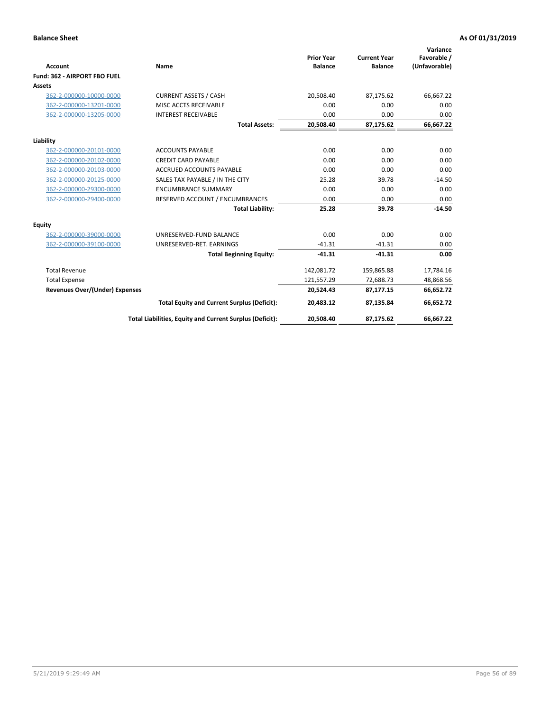|                                       |                                                          |                                     |                                       | Variance                     |
|---------------------------------------|----------------------------------------------------------|-------------------------------------|---------------------------------------|------------------------------|
| <b>Account</b>                        | Name                                                     | <b>Prior Year</b><br><b>Balance</b> | <b>Current Year</b><br><b>Balance</b> | Favorable /<br>(Unfavorable) |
| Fund: 362 - AIRPORT FBO FUEL          |                                                          |                                     |                                       |                              |
| Assets                                |                                                          |                                     |                                       |                              |
| 362-2-000000-10000-0000               | <b>CURRENT ASSETS / CASH</b>                             | 20,508.40                           | 87,175.62                             | 66,667.22                    |
| 362-2-000000-13201-0000               | MISC ACCTS RECEIVABLE                                    | 0.00                                | 0.00                                  | 0.00                         |
| 362-2-000000-13205-0000               | <b>INTEREST RECEIVABLE</b>                               | 0.00                                | 0.00                                  | 0.00                         |
|                                       | <b>Total Assets:</b>                                     | 20,508.40                           | 87,175.62                             | 66,667.22                    |
| Liability                             |                                                          |                                     |                                       |                              |
| 362-2-000000-20101-0000               | <b>ACCOUNTS PAYABLE</b>                                  | 0.00                                | 0.00                                  | 0.00                         |
| 362-2-000000-20102-0000               | <b>CREDIT CARD PAYABLE</b>                               | 0.00                                | 0.00                                  | 0.00                         |
| 362-2-000000-20103-0000               | <b>ACCRUED ACCOUNTS PAYABLE</b>                          | 0.00                                | 0.00                                  | 0.00                         |
| 362-2-000000-20125-0000               | SALES TAX PAYABLE / IN THE CITY                          | 25.28                               | 39.78                                 | $-14.50$                     |
| 362-2-000000-29300-0000               | <b>ENCUMBRANCE SUMMARY</b>                               | 0.00                                | 0.00                                  | 0.00                         |
| 362-2-000000-29400-0000               | RESERVED ACCOUNT / ENCUMBRANCES                          | 0.00                                | 0.00                                  | 0.00                         |
|                                       | <b>Total Liability:</b>                                  | 25.28                               | 39.78                                 | $-14.50$                     |
| <b>Equity</b>                         |                                                          |                                     |                                       |                              |
| 362-2-000000-39000-0000               | UNRESERVED-FUND BALANCE                                  | 0.00                                | 0.00                                  | 0.00                         |
| 362-2-000000-39100-0000               | UNRESERVED-RET. EARNINGS                                 | $-41.31$                            | $-41.31$                              | 0.00                         |
|                                       | <b>Total Beginning Equity:</b>                           | $-41.31$                            | $-41.31$                              | 0.00                         |
| <b>Total Revenue</b>                  |                                                          | 142,081.72                          | 159,865.88                            | 17,784.16                    |
| <b>Total Expense</b>                  |                                                          | 121,557.29                          | 72,688.73                             | 48,868.56                    |
| <b>Revenues Over/(Under) Expenses</b> |                                                          | 20,524.43                           | 87,177.15                             | 66,652.72                    |
|                                       | <b>Total Equity and Current Surplus (Deficit):</b>       | 20,483.12                           | 87,135.84                             | 66,652.72                    |
|                                       | Total Liabilities, Equity and Current Surplus (Deficit): | 20,508.40                           | 87,175.62                             | 66,667.22                    |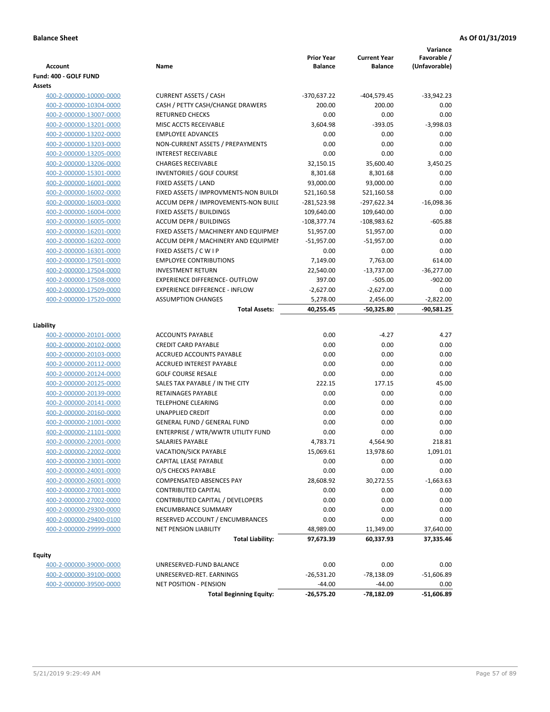| <b>Account</b>          | Name                                  | <b>Prior Year</b><br>Balance | <b>Current Year</b><br><b>Balance</b> | Variance<br>Favorable /<br>(Unfavorable) |
|-------------------------|---------------------------------------|------------------------------|---------------------------------------|------------------------------------------|
| Fund: 400 - GOLF FUND   |                                       |                              |                                       |                                          |
| Assets                  |                                       |                              |                                       |                                          |
| 400-2-000000-10000-0000 | <b>CURRENT ASSETS / CASH</b>          | -370,637.22                  | -404,579.45                           | $-33,942.23$                             |
| 400-2-000000-10304-0000 | CASH / PETTY CASH/CHANGE DRAWERS      | 200.00                       | 200.00                                | 0.00                                     |
| 400-2-000000-13007-0000 | <b>RETURNED CHECKS</b>                | 0.00                         | 0.00                                  | 0.00                                     |
| 400-2-000000-13201-0000 | MISC ACCTS RECEIVABLE                 | 3,604.98                     | $-393.05$                             | $-3,998.03$                              |
| 400-2-000000-13202-0000 | <b>EMPLOYEE ADVANCES</b>              | 0.00                         | 0.00                                  | 0.00                                     |
| 400-2-000000-13203-0000 | NON-CURRENT ASSETS / PREPAYMENTS      | 0.00                         | 0.00                                  | 0.00                                     |
| 400-2-000000-13205-0000 | <b>INTEREST RECEIVABLE</b>            | 0.00                         | 0.00                                  | 0.00                                     |
| 400-2-000000-13206-0000 | <b>CHARGES RECEIVABLE</b>             | 32,150.15                    | 35,600.40                             | 3,450.25                                 |
| 400-2-000000-15301-0000 | <b>INVENTORIES / GOLF COURSE</b>      | 8,301.68                     | 8,301.68                              | 0.00                                     |
| 400-2-000000-16001-0000 | FIXED ASSETS / LAND                   | 93,000.00                    | 93,000.00                             | 0.00                                     |
| 400-2-000000-16002-0000 | FIXED ASSETS / IMPROVMENTS-NON BUILDI | 521,160.58                   | 521,160.58                            | 0.00                                     |
| 400-2-000000-16003-0000 | ACCUM DEPR / IMPROVEMENTS-NON BUILL   | -281,523.98                  | -297,622.34                           | $-16,098.36$                             |
| 400-2-000000-16004-0000 | FIXED ASSETS / BUILDINGS              | 109,640.00                   | 109,640.00                            | 0.00                                     |
| 400-2-000000-16005-0000 | ACCUM DEPR / BUILDINGS                | $-108,377.74$                | $-108,983.62$                         | $-605.88$                                |
| 400-2-000000-16201-0000 | FIXED ASSETS / MACHINERY AND EQUIPMEN | 51,957.00                    | 51,957.00                             | 0.00                                     |
| 400-2-000000-16202-0000 | ACCUM DEPR / MACHINERY AND EQUIPMEI   | $-51,957.00$                 | $-51,957.00$                          | 0.00                                     |
| 400-2-000000-16301-0000 | FIXED ASSETS / C W I P                | 0.00                         | 0.00                                  | 0.00                                     |
| 400-2-000000-17501-0000 | <b>EMPLOYEE CONTRIBUTIONS</b>         | 7,149.00                     | 7,763.00                              | 614.00                                   |
| 400-2-000000-17504-0000 | <b>INVESTMENT RETURN</b>              | 22,540.00                    | $-13,737.00$                          | $-36,277.00$                             |
| 400-2-000000-17508-0000 | <b>EXPERIENCE DIFFERENCE- OUTFLOW</b> | 397.00                       | $-505.00$                             | $-902.00$                                |
| 400-2-000000-17509-0000 | <b>EXPERIENCE DIFFERENCE - INFLOW</b> | $-2,627.00$                  | $-2,627.00$                           | 0.00                                     |
| 400-2-000000-17520-0000 | <b>ASSUMPTION CHANGES</b>             | 5,278.00                     | 2,456.00                              | $-2,822.00$                              |
|                         | <b>Total Assets:</b>                  | 40,255.45                    | $-50,325.80$                          | $-90,581.25$                             |
|                         |                                       |                              |                                       |                                          |
| Liability               |                                       |                              |                                       |                                          |
| 400-2-000000-20101-0000 | <b>ACCOUNTS PAYABLE</b>               | 0.00                         | $-4.27$                               | 4.27                                     |
| 400-2-000000-20102-0000 | <b>CREDIT CARD PAYABLE</b>            | 0.00                         | 0.00                                  | 0.00                                     |
| 400-2-000000-20103-0000 | ACCRUED ACCOUNTS PAYABLE              | 0.00                         | 0.00                                  | 0.00                                     |
| 400-2-000000-20112-0000 | <b>ACCRUED INTEREST PAYABLE</b>       | 0.00                         | 0.00                                  | 0.00                                     |
| 400-2-000000-20124-0000 | <b>GOLF COURSE RESALE</b>             | 0.00                         | 0.00                                  | 0.00                                     |
| 400-2-000000-20125-0000 | SALES TAX PAYABLE / IN THE CITY       | 222.15                       | 177.15                                | 45.00                                    |
| 400-2-000000-20139-0000 | RETAINAGES PAYABLE                    | 0.00                         | 0.00                                  | 0.00                                     |
| 400-2-000000-20141-0000 | <b>TELEPHONE CLEARING</b>             | 0.00                         | 0.00                                  | 0.00                                     |
| 400-2-000000-20160-0000 | <b>UNAPPLIED CREDIT</b>               | 0.00                         | 0.00                                  | 0.00                                     |
| 400-2-000000-21001-0000 | <b>GENERAL FUND / GENERAL FUND</b>    | 0.00                         | 0.00                                  | 0.00                                     |
| 400-2-000000-21101-0000 | ENTERPRISE / WTR/WWTR UTILITY FUND    | 0.00                         | 0.00                                  | 0.00                                     |
| 400-2-000000-22001-0000 | SALARIES PAYABLE                      | 4,783.71                     | 4,564.90                              | 218.81                                   |
| 400-2-000000-22002-0000 | VACATION/SICK PAYABLE                 | 15,069.61                    | 13,978.60                             | 1,091.01                                 |
| 400-2-000000-23001-0000 | CAPITAL LEASE PAYABLE                 | 0.00                         | 0.00                                  | 0.00                                     |
| 400-2-000000-24001-0000 | O/S CHECKS PAYABLE                    | 0.00                         | 0.00                                  | 0.00                                     |
| 400-2-000000-26001-0000 | <b>COMPENSATED ABSENCES PAY</b>       | 28,608.92                    | 30,272.55                             | $-1,663.63$                              |
| 400-2-000000-27001-0000 | <b>CONTRIBUTED CAPITAL</b>            | 0.00                         | 0.00                                  | 0.00                                     |
| 400-2-000000-27002-0000 | CONTRIBUTED CAPITAL / DEVELOPERS      | 0.00                         | 0.00                                  | 0.00                                     |
| 400-2-000000-29300-0000 | <b>ENCUMBRANCE SUMMARY</b>            | 0.00                         | 0.00                                  | 0.00                                     |
| 400-2-000000-29400-0100 | RESERVED ACCOUNT / ENCUMBRANCES       | 0.00                         | 0.00                                  | 0.00                                     |
| 400-2-000000-29999-0000 | <b>NET PENSION LIABILITY</b>          | 48,989.00                    | 11,349.00                             | 37,640.00                                |
|                         | <b>Total Liability:</b>               | 97,673.39                    | 60,337.93                             | 37,335.46                                |
|                         |                                       |                              |                                       |                                          |
| <b>Equity</b>           |                                       |                              |                                       |                                          |
| 400-2-000000-39000-0000 | UNRESERVED-FUND BALANCE               | 0.00                         | 0.00                                  | 0.00                                     |
| 400-2-000000-39100-0000 | UNRESERVED-RET. EARNINGS              | $-26,531.20$                 | $-78,138.09$                          | $-51,606.89$                             |
| 400-2-000000-39500-0000 | NET POSITION - PENSION                | $-44.00$                     | $-44.00$                              | 0.00                                     |
|                         | <b>Total Beginning Equity:</b>        | $-26,575.20$                 | -78,182.09                            | $-51,606.89$                             |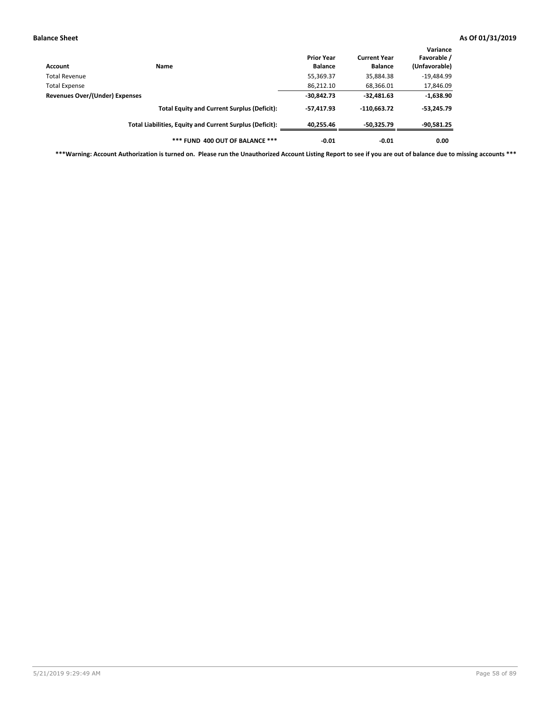| Account                                         | Name                                                     | <b>Prior Year</b><br><b>Balance</b> | <b>Current Year</b><br><b>Balance</b> | Variance<br>Favorable /<br>(Unfavorable) |
|-------------------------------------------------|----------------------------------------------------------|-------------------------------------|---------------------------------------|------------------------------------------|
| Total Revenue                                   |                                                          | 55,369.37                           | 35,884.38                             | $-19,484.99$                             |
|                                                 |                                                          | 86,212.10                           | 68,366.01                             | 17,846.09                                |
| Total Expense<br>Revenues Over/(Under) Expenses | $-30,842.73$                                             | $-32,481.63$                        | $-1,638.90$                           |                                          |
|                                                 | <b>Total Equity and Current Surplus (Deficit):</b>       | $-57.417.93$                        | $-110,663.72$                         | $-53,245.79$                             |
|                                                 | Total Liabilities, Equity and Current Surplus (Deficit): | 40.255.46                           | $-50.325.79$                          | $-90,581.25$                             |
|                                                 | *** FUND 400 OUT OF BALANCE ***                          | $-0.01$                             | $-0.01$                               | 0.00                                     |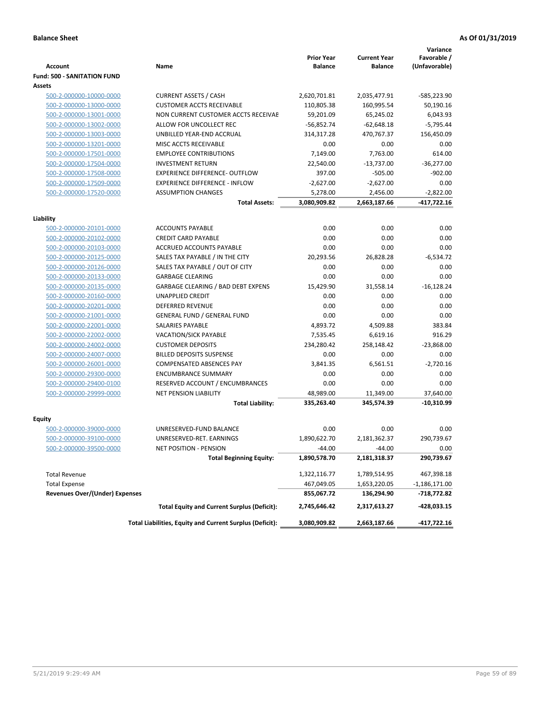|                                    |                                                          | <b>Prior Year</b> | <b>Current Year</b> | Variance<br>Favorable / |
|------------------------------------|----------------------------------------------------------|-------------------|---------------------|-------------------------|
| <b>Account</b>                     | Name                                                     | <b>Balance</b>    | <b>Balance</b>      | (Unfavorable)           |
| <b>Fund: 500 - SANITATION FUND</b> |                                                          |                   |                     |                         |
| <b>Assets</b>                      |                                                          |                   |                     |                         |
| 500-2-000000-10000-0000            | <b>CURRENT ASSETS / CASH</b>                             | 2,620,701.81      | 2,035,477.91        | -585,223.90             |
| 500-2-000000-13000-0000            | <b>CUSTOMER ACCTS RECEIVABLE</b>                         | 110,805.38        | 160,995.54          | 50,190.16               |
| 500-2-000000-13001-0000            | NON CURRENT CUSTOMER ACCTS RECEIVAE                      | 59,201.09         | 65,245.02           | 6,043.93                |
| 500-2-000000-13002-0000            | ALLOW FOR UNCOLLECT REC                                  | $-56,852.74$      | $-62,648.18$        | $-5,795.44$             |
| 500-2-000000-13003-0000            | UNBILLED YEAR-END ACCRUAL                                | 314,317.28        | 470.767.37          | 156,450.09              |
| 500-2-000000-13201-0000            | MISC ACCTS RECEIVABLE                                    | 0.00              | 0.00                | 0.00                    |
| 500-2-000000-17501-0000            | <b>EMPLOYEE CONTRIBUTIONS</b>                            | 7,149.00          | 7.763.00            | 614.00                  |
| 500-2-000000-17504-0000            | <b>INVESTMENT RETURN</b>                                 | 22,540.00         | $-13,737.00$        | $-36,277.00$            |
| 500-2-000000-17508-0000            | <b>EXPERIENCE DIFFERENCE- OUTFLOW</b>                    | 397.00            | $-505.00$           | $-902.00$               |
| 500-2-000000-17509-0000            | <b>EXPERIENCE DIFFERENCE - INFLOW</b>                    | $-2,627.00$       | $-2,627.00$         | 0.00                    |
| 500-2-000000-17520-0000            | <b>ASSUMPTION CHANGES</b>                                | 5,278.00          | 2,456.00            | $-2,822.00$             |
|                                    | <b>Total Assets:</b>                                     | 3,080,909.82      | 2,663,187.66        | -417,722.16             |
|                                    |                                                          |                   |                     |                         |
| Liability                          |                                                          |                   |                     |                         |
| 500-2-000000-20101-0000            | <b>ACCOUNTS PAYABLE</b>                                  | 0.00              | 0.00                | 0.00                    |
| 500-2-000000-20102-0000            | <b>CREDIT CARD PAYABLE</b>                               | 0.00              | 0.00                | 0.00                    |
| 500-2-000000-20103-0000            | ACCRUED ACCOUNTS PAYABLE                                 | 0.00              | 0.00                | 0.00                    |
| 500-2-000000-20125-0000            | SALES TAX PAYABLE / IN THE CITY                          | 20,293.56         | 26,828.28           | $-6,534.72$             |
| 500-2-000000-20126-0000            | SALES TAX PAYABLE / OUT OF CITY                          | 0.00              | 0.00                | 0.00                    |
| 500-2-000000-20133-0000            | <b>GARBAGE CLEARING</b>                                  | 0.00              | 0.00                | 0.00                    |
| 500-2-000000-20135-0000            | <b>GARBAGE CLEARING / BAD DEBT EXPENS</b>                | 15,429.90         | 31,558.14           | $-16,128.24$            |
| 500-2-000000-20160-0000            | <b>UNAPPLIED CREDIT</b>                                  | 0.00              | 0.00                | 0.00                    |
| 500-2-000000-20201-0000            | <b>DEFERRED REVENUE</b>                                  | 0.00              | 0.00                | 0.00                    |
| 500-2-000000-21001-0000            | <b>GENERAL FUND / GENERAL FUND</b>                       | 0.00              | 0.00                | 0.00                    |
| 500-2-000000-22001-0000            | <b>SALARIES PAYABLE</b>                                  | 4,893.72          | 4,509.88            | 383.84                  |
| 500-2-000000-22002-0000            | <b>VACATION/SICK PAYABLE</b>                             | 7,535.45          | 6,619.16            | 916.29                  |
| 500-2-000000-24002-0000            | <b>CUSTOMER DEPOSITS</b>                                 | 234,280.42        | 258,148.42          | $-23,868.00$            |
| 500-2-000000-24007-0000            | <b>BILLED DEPOSITS SUSPENSE</b>                          | 0.00              | 0.00                | 0.00                    |
| 500-2-000000-26001-0000            | <b>COMPENSATED ABSENCES PAY</b>                          | 3,841.35          | 6,561.51            | $-2,720.16$             |
| 500-2-000000-29300-0000            | <b>ENCUMBRANCE SUMMARY</b>                               | 0.00              | 0.00                | 0.00                    |
| 500-2-000000-29400-0100            | RESERVED ACCOUNT / ENCUMBRANCES                          | 0.00              | 0.00                | 0.00                    |
| 500-2-000000-29999-0000            | <b>NET PENSION LIABILITY</b>                             | 48,989.00         | 11,349.00           | 37,640.00               |
|                                    | <b>Total Liability:</b>                                  | 335,263.40        | 345,574.39          | -10,310.99              |
| Equity                             |                                                          |                   |                     |                         |
| 500-2-000000-39000-0000            | UNRESERVED-FUND BALANCE                                  | 0.00              | 0.00                | 0.00                    |
| 500-2-000000-39100-0000            | UNRESERVED-RET. EARNINGS                                 | 1,890,622.70      | 2,181,362.37        | 290,739.67              |
| <u>500-2-000000-39500-0000</u>     | NET POSITION - PENSION                                   | $-44.00$          | $-44.00$            | 0.00                    |
|                                    | <b>Total Beginning Equity:</b>                           | 1,890,578.70      | 2,181,318.37        | 290,739.67              |
|                                    |                                                          |                   |                     |                         |
| <b>Total Revenue</b>               |                                                          | 1,322,116.77      | 1,789,514.95        | 467,398.18              |
| <b>Total Expense</b>               |                                                          | 467,049.05        | 1,653,220.05        | -1,186,171.00           |
| Revenues Over/(Under) Expenses     |                                                          | 855,067.72        | 136,294.90          | -718,772.82             |
|                                    | <b>Total Equity and Current Surplus (Deficit):</b>       | 2,745,646.42      | 2,317,613.27        | -428,033.15             |
|                                    | Total Liabilities, Equity and Current Surplus (Deficit): | 3,080,909.82      | 2,663,187.66        | -417,722.16             |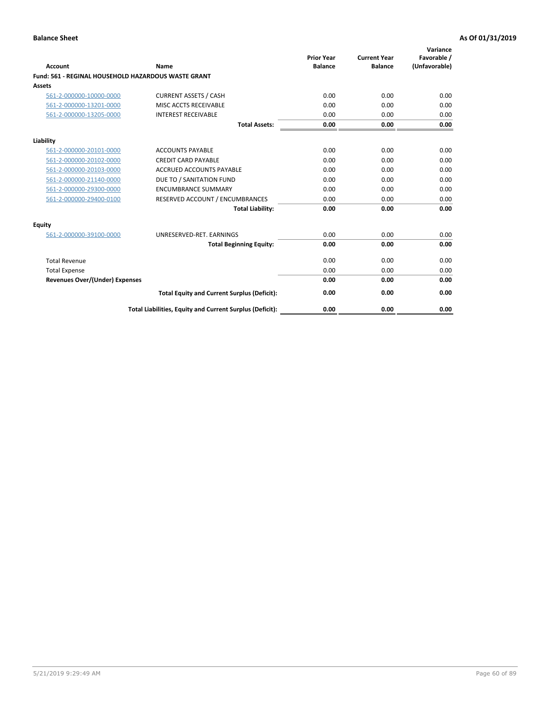| <b>Account</b>                        | Name                                                       | <b>Prior Year</b><br><b>Balance</b> | <b>Current Year</b><br><b>Balance</b> | Variance<br>Favorable /<br>(Unfavorable) |
|---------------------------------------|------------------------------------------------------------|-------------------------------------|---------------------------------------|------------------------------------------|
|                                       | <b>Fund: 561 - REGINAL HOUSEHOLD HAZARDOUS WASTE GRANT</b> |                                     |                                       |                                          |
| Assets                                |                                                            |                                     |                                       |                                          |
| 561-2-000000-10000-0000               | <b>CURRENT ASSETS / CASH</b>                               | 0.00                                | 0.00                                  | 0.00                                     |
| 561-2-000000-13201-0000               | MISC ACCTS RECEIVABLE                                      | 0.00                                | 0.00                                  | 0.00                                     |
| 561-2-000000-13205-0000               | <b>INTEREST RECEIVABLE</b>                                 | 0.00                                | 0.00                                  | 0.00                                     |
|                                       | <b>Total Assets:</b>                                       | 0.00                                | 0.00                                  | 0.00                                     |
| Liability                             |                                                            |                                     |                                       |                                          |
| 561-2-000000-20101-0000               | <b>ACCOUNTS PAYABLE</b>                                    | 0.00                                | 0.00                                  | 0.00                                     |
| 561-2-000000-20102-0000               | <b>CREDIT CARD PAYABLE</b>                                 | 0.00                                | 0.00                                  | 0.00                                     |
| 561-2-000000-20103-0000               | <b>ACCRUED ACCOUNTS PAYABLE</b>                            | 0.00                                | 0.00                                  | 0.00                                     |
| 561-2-000000-21140-0000               | DUE TO / SANITATION FUND                                   | 0.00                                | 0.00                                  | 0.00                                     |
| 561-2-000000-29300-0000               | <b>ENCUMBRANCE SUMMARY</b>                                 | 0.00                                | 0.00                                  | 0.00                                     |
| 561-2-000000-29400-0100               | RESERVED ACCOUNT / ENCUMBRANCES                            | 0.00                                | 0.00                                  | 0.00                                     |
|                                       | <b>Total Liability:</b>                                    | 0.00                                | 0.00                                  | 0.00                                     |
| <b>Equity</b>                         |                                                            |                                     |                                       |                                          |
| 561-2-000000-39100-0000               | UNRESERVED-RET. EARNINGS                                   | 0.00                                | 0.00                                  | 0.00                                     |
|                                       | <b>Total Beginning Equity:</b>                             | 0.00                                | 0.00                                  | 0.00                                     |
| <b>Total Revenue</b>                  |                                                            | 0.00                                | 0.00                                  | 0.00                                     |
| <b>Total Expense</b>                  |                                                            | 0.00                                | 0.00                                  | 0.00                                     |
| <b>Revenues Over/(Under) Expenses</b> |                                                            | 0.00                                | 0.00                                  | 0.00                                     |
|                                       | <b>Total Equity and Current Surplus (Deficit):</b>         | 0.00                                | 0.00                                  | 0.00                                     |
|                                       | Total Liabilities, Equity and Current Surplus (Deficit):   | 0.00                                | 0.00                                  | 0.00                                     |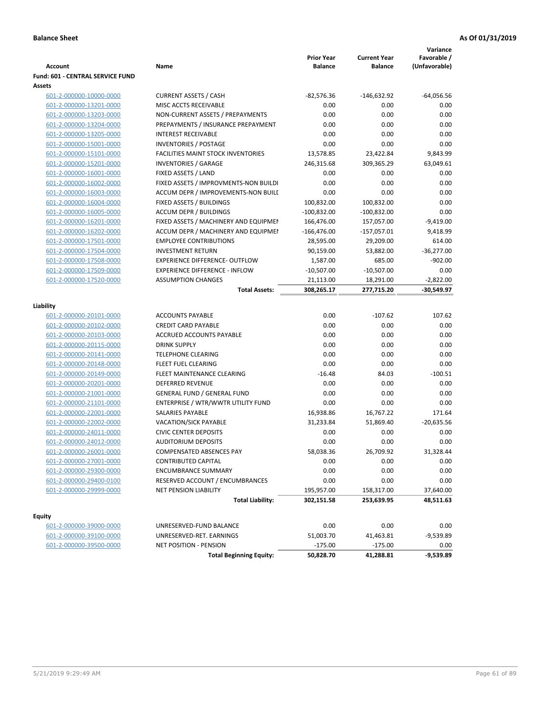| <b>Account</b>                          | Name                                      | <b>Prior Year</b><br><b>Balance</b> | <b>Current Year</b><br><b>Balance</b> | Variance<br>Favorable /<br>(Unfavorable) |
|-----------------------------------------|-------------------------------------------|-------------------------------------|---------------------------------------|------------------------------------------|
| <b>Fund: 601 - CENTRAL SERVICE FUND</b> |                                           |                                     |                                       |                                          |
| Assets                                  |                                           |                                     |                                       |                                          |
| 601-2-000000-10000-0000                 | <b>CURRENT ASSETS / CASH</b>              | $-82,576.36$                        | $-146,632.92$                         | $-64,056.56$                             |
| 601-2-000000-13201-0000                 | MISC ACCTS RECEIVABLE                     | 0.00                                | 0.00                                  | 0.00                                     |
| 601-2-000000-13203-0000                 | NON-CURRENT ASSETS / PREPAYMENTS          | 0.00                                | 0.00                                  | 0.00                                     |
| 601-2-000000-13204-0000                 | PREPAYMENTS / INSURANCE PREPAYMENT        | 0.00                                | 0.00                                  | 0.00                                     |
| 601-2-000000-13205-0000                 | <b>INTEREST RECEIVABLE</b>                | 0.00                                | 0.00                                  | 0.00                                     |
| 601-2-000000-15001-0000                 | <b>INVENTORIES / POSTAGE</b>              | 0.00                                | 0.00                                  | 0.00                                     |
| 601-2-000000-15101-0000                 | <b>FACILITIES MAINT STOCK INVENTORIES</b> | 13,578.85                           | 23,422.84                             | 9,843.99                                 |
| 601-2-000000-15201-0000                 | <b>INVENTORIES / GARAGE</b>               | 246,315.68                          | 309,365.29                            | 63,049.61                                |
| 601-2-000000-16001-0000                 | FIXED ASSETS / LAND                       | 0.00                                | 0.00                                  | 0.00                                     |
| 601-2-000000-16002-0000                 | FIXED ASSETS / IMPROVMENTS-NON BUILDI     | 0.00                                | 0.00                                  | 0.00                                     |
| 601-2-000000-16003-0000                 | ACCUM DEPR / IMPROVEMENTS-NON BUILI       | 0.00                                | 0.00                                  | 0.00                                     |
| 601-2-000000-16004-0000                 | FIXED ASSETS / BUILDINGS                  | 100,832.00                          | 100,832.00                            | 0.00                                     |
| 601-2-000000-16005-0000                 | <b>ACCUM DEPR / BUILDINGS</b>             | $-100,832.00$                       | $-100,832.00$                         | 0.00                                     |
| 601-2-000000-16201-0000                 | FIXED ASSETS / MACHINERY AND EQUIPMEN     | 166,476.00                          | 157,057.00                            | $-9,419.00$                              |
| 601-2-000000-16202-0000                 | ACCUM DEPR / MACHINERY AND EQUIPMEI       | $-166,476.00$                       | $-157,057.01$                         | 9,418.99                                 |
| 601-2-000000-17501-0000                 | <b>EMPLOYEE CONTRIBUTIONS</b>             | 28,595.00                           | 29,209.00                             | 614.00                                   |
| 601-2-000000-17504-0000                 | <b>INVESTMENT RETURN</b>                  | 90,159.00                           | 53,882.00                             | $-36,277.00$                             |
| 601-2-000000-17508-0000                 | <b>EXPERIENCE DIFFERENCE- OUTFLOW</b>     | 1,587.00                            | 685.00                                | $-902.00$                                |
| 601-2-000000-17509-0000                 | <b>EXPERIENCE DIFFERENCE - INFLOW</b>     | $-10,507.00$                        | $-10,507.00$                          | 0.00                                     |
| 601-2-000000-17520-0000                 | <b>ASSUMPTION CHANGES</b>                 | 21,113.00                           | 18,291.00                             | $-2,822.00$                              |
|                                         | <b>Total Assets:</b>                      | 308,265.17                          | 277,715.20                            | -30,549.97                               |
| Liability                               |                                           |                                     |                                       |                                          |
| 601-2-000000-20101-0000                 | <b>ACCOUNTS PAYABLE</b>                   | 0.00                                | $-107.62$                             | 107.62                                   |
| 601-2-000000-20102-0000                 | <b>CREDIT CARD PAYABLE</b>                | 0.00                                | 0.00                                  | 0.00                                     |
| 601-2-000000-20103-0000                 | ACCRUED ACCOUNTS PAYABLE                  | 0.00                                | 0.00                                  | 0.00                                     |
| 601-2-000000-20115-0000                 | <b>DRINK SUPPLY</b>                       | 0.00                                | 0.00                                  | 0.00                                     |
| 601-2-000000-20141-0000                 | <b>TELEPHONE CLEARING</b>                 | 0.00                                | 0.00                                  | 0.00                                     |
| 601-2-000000-20148-0000                 | FLEET FUEL CLEARING                       | 0.00                                | 0.00                                  | 0.00                                     |
| 601-2-000000-20149-0000                 | FLEET MAINTENANCE CLEARING                | $-16.48$                            | 84.03                                 | $-100.51$                                |
| 601-2-000000-20201-0000                 | <b>DEFERRED REVENUE</b>                   | 0.00                                | 0.00                                  | 0.00                                     |
| 601-2-000000-21001-0000                 | <b>GENERAL FUND / GENERAL FUND</b>        | 0.00                                | 0.00                                  | 0.00                                     |
| 601-2-000000-21101-0000                 | ENTERPRISE / WTR/WWTR UTILITY FUND        | 0.00                                | 0.00                                  | 0.00                                     |
| 601-2-000000-22001-0000                 | SALARIES PAYABLE                          | 16,938.86                           | 16,767.22                             | 171.64                                   |
| 601-2-000000-22002-0000                 | <b>VACATION/SICK PAYABLE</b>              | 31,233.84                           | 51,869.40                             | $-20,635.56$                             |
| 601-2-000000-24011-0000                 | <b>CIVIC CENTER DEPOSITS</b>              | 0.00                                | 0.00                                  | 0.00                                     |
| 601-2-000000-24012-0000                 | <b>AUDITORIUM DEPOSITS</b>                | 0.00                                | 0.00                                  | 0.00                                     |
| 601-2-000000-26001-0000                 | COMPENSATED ABSENCES PAY                  | 58,038.36                           | 26,709.92                             | 31,328.44                                |
| 601-2-000000-27001-0000                 | <b>CONTRIBUTED CAPITAL</b>                | 0.00                                | 0.00                                  | 0.00                                     |
| 601-2-000000-29300-0000                 | <b>ENCUMBRANCE SUMMARY</b>                | 0.00                                | 0.00                                  | 0.00                                     |
| 601-2-000000-29400-0100                 | RESERVED ACCOUNT / ENCUMBRANCES           | 0.00                                | 0.00                                  | 0.00                                     |
| 601-2-000000-29999-0000                 | NET PENSION LIABILITY                     | 195,957.00                          | 158,317.00                            | 37,640.00                                |
|                                         | <b>Total Liability:</b>                   | 302,151.58                          | 253,639.95                            | 48,511.63                                |
|                                         |                                           |                                     |                                       |                                          |
| <b>Equity</b>                           |                                           |                                     |                                       |                                          |
| 601-2-000000-39000-0000                 | UNRESERVED-FUND BALANCE                   | 0.00                                | 0.00                                  | 0.00                                     |
| 601-2-000000-39100-0000                 | UNRESERVED-RET. EARNINGS                  | 51,003.70                           | 41,463.81                             | $-9,539.89$                              |
| 601-2-000000-39500-0000                 | <b>NET POSITION - PENSION</b>             | $-175.00$                           | $-175.00$                             | 0.00                                     |
|                                         | <b>Total Beginning Equity:</b>            | 50,828.70                           | 41,288.81                             | $-9,539.89$                              |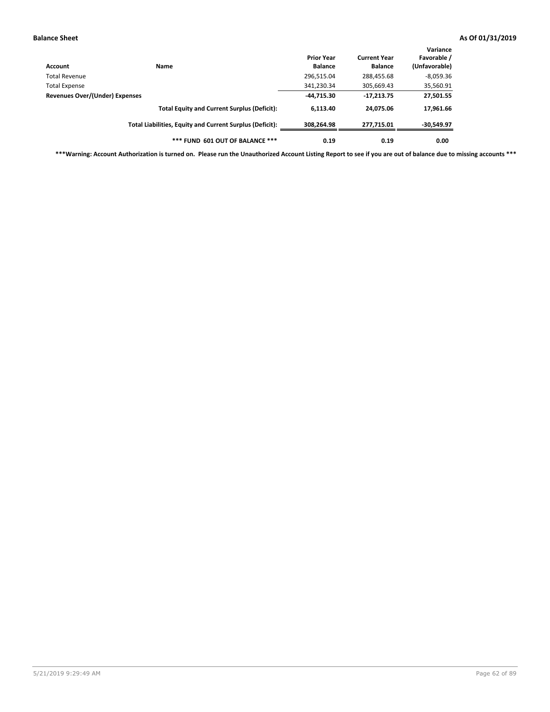| Account                        | Name                                                     | <b>Prior Year</b><br><b>Balance</b> | <b>Current Year</b><br><b>Balance</b> | Variance<br>Favorable /<br>(Unfavorable) |
|--------------------------------|----------------------------------------------------------|-------------------------------------|---------------------------------------|------------------------------------------|
| Total Revenue                  |                                                          | 296,515.04                          | 288,455.68                            | $-8,059.36$                              |
| Total Expense                  |                                                          | 341,230.34                          | 305,669.43                            | 35,560.91                                |
| Revenues Over/(Under) Expenses |                                                          | $-44,715.30$                        | $-17,213.75$                          | 27,501.55                                |
|                                | <b>Total Equity and Current Surplus (Deficit):</b>       | 6.113.40                            | 24.075.06                             | 17,961.66                                |
|                                | Total Liabilities, Equity and Current Surplus (Deficit): | 308,264.98                          | 277,715.01                            | -30,549.97                               |
|                                | *** FUND 601 OUT OF BALANCE ***                          | 0.19                                | 0.19                                  | 0.00                                     |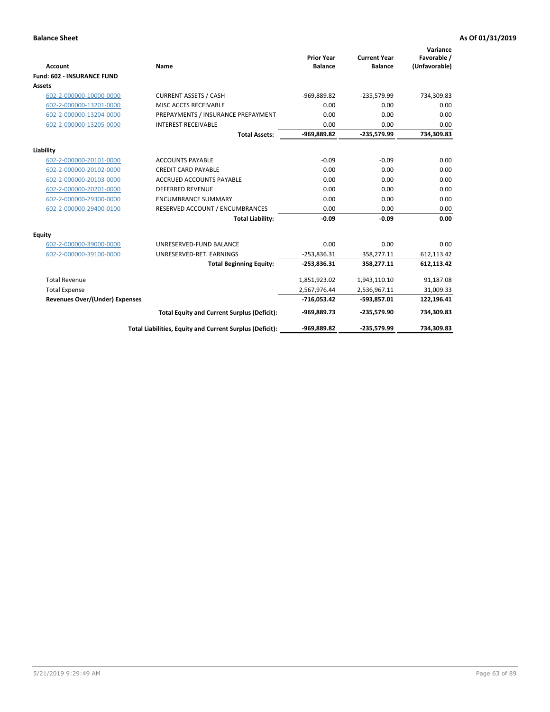|                                       |                                                          |                                     |                                       | Variance                     |
|---------------------------------------|----------------------------------------------------------|-------------------------------------|---------------------------------------|------------------------------|
| <b>Account</b>                        | <b>Name</b>                                              | <b>Prior Year</b><br><b>Balance</b> | <b>Current Year</b><br><b>Balance</b> | Favorable /<br>(Unfavorable) |
| <b>Fund: 602 - INSURANCE FUND</b>     |                                                          |                                     |                                       |                              |
| <b>Assets</b>                         |                                                          |                                     |                                       |                              |
| 602-2-000000-10000-0000               | <b>CURRENT ASSETS / CASH</b>                             | -969,889.82                         | $-235,579.99$                         | 734,309.83                   |
| 602-2-000000-13201-0000               | MISC ACCTS RECEIVABLE                                    | 0.00                                | 0.00                                  | 0.00                         |
| 602-2-000000-13204-0000               | PREPAYMENTS / INSURANCE PREPAYMENT                       | 0.00                                | 0.00                                  | 0.00                         |
| 602-2-000000-13205-0000               | <b>INTEREST RECEIVABLE</b>                               | 0.00                                | 0.00                                  | 0.00                         |
|                                       | <b>Total Assets:</b>                                     | -969,889.82                         | $-235,579.99$                         | 734,309.83                   |
| Liability                             |                                                          |                                     |                                       |                              |
| 602-2-000000-20101-0000               | <b>ACCOUNTS PAYABLE</b>                                  | $-0.09$                             | $-0.09$                               | 0.00                         |
| 602-2-000000-20102-0000               | <b>CREDIT CARD PAYABLE</b>                               | 0.00                                | 0.00                                  | 0.00                         |
| 602-2-000000-20103-0000               | <b>ACCRUED ACCOUNTS PAYABLE</b>                          | 0.00                                | 0.00                                  | 0.00                         |
| 602-2-000000-20201-0000               | <b>DEFERRED REVENUE</b>                                  | 0.00                                | 0.00                                  | 0.00                         |
| 602-2-000000-29300-0000               | <b>ENCUMBRANCE SUMMARY</b>                               | 0.00                                | 0.00                                  | 0.00                         |
| 602-2-000000-29400-0100               | RESERVED ACCOUNT / ENCUMBRANCES                          | 0.00                                | 0.00                                  | 0.00                         |
|                                       | <b>Total Liability:</b>                                  | $-0.09$                             | $-0.09$                               | 0.00                         |
| <b>Equity</b>                         |                                                          |                                     |                                       |                              |
| 602-2-000000-39000-0000               | UNRESERVED-FUND BALANCE                                  | 0.00                                | 0.00                                  | 0.00                         |
| 602-2-000000-39100-0000               | UNRESERVED-RET. EARNINGS                                 | $-253,836.31$                       | 358,277.11                            | 612,113.42                   |
|                                       | <b>Total Beginning Equity:</b>                           | $-253,836.31$                       | 358,277.11                            | 612,113.42                   |
| <b>Total Revenue</b>                  |                                                          | 1,851,923.02                        | 1,943,110.10                          | 91,187.08                    |
| <b>Total Expense</b>                  |                                                          | 2,567,976.44                        | 2,536,967.11                          | 31,009.33                    |
| <b>Revenues Over/(Under) Expenses</b> |                                                          | $-716,053.42$                       | $-593,857.01$                         | 122,196.41                   |
|                                       | <b>Total Equity and Current Surplus (Deficit):</b>       | -969,889.73                         | -235,579.90                           | 734,309.83                   |
|                                       | Total Liabilities, Equity and Current Surplus (Deficit): | -969,889.82                         | -235,579.99                           | 734.309.83                   |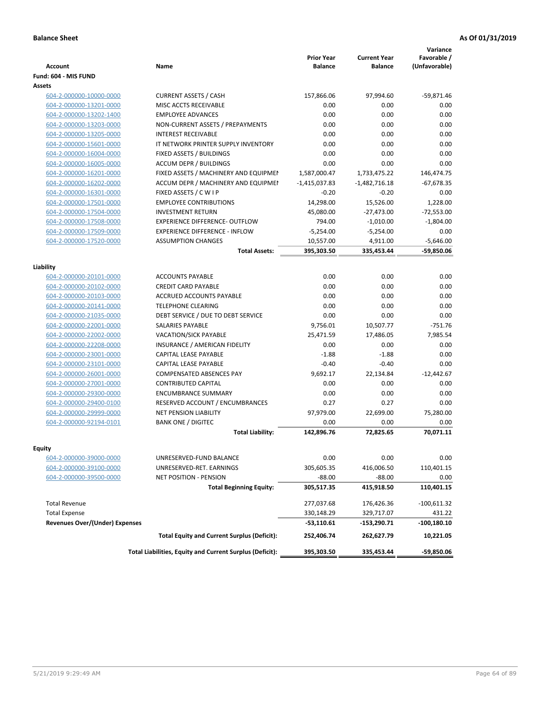|                                                    |                                                          | <b>Prior Year</b>  | <b>Current Year</b> | Variance<br>Favorable /     |
|----------------------------------------------------|----------------------------------------------------------|--------------------|---------------------|-----------------------------|
| <b>Account</b>                                     | Name                                                     | <b>Balance</b>     | <b>Balance</b>      | (Unfavorable)               |
| Fund: 604 - MIS FUND                               |                                                          |                    |                     |                             |
| Assets                                             |                                                          |                    |                     |                             |
| 604-2-000000-10000-0000                            | <b>CURRENT ASSETS / CASH</b><br>MISC ACCTS RECEIVABLE    | 157,866.06<br>0.00 | 97,994.60<br>0.00   | $-59,871.46$<br>0.00        |
| 604-2-000000-13201-0000                            | <b>EMPLOYEE ADVANCES</b>                                 | 0.00               | 0.00                | 0.00                        |
| 604-2-000000-13202-1400<br>604-2-000000-13203-0000 | NON-CURRENT ASSETS / PREPAYMENTS                         | 0.00               | 0.00                | 0.00                        |
| 604-2-000000-13205-0000                            | <b>INTEREST RECEIVABLE</b>                               | 0.00               | 0.00                | 0.00                        |
| 604-2-000000-15601-0000                            | IT NETWORK PRINTER SUPPLY INVENTORY                      | 0.00               | 0.00                | 0.00                        |
| 604-2-000000-16004-0000                            | <b>FIXED ASSETS / BUILDINGS</b>                          | 0.00               | 0.00                | 0.00                        |
| 604-2-000000-16005-0000                            | <b>ACCUM DEPR / BUILDINGS</b>                            | 0.00               | 0.00                | 0.00                        |
| 604-2-000000-16201-0000                            | FIXED ASSETS / MACHINERY AND EQUIPMEN                    | 1,587,000.47       | 1,733,475.22        | 146,474.75                  |
| 604-2-000000-16202-0000                            | ACCUM DEPR / MACHINERY AND EQUIPMEI                      | $-1,415,037.83$    | $-1,482,716.18$     | $-67,678.35$                |
| 604-2-000000-16301-0000                            | FIXED ASSETS / C W I P                                   | $-0.20$            | $-0.20$             | 0.00                        |
| 604-2-000000-17501-0000                            | <b>EMPLOYEE CONTRIBUTIONS</b>                            | 14,298.00          | 15,526.00           | 1,228.00                    |
|                                                    | <b>INVESTMENT RETURN</b>                                 |                    |                     |                             |
| 604-2-000000-17504-0000                            | <b>EXPERIENCE DIFFERENCE- OUTFLOW</b>                    | 45,080.00          | $-27,473.00$        | $-72,553.00$<br>$-1,804.00$ |
| 604-2-000000-17508-0000<br>604-2-000000-17509-0000 | <b>EXPERIENCE DIFFERENCE - INFLOW</b>                    | 794.00             | $-1,010.00$         | 0.00                        |
|                                                    | <b>ASSUMPTION CHANGES</b>                                | $-5,254.00$        | $-5,254.00$         |                             |
| 604-2-000000-17520-0000                            |                                                          | 10,557.00          | 4,911.00            | $-5,646.00$                 |
|                                                    | <b>Total Assets:</b>                                     | 395,303.50         | 335,453.44          | $-59,850.06$                |
| Liability                                          |                                                          |                    |                     |                             |
| 604-2-000000-20101-0000                            | <b>ACCOUNTS PAYABLE</b>                                  | 0.00               | 0.00                | 0.00                        |
| 604-2-000000-20102-0000                            | <b>CREDIT CARD PAYABLE</b>                               | 0.00               | 0.00                | 0.00                        |
| 604-2-000000-20103-0000                            | ACCRUED ACCOUNTS PAYABLE                                 | 0.00               | 0.00                | 0.00                        |
| 604-2-000000-20141-0000                            | <b>TELEPHONE CLEARING</b>                                | 0.00               | 0.00                | 0.00                        |
| 604-2-000000-21035-0000                            | DEBT SERVICE / DUE TO DEBT SERVICE                       | 0.00               | 0.00                | 0.00                        |
| 604-2-000000-22001-0000                            | SALARIES PAYABLE                                         | 9,756.01           | 10,507.77           | $-751.76$                   |
| 604-2-000000-22002-0000                            | VACATION/SICK PAYABLE                                    | 25,471.59          | 17,486.05           | 7,985.54                    |
| 604-2-000000-22208-0000                            | INSURANCE / AMERICAN FIDELITY                            | 0.00               | 0.00                | 0.00                        |
| 604-2-000000-23001-0000                            | CAPITAL LEASE PAYABLE                                    | $-1.88$            | $-1.88$             | 0.00                        |
| 604-2-000000-23101-0000                            | CAPITAL LEASE PAYABLE                                    | $-0.40$            | $-0.40$             | 0.00                        |
| 604-2-000000-26001-0000                            | <b>COMPENSATED ABSENCES PAY</b>                          | 9,692.17           | 22,134.84           | $-12,442.67$                |
| 604-2-000000-27001-0000                            | <b>CONTRIBUTED CAPITAL</b>                               | 0.00               | 0.00                | 0.00                        |
| 604-2-000000-29300-0000                            | <b>ENCUMBRANCE SUMMARY</b>                               | 0.00               | 0.00                | 0.00                        |
| 604-2-000000-29400-0100                            | RESERVED ACCOUNT / ENCUMBRANCES                          | 0.27               | 0.27                | 0.00                        |
| 604-2-000000-29999-0000                            | <b>NET PENSION LIABILITY</b>                             | 97,979.00          | 22,699.00           | 75,280.00                   |
| 604-2-000000-92194-0101                            | <b>BANK ONE / DIGITEC</b>                                | 0.00               | 0.00                | 0.00                        |
|                                                    | <b>Total Liability:</b>                                  | 142,896.76         | 72.825.65           | 70,071.11                   |
|                                                    |                                                          |                    |                     |                             |
| Equity                                             |                                                          |                    |                     |                             |
| 604-2-000000-39000-0000                            | UNRESERVED-FUND BALANCE                                  | 0.00               | 0.00                | 0.00                        |
| 604-2-000000-39100-0000                            | UNRESERVED-RET. EARNINGS                                 | 305,605.35         | 416,006.50          | 110,401.15                  |
| 604-2-000000-39500-0000                            | NET POSITION - PENSION                                   | $-88.00$           | $-88.00$            | 0.00                        |
|                                                    | <b>Total Beginning Equity:</b>                           | 305,517.35         | 415,918.50          | 110,401.15                  |
| <b>Total Revenue</b>                               |                                                          | 277,037.68         | 176,426.36          | $-100,611.32$               |
| <b>Total Expense</b>                               |                                                          | 330,148.29         | 329,717.07          | 431.22                      |
| <b>Revenues Over/(Under) Expenses</b>              |                                                          | -53,110.61         | -153,290.71         | -100,180.10                 |
|                                                    | <b>Total Equity and Current Surplus (Deficit):</b>       | 252,406.74         | 262,627.79          | 10,221.05                   |
|                                                    | Total Liabilities, Equity and Current Surplus (Deficit): | 395,303.50         | 335,453.44          | -59,850.06                  |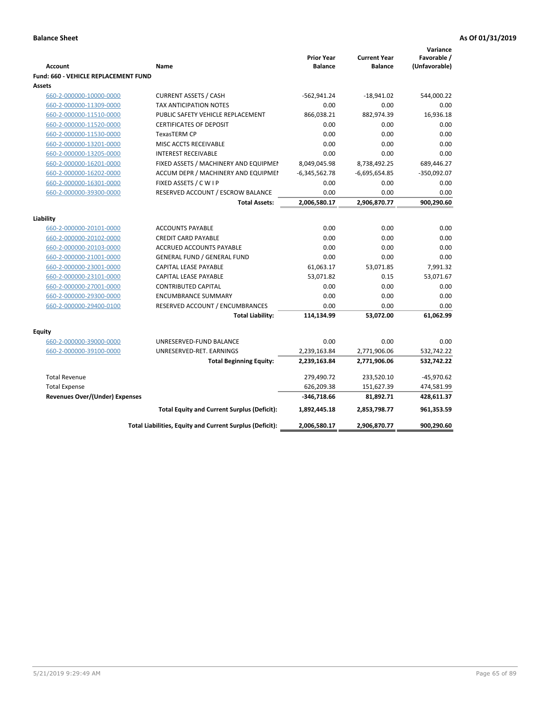|                                             |                                                          |                                     |                                       | Variance                     |
|---------------------------------------------|----------------------------------------------------------|-------------------------------------|---------------------------------------|------------------------------|
| <b>Account</b>                              | Name                                                     | <b>Prior Year</b><br><b>Balance</b> | <b>Current Year</b><br><b>Balance</b> | Favorable /<br>(Unfavorable) |
| <b>Fund: 660 - VEHICLE REPLACEMENT FUND</b> |                                                          |                                     |                                       |                              |
| <b>Assets</b>                               |                                                          |                                     |                                       |                              |
| 660-2-000000-10000-0000                     | <b>CURRENT ASSETS / CASH</b>                             | $-562,941.24$                       | $-18,941.02$                          | 544,000.22                   |
| 660-2-000000-11309-0000                     | TAX ANTICIPATION NOTES                                   | 0.00                                | 0.00                                  | 0.00                         |
| 660-2-000000-11510-0000                     | PUBLIC SAFETY VEHICLE REPLACEMENT                        | 866,038.21                          | 882,974.39                            | 16,936.18                    |
| 660-2-000000-11520-0000                     | <b>CERTIFICATES OF DEPOSIT</b>                           | 0.00                                | 0.00                                  | 0.00                         |
| 660-2-000000-11530-0000                     | <b>TexasTERM CP</b>                                      | 0.00                                | 0.00                                  | 0.00                         |
| 660-2-000000-13201-0000                     | MISC ACCTS RECEIVABLE                                    | 0.00                                | 0.00                                  | 0.00                         |
| 660-2-000000-13205-0000                     | <b>INTEREST RECEIVABLE</b>                               | 0.00                                | 0.00                                  | 0.00                         |
| 660-2-000000-16201-0000                     | FIXED ASSETS / MACHINERY AND EQUIPMEN                    | 8,049,045.98                        | 8,738,492.25                          | 689,446.27                   |
| 660-2-000000-16202-0000                     | ACCUM DEPR / MACHINERY AND EQUIPMEI                      | $-6,345,562.78$                     | $-6,695,654.85$                       | $-350,092.07$                |
| 660-2-000000-16301-0000                     | FIXED ASSETS / C W I P                                   | 0.00                                | 0.00                                  | 0.00                         |
| 660-2-000000-39300-0000                     | RESERVED ACCOUNT / ESCROW BALANCE                        | 0.00                                | 0.00                                  | 0.00                         |
|                                             | <b>Total Assets:</b>                                     | 2,006,580.17                        | 2,906,870.77                          | 900,290.60                   |
|                                             |                                                          |                                     |                                       |                              |
| Liability                                   | <b>ACCOUNTS PAYABLE</b>                                  | 0.00                                | 0.00                                  | 0.00                         |
| 660-2-000000-20101-0000                     | <b>CREDIT CARD PAYABLE</b>                               | 0.00                                | 0.00                                  | 0.00                         |
| 660-2-000000-20102-0000                     | <b>ACCRUED ACCOUNTS PAYABLE</b>                          | 0.00                                | 0.00                                  | 0.00                         |
| 660-2-000000-20103-0000                     |                                                          |                                     | 0.00                                  | 0.00                         |
| 660-2-000000-21001-0000                     | <b>GENERAL FUND / GENERAL FUND</b>                       | 0.00                                |                                       |                              |
| 660-2-000000-23001-0000                     | <b>CAPITAL LEASE PAYABLE</b>                             | 61,063.17                           | 53,071.85                             | 7,991.32                     |
| 660-2-000000-23101-0000                     | <b>CAPITAL LEASE PAYABLE</b>                             | 53,071.82                           | 0.15                                  | 53,071.67                    |
| 660-2-000000-27001-0000                     | <b>CONTRIBUTED CAPITAL</b><br><b>ENCUMBRANCE SUMMARY</b> | 0.00<br>0.00                        | 0.00<br>0.00                          | 0.00<br>0.00                 |
| 660-2-000000-29300-0000                     |                                                          | 0.00                                | 0.00                                  | 0.00                         |
| 660-2-000000-29400-0100                     | RESERVED ACCOUNT / ENCUMBRANCES                          |                                     | 53,072.00                             | 61,062.99                    |
|                                             | <b>Total Liability:</b>                                  | 114,134.99                          |                                       |                              |
| <b>Equity</b>                               |                                                          |                                     |                                       |                              |
| 660-2-000000-39000-0000                     | UNRESERVED-FUND BALANCE                                  | 0.00                                | 0.00                                  | 0.00                         |
| 660-2-000000-39100-0000                     | UNRESERVED-RET. EARNINGS                                 | 2,239,163.84                        | 2,771,906.06                          | 532,742.22                   |
|                                             | <b>Total Beginning Equity:</b>                           | 2,239,163.84                        | 2,771,906.06                          | 532,742.22                   |
| <b>Total Revenue</b>                        |                                                          | 279,490.72                          | 233,520.10                            | $-45,970.62$                 |
| <b>Total Expense</b>                        |                                                          | 626,209.38                          | 151,627.39                            | 474,581.99                   |
| <b>Revenues Over/(Under) Expenses</b>       |                                                          | $-346,718.66$                       | 81,892.71                             | 428,611.37                   |
|                                             | <b>Total Equity and Current Surplus (Deficit):</b>       | 1,892,445.18                        | 2,853,798.77                          | 961,353.59                   |
|                                             | Total Liabilities, Equity and Current Surplus (Deficit): | 2,006,580.17                        | 2,906,870.77                          | 900,290.60                   |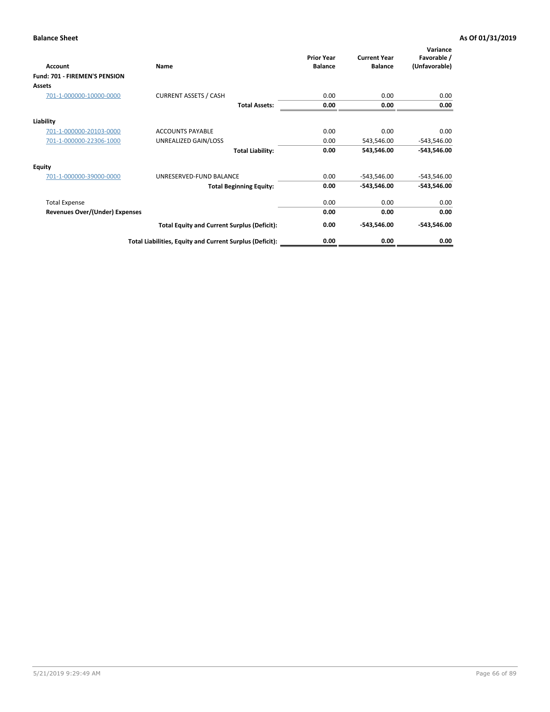| Account                        | Name                                                     | <b>Prior Year</b><br><b>Balance</b> | <b>Current Year</b><br><b>Balance</b> | Variance<br>Favorable /<br>(Unfavorable) |
|--------------------------------|----------------------------------------------------------|-------------------------------------|---------------------------------------|------------------------------------------|
| Fund: 701 - FIREMEN'S PENSION  |                                                          |                                     |                                       |                                          |
| <b>Assets</b>                  |                                                          |                                     |                                       |                                          |
| 701-1-000000-10000-0000        | <b>CURRENT ASSETS / CASH</b>                             | 0.00                                | 0.00                                  | 0.00                                     |
|                                | <b>Total Assets:</b>                                     | 0.00                                | 0.00                                  | 0.00                                     |
| Liability                      |                                                          |                                     |                                       |                                          |
| 701-1-000000-20103-0000        | <b>ACCOUNTS PAYABLE</b>                                  | 0.00                                | 0.00                                  | 0.00                                     |
| 701-1-000000-22306-1000        | UNREALIZED GAIN/LOSS                                     | 0.00                                | 543,546.00                            | $-543,546.00$                            |
|                                | <b>Total Liability:</b>                                  | 0.00                                | 543,546.00                            | $-543,546.00$                            |
| <b>Equity</b>                  |                                                          |                                     |                                       |                                          |
| 701-1-000000-39000-0000        | UNRESERVED-FUND BALANCE                                  | 0.00                                | $-543,546.00$                         | $-543,546.00$                            |
|                                | <b>Total Beginning Equity:</b>                           | 0.00                                | $-543,546.00$                         | $-543,546.00$                            |
| <b>Total Expense</b>           |                                                          | 0.00                                | 0.00                                  | 0.00                                     |
| Revenues Over/(Under) Expenses |                                                          | 0.00                                | 0.00                                  | 0.00                                     |
|                                | <b>Total Equity and Current Surplus (Deficit):</b>       | 0.00                                | $-543,546.00$                         | $-543,546.00$                            |
|                                | Total Liabilities, Equity and Current Surplus (Deficit): | 0.00                                | 0.00                                  | 0.00                                     |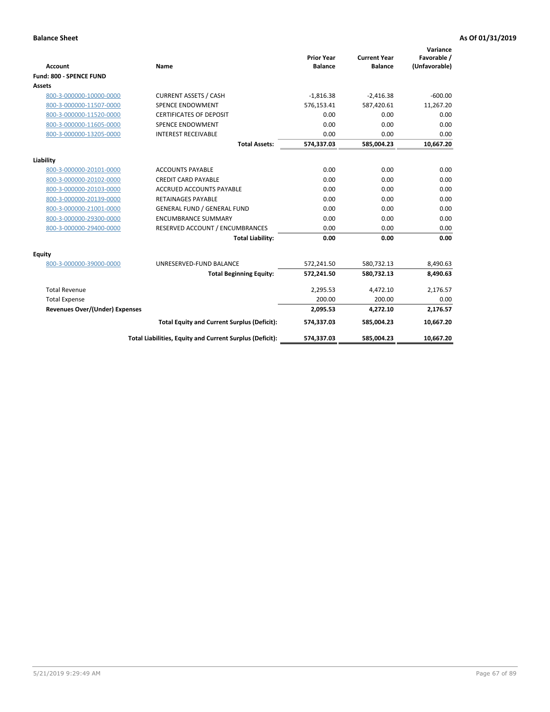|                                       |                                                          |                                     |                                       | Variance                     |
|---------------------------------------|----------------------------------------------------------|-------------------------------------|---------------------------------------|------------------------------|
| <b>Account</b>                        | <b>Name</b>                                              | <b>Prior Year</b><br><b>Balance</b> | <b>Current Year</b><br><b>Balance</b> | Favorable /<br>(Unfavorable) |
| Fund: 800 - SPENCE FUND               |                                                          |                                     |                                       |                              |
| Assets                                |                                                          |                                     |                                       |                              |
| 800-3-000000-10000-0000               | <b>CURRENT ASSETS / CASH</b>                             | $-1,816.38$                         | $-2,416.38$                           | $-600.00$                    |
| 800-3-000000-11507-0000               | <b>SPENCE ENDOWMENT</b>                                  | 576,153.41                          | 587,420.61                            | 11,267.20                    |
| 800-3-000000-11520-0000               | <b>CERTIFICATES OF DEPOSIT</b>                           | 0.00                                | 0.00                                  | 0.00                         |
| 800-3-000000-11605-0000               | <b>SPENCE ENDOWMENT</b>                                  | 0.00                                | 0.00                                  | 0.00                         |
| 800-3-000000-13205-0000               | <b>INTEREST RECEIVABLE</b>                               | 0.00                                | 0.00                                  | 0.00                         |
|                                       | <b>Total Assets:</b>                                     | 574,337.03                          | 585,004.23                            | 10,667.20                    |
| Liability                             |                                                          |                                     |                                       |                              |
| 800-3-000000-20101-0000               | <b>ACCOUNTS PAYABLE</b>                                  | 0.00                                | 0.00                                  | 0.00                         |
| 800-3-000000-20102-0000               | <b>CREDIT CARD PAYABLE</b>                               | 0.00                                | 0.00                                  | 0.00                         |
| 800-3-000000-20103-0000               | <b>ACCRUED ACCOUNTS PAYABLE</b>                          | 0.00                                | 0.00                                  | 0.00                         |
| 800-3-000000-20139-0000               | <b>RETAINAGES PAYABLE</b>                                | 0.00                                | 0.00                                  | 0.00                         |
| 800-3-000000-21001-0000               | <b>GENERAL FUND / GENERAL FUND</b>                       | 0.00                                | 0.00                                  | 0.00                         |
| 800-3-000000-29300-0000               | <b>ENCUMBRANCE SUMMARY</b>                               | 0.00                                | 0.00                                  | 0.00                         |
| 800-3-000000-29400-0000               | RESERVED ACCOUNT / ENCUMBRANCES                          | 0.00                                | 0.00                                  | 0.00                         |
|                                       | <b>Total Liability:</b>                                  | 0.00                                | 0.00                                  | 0.00                         |
|                                       |                                                          |                                     |                                       |                              |
| <b>Equity</b>                         |                                                          |                                     |                                       |                              |
| 800-3-000000-39000-0000               | UNRESERVED-FUND BALANCE                                  | 572,241.50                          | 580,732.13                            | 8,490.63                     |
|                                       | <b>Total Beginning Equity:</b>                           | 572,241.50                          | 580,732.13                            | 8,490.63                     |
| <b>Total Revenue</b>                  |                                                          | 2,295.53                            | 4,472.10                              | 2,176.57                     |
| <b>Total Expense</b>                  |                                                          | 200.00                              | 200.00                                | 0.00                         |
| <b>Revenues Over/(Under) Expenses</b> |                                                          | 2,095.53                            | 4,272.10                              | 2,176.57                     |
|                                       | <b>Total Equity and Current Surplus (Deficit):</b>       | 574,337.03                          | 585,004.23                            | 10,667.20                    |
|                                       | Total Liabilities, Equity and Current Surplus (Deficit): | 574,337.03                          | 585,004.23                            | 10,667.20                    |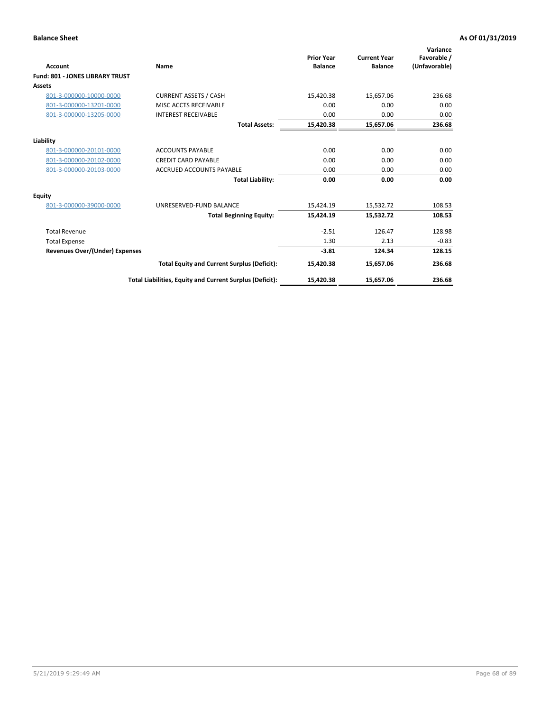| <b>Account</b>                         | Name                                                     | <b>Prior Year</b><br><b>Balance</b> | <b>Current Year</b><br><b>Balance</b> | Variance<br>Favorable /<br>(Unfavorable) |
|----------------------------------------|----------------------------------------------------------|-------------------------------------|---------------------------------------|------------------------------------------|
| <b>Fund: 801 - JONES LIBRARY TRUST</b> |                                                          |                                     |                                       |                                          |
| Assets                                 |                                                          |                                     |                                       |                                          |
| 801-3-000000-10000-0000                | <b>CURRENT ASSETS / CASH</b>                             | 15,420.38                           | 15,657.06                             | 236.68                                   |
| 801-3-000000-13201-0000                | MISC ACCTS RECEIVABLE                                    | 0.00                                | 0.00                                  | 0.00                                     |
| 801-3-000000-13205-0000                | <b>INTEREST RECEIVABLE</b>                               | 0.00                                | 0.00                                  | 0.00                                     |
|                                        | <b>Total Assets:</b>                                     | 15,420.38                           | 15,657.06                             | 236.68                                   |
| Liability                              |                                                          |                                     |                                       |                                          |
| 801-3-000000-20101-0000                | <b>ACCOUNTS PAYABLE</b>                                  | 0.00                                | 0.00                                  | 0.00                                     |
| 801-3-000000-20102-0000                | <b>CREDIT CARD PAYABLE</b>                               | 0.00                                | 0.00                                  | 0.00                                     |
| 801-3-000000-20103-0000                | <b>ACCRUED ACCOUNTS PAYABLE</b>                          | 0.00                                | 0.00                                  | 0.00                                     |
|                                        | <b>Total Liability:</b>                                  | 0.00                                | 0.00                                  | 0.00                                     |
| Equity                                 |                                                          |                                     |                                       |                                          |
| 801-3-000000-39000-0000                | UNRESERVED-FUND BALANCE                                  | 15,424.19                           | 15,532.72                             | 108.53                                   |
|                                        | <b>Total Beginning Equity:</b>                           | 15,424.19                           | 15,532.72                             | 108.53                                   |
| <b>Total Revenue</b>                   |                                                          | $-2.51$                             | 126.47                                | 128.98                                   |
| <b>Total Expense</b>                   |                                                          | 1.30                                | 2.13                                  | $-0.83$                                  |
| <b>Revenues Over/(Under) Expenses</b>  |                                                          | $-3.81$                             | 124.34                                | 128.15                                   |
|                                        | <b>Total Equity and Current Surplus (Deficit):</b>       | 15,420.38                           | 15,657.06                             | 236.68                                   |
|                                        | Total Liabilities, Equity and Current Surplus (Deficit): | 15,420.38                           | 15,657.06                             | 236.68                                   |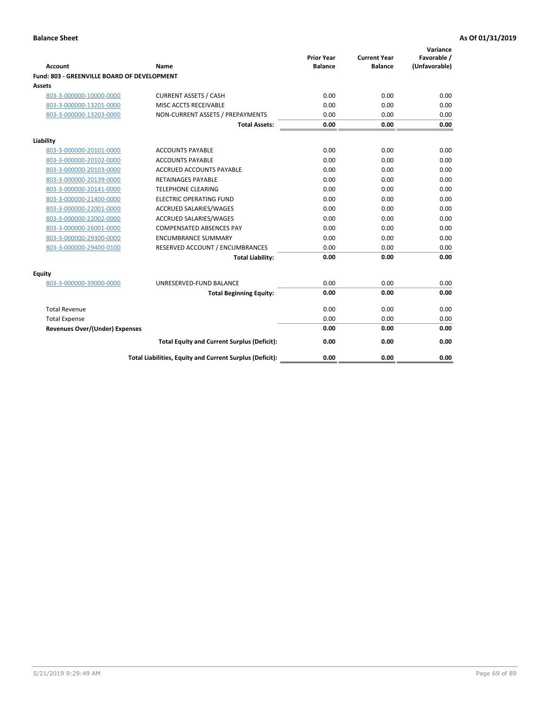| <b>Account</b>                              | Name                                                     | <b>Prior Year</b><br><b>Balance</b> | <b>Current Year</b><br><b>Balance</b> | Variance<br>Favorable /<br>(Unfavorable) |
|---------------------------------------------|----------------------------------------------------------|-------------------------------------|---------------------------------------|------------------------------------------|
| Fund: 803 - GREENVILLE BOARD OF DEVELOPMENT |                                                          |                                     |                                       |                                          |
| Assets                                      |                                                          |                                     |                                       |                                          |
| 803-3-000000-10000-0000                     | <b>CURRENT ASSETS / CASH</b>                             | 0.00                                | 0.00                                  | 0.00                                     |
| 803-3-000000-13201-0000                     | MISC ACCTS RECEIVABLE                                    | 0.00                                | 0.00                                  | 0.00                                     |
| 803-3-000000-13203-0000                     | NON-CURRENT ASSETS / PREPAYMENTS                         | 0.00                                | 0.00                                  | 0.00                                     |
|                                             | <b>Total Assets:</b>                                     | 0.00                                | 0.00                                  | 0.00                                     |
| Liability                                   |                                                          |                                     |                                       |                                          |
| 803-3-000000-20101-0000                     | <b>ACCOUNTS PAYABLE</b>                                  | 0.00                                | 0.00                                  | 0.00                                     |
| 803-3-000000-20102-0000                     | <b>ACCOUNTS PAYABLE</b>                                  | 0.00                                | 0.00                                  | 0.00                                     |
| 803-3-000000-20103-0000                     | <b>ACCRUED ACCOUNTS PAYABLE</b>                          | 0.00                                | 0.00                                  | 0.00                                     |
| 803-3-000000-20139-0000                     | RETAINAGES PAYABLE                                       | 0.00                                | 0.00                                  | 0.00                                     |
| 803-3-000000-20141-0000                     | <b>TELEPHONE CLEARING</b>                                | 0.00                                | 0.00                                  | 0.00                                     |
| 803-3-000000-21400-0000                     | <b>ELECTRIC OPERATING FUND</b>                           | 0.00                                | 0.00                                  | 0.00                                     |
| 803-3-000000-22001-0000                     | <b>ACCRUED SALARIES/WAGES</b>                            | 0.00                                | 0.00                                  | 0.00                                     |
| 803-3-000000-22002-0000                     | <b>ACCRUED SALARIES/WAGES</b>                            | 0.00                                | 0.00                                  | 0.00                                     |
| 803-3-000000-26001-0000                     | <b>COMPENSATED ABSENCES PAY</b>                          | 0.00                                | 0.00                                  | 0.00                                     |
| 803-3-000000-29300-0000                     | <b>ENCUMBRANCE SUMMARY</b>                               | 0.00                                | 0.00                                  | 0.00                                     |
| 803-3-000000-29400-0100                     | RESERVED ACCOUNT / ENCUMBRANCES                          | 0.00                                | 0.00                                  | 0.00                                     |
|                                             | <b>Total Liability:</b>                                  | 0.00                                | 0.00                                  | 0.00                                     |
| <b>Equity</b>                               |                                                          |                                     |                                       |                                          |
| 803-3-000000-39000-0000                     | UNRESERVED-FUND BALANCE                                  | 0.00                                | 0.00                                  | 0.00                                     |
|                                             | <b>Total Beginning Equity:</b>                           | 0.00                                | 0.00                                  | 0.00                                     |
| <b>Total Revenue</b>                        |                                                          | 0.00                                | 0.00                                  | 0.00                                     |
| <b>Total Expense</b>                        |                                                          | 0.00                                | 0.00                                  | 0.00                                     |
| <b>Revenues Over/(Under) Expenses</b>       |                                                          | 0.00                                | 0.00                                  | 0.00                                     |
|                                             | <b>Total Equity and Current Surplus (Deficit):</b>       | 0.00                                | 0.00                                  | 0.00                                     |
|                                             | Total Liabilities, Equity and Current Surplus (Deficit): | 0.00                                | 0.00                                  | 0.00                                     |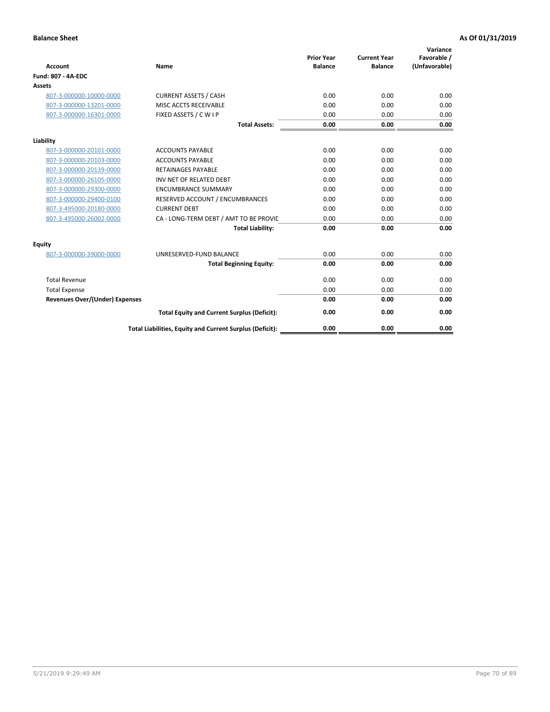| <b>Account</b>                        | <b>Name</b>                                              | <b>Prior Year</b><br><b>Balance</b> | <b>Current Year</b><br><b>Balance</b> | Variance<br>Favorable /<br>(Unfavorable) |
|---------------------------------------|----------------------------------------------------------|-------------------------------------|---------------------------------------|------------------------------------------|
| <b>Fund: 807 - 4A-EDC</b>             |                                                          |                                     |                                       |                                          |
| <b>Assets</b>                         |                                                          |                                     |                                       |                                          |
| 807-3-000000-10000-0000               | <b>CURRENT ASSETS / CASH</b>                             | 0.00                                | 0.00                                  | 0.00                                     |
| 807-3-000000-13201-0000               | MISC ACCTS RECEIVABLE                                    | 0.00                                | 0.00                                  | 0.00                                     |
| 807-3-000000-16301-0000               | FIXED ASSETS / C W I P                                   | 0.00                                | 0.00                                  | 0.00                                     |
|                                       | <b>Total Assets:</b>                                     | 0.00                                | 0.00                                  | 0.00                                     |
| Liability                             |                                                          |                                     |                                       |                                          |
| 807-3-000000-20101-0000               | <b>ACCOUNTS PAYABLE</b>                                  | 0.00                                | 0.00                                  | 0.00                                     |
| 807-3-000000-20103-0000               | <b>ACCOUNTS PAYABLE</b>                                  | 0.00                                | 0.00                                  | 0.00                                     |
| 807-3-000000-20139-0000               | <b>RETAINAGES PAYABLE</b>                                | 0.00                                | 0.00                                  | 0.00                                     |
| 807-3-000000-26105-0000               | INV NET OF RELATED DEBT                                  | 0.00                                | 0.00                                  | 0.00                                     |
| 807-3-000000-29300-0000               | <b>ENCUMBRANCE SUMMARY</b>                               | 0.00                                | 0.00                                  | 0.00                                     |
| 807-3-000000-29400-0100               | RESERVED ACCOUNT / ENCUMBRANCES                          | 0.00                                | 0.00                                  | 0.00                                     |
| 807-3-495000-20180-0000               | <b>CURRENT DEBT</b>                                      | 0.00                                | 0.00                                  | 0.00                                     |
| 807-3-495000-26002-0000               | CA - LONG-TERM DEBT / AMT TO BE PROVIL                   | 0.00                                | 0.00                                  | 0.00                                     |
|                                       | <b>Total Liability:</b>                                  | 0.00                                | 0.00                                  | 0.00                                     |
| Equity                                |                                                          |                                     |                                       |                                          |
| 807-3-000000-39000-0000               | UNRESERVED-FUND BALANCE                                  | 0.00                                | 0.00                                  | 0.00                                     |
|                                       | <b>Total Beginning Equity:</b>                           | 0.00                                | 0.00                                  | 0.00                                     |
| <b>Total Revenue</b>                  |                                                          | 0.00                                | 0.00                                  | 0.00                                     |
| <b>Total Expense</b>                  |                                                          | 0.00                                | 0.00                                  | 0.00                                     |
| <b>Revenues Over/(Under) Expenses</b> |                                                          | 0.00                                | 0.00                                  | 0.00                                     |
|                                       | <b>Total Equity and Current Surplus (Deficit):</b>       | 0.00                                | 0.00                                  | 0.00                                     |
|                                       | Total Liabilities, Equity and Current Surplus (Deficit): | 0.00                                | 0.00                                  | 0.00                                     |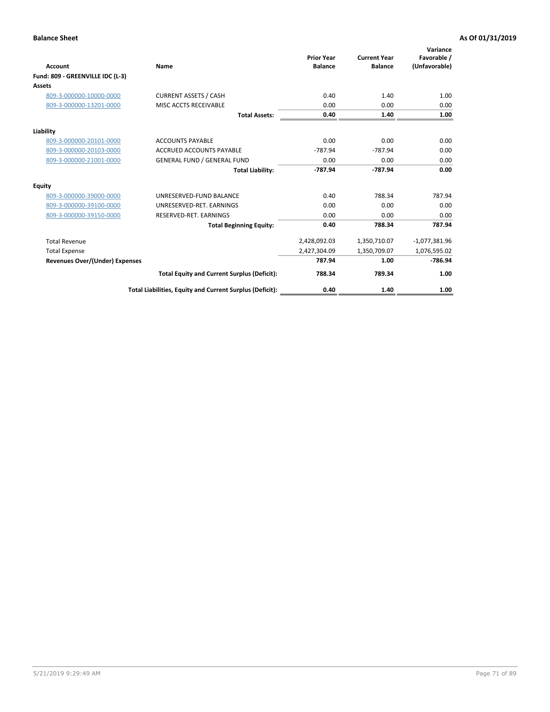| <b>Account</b>                        | Name                                                     | <b>Prior Year</b><br><b>Balance</b> | <b>Current Year</b><br><b>Balance</b> | Variance<br>Favorable /<br>(Unfavorable) |
|---------------------------------------|----------------------------------------------------------|-------------------------------------|---------------------------------------|------------------------------------------|
| Fund: 809 - GREENVILLE IDC (L-3)      |                                                          |                                     |                                       |                                          |
| <b>Assets</b>                         |                                                          |                                     |                                       |                                          |
| 809-3-000000-10000-0000               | <b>CURRENT ASSETS / CASH</b>                             | 0.40                                | 1.40                                  | 1.00                                     |
| 809-3-000000-13201-0000               | MISC ACCTS RECEIVABLE                                    | 0.00                                | 0.00                                  | 0.00                                     |
|                                       | <b>Total Assets:</b>                                     | 0.40                                | 1.40                                  | 1.00                                     |
| Liability                             |                                                          |                                     |                                       |                                          |
| 809-3-000000-20101-0000               | <b>ACCOUNTS PAYABLE</b>                                  | 0.00                                | 0.00                                  | 0.00                                     |
| 809-3-000000-20103-0000               | <b>ACCRUED ACCOUNTS PAYABLE</b>                          | $-787.94$                           | $-787.94$                             | 0.00                                     |
| 809-3-000000-21001-0000               | <b>GENERAL FUND / GENERAL FUND</b>                       | 0.00                                | 0.00                                  | 0.00                                     |
|                                       | <b>Total Liability:</b>                                  | $-787.94$                           | $-787.94$                             | 0.00                                     |
| <b>Equity</b>                         |                                                          |                                     |                                       |                                          |
| 809-3-000000-39000-0000               | UNRESERVED-FUND BALANCE                                  | 0.40                                | 788.34                                | 787.94                                   |
| 809-3-000000-39100-0000               | UNRESERVED-RET. EARNINGS                                 | 0.00                                | 0.00                                  | 0.00                                     |
| 809-3-000000-39150-0000               | RESERVED-RET. EARNINGS                                   | 0.00                                | 0.00                                  | 0.00                                     |
|                                       | <b>Total Beginning Equity:</b>                           | 0.40                                | 788.34                                | 787.94                                   |
| <b>Total Revenue</b>                  |                                                          | 2,428,092.03                        | 1,350,710.07                          | $-1,077,381.96$                          |
| <b>Total Expense</b>                  |                                                          | 2,427,304.09                        | 1,350,709.07                          | 1,076,595.02                             |
| <b>Revenues Over/(Under) Expenses</b> |                                                          | 787.94                              | 1.00                                  | $-786.94$                                |
|                                       | <b>Total Equity and Current Surplus (Deficit):</b>       | 788.34                              | 789.34                                | 1.00                                     |
|                                       | Total Liabilities, Equity and Current Surplus (Deficit): | 0.40                                | 1.40                                  | 1.00                                     |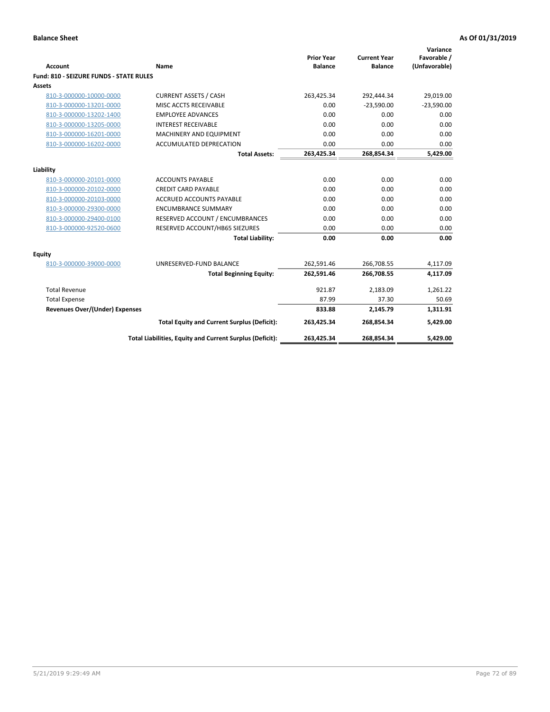| <b>Account</b>                                 | <b>Name</b>                                              | <b>Prior Year</b><br><b>Balance</b> | <b>Current Year</b><br><b>Balance</b> | Variance<br>Favorable /<br>(Unfavorable) |
|------------------------------------------------|----------------------------------------------------------|-------------------------------------|---------------------------------------|------------------------------------------|
| <b>Fund: 810 - SEIZURE FUNDS - STATE RULES</b> |                                                          |                                     |                                       |                                          |
| <b>Assets</b>                                  |                                                          |                                     |                                       |                                          |
| 810-3-000000-10000-0000                        | <b>CURRENT ASSETS / CASH</b>                             | 263,425.34                          | 292,444.34                            | 29,019.00                                |
| 810-3-000000-13201-0000                        | MISC ACCTS RECEIVABLE                                    | 0.00                                | $-23,590.00$                          | $-23,590.00$                             |
| 810-3-000000-13202-1400                        | <b>EMPLOYEE ADVANCES</b>                                 | 0.00                                | 0.00                                  | 0.00                                     |
| 810-3-000000-13205-0000                        | <b>INTEREST RECEIVABLE</b>                               | 0.00                                | 0.00                                  | 0.00                                     |
| 810-3-000000-16201-0000                        | <b>MACHINERY AND EQUIPMENT</b>                           | 0.00                                | 0.00                                  | 0.00                                     |
| 810-3-000000-16202-0000                        | ACCUMULATED DEPRECATION                                  | 0.00                                | 0.00                                  | 0.00                                     |
|                                                | <b>Total Assets:</b>                                     | 263,425.34                          | 268,854.34                            | 5,429.00                                 |
|                                                |                                                          |                                     |                                       |                                          |
| Liability                                      |                                                          |                                     |                                       |                                          |
| 810-3-000000-20101-0000                        | <b>ACCOUNTS PAYABLE</b>                                  | 0.00                                | 0.00                                  | 0.00                                     |
| 810-3-000000-20102-0000                        | <b>CREDIT CARD PAYABLE</b>                               | 0.00                                | 0.00                                  | 0.00                                     |
| 810-3-000000-20103-0000                        | <b>ACCRUED ACCOUNTS PAYABLE</b>                          | 0.00                                | 0.00                                  | 0.00                                     |
| 810-3-000000-29300-0000                        | <b>ENCUMBRANCE SUMMARY</b>                               | 0.00                                | 0.00                                  | 0.00                                     |
| 810-3-000000-29400-0100                        | RESERVED ACCOUNT / ENCUMBRANCES                          | 0.00                                | 0.00                                  | 0.00                                     |
| 810-3-000000-92520-0600                        | RESERVED ACCOUNT/HB65 SIEZURES                           | 0.00                                | 0.00                                  | 0.00                                     |
|                                                | <b>Total Liability:</b>                                  | 0.00                                | 0.00                                  | 0.00                                     |
| <b>Equity</b>                                  |                                                          |                                     |                                       |                                          |
| 810-3-000000-39000-0000                        | UNRESERVED-FUND BALANCE                                  | 262,591.46                          | 266,708.55                            | 4,117.09                                 |
|                                                | <b>Total Beginning Equity:</b>                           | 262,591.46                          | 266,708.55                            | 4,117.09                                 |
| <b>Total Revenue</b>                           |                                                          | 921.87                              | 2,183.09                              | 1,261.22                                 |
| <b>Total Expense</b>                           |                                                          | 87.99                               | 37.30                                 | 50.69                                    |
| Revenues Over/(Under) Expenses                 |                                                          | 833.88                              | 2,145.79                              | 1,311.91                                 |
|                                                | <b>Total Equity and Current Surplus (Deficit):</b>       | 263,425.34                          | 268,854.34                            | 5,429.00                                 |
|                                                | Total Liabilities, Equity and Current Surplus (Deficit): | 263,425.34                          | 268,854.34                            | 5,429.00                                 |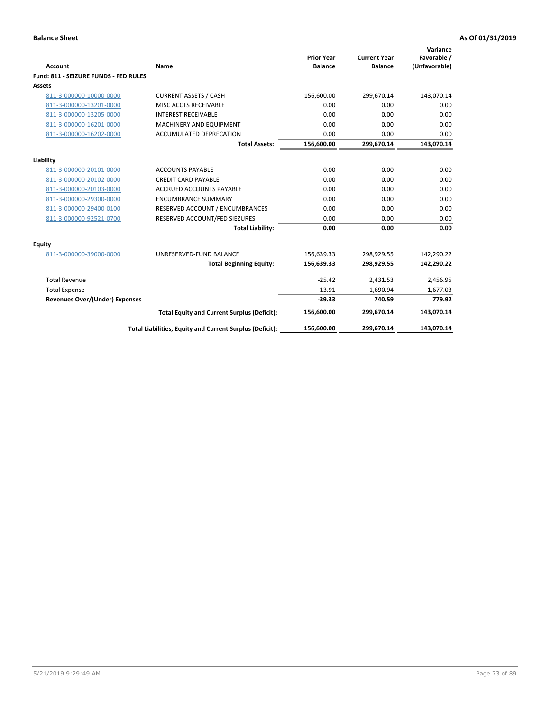| <b>Account</b>                        | Name                                                     | <b>Prior Year</b><br><b>Balance</b> | <b>Current Year</b><br><b>Balance</b> | Variance<br>Favorable /<br>(Unfavorable) |
|---------------------------------------|----------------------------------------------------------|-------------------------------------|---------------------------------------|------------------------------------------|
| Fund: 811 - SEIZURE FUNDS - FED RULES |                                                          |                                     |                                       |                                          |
| <b>Assets</b>                         |                                                          |                                     |                                       |                                          |
| 811-3-000000-10000-0000               | <b>CURRENT ASSETS / CASH</b>                             | 156,600.00                          | 299,670.14                            | 143,070.14                               |
| 811-3-000000-13201-0000               | MISC ACCTS RECEIVABLE                                    | 0.00                                | 0.00                                  | 0.00                                     |
| 811-3-000000-13205-0000               | <b>INTEREST RECEIVABLE</b>                               | 0.00                                | 0.00                                  | 0.00                                     |
| 811-3-000000-16201-0000               | <b>MACHINERY AND EQUIPMENT</b>                           | 0.00                                | 0.00                                  | 0.00                                     |
| 811-3-000000-16202-0000               | <b>ACCUMULATED DEPRECATION</b>                           | 0.00                                | 0.00                                  | 0.00                                     |
|                                       | <b>Total Assets:</b>                                     | 156,600.00                          | 299,670.14                            | 143,070.14                               |
| Liability                             |                                                          |                                     |                                       |                                          |
| 811-3-000000-20101-0000               | <b>ACCOUNTS PAYABLE</b>                                  | 0.00                                | 0.00                                  | 0.00                                     |
| 811-3-000000-20102-0000               | <b>CREDIT CARD PAYABLE</b>                               | 0.00                                | 0.00                                  | 0.00                                     |
| 811-3-000000-20103-0000               | <b>ACCRUED ACCOUNTS PAYABLE</b>                          | 0.00                                | 0.00                                  | 0.00                                     |
| 811-3-000000-29300-0000               | <b>ENCUMBRANCE SUMMARY</b>                               | 0.00                                | 0.00                                  | 0.00                                     |
| 811-3-000000-29400-0100               | RESERVED ACCOUNT / ENCUMBRANCES                          | 0.00                                | 0.00                                  | 0.00                                     |
| 811-3-000000-92521-0700               | RESERVED ACCOUNT/FED SIEZURES                            | 0.00                                | 0.00                                  | 0.00                                     |
|                                       | <b>Total Liability:</b>                                  | 0.00                                | 0.00                                  | 0.00                                     |
| Equity                                |                                                          |                                     |                                       |                                          |
| 811-3-000000-39000-0000               | UNRESERVED-FUND BALANCE                                  | 156,639.33                          | 298,929.55                            | 142,290.22                               |
|                                       | <b>Total Beginning Equity:</b>                           | 156,639.33                          | 298,929.55                            | 142,290.22                               |
| <b>Total Revenue</b>                  |                                                          | $-25.42$                            | 2,431.53                              | 2,456.95                                 |
| <b>Total Expense</b>                  |                                                          | 13.91                               | 1,690.94                              | $-1,677.03$                              |
| Revenues Over/(Under) Expenses        |                                                          | $-39.33$                            | 740.59                                | 779.92                                   |
|                                       | <b>Total Equity and Current Surplus (Deficit):</b>       | 156,600.00                          | 299,670.14                            | 143,070.14                               |
|                                       | Total Liabilities, Equity and Current Surplus (Deficit): | 156,600.00                          | 299.670.14                            | 143.070.14                               |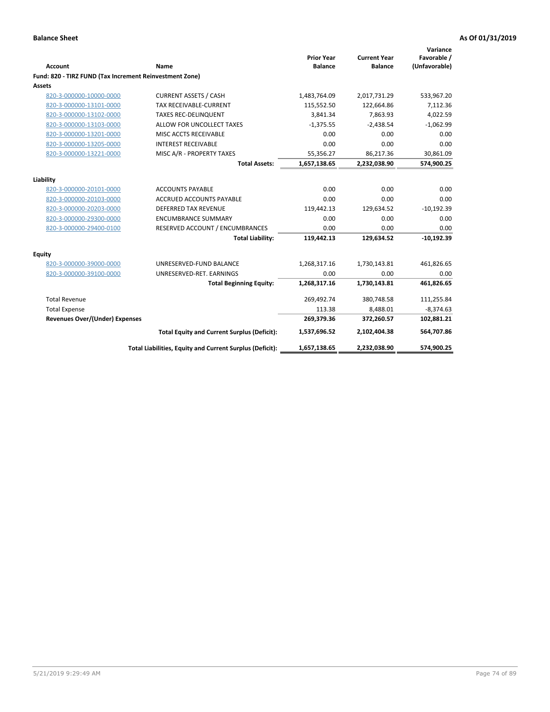| <b>Account</b>                                          | Name                                                     | <b>Prior Year</b><br><b>Balance</b> | <b>Current Year</b><br><b>Balance</b> | Variance<br>Favorable /<br>(Unfavorable) |
|---------------------------------------------------------|----------------------------------------------------------|-------------------------------------|---------------------------------------|------------------------------------------|
| Fund: 820 - TIRZ FUND (Tax Increment Reinvestment Zone) |                                                          |                                     |                                       |                                          |
| <b>Assets</b>                                           |                                                          |                                     |                                       |                                          |
| 820-3-000000-10000-0000                                 | <b>CURRENT ASSETS / CASH</b>                             | 1,483,764.09                        | 2,017,731.29                          | 533,967.20                               |
| 820-3-000000-13101-0000                                 | <b>TAX RECEIVABLE-CURRENT</b>                            | 115,552.50                          | 122,664.86                            | 7,112.36                                 |
| 820-3-000000-13102-0000                                 | <b>TAXES REC-DELINQUENT</b>                              | 3,841.34                            | 7.863.93                              | 4,022.59                                 |
| 820-3-000000-13103-0000                                 | ALLOW FOR UNCOLLECT TAXES                                | $-1,375.55$                         | $-2,438.54$                           | $-1,062.99$                              |
| 820-3-000000-13201-0000                                 | MISC ACCTS RECEIVABLE                                    | 0.00                                | 0.00                                  | 0.00                                     |
| 820-3-000000-13205-0000                                 | <b>INTEREST RECEIVABLE</b>                               | 0.00                                | 0.00                                  | 0.00                                     |
| 820-3-000000-13221-0000                                 | MISC A/R - PROPERTY TAXES                                | 55,356.27                           | 86,217.36                             | 30,861.09                                |
|                                                         | <b>Total Assets:</b>                                     | 1,657,138.65                        | 2,232,038.90                          | 574,900.25                               |
| Liability                                               |                                                          |                                     |                                       |                                          |
| 820-3-000000-20101-0000                                 | <b>ACCOUNTS PAYABLE</b>                                  | 0.00                                | 0.00                                  | 0.00                                     |
| 820-3-000000-20103-0000                                 | ACCRUED ACCOUNTS PAYABLE                                 | 0.00                                | 0.00                                  | 0.00                                     |
| 820-3-000000-20203-0000                                 | <b>DEFERRED TAX REVENUE</b>                              | 119,442.13                          | 129,634.52                            | $-10,192.39$                             |
| 820-3-000000-29300-0000                                 | <b>ENCUMBRANCE SUMMARY</b>                               | 0.00                                | 0.00                                  | 0.00                                     |
| 820-3-000000-29400-0100                                 | RESERVED ACCOUNT / ENCUMBRANCES                          | 0.00                                | 0.00                                  | 0.00                                     |
|                                                         | <b>Total Liability:</b>                                  | 119,442.13                          | 129,634.52                            | $-10,192.39$                             |
| Equity                                                  |                                                          |                                     |                                       |                                          |
| 820-3-000000-39000-0000                                 | UNRESERVED-FUND BALANCE                                  | 1,268,317.16                        | 1,730,143.81                          | 461,826.65                               |
| 820-3-000000-39100-0000                                 | UNRESERVED-RET. EARNINGS                                 | 0.00                                | 0.00                                  | 0.00                                     |
|                                                         | <b>Total Beginning Equity:</b>                           | 1,268,317.16                        | 1,730,143.81                          | 461,826.65                               |
| <b>Total Revenue</b>                                    |                                                          | 269,492.74                          | 380,748.58                            | 111,255.84                               |
| <b>Total Expense</b>                                    |                                                          | 113.38                              | 8,488.01                              | $-8,374.63$                              |
| <b>Revenues Over/(Under) Expenses</b>                   |                                                          | 269,379.36                          | 372,260.57                            | 102,881.21                               |
|                                                         | <b>Total Equity and Current Surplus (Deficit):</b>       | 1,537,696.52                        | 2,102,404.38                          | 564,707.86                               |
|                                                         | Total Liabilities, Equity and Current Surplus (Deficit): | 1,657,138.65                        | 2,232,038.90                          | 574,900.25                               |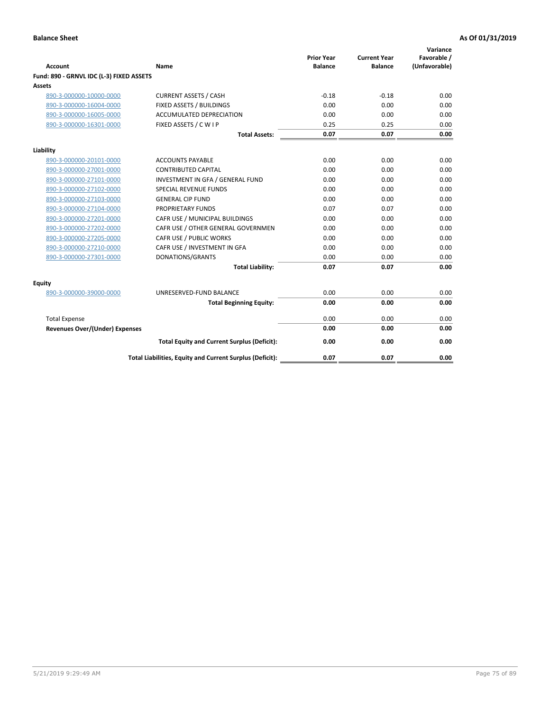| <b>Account</b>                           | Name                                                     | <b>Prior Year</b><br><b>Balance</b> | <b>Current Year</b><br><b>Balance</b> | Variance<br>Favorable /<br>(Unfavorable) |
|------------------------------------------|----------------------------------------------------------|-------------------------------------|---------------------------------------|------------------------------------------|
| Fund: 890 - GRNVL IDC (L-3) FIXED ASSETS |                                                          |                                     |                                       |                                          |
| <b>Assets</b>                            |                                                          |                                     |                                       |                                          |
| 890-3-000000-10000-0000                  | <b>CURRENT ASSETS / CASH</b>                             | $-0.18$                             | $-0.18$                               | 0.00                                     |
| 890-3-000000-16004-0000                  | FIXED ASSETS / BUILDINGS                                 | 0.00                                | 0.00                                  | 0.00                                     |
| 890-3-000000-16005-0000                  | <b>ACCUMULATED DEPRECIATION</b>                          | 0.00                                | 0.00                                  | 0.00                                     |
| 890-3-000000-16301-0000                  | FIXED ASSETS / C W I P                                   | 0.25                                | 0.25                                  | 0.00                                     |
|                                          | <b>Total Assets:</b>                                     | 0.07                                | 0.07                                  | 0.00                                     |
| Liability                                |                                                          |                                     |                                       |                                          |
| 890-3-000000-20101-0000                  | <b>ACCOUNTS PAYABLE</b>                                  | 0.00                                | 0.00                                  | 0.00                                     |
| 890-3-000000-27001-0000                  | <b>CONTRIBUTED CAPITAL</b>                               | 0.00                                | 0.00                                  | 0.00                                     |
| 890-3-000000-27101-0000                  | INVESTMENT IN GFA / GENERAL FUND                         | 0.00                                | 0.00                                  | 0.00                                     |
| 890-3-000000-27102-0000                  | <b>SPECIAL REVENUE FUNDS</b>                             | 0.00                                | 0.00                                  | 0.00                                     |
| 890-3-000000-27103-0000                  | <b>GENERAL CIP FUND</b>                                  | 0.00                                | 0.00                                  | 0.00                                     |
| 890-3-000000-27104-0000                  | PROPRIETARY FUNDS                                        | 0.07                                | 0.07                                  | 0.00                                     |
| 890-3-000000-27201-0000                  | CAFR USE / MUNICIPAL BUILDINGS                           | 0.00                                | 0.00                                  | 0.00                                     |
| 890-3-000000-27202-0000                  | CAFR USE / OTHER GENERAL GOVERNMEN                       | 0.00                                | 0.00                                  | 0.00                                     |
| 890-3-000000-27205-0000                  | CAFR USE / PUBLIC WORKS                                  | 0.00                                | 0.00                                  | 0.00                                     |
| 890-3-000000-27210-0000                  | CAFR USE / INVESTMENT IN GFA                             | 0.00                                | 0.00                                  | 0.00                                     |
| 890-3-000000-27301-0000                  | DONATIONS/GRANTS                                         | 0.00                                | 0.00                                  | 0.00                                     |
|                                          | <b>Total Liability:</b>                                  | 0.07                                | 0.07                                  | 0.00                                     |
| Equity                                   |                                                          |                                     |                                       |                                          |
| 890-3-000000-39000-0000                  | UNRESERVED-FUND BALANCE                                  | 0.00                                | 0.00                                  | 0.00                                     |
|                                          | <b>Total Beginning Equity:</b>                           | 0.00                                | 0.00                                  | 0.00                                     |
| <b>Total Expense</b>                     |                                                          | 0.00                                | 0.00                                  | 0.00                                     |
| Revenues Over/(Under) Expenses           |                                                          | 0.00                                | 0.00                                  | 0.00                                     |
|                                          |                                                          |                                     |                                       |                                          |
|                                          | <b>Total Equity and Current Surplus (Deficit):</b>       | 0.00                                | 0.00                                  | 0.00                                     |
|                                          | Total Liabilities, Equity and Current Surplus (Deficit): | 0.07                                | 0.07                                  | 0.00                                     |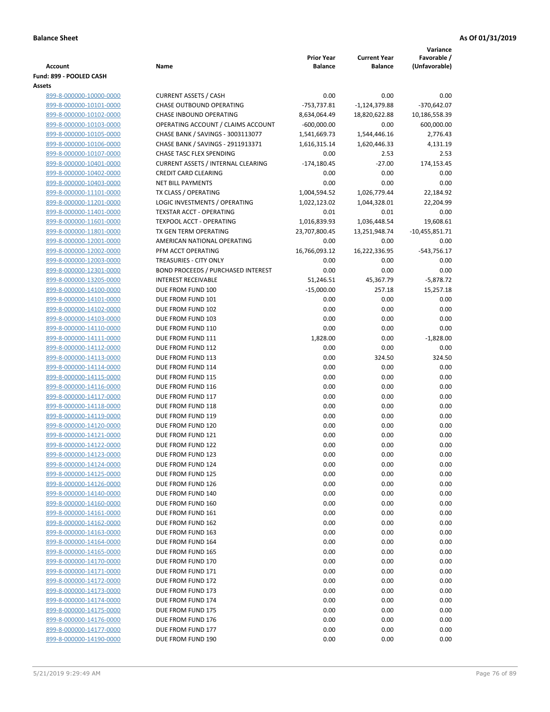|                                                    |                                           |                   |                     | Variance         |
|----------------------------------------------------|-------------------------------------------|-------------------|---------------------|------------------|
|                                                    |                                           | <b>Prior Year</b> | <b>Current Year</b> | Favorable /      |
| <b>Account</b>                                     | Name                                      | <b>Balance</b>    | <b>Balance</b>      | (Unfavorable)    |
| Fund: 899 - POOLED CASH<br>Assets                  |                                           |                   |                     |                  |
| 899-8-000000-10000-0000                            | <b>CURRENT ASSETS / CASH</b>              | 0.00              | 0.00                | 0.00             |
| 899-8-000000-10101-0000                            | CHASE OUTBOUND OPERATING                  | -753,737.81       | $-1,124,379.88$     | $-370,642.07$    |
| 899-8-000000-10102-0000                            | CHASE INBOUND OPERATING                   | 8,634,064.49      | 18,820,622.88       | 10,186,558.39    |
| 899-8-000000-10103-0000                            | OPERATING ACCOUNT / CLAIMS ACCOUNT        | $-600,000.00$     | 0.00                | 600,000.00       |
| 899-8-000000-10105-0000                            | CHASE BANK / SAVINGS - 3003113077         | 1,541,669.73      | 1,544,446.16        | 2,776.43         |
| 899-8-000000-10106-0000                            | CHASE BANK / SAVINGS - 2911913371         | 1,616,315.14      | 1,620,446.33        | 4,131.19         |
| 899-8-000000-10107-0000                            | CHASE TASC FLEX SPENDING                  | 0.00              | 2.53                | 2.53             |
| 899-8-000000-10401-0000                            | <b>CURRENT ASSETS / INTERNAL CLEARING</b> | $-174,180.45$     | $-27.00$            | 174,153.45       |
| 899-8-000000-10402-0000                            | <b>CREDIT CARD CLEARING</b>               | 0.00              | 0.00                | 0.00             |
| 899-8-000000-10403-0000                            | <b>NET BILL PAYMENTS</b>                  | 0.00              | 0.00                | 0.00             |
| 899-8-000000-11101-0000                            | TX CLASS / OPERATING                      | 1,004,594.52      | 1,026,779.44        | 22,184.92        |
| 899-8-000000-11201-0000                            | LOGIC INVESTMENTS / OPERATING             | 1,022,123.02      | 1,044,328.01        | 22,204.99        |
| 899-8-000000-11401-0000                            | <b>TEXSTAR ACCT - OPERATING</b>           | 0.01              | 0.01                | 0.00             |
| 899-8-000000-11601-0000                            | TEXPOOL ACCT - OPERATING                  | 1,016,839.93      | 1,036,448.54        | 19,608.61        |
| 899-8-000000-11801-0000                            | TX GEN TERM OPERATING                     | 23,707,800.45     | 13,251,948.74       | $-10,455,851.71$ |
| 899-8-000000-12001-0000                            | AMERICAN NATIONAL OPERATING               | 0.00              | 0.00                | 0.00             |
| 899-8-000000-12002-0000                            | PFM ACCT OPERATING                        | 16,766,093.12     | 16,222,336.95       | $-543,756.17$    |
| 899-8-000000-12003-0000                            | TREASURIES - CITY ONLY                    | 0.00              | 0.00                | 0.00             |
| 899-8-000000-12301-0000                            | <b>BOND PROCEEDS / PURCHASED INTEREST</b> | 0.00              | 0.00                | 0.00             |
| 899-8-000000-13205-0000                            | <b>INTEREST RECEIVABLE</b>                | 51,246.51         | 45,367.79           | $-5,878.72$      |
| 899-8-000000-14100-0000                            | DUE FROM FUND 100                         | $-15,000.00$      | 257.18              | 15,257.18        |
| 899-8-000000-14101-0000                            | DUE FROM FUND 101                         | 0.00              | 0.00                | 0.00             |
| 899-8-000000-14102-0000                            | DUE FROM FUND 102                         | 0.00              | 0.00                | 0.00             |
| 899-8-000000-14103-0000                            | DUE FROM FUND 103                         | 0.00              | 0.00                | 0.00             |
| 899-8-000000-14110-0000                            | DUE FROM FUND 110                         | 0.00              | 0.00                | 0.00             |
| 899-8-000000-14111-0000                            | DUE FROM FUND 111                         | 1,828.00          | 0.00                | $-1,828.00$      |
| 899-8-000000-14112-0000                            | DUE FROM FUND 112                         | 0.00              | 0.00                | 0.00             |
| 899-8-000000-14113-0000                            | DUE FROM FUND 113                         | 0.00              | 324.50              | 324.50           |
| 899-8-000000-14114-0000                            | DUE FROM FUND 114                         | 0.00              | 0.00                | 0.00             |
| 899-8-000000-14115-0000                            | DUE FROM FUND 115                         | 0.00              | 0.00                | 0.00             |
| 899-8-000000-14116-0000                            | DUE FROM FUND 116                         | 0.00              | 0.00                | 0.00<br>0.00     |
| 899-8-000000-14117-0000<br>899-8-000000-14118-0000 | DUE FROM FUND 117<br>DUE FROM FUND 118    | 0.00<br>0.00      | 0.00<br>0.00        | 0.00             |
| 899-8-000000-14119-0000                            | DUE FROM FUND 119                         | 0.00              | 0.00                | 0.00             |
| 899-8-000000-14120-0000                            | DUE FROM FUND 120                         | 0.00              | 0.00                | 0.00             |
| 899-8-000000-14121-0000                            | DUE FROM FUND 121                         | 0.00              | 0.00                | 0.00             |
| 899-8-000000-14122-0000                            | DUE FROM FUND 122                         | 0.00              | 0.00                | 0.00             |
| 899-8-000000-14123-0000                            | DUE FROM FUND 123                         | 0.00              | 0.00                | 0.00             |
| 899-8-000000-14124-0000                            | DUE FROM FUND 124                         | 0.00              | 0.00                | 0.00             |
| 899-8-000000-14125-0000                            | DUE FROM FUND 125                         | 0.00              | 0.00                | 0.00             |
| 899-8-000000-14126-0000                            | DUE FROM FUND 126                         | 0.00              | 0.00                | 0.00             |
| 899-8-000000-14140-0000                            | DUE FROM FUND 140                         | 0.00              | 0.00                | 0.00             |
| 899-8-000000-14160-0000                            | DUE FROM FUND 160                         | 0.00              | 0.00                | 0.00             |
| 899-8-000000-14161-0000                            | DUE FROM FUND 161                         | 0.00              | 0.00                | 0.00             |
| 899-8-000000-14162-0000                            | DUE FROM FUND 162                         | 0.00              | 0.00                | 0.00             |
| 899-8-000000-14163-0000                            | DUE FROM FUND 163                         | 0.00              | 0.00                | 0.00             |
| 899-8-000000-14164-0000                            | DUE FROM FUND 164                         | 0.00              | 0.00                | 0.00             |
| 899-8-000000-14165-0000                            | DUE FROM FUND 165                         | 0.00              | 0.00                | 0.00             |
| 899-8-000000-14170-0000                            | DUE FROM FUND 170                         | 0.00              | 0.00                | 0.00             |
| 899-8-000000-14171-0000                            | DUE FROM FUND 171                         | 0.00              | 0.00                | 0.00             |
| 899-8-000000-14172-0000                            | DUE FROM FUND 172                         | 0.00              | 0.00                | 0.00             |
| 899-8-000000-14173-0000                            | DUE FROM FUND 173                         | 0.00              | 0.00                | 0.00             |
| 899-8-000000-14174-0000                            | DUE FROM FUND 174                         | 0.00              | 0.00                | 0.00             |
| 899-8-000000-14175-0000                            | DUE FROM FUND 175                         | 0.00              | 0.00                | 0.00             |
| 899-8-000000-14176-0000                            | DUE FROM FUND 176                         | 0.00              | 0.00                | 0.00             |
| 899-8-000000-14177-0000                            | DUE FROM FUND 177                         | 0.00              | 0.00                | 0.00             |
| 899-8-000000-14190-0000                            | DUE FROM FUND 190                         | 0.00              | 0.00                | 0.00             |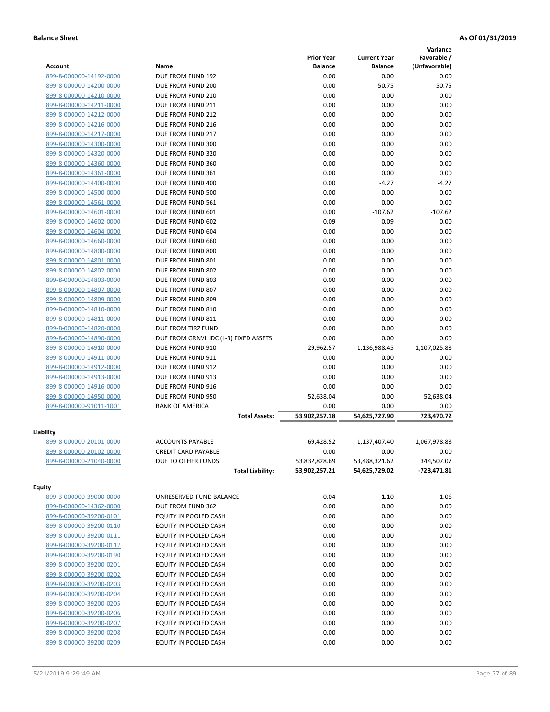|                         |                                       |                   |                     | Variance        |
|-------------------------|---------------------------------------|-------------------|---------------------|-----------------|
|                         |                                       | <b>Prior Year</b> | <b>Current Year</b> | Favorable /     |
| <b>Account</b>          | Name                                  | <b>Balance</b>    | <b>Balance</b>      | (Unfavorable)   |
| 899-8-000000-14192-0000 | DUE FROM FUND 192                     | 0.00              | 0.00                | 0.00            |
| 899-8-000000-14200-0000 | DUE FROM FUND 200                     | 0.00              | $-50.75$            | $-50.75$        |
| 899-8-000000-14210-0000 | DUE FROM FUND 210                     | 0.00              | 0.00                | 0.00            |
| 899-8-000000-14211-0000 | DUE FROM FUND 211                     | 0.00              | 0.00                | 0.00            |
| 899-8-000000-14212-0000 | DUE FROM FUND 212                     | 0.00              | 0.00                | 0.00            |
| 899-8-000000-14216-0000 | DUE FROM FUND 216                     | 0.00              | 0.00                | 0.00            |
| 899-8-000000-14217-0000 | DUE FROM FUND 217                     | 0.00              | 0.00                | 0.00            |
| 899-8-000000-14300-0000 | DUE FROM FUND 300                     | 0.00              | 0.00                | 0.00            |
| 899-8-000000-14320-0000 | DUE FROM FUND 320                     | 0.00              | 0.00                | 0.00            |
| 899-8-000000-14360-0000 | DUE FROM FUND 360                     | 0.00              | 0.00                | 0.00            |
| 899-8-000000-14361-0000 | DUE FROM FUND 361                     | 0.00              | 0.00                | 0.00            |
| 899-8-000000-14400-0000 | DUE FROM FUND 400                     | 0.00              | $-4.27$             | $-4.27$         |
| 899-8-000000-14500-0000 | DUE FROM FUND 500                     | 0.00              | 0.00                | 0.00            |
| 899-8-000000-14561-0000 | DUE FROM FUND 561                     | 0.00              | 0.00                | 0.00            |
| 899-8-000000-14601-0000 | DUE FROM FUND 601                     | 0.00              | $-107.62$           | $-107.62$       |
| 899-8-000000-14602-0000 | DUE FROM FUND 602                     | $-0.09$           | $-0.09$             | 0.00            |
| 899-8-000000-14604-0000 | DUE FROM FUND 604                     | 0.00              | 0.00                | 0.00            |
| 899-8-000000-14660-0000 | DUE FROM FUND 660                     | 0.00              | 0.00                | 0.00            |
| 899-8-000000-14800-0000 | DUE FROM FUND 800                     | 0.00              | 0.00                | 0.00            |
| 899-8-000000-14801-0000 | DUE FROM FUND 801                     | 0.00              | 0.00                | 0.00            |
| 899-8-000000-14802-0000 | DUE FROM FUND 802                     | 0.00              | 0.00                | 0.00            |
| 899-8-000000-14803-0000 | DUE FROM FUND 803                     | 0.00              | 0.00                | 0.00            |
| 899-8-000000-14807-0000 | DUE FROM FUND 807                     | 0.00              | 0.00                | 0.00            |
| 899-8-000000-14809-0000 | DUE FROM FUND 809                     | 0.00              | 0.00                | 0.00            |
| 899-8-000000-14810-0000 | DUE FROM FUND 810                     | 0.00              | 0.00                | 0.00            |
| 899-8-000000-14811-0000 | DUE FROM FUND 811                     | 0.00              | 0.00                | 0.00            |
| 899-8-000000-14820-0000 | DUE FROM TIRZ FUND                    | 0.00              | 0.00                | 0.00            |
|                         |                                       | 0.00              | 0.00                | 0.00            |
| 899-8-000000-14890-0000 | DUE FROM GRNVL IDC (L-3) FIXED ASSETS |                   |                     |                 |
| 899-8-000000-14910-0000 | DUE FROM FUND 910                     | 29,962.57         | 1,136,988.45        | 1,107,025.88    |
| 899-8-000000-14911-0000 | DUE FROM FUND 911                     | 0.00              | 0.00                | 0.00            |
| 899-8-000000-14912-0000 | DUE FROM FUND 912                     | 0.00              | 0.00                | 0.00            |
| 899-8-000000-14913-0000 | DUE FROM FUND 913                     | 0.00              | 0.00                | 0.00            |
| 899-8-000000-14916-0000 | DUE FROM FUND 916                     | 0.00              | 0.00                | 0.00            |
| 899-8-000000-14950-0000 | DUE FROM FUND 950                     | 52,638.04         | 0.00                | $-52,638.04$    |
| 899-8-000000-91011-1001 | <b>BANK OF AMERICA</b>                | 0.00              | 0.00                | 0.00            |
|                         | <b>Total Assets:</b>                  | 53,902,257.18     | 54,625,727.90       | 723,470.72      |
| Liability               |                                       |                   |                     |                 |
| 899-8-000000-20101-0000 | <b>ACCOUNTS PAYABLE</b>               | 69,428.52         | 1,137,407.40        | $-1,067,978.88$ |
| 899-8-000000-20102-0000 | <b>CREDIT CARD PAYABLE</b>            | 0.00              | 0.00                | 0.00            |
| 899-8-000000-21040-0000 | DUE TO OTHER FUNDS                    | 53,832,828.69     | 53,488,321.62       | 344,507.07      |
|                         | <b>Total Liability:</b>               | 53,902,257.21     | 54,625,729.02       | -723,471.81     |
|                         |                                       |                   |                     |                 |
| <b>Equity</b>           |                                       |                   |                     |                 |
| 899-3-000000-39000-0000 | UNRESERVED-FUND BALANCE               | $-0.04$           | $-1.10$             | $-1.06$         |
| 899-8-000000-14362-0000 | DUE FROM FUND 362                     | 0.00              | 0.00                | 0.00            |
| 899-8-000000-39200-0101 | EQUITY IN POOLED CASH                 | 0.00              | 0.00                | 0.00            |
| 899-8-000000-39200-0110 | EQUITY IN POOLED CASH                 | 0.00              | 0.00                | 0.00            |
| 899-8-000000-39200-0111 | EQUITY IN POOLED CASH                 | 0.00              | 0.00                | 0.00            |
| 899-8-000000-39200-0112 | EQUITY IN POOLED CASH                 | 0.00              | 0.00                | 0.00            |
| 899-8-000000-39200-0190 | EQUITY IN POOLED CASH                 | 0.00              | 0.00                | 0.00            |
| 899-8-000000-39200-0201 | EQUITY IN POOLED CASH                 | 0.00              | 0.00                | 0.00            |
| 899-8-000000-39200-0202 | EQUITY IN POOLED CASH                 | 0.00              | 0.00                | 0.00            |
| 899-8-000000-39200-0203 | EQUITY IN POOLED CASH                 | 0.00              | 0.00                | 0.00            |
| 899-8-000000-39200-0204 | EQUITY IN POOLED CASH                 | 0.00              | 0.00                | 0.00            |
| 899-8-000000-39200-0205 |                                       | 0.00              | 0.00                | 0.00            |
|                         | EQUITY IN POOLED CASH                 |                   |                     |                 |
| 899-8-000000-39200-0206 | EQUITY IN POOLED CASH                 | 0.00              | 0.00                | 0.00            |
| 899-8-000000-39200-0207 | EQUITY IN POOLED CASH                 | 0.00              | 0.00                | 0.00            |
| 899-8-000000-39200-0208 | EQUITY IN POOLED CASH                 | 0.00              | 0.00                | 0.00            |
| 899-8-000000-39200-0209 | EQUITY IN POOLED CASH                 | 0.00              | 0.00                | 0.00            |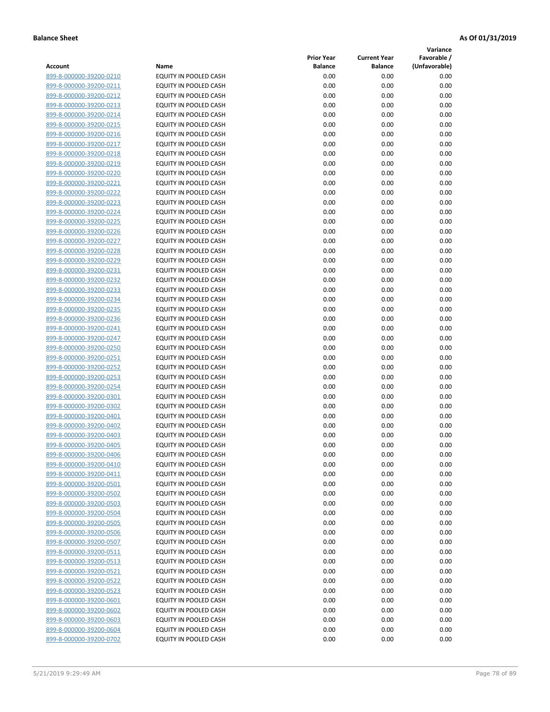**Variance**

| Account                                            | Name                                           | <b>Prior Year</b><br><b>Balance</b> | <b>Current Year</b><br><b>Balance</b> | Favorable /<br>(Unfavorable) |
|----------------------------------------------------|------------------------------------------------|-------------------------------------|---------------------------------------|------------------------------|
| 899-8-000000-39200-0210                            | EQUITY IN POOLED CASH                          | 0.00                                | 0.00                                  | 0.00                         |
| 899-8-000000-39200-0211                            | EQUITY IN POOLED CASH                          | 0.00                                | 0.00                                  | 0.00                         |
| 899-8-000000-39200-0212                            | EQUITY IN POOLED CASH                          | 0.00                                | 0.00                                  | 0.00                         |
| 899-8-000000-39200-0213                            | EQUITY IN POOLED CASH                          | 0.00                                | 0.00                                  | 0.00                         |
| 899-8-000000-39200-0214                            | <b>EQUITY IN POOLED CASH</b>                   | 0.00                                | 0.00                                  | 0.00                         |
| 899-8-000000-39200-0215                            | EQUITY IN POOLED CASH                          | 0.00                                | 0.00                                  | 0.00                         |
| 899-8-000000-39200-0216                            | EQUITY IN POOLED CASH                          | 0.00                                | 0.00                                  | 0.00                         |
| 899-8-000000-39200-0217                            | EQUITY IN POOLED CASH                          | 0.00                                | 0.00                                  | 0.00                         |
| 899-8-000000-39200-0218                            | EQUITY IN POOLED CASH                          | 0.00                                | 0.00                                  | 0.00                         |
| 899-8-000000-39200-0219                            | EQUITY IN POOLED CASH                          | 0.00                                | 0.00                                  | 0.00                         |
| 899-8-000000-39200-0220                            | EQUITY IN POOLED CASH                          | 0.00                                | 0.00                                  | 0.00                         |
| 899-8-000000-39200-0221                            | EQUITY IN POOLED CASH                          | 0.00                                | 0.00                                  | 0.00                         |
| 899-8-000000-39200-0222                            | EQUITY IN POOLED CASH                          | 0.00                                | 0.00                                  | 0.00                         |
| 899-8-000000-39200-0223                            | EQUITY IN POOLED CASH                          | 0.00                                | 0.00                                  | 0.00                         |
| 899-8-000000-39200-0224                            | EQUITY IN POOLED CASH                          | 0.00                                | 0.00                                  | 0.00                         |
| 899-8-000000-39200-0225                            | EQUITY IN POOLED CASH                          | 0.00                                | 0.00                                  | 0.00                         |
| 899-8-000000-39200-0226                            | EQUITY IN POOLED CASH                          | 0.00                                | 0.00                                  | 0.00                         |
| 899-8-000000-39200-0227                            | EQUITY IN POOLED CASH                          | 0.00                                | 0.00                                  | 0.00                         |
| 899-8-000000-39200-0228                            | EQUITY IN POOLED CASH                          | 0.00                                | 0.00                                  | 0.00                         |
| 899-8-000000-39200-0229                            | <b>EQUITY IN POOLED CASH</b>                   | 0.00                                | 0.00                                  | 0.00                         |
| 899-8-000000-39200-0231                            | <b>EQUITY IN POOLED CASH</b>                   | 0.00                                | 0.00                                  | 0.00                         |
| 899-8-000000-39200-0232                            | EQUITY IN POOLED CASH                          | 0.00                                | 0.00                                  | 0.00                         |
| 899-8-000000-39200-0233                            | EQUITY IN POOLED CASH                          | 0.00                                | 0.00                                  | 0.00                         |
| 899-8-000000-39200-0234                            | EQUITY IN POOLED CASH                          | 0.00                                | 0.00                                  | 0.00                         |
| 899-8-000000-39200-0235                            | EQUITY IN POOLED CASH                          | 0.00                                | 0.00                                  | 0.00                         |
| 899-8-000000-39200-0236                            | EQUITY IN POOLED CASH                          | 0.00                                | 0.00                                  | 0.00                         |
| 899-8-000000-39200-0241                            | EQUITY IN POOLED CASH                          | 0.00                                | 0.00                                  | 0.00                         |
| 899-8-000000-39200-0247                            | EQUITY IN POOLED CASH                          | 0.00                                | 0.00                                  | 0.00                         |
| 899-8-000000-39200-0250                            | EQUITY IN POOLED CASH                          | 0.00                                | 0.00                                  | 0.00                         |
| 899-8-000000-39200-0251                            | EQUITY IN POOLED CASH                          | 0.00                                | 0.00                                  | 0.00                         |
| 899-8-000000-39200-0252                            | EQUITY IN POOLED CASH                          | 0.00                                | 0.00                                  | 0.00                         |
| 899-8-000000-39200-0253                            | EQUITY IN POOLED CASH                          | 0.00                                | 0.00                                  | 0.00                         |
| 899-8-000000-39200-0254                            | EQUITY IN POOLED CASH                          | 0.00                                | 0.00                                  | 0.00                         |
| 899-8-000000-39200-0301<br>899-8-000000-39200-0302 | EQUITY IN POOLED CASH                          | 0.00<br>0.00                        | 0.00                                  | 0.00                         |
| 899-8-000000-39200-0401                            | EQUITY IN POOLED CASH<br>EQUITY IN POOLED CASH | 0.00                                | 0.00<br>0.00                          | 0.00<br>0.00                 |
| 899-8-000000-39200-0402                            | EQUITY IN POOLED CASH                          | 0.00                                | 0.00                                  | 0.00                         |
| 899-8-000000-39200-0403                            | EQUITY IN POOLED CASH                          | 0.00                                | 0.00                                  | 0.00                         |
| 899-8-000000-39200-0405                            | <b>EQUITY IN POOLED CASH</b>                   | 0.00                                | 0.00                                  | 0.00                         |
| 899-8-000000-39200-0406                            | EQUITY IN POOLED CASH                          | 0.00                                | 0.00                                  | 0.00                         |
| 899-8-000000-39200-0410                            | <b>EQUITY IN POOLED CASH</b>                   | 0.00                                | 0.00                                  | 0.00                         |
| 899-8-000000-39200-0411                            | EQUITY IN POOLED CASH                          | 0.00                                | 0.00                                  | 0.00                         |
| 899-8-000000-39200-0501                            | EQUITY IN POOLED CASH                          | 0.00                                | 0.00                                  | 0.00                         |
| 899-8-000000-39200-0502                            | EQUITY IN POOLED CASH                          | 0.00                                | 0.00                                  | 0.00                         |
| 899-8-000000-39200-0503                            | EQUITY IN POOLED CASH                          | 0.00                                | 0.00                                  | 0.00                         |
| 899-8-000000-39200-0504                            | <b>EQUITY IN POOLED CASH</b>                   | 0.00                                | 0.00                                  | 0.00                         |
| 899-8-000000-39200-0505                            | EQUITY IN POOLED CASH                          | 0.00                                | 0.00                                  | 0.00                         |
| 899-8-000000-39200-0506                            | EQUITY IN POOLED CASH                          | 0.00                                | 0.00                                  | 0.00                         |
| 899-8-000000-39200-0507                            | EQUITY IN POOLED CASH                          | 0.00                                | 0.00                                  | 0.00                         |
| 899-8-000000-39200-0511                            | <b>EQUITY IN POOLED CASH</b>                   | 0.00                                | 0.00                                  | 0.00                         |
| 899-8-000000-39200-0513                            | EQUITY IN POOLED CASH                          | 0.00                                | 0.00                                  | 0.00                         |
| 899-8-000000-39200-0521                            | EQUITY IN POOLED CASH                          | 0.00                                | 0.00                                  | 0.00                         |
| 899-8-000000-39200-0522                            | EQUITY IN POOLED CASH                          | 0.00                                | 0.00                                  | 0.00                         |
| 899-8-000000-39200-0523                            | EQUITY IN POOLED CASH                          | 0.00                                | 0.00                                  | 0.00                         |
| 899-8-000000-39200-0601                            | EQUITY IN POOLED CASH                          | 0.00                                | 0.00                                  | 0.00                         |
| 899-8-000000-39200-0602                            | EQUITY IN POOLED CASH                          | 0.00                                | 0.00                                  | 0.00                         |
| 899-8-000000-39200-0603                            | EQUITY IN POOLED CASH                          | 0.00                                | 0.00                                  | 0.00                         |
| 899-8-000000-39200-0604                            | EQUITY IN POOLED CASH                          | 0.00                                | 0.00                                  | 0.00                         |
| 899-8-000000-39200-0702                            | EQUITY IN POOLED CASH                          | 0.00                                | 0.00                                  | 0.00                         |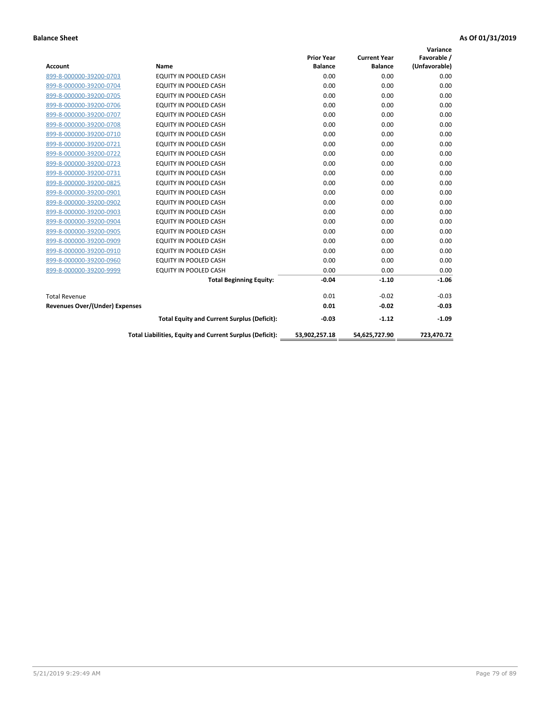| <b>Account</b>                        | Name                                                     | <b>Prior Year</b><br><b>Balance</b> | <b>Current Year</b><br><b>Balance</b> | Variance<br>Favorable /<br>(Unfavorable) |
|---------------------------------------|----------------------------------------------------------|-------------------------------------|---------------------------------------|------------------------------------------|
| 899-8-000000-39200-0703               | EQUITY IN POOLED CASH                                    | 0.00                                | 0.00                                  | 0.00                                     |
| 899-8-000000-39200-0704               | EQUITY IN POOLED CASH                                    | 0.00                                | 0.00                                  | 0.00                                     |
| 899-8-000000-39200-0705               | EQUITY IN POOLED CASH                                    | 0.00                                | 0.00                                  | 0.00                                     |
| 899-8-000000-39200-0706               | EQUITY IN POOLED CASH                                    | 0.00                                | 0.00                                  | 0.00                                     |
| 899-8-000000-39200-0707               | EQUITY IN POOLED CASH                                    | 0.00                                | 0.00                                  | 0.00                                     |
| 899-8-000000-39200-0708               | <b>EQUITY IN POOLED CASH</b>                             | 0.00                                | 0.00                                  | 0.00                                     |
| 899-8-000000-39200-0710               | <b>EQUITY IN POOLED CASH</b>                             | 0.00                                | 0.00                                  | 0.00                                     |
| 899-8-000000-39200-0721               | EQUITY IN POOLED CASH                                    | 0.00                                | 0.00                                  | 0.00                                     |
| 899-8-000000-39200-0722               | EQUITY IN POOLED CASH                                    | 0.00                                | 0.00                                  | 0.00                                     |
| 899-8-000000-39200-0723               | <b>EQUITY IN POOLED CASH</b>                             | 0.00                                | 0.00                                  | 0.00                                     |
| 899-8-000000-39200-0731               | EQUITY IN POOLED CASH                                    | 0.00                                | 0.00                                  | 0.00                                     |
| 899-8-000000-39200-0825               | <b>EQUITY IN POOLED CASH</b>                             | 0.00                                | 0.00                                  | 0.00                                     |
| 899-8-000000-39200-0901               | <b>EQUITY IN POOLED CASH</b>                             | 0.00                                | 0.00                                  | 0.00                                     |
| 899-8-000000-39200-0902               | EQUITY IN POOLED CASH                                    | 0.00                                | 0.00                                  | 0.00                                     |
| 899-8-000000-39200-0903               | <b>EQUITY IN POOLED CASH</b>                             | 0.00                                | 0.00                                  | 0.00                                     |
| 899-8-000000-39200-0904               | <b>EQUITY IN POOLED CASH</b>                             | 0.00                                | 0.00                                  | 0.00                                     |
| 899-8-000000-39200-0905               | EQUITY IN POOLED CASH                                    | 0.00                                | 0.00                                  | 0.00                                     |
| 899-8-000000-39200-0909               | EQUITY IN POOLED CASH                                    | 0.00                                | 0.00                                  | 0.00                                     |
| 899-8-000000-39200-0910               | <b>EQUITY IN POOLED CASH</b>                             | 0.00                                | 0.00                                  | 0.00                                     |
| 899-8-000000-39200-0960               | <b>EQUITY IN POOLED CASH</b>                             | 0.00                                | 0.00                                  | 0.00                                     |
| 899-8-000000-39200-9999               | EQUITY IN POOLED CASH                                    | 0.00                                | 0.00                                  | 0.00                                     |
|                                       | <b>Total Beginning Equity:</b>                           | $-0.04$                             | $-1.10$                               | $-1.06$                                  |
| <b>Total Revenue</b>                  |                                                          | 0.01                                | $-0.02$                               | $-0.03$                                  |
| <b>Revenues Over/(Under) Expenses</b> |                                                          | 0.01                                | $-0.02$                               | $-0.03$                                  |
|                                       | <b>Total Equity and Current Surplus (Deficit):</b>       | $-0.03$                             | $-1.12$                               | $-1.09$                                  |
|                                       | Total Liabilities, Equity and Current Surplus (Deficit): | 53,902,257.18                       | 54,625,727.90                         | 723.470.72                               |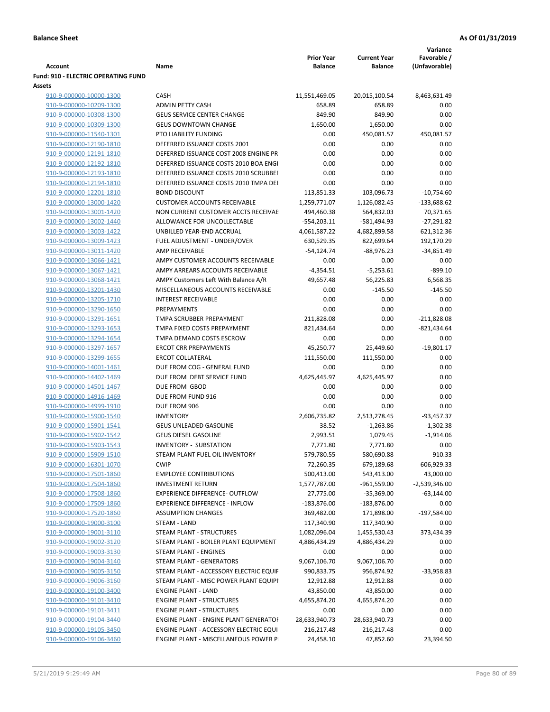|                                                    |                                                                      |                              |                                       | Variance                     |
|----------------------------------------------------|----------------------------------------------------------------------|------------------------------|---------------------------------------|------------------------------|
| Account                                            | Name                                                                 | <b>Prior Year</b><br>Balance | <b>Current Year</b><br><b>Balance</b> | Favorable /<br>(Unfavorable) |
| <b>Fund: 910 - ELECTRIC OPERATING FUND</b>         |                                                                      |                              |                                       |                              |
| Assets                                             |                                                                      |                              |                                       |                              |
| 910-9-000000-10000-1300                            | <b>CASH</b>                                                          | 11,551,469.05                | 20,015,100.54                         | 8,463,631.49                 |
| 910-9-000000-10209-1300                            | <b>ADMIN PETTY CASH</b>                                              | 658.89                       | 658.89                                | 0.00                         |
| 910-9-000000-10308-1300                            | <b>GEUS SERVICE CENTER CHANGE</b>                                    | 849.90                       | 849.90                                | 0.00                         |
| 910-9-000000-10309-1300                            | <b>GEUS DOWNTOWN CHANGE</b>                                          | 1,650.00                     | 1,650.00                              | 0.00                         |
| 910-9-000000-11540-1301                            | PTO LIABILITY FUNDING                                                | 0.00                         | 450,081.57                            | 450,081.57                   |
| 910-9-000000-12190-1810                            | DEFERRED ISSUANCE COSTS 2001                                         | 0.00                         | 0.00                                  | 0.00                         |
| 910-9-000000-12191-1810                            | DEFERRED ISSUANCE COST 2008 ENGINE PR                                | 0.00                         | 0.00                                  | 0.00                         |
| 910-9-000000-12192-1810                            | DEFERRED ISSUANCE COSTS 2010 BOA ENGI                                | 0.00                         | 0.00                                  | 0.00                         |
| 910-9-000000-12193-1810                            | DEFERRED ISSUANCE COSTS 2010 SCRUBBEI                                | 0.00                         | 0.00                                  | 0.00                         |
| 910-9-000000-12194-1810                            | DEFERRED ISSUANCE COSTS 2010 TMPA DEI                                | 0.00                         | 0.00                                  | 0.00                         |
| 910-9-000000-12201-1810                            | <b>BOND DISCOUNT</b>                                                 | 113,851.33                   | 103,096.73                            | $-10,754.60$                 |
| 910-9-000000-13000-1420                            | <b>CUSTOMER ACCOUNTS RECEIVABLE</b>                                  | 1,259,771.07                 | 1,126,082.45                          | $-133,688.62$                |
| 910-9-000000-13001-1420                            | NON CURRENT CUSTOMER ACCTS RECEIVAE                                  | 494,460.38                   | 564,832.03                            | 70,371.65                    |
| 910-9-000000-13002-1440                            | ALLOWANCE FOR UNCOLLECTABLE                                          | $-554,203.11$                | $-581,494.93$                         | $-27,291.82$                 |
| 910-9-000000-13003-1422                            | UNBILLED YEAR-END ACCRUAL                                            | 4,061,587.22                 | 4,682,899.58                          | 621,312.36                   |
| 910-9-000000-13009-1423                            | FUEL ADJUSTMENT - UNDER/OVER                                         | 630,529.35                   | 822,699.64                            | 192,170.29                   |
| 910-9-000000-13011-1420                            | <b>AMP RECEIVABLE</b>                                                | $-54,124.74$                 | $-88,976.23$                          | $-34,851.49$                 |
| 910-9-000000-13066-1421                            | AMPY CUSTOMER ACCOUNTS RECEIVABLE                                    | 0.00                         | 0.00                                  | 0.00                         |
| 910-9-000000-13067-1421                            | AMPY ARREARS ACCOUNTS RECEIVABLE                                     | $-4,354.51$                  | $-5,253.61$                           | $-899.10$                    |
| 910-9-000000-13068-1421                            | AMPY Customers Left With Balance A/R                                 | 49,657.48                    | 56,225.83                             | 6,568.35                     |
| 910-9-000000-13201-1430                            | MISCELLANEOUS ACCOUNTS RECEIVABLE                                    | 0.00                         | $-145.50$                             | $-145.50$                    |
| 910-9-000000-13205-1710                            | <b>INTEREST RECEIVABLE</b>                                           | 0.00                         | 0.00                                  | 0.00                         |
| 910-9-000000-13290-1650                            | PREPAYMENTS                                                          | 0.00                         | 0.00                                  | 0.00                         |
| 910-9-000000-13291-1651                            | TMPA SCRUBBER PREPAYMENT                                             | 211,828.08                   | 0.00                                  | $-211,828.08$                |
| 910-9-000000-13293-1653                            | TMPA FIXED COSTS PREPAYMENT                                          | 821,434.64                   | 0.00                                  | $-821,434.64$                |
| 910-9-000000-13294-1654                            | TMPA DEMAND COSTS ESCROW                                             | 0.00                         | 0.00                                  | 0.00                         |
| 910-9-000000-13297-1657                            | <b>ERCOT CRR PREPAYMENTS</b>                                         | 45,250.77                    | 25,449.60                             | $-19,801.17$                 |
| 910-9-000000-13299-1655                            | <b>ERCOT COLLATERAL</b>                                              | 111,550.00                   | 111,550.00                            | 0.00                         |
| 910-9-000000-14001-1461                            | DUE FROM COG - GENERAL FUND                                          | 0.00                         | 0.00                                  | 0.00                         |
| 910-9-000000-14402-1469                            | DUE FROM DEBT SERVICE FUND                                           | 4,625,445.97                 | 4,625,445.97                          | 0.00                         |
| 910-9-000000-14501-1467                            | DUE FROM GBOD                                                        | 0.00                         | 0.00                                  | 0.00                         |
| 910-9-000000-14916-1469                            | DUE FROM FUND 916                                                    | 0.00                         | 0.00                                  | 0.00                         |
| 910-9-000000-14999-1910                            | DUE FROM 906                                                         | 0.00                         | 0.00                                  | 0.00                         |
| 910-9-000000-15900-1540                            | <b>INVENTORY</b>                                                     | 2,606,735.82                 | 2,513,278.45                          | $-93,457.37$                 |
| 910-9-000000-15901-1541                            | GEUS UNLEADED GASOLINE                                               | 38.52                        | $-1,263.86$                           | $-1,302.38$                  |
| 910-9-000000-15902-1542                            | <b>GEUS DIESEL GASOLINE</b>                                          | 2,993.51                     | 1,079.45                              | $-1,914.06$                  |
| 910-9-000000-15903-1543                            | <b>INVENTORY - SUBSTATION</b>                                        | 7,771.80                     | 7,771.80                              | 0.00                         |
| 910-9-000000-15909-1510                            | STEAM PLANT FUEL OIL INVENTORY                                       | 579,780.55                   | 580,690.88                            | 910.33                       |
| 910-9-000000-16301-1070                            | <b>CWIP</b>                                                          | 72,260.35                    | 679,189.68                            | 606,929.33                   |
| 910-9-000000-17501-1860                            | <b>EMPLOYEE CONTRIBUTIONS</b>                                        | 500,413.00                   | 543,413.00                            | 43,000.00                    |
| 910-9-000000-17504-1860                            | <b>INVESTMENT RETURN</b>                                             | 1,577,787.00                 | $-961,559.00$                         | $-2,539,346.00$              |
| 910-9-000000-17508-1860                            | <b>EXPERIENCE DIFFERENCE- OUTFLOW</b>                                | 27,775.00                    | $-35,369.00$                          | $-63,144.00$                 |
| 910-9-000000-17509-1860                            | <b>EXPERIENCE DIFFERENCE - INFLOW</b>                                | $-183,876.00$                | $-183,876.00$                         | 0.00                         |
| 910-9-000000-17520-1860                            | <b>ASSUMPTION CHANGES</b>                                            | 369,482.00                   | 171,898.00                            | $-197,584.00$                |
| 910-9-000000-19000-3100                            | STEAM - LAND                                                         | 117,340.90                   | 117,340.90                            | 0.00                         |
| 910-9-000000-19001-3110                            | STEAM PLANT - STRUCTURES                                             | 1,082,096.04                 | 1,455,530.43                          | 373,434.39                   |
| 910-9-000000-19002-3120                            | STEAM PLANT - BOILER PLANT EQUIPMENT                                 | 4,886,434.29                 | 4,886,434.29                          | 0.00                         |
| 910-9-000000-19003-3130                            | STEAM PLANT - ENGINES                                                | 0.00                         | 0.00                                  | 0.00                         |
| 910-9-000000-19004-3140                            | STEAM PLANT - GENERATORS                                             | 9,067,106.70                 | 9,067,106.70                          | 0.00                         |
| 910-9-000000-19005-3150                            | STEAM PLANT - ACCESSORY ELECTRIC EQUIF                               | 990,833.75                   | 956,874.92                            | $-33,958.83$                 |
| 910-9-000000-19006-3160                            | STEAM PLANT - MISC POWER PLANT EQUIPI                                | 12,912.88                    | 12,912.88                             | 0.00                         |
| 910-9-000000-19100-3400                            | <b>ENGINE PLANT - LAND</b>                                           | 43,850.00                    | 43,850.00                             | 0.00<br>0.00                 |
| 910-9-000000-19101-3410<br>910-9-000000-19101-3411 | <b>ENGINE PLANT - STRUCTURES</b><br><b>ENGINE PLANT - STRUCTURES</b> | 4,655,874.20<br>0.00         | 4,655,874.20<br>0.00                  | 0.00                         |
| 910-9-000000-19104-3440                            | ENGINE PLANT - ENGINE PLANT GENERATOF                                | 28,633,940.73                | 28,633,940.73                         | 0.00                         |
| 910-9-000000-19105-3450                            | ENGINE PLANT - ACCESSORY ELECTRIC EQUI                               | 216,217.48                   | 216,217.48                            | 0.00                         |
| 910-9-000000-19106-3460                            | ENGINE PLANT - MISCELLANEOUS POWER P                                 | 24,458.10                    | 47,852.60                             | 23,394.50                    |
|                                                    |                                                                      |                              |                                       |                              |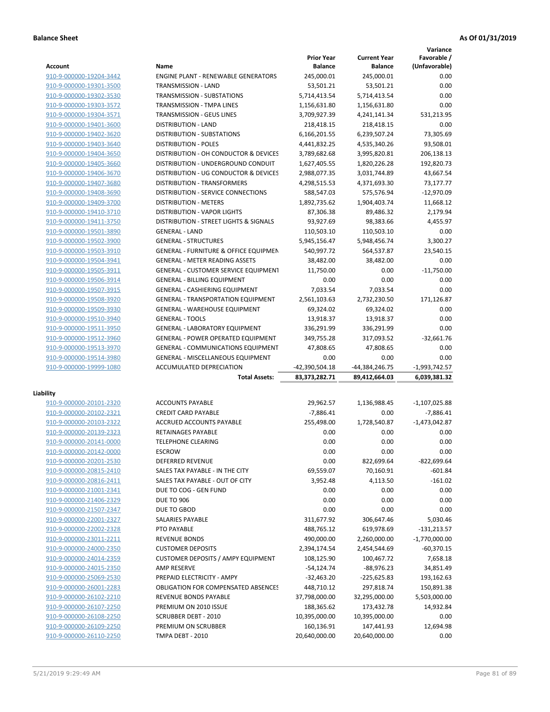**Variance**

|                                                    |                                                               | <b>Prior Year</b>      | <b>Current Year</b> | Favorable /     |
|----------------------------------------------------|---------------------------------------------------------------|------------------------|---------------------|-----------------|
| <b>Account</b>                                     | Name                                                          | <b>Balance</b>         | <b>Balance</b>      | (Unfavorable)   |
| 910-9-000000-19204-3442                            | <b>ENGINE PLANT - RENEWABLE GENERATORS</b>                    | 245,000.01             | 245,000.01          | 0.00            |
| 910-9-000000-19301-3500                            | <b>TRANSMISSION - LAND</b>                                    | 53,501.21              | 53,501.21           | 0.00            |
| 910-9-000000-19302-3530                            | TRANSMISSION - SUBSTATIONS                                    | 5,714,413.54           | 5,714,413.54        | 0.00            |
| 910-9-000000-19303-3572                            | TRANSMISSION - TMPA LINES                                     | 1,156,631.80           | 1,156,631.80        | 0.00            |
| 910-9-000000-19304-3571                            | <b>TRANSMISSION - GEUS LINES</b>                              | 3,709,927.39           | 4,241,141.34        | 531,213.95      |
| 910-9-000000-19401-3600                            | <b>DISTRIBUTION - LAND</b>                                    | 218,418.15             | 218,418.15          | 0.00            |
| 910-9-000000-19402-3620                            | DISTRIBUTION - SUBSTATIONS                                    | 6,166,201.55           | 6,239,507.24        | 73,305.69       |
| 910-9-000000-19403-3640                            | <b>DISTRIBUTION - POLES</b>                                   | 4,441,832.25           | 4,535,340.26        | 93,508.01       |
| 910-9-000000-19404-3650                            | DISTRIBUTION - OH CONDUCTOR & DEVICES                         | 3,789,682.68           | 3,995,820.81        | 206,138.13      |
| 910-9-000000-19405-3660                            | DISTRIBUTION - UNDERGROUND CONDUIT                            | 1,627,405.55           | 1,820,226.28        | 192,820.73      |
| 910-9-000000-19406-3670                            | DISTRIBUTION - UG CONDUCTOR & DEVICES                         | 2,988,077.35           | 3,031,744.89        | 43,667.54       |
| 910-9-000000-19407-3680                            | <b>DISTRIBUTION - TRANSFORMERS</b>                            | 4,298,515.53           | 4,371,693.30        | 73,177.77       |
| 910-9-000000-19408-3690                            | DISTRIBUTION - SERVICE CONNECTIONS                            | 588,547.03             | 575,576.94          | $-12,970.09$    |
| 910-9-000000-19409-3700                            | <b>DISTRIBUTION - METERS</b>                                  | 1,892,735.62           | 1,904,403.74        | 11,668.12       |
| 910-9-000000-19410-3710                            | <b>DISTRIBUTION - VAPOR LIGHTS</b>                            | 87,306.38              | 89,486.32           | 2,179.94        |
| 910-9-000000-19411-3750                            | DISTRIBUTION - STREET LIGHTS & SIGNALS                        | 93,927.69              | 98,383.66           | 4,455.97        |
| 910-9-000000-19501-3890                            | <b>GENERAL - LAND</b>                                         | 110,503.10             | 110,503.10          | 0.00            |
| 910-9-000000-19502-3900                            | <b>GENERAL - STRUCTURES</b>                                   | 5,945,156.47           | 5,948,456.74        | 3,300.27        |
| 910-9-000000-19503-3910                            | GENERAL - FURNITURE & OFFICE EQUIPMEN                         | 540,997.72             | 564,537.87          | 23,540.15       |
| 910-9-000000-19504-3941                            | <b>GENERAL - METER READING ASSETS</b>                         | 38,482.00              | 38,482.00           | 0.00            |
| 910-9-000000-19505-3911                            | <b>GENERAL - CUSTOMER SERVICE EQUIPMENT</b>                   | 11,750.00              | 0.00                | $-11,750.00$    |
| 910-9-000000-19506-3914                            | <b>GENERAL - BILLING EQUIPMENT</b>                            | 0.00                   | 0.00                | 0.00            |
| 910-9-000000-19507-3915                            | <b>GENERAL - CASHIERING EQUIPMENT</b>                         | 7,033.54               | 7,033.54            | 0.00            |
| 910-9-000000-19508-3920                            | <b>GENERAL - TRANSPORTATION EQUIPMENT</b>                     | 2,561,103.63           | 2,732,230.50        | 171,126.87      |
| 910-9-000000-19509-3930                            | <b>GENERAL - WAREHOUSE EQUIPMENT</b>                          | 69,324.02              | 69,324.02           | 0.00            |
| 910-9-000000-19510-3940                            | <b>GENERAL - TOOLS</b>                                        | 13,918.37              | 13,918.37           | 0.00<br>0.00    |
| 910-9-000000-19511-3950                            | <b>GENERAL - LABORATORY EQUIPMENT</b>                         | 336,291.99             | 336,291.99          | $-32,661.76$    |
| 910-9-000000-19512-3960                            | <b>GENERAL - POWER OPERATED EQUIPMENT</b>                     | 349,755.28             | 317,093.52          | 0.00            |
| 910-9-000000-19513-3970                            | <b>GENERAL - COMMUNICATIONS EQUIPMENT</b>                     | 47,808.65              | 47,808.65<br>0.00   | 0.00            |
| 910-9-000000-19514-3980<br>910-9-000000-19999-1080 | GENERAL - MISCELLANEOUS EQUIPMENT<br>ACCUMULATED DEPRECIATION | 0.00<br>-42,390,504.18 | -44,384,246.75      | $-1,993,742.57$ |
|                                                    | <b>Total Assets:</b>                                          | 83,373,282.71          | 89,412,664.03       | 6,039,381.32    |
|                                                    |                                                               |                        |                     |                 |
| Liability                                          |                                                               |                        |                     |                 |
| 910-9-000000-20101-2320                            | <b>ACCOUNTS PAYABLE</b>                                       | 29,962.57              | 1,136,988.45        | $-1,107,025.88$ |
| 910-9-000000-20102-2321                            | <b>CREDIT CARD PAYABLE</b>                                    | $-7,886.41$            | 0.00                | $-7,886.41$     |
| 910-9-000000-20103-2322                            | ACCRUED ACCOUNTS PAYABLE                                      | 255,498.00             | 1,728,540.87        | $-1,473,042.87$ |
| 910-9-000000-20139-2323                            | RETAINAGES PAYABLE                                            | 0.00                   | 0.00                | 0.00            |
| 910-9-000000-20141-0000                            | <b>TELEPHONE CLEARING</b>                                     | 0.00                   | 0.00                | 0.00            |
| 910-9-000000-20142-0000                            | <b>ESCROW</b>                                                 | 0.00                   | 0.00                | 0.00            |
| 910-9-000000-20201-2530                            | DEFERRED REVENUE                                              | 0.00                   | 822,699.64          | $-822,699.64$   |
| 910-9-000000-20815-2410                            | SALES TAX PAYABLE - IN THE CITY                               | 69,559.07              | 70,160.91           | $-601.84$       |
| 910-9-000000-20816-2411                            | SALES TAX PAYABLE - OUT OF CITY                               | 3,952.48               | 4,113.50            | $-161.02$       |
| 910-9-000000-21001-2341                            | DUE TO COG - GEN FUND                                         | 0.00                   | 0.00                | 0.00            |
| 910-9-000000-21406-2329                            | <b>DUE TO 906</b>                                             | 0.00                   | 0.00                | 0.00            |
| 910-9-000000-21507-2347                            | DUE TO GBOD                                                   | 0.00                   | 0.00                | 0.00            |
| 910-9-000000-22001-2327                            | SALARIES PAYABLE                                              | 311,677.92             | 306,647.46          | 5,030.46        |
| 910-9-000000-22002-2328                            | PTO PAYABLE                                                   | 488,765.12             | 619,978.69          | $-131,213.57$   |
| 910-9-000000-23011-2211                            | <b>REVENUE BONDS</b>                                          | 490,000.00             | 2,260,000.00        | $-1,770,000.00$ |
| 910-9-000000-24000-2350                            | <b>CUSTOMER DEPOSITS</b>                                      | 2,394,174.54           | 2,454,544.69        | $-60,370.15$    |
| 910-9-000000-24014-2359                            | <b>CUSTOMER DEPOSITS / AMPY EQUIPMENT</b>                     | 108,125.90             | 100,467.72          | 7,658.18        |
| 910-9-000000-24015-2350                            | AMP RESERVE                                                   | $-54,124.74$           | $-88,976.23$        | 34,851.49       |
| 910-9-000000-25069-2530                            | PREPAID ELECTRICITY - AMPY                                    | $-32,463.20$           | $-225,625.83$       | 193,162.63      |
| 910-9-000000-26001-2283                            | <b>OBLIGATION FOR COMPENSATED ABSENCES</b>                    | 448,710.12             | 297,818.74          | 150,891.38      |
| 910-9-000000-26102-2210                            | REVENUE BONDS PAYABLE                                         | 37,798,000.00          | 32,295,000.00       | 5,503,000.00    |
| 910-9-000000-26107-2250                            | PREMIUM ON 2010 ISSUE                                         | 188,365.62             | 173,432.78          | 14,932.84       |
| 910-9-000000-26108-2250                            | <b>SCRUBBER DEBT - 2010</b>                                   | 10,395,000.00          | 10,395,000.00       | 0.00            |
| 910-9-000000-26109-2250                            | PREMIUM ON SCRUBBER                                           | 160,136.91             | 147,441.93          | 12,694.98       |
| 910-9-000000-26110-2250                            | TMPA DEBT - 2010                                              | 20,640,000.00          | 20,640,000.00       | 0.00            |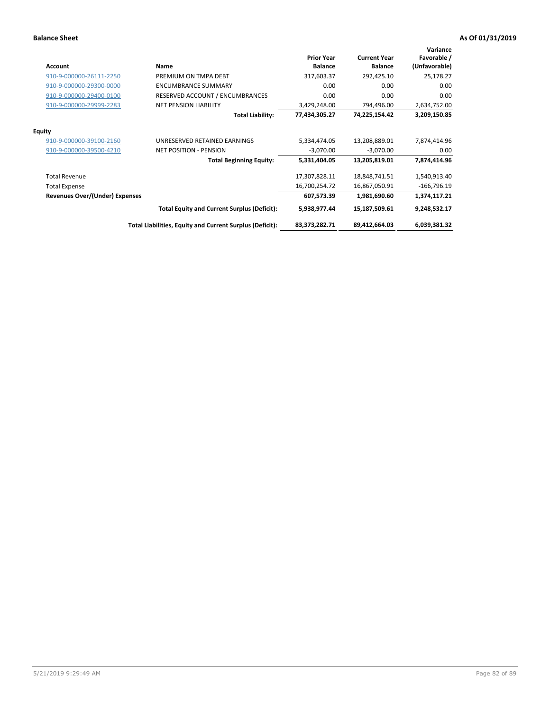| <b>Account</b>                        | Name                                                     | <b>Prior Year</b><br><b>Balance</b> | <b>Current Year</b><br><b>Balance</b> | Variance<br>Favorable /<br>(Unfavorable) |
|---------------------------------------|----------------------------------------------------------|-------------------------------------|---------------------------------------|------------------------------------------|
| 910-9-000000-26111-2250               | PREMIUM ON TMPA DEBT                                     | 317,603.37                          | 292,425.10                            | 25,178.27                                |
| 910-9-000000-29300-0000               | <b>ENCUMBRANCE SUMMARY</b>                               | 0.00                                | 0.00                                  | 0.00                                     |
| 910-9-000000-29400-0100               | RESERVED ACCOUNT / ENCUMBRANCES                          | 0.00                                | 0.00                                  | 0.00                                     |
| 910-9-000000-29999-2283               | <b>NET PENSION LIABILITY</b>                             | 3,429,248.00                        | 794,496.00                            | 2,634,752.00                             |
|                                       | <b>Total Liability:</b>                                  | 77,434,305.27                       | 74,225,154.42                         | 3,209,150.85                             |
| <b>Equity</b>                         |                                                          |                                     |                                       |                                          |
| 910-9-000000-39100-2160               | UNRESERVED RETAINED EARNINGS                             | 5,334,474.05                        | 13,208,889.01                         | 7,874,414.96                             |
| 910-9-000000-39500-4210               | <b>NET POSITION - PENSION</b>                            | $-3,070.00$                         | $-3,070.00$                           | 0.00                                     |
|                                       | <b>Total Beginning Equity:</b>                           | 5,331,404.05                        | 13,205,819.01                         | 7,874,414.96                             |
| <b>Total Revenue</b>                  |                                                          | 17,307,828.11                       | 18,848,741.51                         | 1,540,913.40                             |
| <b>Total Expense</b>                  |                                                          | 16,700,254.72                       | 16,867,050.91                         | $-166,796.19$                            |
| <b>Revenues Over/(Under) Expenses</b> |                                                          | 607,573.39                          | 1,981,690.60                          | 1,374,117.21                             |
|                                       | <b>Total Equity and Current Surplus (Deficit):</b>       | 5,938,977.44                        | 15,187,509.61                         | 9,248,532.17                             |
|                                       | Total Liabilities, Equity and Current Surplus (Deficit): | 83,373,282.71                       | 89,412,664.03                         | 6,039,381.32                             |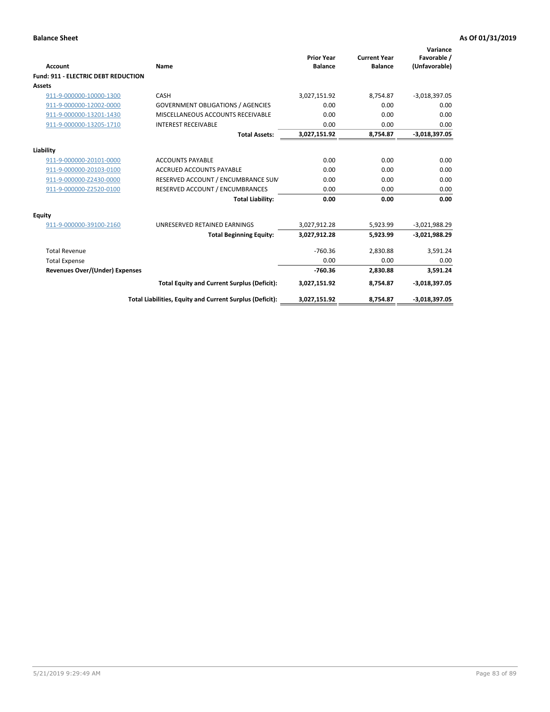| Account                                    | Name                                                     | <b>Prior Year</b><br><b>Balance</b> | <b>Current Year</b><br><b>Balance</b> | Variance<br>Favorable /<br>(Unfavorable) |
|--------------------------------------------|----------------------------------------------------------|-------------------------------------|---------------------------------------|------------------------------------------|
| <b>Fund: 911 - ELECTRIC DEBT REDUCTION</b> |                                                          |                                     |                                       |                                          |
| Assets                                     |                                                          |                                     |                                       |                                          |
| 911-9-000000-10000-1300                    | CASH                                                     | 3,027,151.92                        | 8,754.87                              | $-3,018,397.05$                          |
| 911-9-000000-12002-0000                    | <b>GOVERNMENT OBLIGATIONS / AGENCIES</b>                 | 0.00                                | 0.00                                  | 0.00                                     |
| 911-9-000000-13201-1430                    | MISCELLANEOUS ACCOUNTS RECEIVABLE                        | 0.00                                | 0.00                                  | 0.00                                     |
| 911-9-000000-13205-1710                    | <b>INTEREST RECEIVABLE</b>                               | 0.00                                | 0.00                                  | 0.00                                     |
|                                            | <b>Total Assets:</b>                                     | 3,027,151.92                        | 8,754.87                              | $-3,018,397.05$                          |
| Liability                                  |                                                          |                                     |                                       |                                          |
| 911-9-000000-20101-0000                    | <b>ACCOUNTS PAYABLE</b>                                  | 0.00                                | 0.00                                  | 0.00                                     |
| 911-9-000000-20103-0100                    | <b>ACCRUED ACCOUNTS PAYABLE</b>                          | 0.00                                | 0.00                                  | 0.00                                     |
| 911-9-000000-Z2430-0000                    | RESERVED ACCOUNT / ENCUMBRANCE SUN                       | 0.00                                | 0.00                                  | 0.00                                     |
| 911-9-000000-Z2520-0100                    | RESERVED ACCOUNT / ENCUMBRANCES                          | 0.00                                | 0.00                                  | 0.00                                     |
|                                            | <b>Total Liability:</b>                                  | 0.00                                | 0.00                                  | 0.00                                     |
| Equity                                     |                                                          |                                     |                                       |                                          |
| 911-9-000000-39100-2160                    | UNRESERVED RETAINED EARNINGS                             | 3,027,912.28                        | 5,923.99                              | $-3,021,988.29$                          |
|                                            | <b>Total Beginning Equity:</b>                           | 3,027,912.28                        | 5.923.99                              | $-3,021,988.29$                          |
| <b>Total Revenue</b>                       |                                                          | $-760.36$                           | 2,830.88                              | 3,591.24                                 |
| <b>Total Expense</b>                       |                                                          | 0.00                                | 0.00                                  | 0.00                                     |
| <b>Revenues Over/(Under) Expenses</b>      |                                                          | $-760.36$                           | 2,830.88                              | 3,591.24                                 |
|                                            | <b>Total Equity and Current Surplus (Deficit):</b>       | 3,027,151.92                        | 8,754.87                              | $-3,018,397.05$                          |
|                                            | Total Liabilities, Equity and Current Surplus (Deficit): | 3,027,151.92                        | 8,754.87                              | $-3,018,397.05$                          |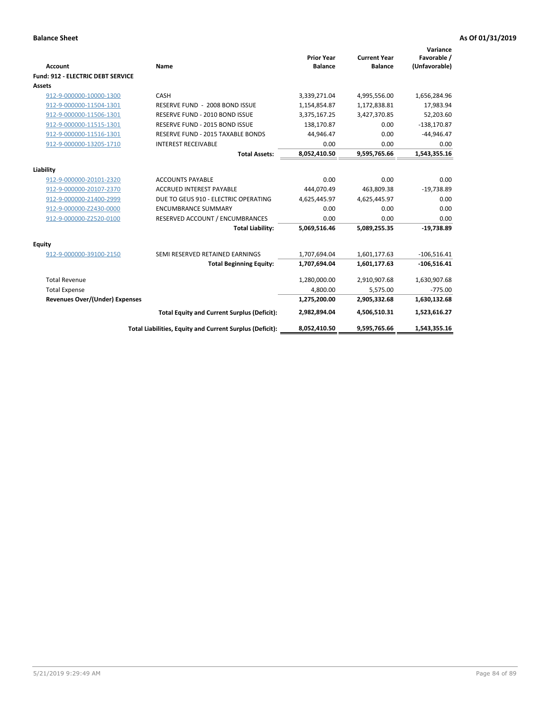| <b>Account</b>                           | Name                                                     | <b>Prior Year</b><br><b>Balance</b> | <b>Current Year</b><br><b>Balance</b> | Variance<br>Favorable /<br>(Unfavorable) |
|------------------------------------------|----------------------------------------------------------|-------------------------------------|---------------------------------------|------------------------------------------|
| <b>Fund: 912 - ELECTRIC DEBT SERVICE</b> |                                                          |                                     |                                       |                                          |
| <b>Assets</b>                            |                                                          |                                     |                                       |                                          |
| 912-9-000000-10000-1300                  | CASH                                                     | 3,339,271.04                        | 4,995,556.00                          | 1,656,284.96                             |
| 912-9-000000-11504-1301                  | RESERVE FUND - 2008 BOND ISSUE                           | 1,154,854.87                        | 1,172,838.81                          | 17,983.94                                |
| 912-9-000000-11506-1301                  | RESERVE FUND - 2010 BOND ISSUE                           | 3,375,167.25                        | 3,427,370.85                          | 52,203.60                                |
| 912-9-000000-11515-1301                  | RESERVE FUND - 2015 BOND ISSUE                           | 138,170.87                          | 0.00                                  | $-138,170.87$                            |
| 912-9-000000-11516-1301                  | RESERVE FUND - 2015 TAXABLE BONDS                        | 44,946.47                           | 0.00                                  | $-44,946.47$                             |
| 912-9-000000-13205-1710                  | <b>INTEREST RECEIVABLE</b>                               | 0.00                                | 0.00                                  | 0.00                                     |
|                                          | <b>Total Assets:</b>                                     | 8,052,410.50                        | 9,595,765.66                          | 1,543,355.16                             |
| Liability                                |                                                          |                                     |                                       |                                          |
| 912-9-000000-20101-2320                  | <b>ACCOUNTS PAYABLE</b>                                  | 0.00                                | 0.00                                  | 0.00                                     |
| 912-9-000000-20107-2370                  | <b>ACCRUED INTEREST PAYABLE</b>                          | 444,070.49                          | 463,809.38                            | $-19,738.89$                             |
| 912-9-000000-21400-2999                  | DUE TO GEUS 910 - ELECTRIC OPERATING                     | 4,625,445.97                        | 4,625,445.97                          | 0.00                                     |
| 912-9-000000-Z2430-0000                  | <b>ENCUMBRANCE SUMMARY</b>                               | 0.00                                | 0.00                                  | 0.00                                     |
| 912-9-000000-Z2520-0100                  | RESERVED ACCOUNT / ENCUMBRANCES                          | 0.00                                | 0.00                                  | 0.00                                     |
|                                          | <b>Total Liability:</b>                                  | 5,069,516.46                        | 5,089,255.35                          | $-19,738.89$                             |
| Equity                                   |                                                          |                                     |                                       |                                          |
| 912-9-000000-39100-2150                  | SEMI RESERVED RETAINED EARNINGS                          | 1,707,694.04                        | 1,601,177.63                          | $-106,516.41$                            |
|                                          | <b>Total Beginning Equity:</b>                           | 1,707,694.04                        | 1,601,177.63                          | $-106,516.41$                            |
| <b>Total Revenue</b>                     |                                                          | 1,280,000.00                        | 2,910,907.68                          | 1,630,907.68                             |
| <b>Total Expense</b>                     |                                                          | 4,800.00                            | 5,575.00                              | $-775.00$                                |
| <b>Revenues Over/(Under) Expenses</b>    |                                                          | 1,275,200.00                        | 2,905,332.68                          | 1,630,132.68                             |
|                                          | <b>Total Equity and Current Surplus (Deficit):</b>       | 2,982,894.04                        | 4,506,510.31                          | 1,523,616.27                             |
|                                          | Total Liabilities, Equity and Current Surplus (Deficit): | 8,052,410.50                        | 9,595,765.66                          | 1.543.355.16                             |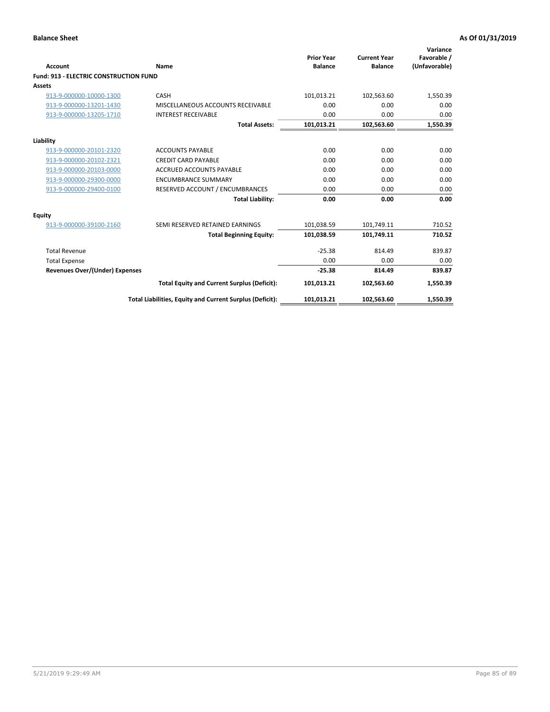| Account                                       | Name                                                     | <b>Prior Year</b><br><b>Balance</b> | <b>Current Year</b><br><b>Balance</b> | Variance<br>Favorable /<br>(Unfavorable) |
|-----------------------------------------------|----------------------------------------------------------|-------------------------------------|---------------------------------------|------------------------------------------|
| <b>Fund: 913 - ELECTRIC CONSTRUCTION FUND</b> |                                                          |                                     |                                       |                                          |
| Assets                                        |                                                          |                                     |                                       |                                          |
| 913-9-000000-10000-1300                       | CASH                                                     | 101,013.21                          | 102,563.60                            | 1,550.39                                 |
| 913-9-000000-13201-1430                       | MISCELLANEOUS ACCOUNTS RECEIVABLE                        | 0.00                                | 0.00                                  | 0.00                                     |
| 913-9-000000-13205-1710                       | <b>INTEREST RECEIVABLE</b>                               | 0.00                                | 0.00                                  | 0.00                                     |
|                                               | <b>Total Assets:</b>                                     | 101,013.21                          | 102,563.60                            | 1,550.39                                 |
| Liability                                     |                                                          |                                     |                                       |                                          |
| 913-9-000000-20101-2320                       | <b>ACCOUNTS PAYABLE</b>                                  | 0.00                                | 0.00                                  | 0.00                                     |
| 913-9-000000-20102-2321                       | <b>CREDIT CARD PAYABLE</b>                               | 0.00                                | 0.00                                  | 0.00                                     |
| 913-9-000000-20103-0000                       | <b>ACCRUED ACCOUNTS PAYABLE</b>                          | 0.00                                | 0.00                                  | 0.00                                     |
| 913-9-000000-29300-0000                       | <b>ENCUMBRANCE SUMMARY</b>                               | 0.00                                | 0.00                                  | 0.00                                     |
| 913-9-000000-29400-0100                       | RESERVED ACCOUNT / ENCUMBRANCES                          | 0.00                                | 0.00                                  | 0.00                                     |
|                                               | <b>Total Liability:</b>                                  | 0.00                                | 0.00                                  | 0.00                                     |
| <b>Equity</b>                                 |                                                          |                                     |                                       |                                          |
| 913-9-000000-39100-2160                       | SEMI RESERVED RETAINED EARNINGS                          | 101,038.59                          | 101,749.11                            | 710.52                                   |
|                                               | <b>Total Beginning Equity:</b>                           | 101,038.59                          | 101,749.11                            | 710.52                                   |
| <b>Total Revenue</b>                          |                                                          | $-25.38$                            | 814.49                                | 839.87                                   |
| <b>Total Expense</b>                          |                                                          | 0.00                                | 0.00                                  | 0.00                                     |
| <b>Revenues Over/(Under) Expenses</b>         |                                                          | $-25.38$                            | 814.49                                | 839.87                                   |
|                                               | <b>Total Equity and Current Surplus (Deficit):</b>       | 101,013.21                          | 102,563.60                            | 1,550.39                                 |
|                                               | Total Liabilities, Equity and Current Surplus (Deficit): | 101,013.21                          | 102,563.60                            | 1,550.39                                 |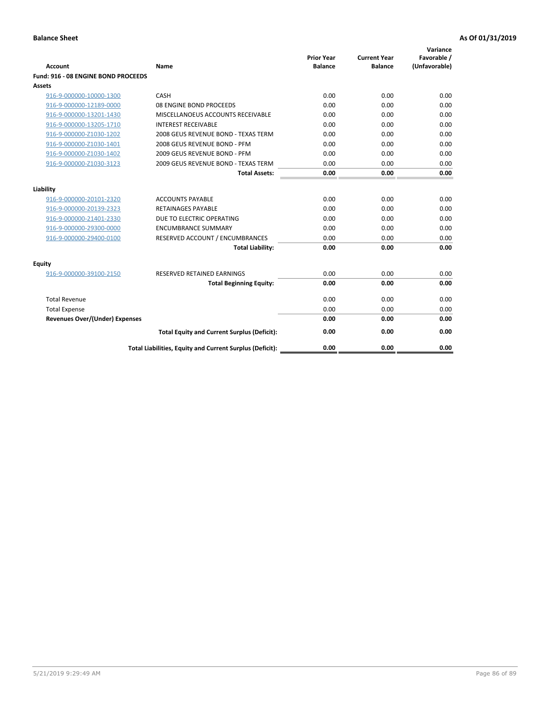| <b>Account</b>                        | Name                                                     | <b>Prior Year</b><br><b>Balance</b> | <b>Current Year</b><br><b>Balance</b> | Variance<br>Favorable /<br>(Unfavorable) |
|---------------------------------------|----------------------------------------------------------|-------------------------------------|---------------------------------------|------------------------------------------|
| Fund: 916 - 08 ENGINE BOND PROCEEDS   |                                                          |                                     |                                       |                                          |
| Assets                                |                                                          |                                     |                                       |                                          |
| 916-9-000000-10000-1300               | CASH                                                     | 0.00                                | 0.00                                  | 0.00                                     |
| 916-9-000000-12189-0000               | 08 ENGINE BOND PROCEEDS                                  | 0.00                                | 0.00                                  | 0.00                                     |
| 916-9-000000-13201-1430               | MISCELLANOEUS ACCOUNTS RECEIVABLE                        | 0.00                                | 0.00                                  | 0.00                                     |
| 916-9-000000-13205-1710               | <b>INTEREST RECEIVABLE</b>                               | 0.00                                | 0.00                                  | 0.00                                     |
| 916-9-000000-Z1030-1202               | 2008 GEUS REVENUE BOND - TEXAS TERM                      | 0.00                                | 0.00                                  | 0.00                                     |
| 916-9-000000-Z1030-1401               | 2008 GEUS REVENUE BOND - PFM                             | 0.00                                | 0.00                                  | 0.00                                     |
| 916-9-000000-Z1030-1402               | 2009 GEUS REVENUE BOND - PFM                             | 0.00                                | 0.00                                  | 0.00                                     |
| 916-9-000000-Z1030-3123               | 2009 GEUS REVENUE BOND - TEXAS TERM                      | 0.00                                | 0.00                                  | 0.00                                     |
|                                       | <b>Total Assets:</b>                                     | 0.00                                | 0.00                                  | 0.00                                     |
| Liability                             |                                                          |                                     |                                       |                                          |
| 916-9-000000-20101-2320               | <b>ACCOUNTS PAYABLE</b>                                  | 0.00                                | 0.00                                  | 0.00                                     |
| 916-9-000000-20139-2323               | <b>RETAINAGES PAYABLE</b>                                | 0.00                                | 0.00                                  | 0.00                                     |
| 916-9-000000-21401-2330               | DUE TO ELECTRIC OPERATING                                | 0.00                                | 0.00                                  | 0.00                                     |
| 916-9-000000-29300-0000               | <b>ENCUMBRANCE SUMMARY</b>                               | 0.00                                | 0.00                                  | 0.00                                     |
| 916-9-000000-29400-0100               | RESERVED ACCOUNT / ENCUMBRANCES                          | 0.00                                | 0.00                                  | 0.00                                     |
|                                       | <b>Total Liability:</b>                                  | 0.00                                | 0.00                                  | 0.00                                     |
| Equity                                |                                                          |                                     |                                       |                                          |
| 916-9-000000-39100-2150               | <b>RESERVED RETAINED EARNINGS</b>                        | 0.00                                | 0.00                                  | 0.00                                     |
|                                       | <b>Total Beginning Equity:</b>                           | 0.00                                | 0.00                                  | 0.00                                     |
| <b>Total Revenue</b>                  |                                                          | 0.00                                | 0.00                                  | 0.00                                     |
| <b>Total Expense</b>                  |                                                          | 0.00                                | 0.00                                  | 0.00                                     |
| <b>Revenues Over/(Under) Expenses</b> |                                                          | 0.00                                | 0.00                                  | 0.00                                     |
|                                       | <b>Total Equity and Current Surplus (Deficit):</b>       | 0.00                                | 0.00                                  | 0.00                                     |
|                                       | Total Liabilities, Equity and Current Surplus (Deficit): | 0.00                                | 0.00                                  | 0.00                                     |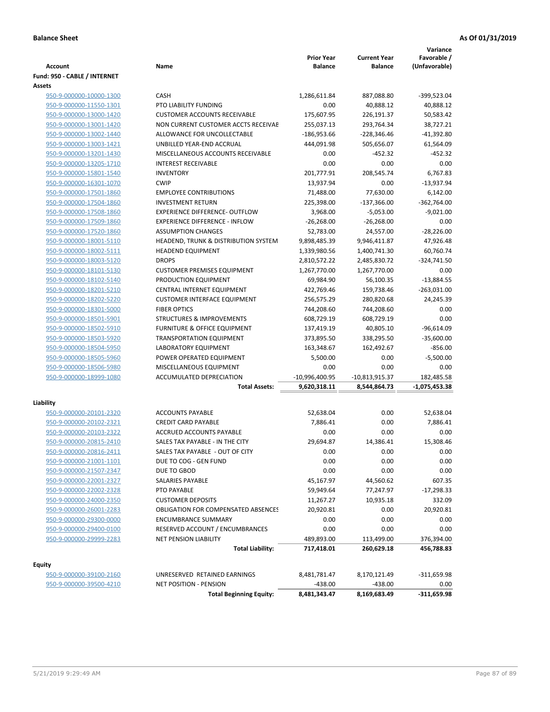| Account                      | Name                                       | <b>Prior Year</b><br><b>Balance</b> | <b>Current Year</b><br><b>Balance</b> | Variance<br>Favorable /<br>(Unfavorable) |
|------------------------------|--------------------------------------------|-------------------------------------|---------------------------------------|------------------------------------------|
| Fund: 950 - CABLE / INTERNET |                                            |                                     |                                       |                                          |
| <b>Assets</b>                |                                            |                                     |                                       |                                          |
| 950-9-000000-10000-1300      | <b>CASH</b>                                | 1,286,611.84                        | 887,088.80                            | $-399.523.04$                            |
| 950-9-000000-11550-1301      | PTO LIABILITY FUNDING                      | 0.00                                | 40,888.12                             | 40,888.12                                |
| 950-9-000000-13000-1420      | <b>CUSTOMER ACCOUNTS RECEIVABLE</b>        | 175,607.95                          | 226,191.37                            | 50,583.42                                |
| 950-9-000000-13001-1420      | NON CURRENT CUSTOMER ACCTS RECEIVAE        | 255,037.13                          | 293,764.34                            | 38,727.21                                |
| 950-9-000000-13002-1440      | ALLOWANCE FOR UNCOLLECTABLE                | $-186,953.66$                       | $-228,346.46$                         | $-41,392.80$                             |
| 950-9-000000-13003-1421      | UNBILLED YEAR-END ACCRUAL                  | 444,091.98                          | 505,656.07                            | 61,564.09                                |
| 950-9-000000-13201-1430      | MISCELLANEOUS ACCOUNTS RECEIVABLE          | 0.00                                | $-452.32$                             | $-452.32$                                |
| 950-9-000000-13205-1710      | <b>INTEREST RECEIVABLE</b>                 | 0.00                                | 0.00                                  | 0.00                                     |
| 950-9-000000-15801-1540      | <b>INVENTORY</b>                           | 201,777.91                          | 208,545.74                            | 6.767.83                                 |
| 950-9-000000-16301-1070      | <b>CWIP</b>                                | 13,937.94                           | 0.00                                  | $-13,937.94$                             |
| 950-9-000000-17501-1860      | <b>EMPLOYEE CONTRIBUTIONS</b>              | 71,488.00                           | 77,630.00                             | 6,142.00                                 |
| 950-9-000000-17504-1860      | <b>INVESTMENT RETURN</b>                   | 225,398.00                          | $-137,366.00$                         | $-362,764.00$                            |
| 950-9-000000-17508-1860      | <b>EXPERIENCE DIFFERENCE- OUTFLOW</b>      | 3,968.00                            | $-5,053.00$                           | $-9,021.00$                              |
| 950-9-000000-17509-1860      | <b>EXPERIENCE DIFFERENCE - INFLOW</b>      | $-26,268.00$                        | $-26,268.00$                          | 0.00                                     |
| 950-9-000000-17520-1860      | <b>ASSUMPTION CHANGES</b>                  | 52,783.00                           | 24,557.00                             | $-28,226.00$                             |
| 950-9-000000-18001-5110      | HEADEND, TRUNK & DISTRIBUTION SYSTEM       | 9,898,485.39                        | 9,946,411.87                          | 47,926.48                                |
| 950-9-000000-18002-5111      | <b>HEADEND EQUIPMENT</b>                   | 1,339,980.56                        | 1,400,741.30                          | 60,760.74                                |
| 950-9-000000-18003-5120      | <b>DROPS</b>                               | 2,810,572.22                        | 2,485,830.72                          | $-324,741.50$                            |
| 950-9-000000-18101-5130      | <b>CUSTOMER PREMISES EQUIPMENT</b>         | 1,267,770.00                        | 1,267,770.00                          | 0.00                                     |
| 950-9-000000-18102-5140      | PRODUCTION EQUIPMENT                       | 69,984.90                           | 56,100.35                             | $-13,884.55$                             |
| 950-9-000000-18201-5210      | CENTRAL INTERNET EQUIPMENT                 | 422,769.46                          | 159,738.46                            | $-263,031.00$                            |
| 950-9-000000-18202-5220      | <b>CUSTOMER INTERFACE EQUIPMENT</b>        | 256,575.29                          | 280,820.68                            | 24,245.39                                |
| 950-9-000000-18301-5000      | <b>FIBER OPTICS</b>                        | 744,208.60                          | 744,208.60                            | 0.00                                     |
| 950-9-000000-18501-5901      | <b>STRUCTURES &amp; IMPROVEMENTS</b>       | 608,729.19                          | 608,729.19                            | 0.00                                     |
| 950-9-000000-18502-5910      | <b>FURNITURE &amp; OFFICE EQUIPMENT</b>    | 137,419.19                          | 40,805.10                             | $-96,614.09$                             |
| 950-9-000000-18503-5920      | <b>TRANSPORTATION EQUIPMENT</b>            | 373,895.50                          | 338,295.50                            | $-35,600.00$                             |
| 950-9-000000-18504-5950      | LABORATORY EQUIPMENT                       | 163,348.67                          | 162,492.67                            | $-856.00$                                |
| 950-9-000000-18505-5960      | POWER OPERATED EQUIPMENT                   | 5,500.00                            | 0.00                                  | $-5,500.00$                              |
| 950-9-000000-18506-5980      | MISCELLANEOUS EQUIPMENT                    | 0.00                                | 0.00                                  | 0.00                                     |
| 950-9-000000-18999-1080      | ACCUMULATED DEPRECIATION                   | -10,996,400.95                      | $-10,813,915.37$                      | 182,485.58                               |
|                              | <b>Total Assets:</b>                       | 9,620,318.11                        | 8,544,864.73                          | $-1,075,453.38$                          |
|                              |                                            |                                     |                                       |                                          |
| Liability                    |                                            |                                     |                                       |                                          |
| 950-9-000000-20101-2320      | <b>ACCOUNTS PAYABLE</b>                    | 52,638.04                           | 0.00                                  | 52,638.04                                |
| 950-9-000000-20102-2321      | <b>CREDIT CARD PAYABLE</b>                 | 7,886.41                            | 0.00                                  | 7,886.41                                 |
| 950-9-000000-20103-2322      | ACCRUED ACCOUNTS PAYABLE                   | 0.00                                | 0.00                                  | 0.00                                     |
| 950-9-000000-20815-2410      | SALES TAX PAYABLE - IN THE CITY            | 29,694.87                           | 14,386.41                             | 15,308.46                                |
| 950-9-000000-20816-2411      | SALES TAX PAYABLE - OUT OF CITY            | 0.00                                | 0.00                                  | 0.00                                     |
| 950-9-000000-21001-1101      | DUE TO COG - GEN FUND                      | 0.00                                | 0.00                                  | 0.00                                     |
| 950-9-000000-21507-2347      | DUE TO GBOD                                | 0.00                                | 0.00                                  | 0.00                                     |
| 950-9-000000-22001-2327      | SALARIES PAYABLE                           | 45,167.97                           | 44,560.62                             | 607.35                                   |
| 950-9-000000-22002-2328      | PTO PAYABLE                                | 59,949.64                           | 77,247.97                             | -17,298.33                               |
| 950-9-000000-24000-2350      | <b>CUSTOMER DEPOSITS</b>                   | 11,267.27                           | 10,935.18                             | 332.09                                   |
| 950-9-000000-26001-2283      | <b>OBLIGATION FOR COMPENSATED ABSENCES</b> | 20,920.81                           | 0.00                                  | 20,920.81                                |
| 950-9-000000-29300-0000      | <b>ENCUMBRANCE SUMMARY</b>                 | 0.00                                | 0.00                                  | 0.00                                     |
| 950-9-000000-29400-0100      | RESERVED ACCOUNT / ENCUMBRANCES            | 0.00                                | 0.00                                  | 0.00                                     |
| 950-9-000000-29999-2283      | <b>NET PENSION LIABILITY</b>               | 489,893.00                          | 113,499.00                            | 376,394.00                               |
|                              | <b>Total Liability:</b>                    | 717,418.01                          | 260,629.18                            | 456,788.83                               |
| Equity                       |                                            |                                     |                                       |                                          |
| 950-9-000000-39100-2160      | UNRESERVED RETAINED EARNINGS               | 8,481,781.47                        | 8,170,121.49                          | -311,659.98                              |

950-9-000000-39500-4210 NET POSITION - PENSION<br>Total Beginning Equity:  $\frac{438.00}{8,481,343.47}$  -438.00 -4311,659.98 **Total Beginning Equity:**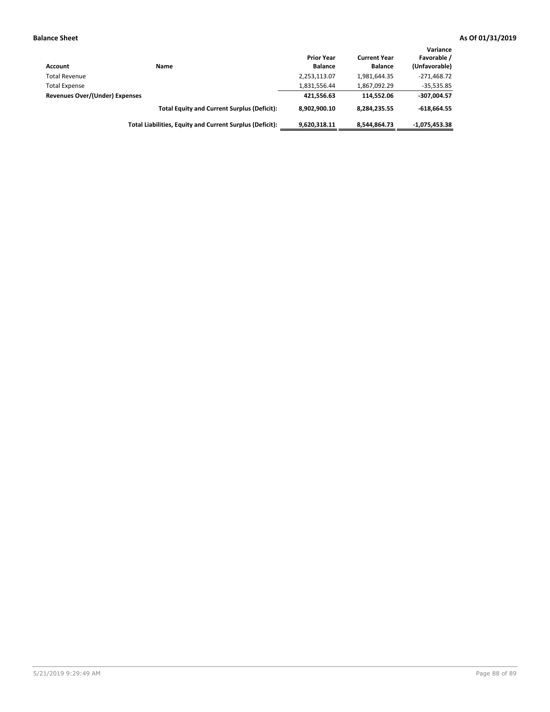| Account                        | Name                                                     | <b>Prior Year</b><br><b>Balance</b> | <b>Current Year</b><br><b>Balance</b> | Variance<br>Favorable /<br>(Unfavorable) |
|--------------------------------|----------------------------------------------------------|-------------------------------------|---------------------------------------|------------------------------------------|
| <b>Total Revenue</b>           |                                                          | 2,253,113.07                        | 1,981,644.35                          | $-271,468.72$                            |
| <b>Total Expense</b>           |                                                          | 1,831,556.44                        | 1,867,092.29                          | $-35,535.85$                             |
| Revenues Over/(Under) Expenses |                                                          | 421.556.63                          | 114.552.06                            | $-307,004.57$                            |
|                                | <b>Total Equity and Current Surplus (Deficit):</b>       | 8,902,900.10                        | 8,284,235.55                          | $-618.664.55$                            |
|                                | Total Liabilities, Equity and Current Surplus (Deficit): | 9,620,318.11                        | 8.544.864.73                          | $-1.075.453.38$                          |